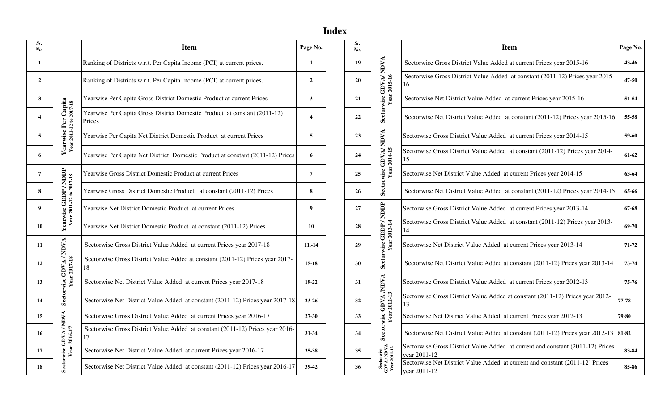# **Index**

| Sr.<br>No.            |                                                | <b>Item</b>                                                                         | Page No.       | Sr.<br>No. |                                                | <b>Item</b>                                                                                    | Page  |
|-----------------------|------------------------------------------------|-------------------------------------------------------------------------------------|----------------|------------|------------------------------------------------|------------------------------------------------------------------------------------------------|-------|
| -1                    |                                                | Ranking of Districts w.r.t. Per Capita Income (PCI) at current prices.              | 1              | 19         |                                                | Sectorwise Gross District Value Added at current Prices year 2015-16                           | 43    |
| $\overline{2}$        |                                                | Ranking of Districts w.r.t. Per Capita Income (PCI) at current prices.              | $\overline{2}$ | 20         | Sectorwise GDVA/NDVA<br>Year 2015-16           | Sectorwise Gross District Value Added at constant (2011-12) Prices year 2015-<br>16            | 47    |
| 3                     |                                                | Yearwise Per Capita Gross District Domestic Product at current Prices               | $\mathbf{3}$   | 21         |                                                | Sectorwise Net District Value Added at current Prices year 2015-16                             | 51    |
| $\boldsymbol{\Delta}$ |                                                | Yearwise Per Capita Gross District Domestic Product at constant (2011-12)<br>Prices | 4              | 22         |                                                | Sectorwise Net District Value Added at constant (2011-12) Prices year 2015-16                  | 55    |
| 5                     | Yearwise Per Capita<br>Year 2011-12 to 2017-18 | Yearwise Per Capita Net District Domestic Product at current Prices                 | 5              | 23         |                                                | Sectorwise Gross District Value Added at current Prices year 2014-15                           | 59    |
| 6                     |                                                | Yearwise Per Capita Net District Domestic Product at constant (2011-12) Prices      | 6              | 24         | $\frac{\text{GDVA}}{\text{r} \, 2014\cdot 15}$ | Sectorwise Gross District Value Added at constant (2011-12) Prices year 2014-<br>15            | 61    |
| $\overline{7}$        |                                                | Yearwise Gross District Domestic Product at current Prices                          | $\overline{7}$ | 25         | Year<br>Sectorwise                             | Sectorwise Net District Value Added at current Prices year 2014-15                             | 63    |
| 8                     | ise GDDP / NDDP<br>2011-12 to 2017-18          | Yearwise Gross District Domestic Product at constant (2011-12) Prices               | 8              | 26         |                                                | Sectorwise Net District Value Added at constant (2011-12) Prices year 2014-15                  | 65    |
| $\mathbf q$           | Yearwise GDDP/                                 | Yearwise Net District Domestic Product at current Prices                            | 9              | 27         |                                                | Sectorwise Gross District Value Added at current Prices year 2013-14                           | 67    |
| 10                    | Year:                                          | Yearwise Net District Domestic Product at constant (2011-12) Prices                 | 10             | 28         | Sectorwise GDDP / NDDP<br>Year 2013-14         | Sectorwise Gross District Value Added at constant (2011-12) Prices year 2013-<br>14            | 69    |
| 11                    | <b>NDVA</b>                                    | Sectorwise Gross District Value Added at current Prices year 2017-18                | $11.-14$       | 29         |                                                | Sectorwise Net District Value Added at current Prices year 2013-14                             | 71    |
| 12                    | GDVA/<br>2017-18                               | Sectorwise Gross District Value Added at constant (2011-12) Prices year 2017-<br>18 | $15 - 18$      | 30         |                                                | Sectorwise Net District Value Added at constant (2011-12) Prices year 2013-14                  | 73    |
| 13                    | Year                                           | Sectorwise Net District Value Added at current Prices year 2017-18                  | 19-22          | 31         |                                                | Sectorwise Gross District Value Added at current Prices year 2012-13                           | 75    |
| 14                    | Sectorwise                                     | Sectorwise Net District Value Added at constant (2011-12) Prices year 2017-18       | $23 - 26$      | 32         |                                                | Sectorwise Gross District Value Added at constant (2011-12) Prices year 2012-<br>13            | 77-78 |
| 15                    |                                                | Sectorwise Gross District Value Added at current Prices year 2016-17                | $27 - 30$      | 33         |                                                | Sectorwise Net District Value Added at current Prices year 2012-13                             | 79-80 |
| 16                    | GDVA/NDVA                                      | Sectorwise Gross District Value Added at constant (2011-12) Prices year 2016-<br>17 | 31-34          | 34         | Sectorwise GDVA /NDVA<br>Year 2012-13          | Sectorwise Net District Value Added at constant (2011-12) Prices year 2012-13 81-82            |       |
| 17                    | Year 2016-17                                   | Sectorwise Net District Value Added at current Prices year 2016-17                  | 35-38          | 35         |                                                | Sectorwise Gross District Value Added at current and constant (2011-12) Prices<br>year 2011-12 | 83    |
| 18                    | Sectorwise                                     | Sectorwise Net District Value Added at constant (2011-12) Prices year 2016-17       | 39-42          | 36         | Sectorwise<br>GDVA/NDVA<br>Year 2011-12        | Sectorwise Net District Value Added at current and constant (2011-12) Prices<br>year 2011-12   | 85    |
|                       |                                                |                                                                                     |                |            |                                                |                                                                                                |       |

| Sr.<br>Vo.              |                                       | <b>Item</b>                                                                         | Page No.               | Sr.<br>No. |                                                                       | <b>Item</b>                                                                                    | Page No.  |
|-------------------------|---------------------------------------|-------------------------------------------------------------------------------------|------------------------|------------|-----------------------------------------------------------------------|------------------------------------------------------------------------------------------------|-----------|
| $\mathbf{1}$            |                                       | Ranking of Districts w.r.t. Per Capita Income (PCI) at current prices.              | $\mathbf{1}$           | 19         |                                                                       | Sectorwise Gross District Value Added at current Prices year 2015-16                           | $43 - 46$ |
| $\overline{2}$          |                                       | Ranking of Districts w.r.t. Per Capita Income (PCI) at current prices.              | $\overline{2}$         | 20         | $\begin{array}{c}\n\text{GDVA/NDVA} \\ \text{r 2015-16}\n\end{array}$ | Sectorwise Gross District Value Added at constant (2011-12) Prices year 2015-<br>16            | $47 - 50$ |
| $\mathbf{3}$            |                                       | Yearwise Per Capita Gross District Domestic Product at current Prices               | 3                      | 21         |                                                                       | Sectorwise Net District Value Added at current Prices year 2015-16                             | 51-54     |
| $\overline{\mathbf{4}}$ | Capita<br>2017-18<br>Per              | Yearwise Per Capita Gross District Domestic Product at constant (2011-12)<br>Prices | $\boldsymbol{\Lambda}$ | 22         | Sectorwise                                                            | Sectorwise Net District Value Added at constant (2011-12) Prices year 2015-16                  | 55-58     |
| 5 <sup>5</sup>          | Year 2011-12 to<br>Yearwise           | Yearwise Per Capita Net District Domestic Product at current Prices                 | 5                      | 23         | <b>NDVA</b>                                                           | Sectorwise Gross District Value Added at current Prices year 2014-15                           | 59-60     |
| 6                       |                                       | Yearwise Per Capita Net District Domestic Product at constant (2011-12) Prices      | 6                      | 24         | GDVA/1<br>r2014-15                                                    | Sectorwise Gross District Value Added at constant (2011-12) Prices year 2014-                  | 61-62     |
| $\boldsymbol{7}$        |                                       | Yearwise Gross District Domestic Product at current Prices                          | $\overline{7}$         | 25         | Sectorwise                                                            | Sectorwise Net District Value Added at current Prices year 2014-15                             | 63-64     |
| $\bf 8$                 | ise GDDP / NDDP<br>2011-12 to 2017-18 | Yearwise Gross District Domestic Product at constant (2011-12) Prices               | 8                      | 26         |                                                                       | Sectorwise Net District Value Added at constant (2011-12) Prices year 2014-15                  | 65-66     |
| $\boldsymbol{9}$        |                                       | Yearwise Net District Domestic Product at current Prices                            | 9                      | 27         |                                                                       | Sectorwise Gross District Value Added at current Prices year 2013-14                           | $67 - 68$ |
| 10                      | Yearwise<br>Year                      | Yearwise Net District Domestic Product at constant (2011-12) Prices                 | 10                     | 28         | <br>  HOID / HOID /<br>  HOID /<br>GDDP                               | Sectorwise Gross District Value Added at constant (2011-12) Prices year 2013-<br>14            | 69-70     |
| 11                      | <b>NDVA</b>                           | Sectorwise Gross District Value Added at current Prices year 2017-18                | $11.-14$               | 29         |                                                                       | Sectorwise Net District Value Added at current Prices year 2013-14                             | $71 - 72$ |
| 12                      |                                       | Sectorwise Gross District Value Added at constant (2011-12) Prices year 2017-<br>18 | $15 - 18$              | 30         | Sectorwise                                                            | Sectorwise Net District Value Added at constant (2011-12) Prices year 2013-14                  | 73-74     |
| 13                      | Sectorwise GDVA/<br>Year 2017-18      | Sectorwise Net District Value Added at current Prices year 2017-18                  | $19-22$                | 31         | A NDVA                                                                | Sectorwise Gross District Value Added at current Prices year 2012-13                           | 75-76     |
| 14                      |                                       | Sectorwise Net District Value Added at constant (2011-12) Prices year 2017-18       | $23 - 26$              | 32         | GDVA<br>: 2012-13                                                     | Sectorwise Gross District Value Added at constant (2011-12) Prices year 2012-                  | 77-78     |
| 15                      | <b>A/NDVA</b>                         | Sectorwise Gross District Value Added at current Prices year 2016-17                | 27-30                  | 33         |                                                                       | Sectorwise Net District Value Added at current Prices year 2012-13                             | 79-80     |
| 16                      | Year 2016-17                          | Sectorwise Gross District Value Added at constant (2011-12) Prices year 2016-<br>17 | 31-34                  | 34         | Sectorwise                                                            | Sectorwise Net District Value Added at constant (2011-12) Prices year 2012-13 81-82            |           |
| 17                      | Sectorwise GDV                        | Sectorwise Net District Value Added at current Prices year 2016-17                  | $35 - 38$              | 35         |                                                                       | Sectorwise Gross District Value Added at current and constant (2011-12) Prices<br>vear 2011-12 | 83-84     |
| 18                      |                                       | Sectorwise Net District Value Added at constant (2011-12) Prices year 2016-17       | 39-42                  | 36         | Sectorwise<br>GDVA/NDVA<br>Year 2011-12                               | Sectorwise Net District Value Added at current and constant (2011-12) Prices<br>year 2011-12   | 85-86     |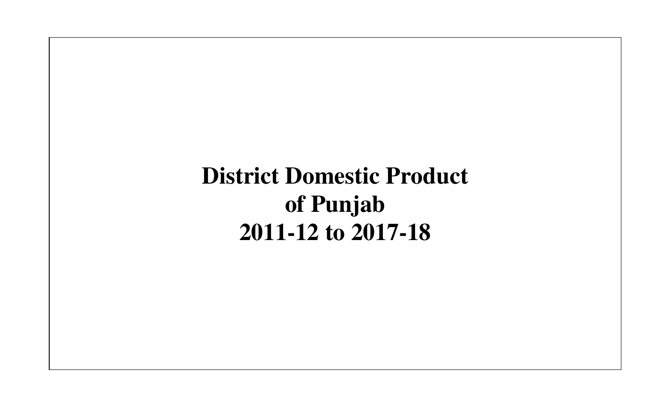**District Domestic Product of Punjab 2011-12 to 2017-18**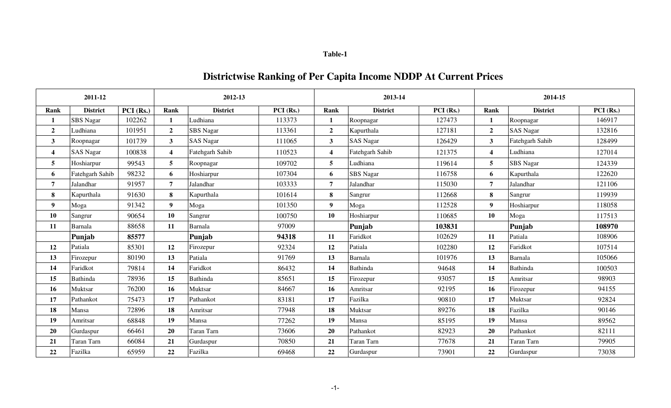| able |  |
|------|--|
|------|--|

# **Districtwise Ranking of Per Capita Income NDDP At Current Prices**

|                         | 2011-12          |           |                         | 2012-13          |           |                         | 2013-14          |             | 2014-15                 |                  |          |
|-------------------------|------------------|-----------|-------------------------|------------------|-----------|-------------------------|------------------|-------------|-------------------------|------------------|----------|
| Rank                    | <b>District</b>  | PCI (Rs.) | <b>Rank</b>             | <b>District</b>  | PCI (Rs.) | Rank                    | <b>District</b>  | $PCI$ (Rs.) | Rank                    | <b>District</b>  | PCI(Rs.) |
| -1                      | <b>SBS</b> Nagar | 102262    | $\mathbf{1}$            | Ludhiana         | 113373    | 1                       | Roopnagar        | 127473      | 1                       | Roopnagar        | 146917   |
| $\overline{2}$          | Ludhiana         | 101951    | $\mathbf{2}$            | <b>SBS</b> Nagar | 113361    | $\overline{2}$          | Kapurthala       | 127181      | $\overline{2}$          | <b>SAS Nagar</b> | 132816   |
| 3                       | Roopnagar        | 101739    | $\mathbf{3}$            | <b>SAS Nagar</b> | 111065    | 3 <sup>1</sup>          | <b>SAS Nagar</b> | 126429      | 3 <sup>1</sup>          | Fatehgarh Sahib  | 128499   |
| $\overline{\mathbf{4}}$ | <b>SAS Nagar</b> | 100838    | $\overline{\mathbf{4}}$ | Fatehgarh Sahib  | 110523    | $\overline{\mathbf{4}}$ | Fatehgarh Sahib  | 121375      | $\overline{\mathbf{4}}$ | Ludhiana         | 127014   |
| 5                       | Hoshiarpur       | 99543     | 5 <sup>5</sup>          | Roopnagar        | 109702    | 5                       | Ludhiana         | 119614      | 5 <sup>1</sup>          | <b>SBS</b> Nagar | 124339   |
| 6                       | Fatehgarh Sahib  | 98232     | 6                       | Hoshiarpur       | 107304    | 6                       | <b>SBS</b> Nagar | 116758      | 6                       | Kapurthala       | 122620   |
| 7                       | Jalandhar        | 91957     | $\overline{7}$          | Jalandhar        | 103333    | $7\overline{ }$         | Jalandhar        | 115030      | 7                       | Jalandhar        | 121106   |
| 8                       | Kapurthala       | 91630     | 8                       | Kapurthala       | 101614    | 8                       | Sangrur          | 112668      | 8                       | Sangrur          | 119939   |
| 9                       | Moga             | 91342     | 9                       | Moga             | 101350    | 9 <sup>1</sup>          | Moga             | 112528      | 9                       | Hoshiarpur       | 118058   |
| 10                      | Sangrur          | 90654     | 10                      | Sangrur          | 100750    | 10                      | Hoshiarpur       | 110685      | 10                      | Moga             | 117513   |
| 11                      | Barnala          | 88658     | 11                      | Barnala          | 97009     |                         | Punjab           | 103831      |                         | Punjab           | 108970   |
|                         | Punjab           | 85577     |                         | Punjab           | 94318     | 11                      | Faridkot         | 102629      | 11                      | Patiala          | 108906   |
| 12                      | Patiala          | 85301     | 12                      | Firozepur        | 92324     | 12                      | Patiala          | 102280      | 12                      | Faridkot         | 107514   |
| 13                      | Firozepur        | 80190     | 13                      | Patiala          | 91769     | 13                      | Barnala          | 101976      | 13                      | Barnala          | 105066   |
| 14                      | Faridkot         | 79814     | 14                      | Faridkot         | 86432     | 14                      | Bathinda         | 94648       | 14                      | Bathinda         | 100503   |
| 15                      | <b>Bathinda</b>  | 78936     | 15                      | Bathinda         | 85651     | 15                      | Firozepur        | 93057       | 15                      | Amritsar         | 98903    |
| 16                      | Muktsar          | 76200     | 16                      | Muktsar          | 84667     | 16                      | Amritsar         | 92195       | 16                      | Firozepur        | 94155    |
| 17                      | Pathankot        | 75473     | 17                      | Pathankot        | 83181     | 17                      | Fazilka          | 90810       | 17                      | Muktsar          | 92824    |
| 18                      | Mansa            | 72896     | 18                      | Amritsar         | 77948     | 18                      | Muktsar          | 89276       | 18                      | Fazilka          | 90146    |
| 19                      | Amritsar         | 68848     | 19                      | Mansa            | 77262     | 19                      | Mansa            | 85195       | 19                      | Mansa            | 89562    |
| 20                      | Gurdaspur        | 66461     | 20                      | Taran Tarn       | 73606     | 20                      | Pathankot        | 82923       | 20                      | Pathankot        | 82111    |
| 21                      | Taran Tarn       | 66084     | 21                      | Gurdaspur        | 70850     | 21                      | Taran Tarn       | 77678       | 21                      | Taran Tarn       | 79905    |
| 22                      | Fazilka          | 65959     | 22                      | Fazilka          | 69468     | 22                      | Gurdaspur        | 73901       | 22                      | Gurdaspur        | 73038    |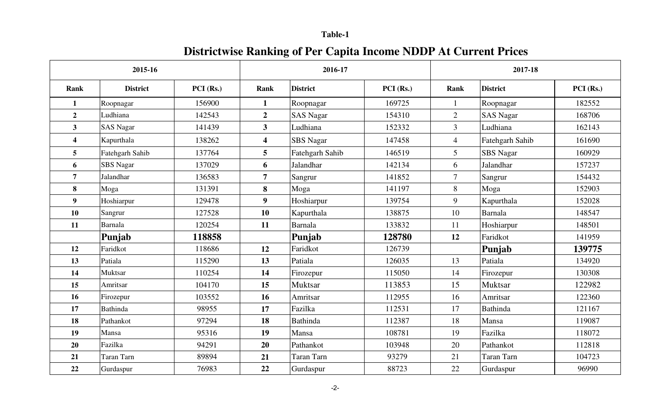# **Districtwise Ranking of Per Capita Income NDDP At Current Prices**

|                         | 2015-16           |          |                         | 2016-17          |          |                | 2017-18           |          |
|-------------------------|-------------------|----------|-------------------------|------------------|----------|----------------|-------------------|----------|
| Rank                    | <b>District</b>   | PCI(Rs.) | Rank                    | <b>District</b>  | PCI(Rs.) | Rank           | <b>District</b>   | PCI(Rs.) |
| $\mathbf{1}$            | Roopnagar         | 156900   | $\mathbf{1}$            | Roopnagar        | 169725   | 1              | Roopnagar         | 182552   |
| $\overline{2}$          | Ludhiana          | 142543   | $\boldsymbol{2}$        | <b>SAS Nagar</b> | 154310   | $\overline{2}$ | <b>SAS Nagar</b>  | 168706   |
| $\mathbf{3}$            | <b>SAS Nagar</b>  | 141439   | $\mathbf{3}$            | Ludhiana         | 152332   | $\overline{3}$ | Ludhiana          | 162143   |
| $\overline{\mathbf{4}}$ | Kapurthala        | 138262   | $\overline{\mathbf{4}}$ | <b>SBS</b> Nagar | 147458   | $\overline{4}$ | Fatehgarh Sahib   | 161690   |
| $\overline{5}$          | Fatehgarh Sahib   | 137764   | 5                       | Fatehgarh Sahib  | 146519   | 5              | SBS Nagar         | 160929   |
| 6                       | <b>SBS</b> Nagar  | 137029   | 6                       | Jalandhar        | 142134   | 6              | Jalandhar         | 157237   |
| $\overline{7}$          | Jalandhar         | 136583   | $\overline{7}$          | Sangrur          | 141852   | $\overline{7}$ | Sangrur           | 154432   |
| 8                       | Moga              | 131391   | 8                       | Moga             | 141197   | 8              | Moga              | 152903   |
| 9                       | Hoshiarpur        | 129478   | $\boldsymbol{9}$        | Hoshiarpur       | 139754   | 9              | Kapurthala        | 152028   |
| <b>10</b>               | Sangrur           | 127528   | <b>10</b>               | Kapurthala       | 138875   | 10             | <b>Barnala</b>    | 148547   |
| 11                      | <b>Barnala</b>    | 120254   | 11                      | <b>Barnala</b>   | 133832   | 11             | Hoshiarpur        | 148501   |
|                         | Punjab            | 118858   |                         | Punjab           | 128780   | 12             | Faridkot          | 141959   |
| 12                      | Faridkot          | 118686   | 12                      | Faridkot         | 126739   |                | Punjab            | 139775   |
| 13                      | Patiala           | 115290   | 13                      | Patiala          | 126035   | 13             | Patiala           | 134920   |
| 14                      | Muktsar           | 110254   | 14                      | Firozepur        | 115050   | 14             | Firozepur         | 130308   |
| 15                      | Amritsar          | 104170   | 15                      | Muktsar          | 113853   | 15             | <b>Muktsar</b>    | 122982   |
| 16                      | Firozepur         | 103552   | 16                      | Amritsar         | 112955   | 16             | Amritsar          | 122360   |
| 17                      | <b>Bathinda</b>   | 98955    | 17                      | Fazilka          | 112531   | 17             | <b>Bathinda</b>   | 121167   |
| 18                      | Pathankot         | 97294    | 18                      | <b>Bathinda</b>  | 112387   | 18             | Mansa             | 119087   |
| 19                      | Mansa             | 95316    | 19                      | Mansa            | 108781   | 19             | Fazilka           | 118072   |
| 20                      | Fazilka           | 94291    | 20                      | Pathankot        | 103948   | 20             | Pathankot         | 112818   |
| 21                      | <b>Taran Tarn</b> | 89894    | 21                      | Taran Tarn       | 93279    | 21             | <b>Taran Tarn</b> | 104723   |
| 22                      | Gurdaspur         | 76983    | 22                      | Gurdaspur        | 88723    | 22             | Gurdaspur         | 96990    |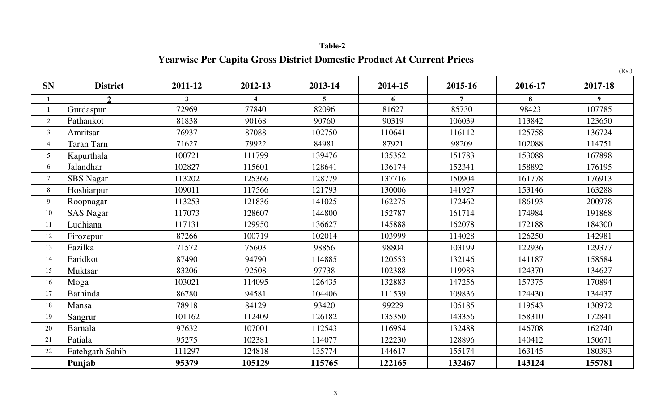# **Yearwise Per Capita Gross District Domestic Product At Current Prices**

|                |                  |              |                         |                |         |                |         | (Rs.)            |
|----------------|------------------|--------------|-------------------------|----------------|---------|----------------|---------|------------------|
| <b>SN</b>      | <b>District</b>  | 2011-12      | 2012-13                 | 2013-14        | 2014-15 | 2015-16        | 2016-17 | 2017-18          |
| $\mathbf{1}$   | $\overline{2}$   | $\mathbf{3}$ | $\overline{\mathbf{4}}$ | $\overline{5}$ | 6       | $\overline{7}$ | 8       | $\boldsymbol{9}$ |
|                | Gurdaspur        | 72969        | 77840                   | 82096          | 81627   | 85730          | 98423   | 107785           |
| $\overline{2}$ | Pathankot        | 81838        | 90168                   | 90760          | 90319   | 106039         | 113842  | 123650           |
| $\mathfrak{Z}$ | Amritsar         | 76937        | 87088                   | 102750         | 110641  | 116112         | 125758  | 136724           |
| $\overline{4}$ | Taran Tarn       | 71627        | 79922                   | 84981          | 87921   | 98209          | 102088  | 114751           |
| 5              | Kapurthala       | 100721       | 111799                  | 139476         | 135352  | 151783         | 153088  | 167898           |
| 6              | <b>Jalandhar</b> | 102827       | 115601                  | 128641         | 136174  | 152341         | 158892  | 176195           |
| $\overline{7}$ | <b>SBS</b> Nagar | 113202       | 125366                  | 128779         | 137716  | 150904         | 161778  | 176913           |
| 8              | Hoshiarpur       | 109011       | 117566                  | 121793         | 130006  | 141927         | 153146  | 163288           |
| $\overline{9}$ | Roopnagar        | 113253       | 121836                  | 141025         | 162275  | 172462         | 186193  | 200978           |
| 10             | <b>SAS Nagar</b> | 117073       | 128607                  | 144800         | 152787  | 161714         | 174984  | 191868           |
| 11             | Ludhiana         | 117131       | 129950                  | 136627         | 145888  | 162078         | 172188  | 184300           |
| 12             | Firozepur        | 87266        | 100719                  | 102014         | 103999  | 114028         | 126250  | 142981           |
| 13             | Fazilka          | 71572        | 75603                   | 98856          | 98804   | 103199         | 122936  | 129377           |
| 14             | Faridkot         | 87490        | 94790                   | 114885         | 120553  | 132146         | 141187  | 158584           |
| 15             | <b>Muktsar</b>   | 83206        | 92508                   | 97738          | 102388  | 119983         | 124370  | 134627           |
| 16             | Moga             | 103021       | 114095                  | 126435         | 132883  | 147256         | 157375  | 170894           |
| 17             | <b>Bathinda</b>  | 86780        | 94581                   | 104406         | 111539  | 109836         | 124430  | 134437           |
| 18             | Mansa            | 78918        | 84129                   | 93420          | 99229   | 105185         | 119543  | 130972           |
| 19             | Sangrur          | 101162       | 112409                  | 126182         | 135350  | 143356         | 158310  | 172841           |
| 20             | <b>Barnala</b>   | 97632        | 107001                  | 112543         | 116954  | 132488         | 146708  | 162740           |
| 21             | Patiala          | 95275        | 102381                  | 114077         | 122230  | 128896         | 140412  | 150671           |
| 22             | Fatehgarh Sahib  | 111297       | 124818                  | 135774         | 144617  | 155174         | 163145  | 180393           |
|                | Punjab           | 95379        | 105129                  | 115765         | 122165  | 132467         | 143124  | 155781           |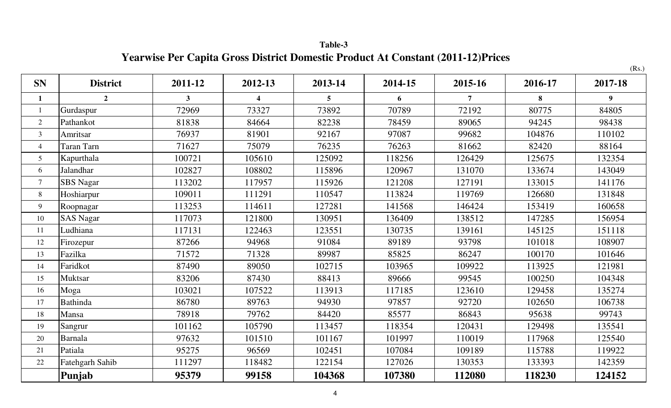**Table-3 Yearwise Per Capita Gross District Domestic Product At Constant (2011-12)Prices** 

|                |                  |                |                         |                 |         |                |         | (Rs.)            |
|----------------|------------------|----------------|-------------------------|-----------------|---------|----------------|---------|------------------|
| <b>SN</b>      | <b>District</b>  | 2011-12        | 2012-13                 | 2013-14         | 2014-15 | 2015-16        | 2016-17 | 2017-18          |
| $\mathbf{1}$   | $\overline{2}$   | 3 <sup>1</sup> | $\overline{\mathbf{4}}$ | $5\overline{)}$ | 6       | $\overline{7}$ | 8       | $\boldsymbol{9}$ |
| $\mathbf{1}$   | Gurdaspur        | 72969          | 73327                   | 73892           | 70789   | 72192          | 80775   | 84805            |
| 2              | Pathankot        | 81838          | 84664                   | 82238           | 78459   | 89065          | 94245   | 98438            |
| 3              | Amritsar         | 76937          | 81901                   | 92167           | 97087   | 99682          | 104876  | 110102           |
| $\overline{4}$ | Taran Tarn       | 71627          | 75079                   | 76235           | 76263   | 81662          | 82420   | 88164            |
| 5              | Kapurthala       | 100721         | 105610                  | 125092          | 118256  | 126429         | 125675  | 132354           |
| 6              | Jalandhar        | 102827         | 108802                  | 115896          | 120967  | 131070         | 133674  | 143049           |
| $\overline{7}$ | <b>SBS</b> Nagar | 113202         | 117957                  | 115926          | 121208  | 127191         | 133015  | 141176           |
| 8              | Hoshiarpur       | 109011         | 111291                  | 110547          | 113824  | 119769         | 126680  | 131848           |
| 9              | Roopnagar        | 113253         | 114611                  | 127281          | 141568  | 146424         | 153419  | 160658           |
| 10             | <b>SAS Nagar</b> | 117073         | 121800                  | 130951          | 136409  | 138512         | 147285  | 156954           |
| 11             | Ludhiana         | 117131         | 122463                  | 123551          | 130735  | 139161         | 145125  | 151118           |
| 12             | Firozepur        | 87266          | 94968                   | 91084           | 89189   | 93798          | 101018  | 108907           |
| 13             | Fazilka          | 71572          | 71328                   | 89987           | 85825   | 86247          | 100170  | 101646           |
| 14             | Faridkot         | 87490          | 89050                   | 102715          | 103965  | 109922         | 113925  | 121981           |
| 15             | <b>Muktsar</b>   | 83206          | 87430                   | 88413           | 89666   | 99545          | 100250  | 104348           |
| 16             | Moga             | 103021         | 107522                  | 113913          | 117185  | 123610         | 129458  | 135274           |
| 17             | <b>Bathinda</b>  | 86780          | 89763                   | 94930           | 97857   | 92720          | 102650  | 106738           |
| 18             | Mansa            | 78918          | 79762                   | 84420           | 85577   | 86843          | 95638   | 99743            |
| 19             | Sangrur          | 101162         | 105790                  | 113457          | 118354  | 120431         | 129498  | 135541           |
| 20             | Barnala          | 97632          | 101510                  | 101167          | 101997  | 110019         | 117968  | 125540           |
| 21             | Patiala          | 95275          | 96569                   | 102451          | 107084  | 109189         | 115788  | 119922           |
| 22             | Fatehgarh Sahib  | 111297         | 118482                  | 122154          | 127026  | 130353         | 133393  | 142359           |
|                | Punjab           | 95379          | 99158                   | 104368          | 107380  | 112080         | 118230  | 124152           |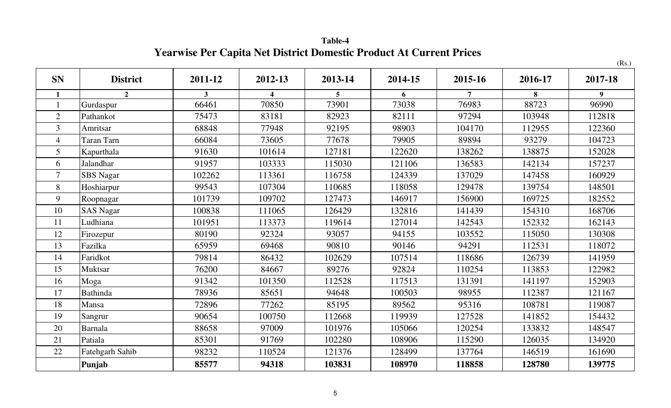**Table-4 Yearwise Per Capita Net District Domestic Product At Current Prices** 

|                |                   |         |         |                 |         |                |         | (Rs.)            |
|----------------|-------------------|---------|---------|-----------------|---------|----------------|---------|------------------|
| <b>SN</b>      | <b>District</b>   | 2011-12 | 2012-13 | 2013-14         | 2014-15 | 2015-16        | 2016-17 | 2017-18          |
| $\mathbf{1}$   | $\overline{2}$    | 3       | 4       | $5\overline{5}$ | 6       | $\overline{7}$ | 8       | $\boldsymbol{9}$ |
|                | Gurdaspur         | 66461   | 70850   | 73901           | 73038   | 76983          | 88723   | 96990            |
| $\overline{2}$ | Pathankot         | 75473   | 83181   | 82923           | 82111   | 97294          | 103948  | 112818           |
| $\overline{3}$ | Amritsar          | 68848   | 77948   | 92195           | 98903   | 104170         | 112955  | 122360           |
| $\overline{4}$ | <b>Taran Tarn</b> | 66084   | 73605   | 77678           | 79905   | 89894          | 93279   | 104723           |
| 5              | Kapurthala        | 91630   | 101614  | 127181          | 122620  | 138262         | 138875  | 152028           |
| 6              | Jalandhar         | 91957   | 103333  | 115030          | 121106  | 136583         | 142134  | 157237           |
| $\overline{7}$ | <b>SBS</b> Nagar  | 102262  | 113361  | 116758          | 124339  | 137029         | 147458  | 160929           |
| 8              | Hoshiarpur        | 99543   | 107304  | 110685          | 118058  | 129478         | 139754  | 148501           |
| 9              | Roopnagar         | 101739  | 109702  | 127473          | 146917  | 156900         | 169725  | 182552           |
| 10             | <b>SAS Nagar</b>  | 100838  | 111065  | 126429          | 132816  | 141439         | 154310  | 168706           |
| 11             | Ludhiana          | 101951  | 113373  | 119614          | 127014  | 142543         | 152332  | 162143           |
| 12             | Firozepur         | 80190   | 92324   | 93057           | 94155   | 103552         | 115050  | 130308           |
| 13             | Fazilka           | 65959   | 69468   | 90810           | 90146   | 94291          | 112531  | 118072           |
| 14             | Faridkot          | 79814   | 86432   | 102629          | 107514  | 118686         | 126739  | 141959           |
| 15             | Muktsar           | 76200   | 84667   | 89276           | 92824   | 110254         | 113853  | 122982           |
| 16             | Moga              | 91342   | 101350  | 112528          | 117513  | 131391         | 141197  | 152903           |
| 17             | <b>Bathinda</b>   | 78936   | 85651   | 94648           | 100503  | 98955          | 112387  | 121167           |
| 18             | Mansa             | 72896   | 77262   | 85195           | 89562   | 95316          | 108781  | 119087           |
| 19             | Sangrur           | 90654   | 100750  | 112668          | 119939  | 127528         | 141852  | 154432           |
| 20             | Barnala           | 88658   | 97009   | 101976          | 105066  | 120254         | 133832  | 148547           |
| 21             | Patiala           | 85301   | 91769   | 102280          | 108906  | 115290         | 126035  | 134920           |
| 22             | Fatehgarh Sahib   | 98232   | 110524  | 121376          | 128499  | 137764         | 146519  | 161690           |
|                | Punjab            | 85577   | 94318   | 103831          | 108970  | 118858         | 128780  | 139775           |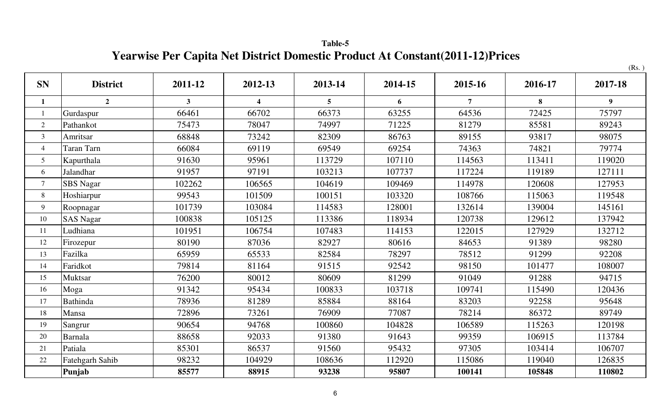**Table-5 Yearwise Per Capita Net District Domestic Product At Constant(2011-12)Prices** 

|                |                  |                |                         |         |         |                |         | (Rs.)            |
|----------------|------------------|----------------|-------------------------|---------|---------|----------------|---------|------------------|
| <b>SN</b>      | <b>District</b>  | 2011-12        | 2012-13                 | 2013-14 | 2014-15 | 2015-16        | 2016-17 | 2017-18          |
| $\mathbf{1}$   | $\overline{2}$   | $\overline{3}$ | $\overline{\mathbf{4}}$ | 5       | 6       | $\overline{7}$ | 8       | $\boldsymbol{9}$ |
| $\mathbf{1}$   | Gurdaspur        | 66461          | 66702                   | 66373   | 63255   | 64536          | 72425   | 75797            |
| $\overline{2}$ | Pathankot        | 75473          | 78047                   | 74997   | 71225   | 81279          | 85581   | 89243            |
| $\mathfrak{Z}$ | Amritsar         | 68848          | 73242                   | 82309   | 86763   | 89155          | 93817   | 98075            |
| $\overline{4}$ | Taran Tarn       | 66084          | 69119                   | 69549   | 69254   | 74363          | 74821   | 79774            |
| 5              | Kapurthala       | 91630          | 95961                   | 113729  | 107110  | 114563         | 113411  | 119020           |
| 6              | Jalandhar        | 91957          | 97191                   | 103213  | 107737  | 117224         | 119189  | 127111           |
| $\tau$         | <b>SBS</b> Nagar | 102262         | 106565                  | 104619  | 109469  | 114978         | 120608  | 127953           |
| 8              | Hoshiarpur       | 99543          | 101509                  | 100151  | 103320  | 108766         | 115063  | 119548           |
| 9              | Roopnagar        | 101739         | 103084                  | 114583  | 128001  | 132614         | 139004  | 145161           |
| 10             | <b>SAS Nagar</b> | 100838         | 105125                  | 113386  | 118934  | 120738         | 129612  | 137942           |
| 11             | Ludhiana         | 101951         | 106754                  | 107483  | 114153  | 122015         | 127929  | 132712           |
| 12             | Firozepur        | 80190          | 87036                   | 82927   | 80616   | 84653          | 91389   | 98280            |
| 13             | Fazilka          | 65959          | 65533                   | 82584   | 78297   | 78512          | 91299   | 92208            |
| 14             | Faridkot         | 79814          | 81164                   | 91515   | 92542   | 98150          | 101477  | 108007           |
| 15             | Muktsar          | 76200          | 80012                   | 80609   | 81299   | 91049          | 91288   | 94715            |
| 16             | Moga             | 91342          | 95434                   | 100833  | 103718  | 109741         | 115490  | 120436           |
| 17             | Bathinda         | 78936          | 81289                   | 85884   | 88164   | 83203          | 92258   | 95648            |
| 18             | Mansa            | 72896          | 73261                   | 76909   | 77087   | 78214          | 86372   | 89749            |
| 19             | Sangrur          | 90654          | 94768                   | 100860  | 104828  | 106589         | 115263  | 120198           |
| 20             | Barnala          | 88658          | 92033                   | 91380   | 91643   | 99359          | 106915  | 113784           |
| 21             | Patiala          | 85301          | 86537                   | 91560   | 95432   | 97305          | 103414  | 106707           |
| 22             | Fatehgarh Sahib  | 98232          | 104929                  | 108636  | 112920  | 115086         | 119040  | 126835           |
|                | Punjab           | 85577          | 88915                   | 93238   | 95807   | 100141         | 105848  | 110802           |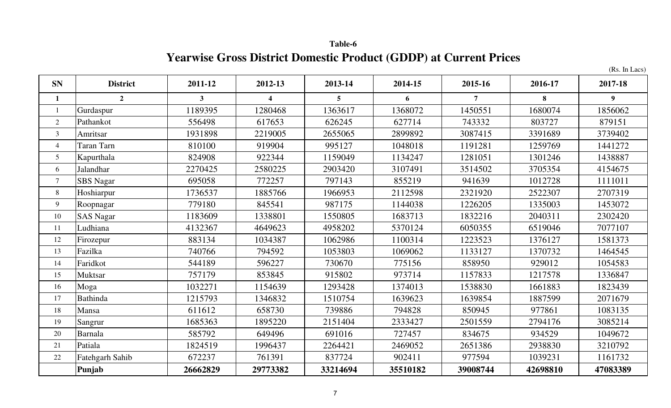**Table-6 Yearwise Gross District Domestic Product (GDDP) at Current Prices**

(Rs. In Lacs)

| <b>SN</b>       | <b>District</b>  | 2011-12      | 2012-13                 | 2013-14        | 2014-15  | 2015-16        | 2016-17  | 2017-18        |
|-----------------|------------------|--------------|-------------------------|----------------|----------|----------------|----------|----------------|
| $\mathbf{1}$    | $\overline{2}$   | $\mathbf{3}$ | $\overline{\mathbf{4}}$ | 5 <sup>5</sup> | 6        | $\overline{7}$ | 8        | 9 <sup>°</sup> |
| $\overline{1}$  | Gurdaspur        | 1189395      | 1280468                 | 1363617        | 1368072  | 1450551        | 1680074  | 1856062        |
| 2               | Pathankot        | 556498       | 617653                  | 626245         | 627714   | 743332         | 803727   | 879151         |
| $\mathfrak{Z}$  | Amritsar         | 1931898      | 2219005                 | 2655065        | 2899892  | 3087415        | 3391689  | 3739402        |
| $\overline{4}$  | Taran Tarn       | 810100       | 919904                  | 995127         | 1048018  | 1191281        | 1259769  | 1441272        |
| $5\overline{)}$ | Kapurthala       | 824908       | 922344                  | 1159049        | 1134247  | 1281051        | 1301246  | 1438887        |
| 6               | Jalandhar        | 2270425      | 2580225                 | 2903420        | 3107491  | 3514502        | 3705354  | 4154675        |
| $\tau$          | <b>SBS</b> Nagar | 695058       | 772257                  | 797143         | 855219   | 941639         | 1012728  | 1111011        |
| 8               | Hoshiarpur       | 1736537      | 1885766                 | 1966953        | 2112598  | 2321920        | 2522307  | 2707319        |
| 9               | Roopnagar        | 779180       | 845541                  | 987175         | 1144038  | 1226205        | 1335003  | 1453072        |
| 10              | <b>SAS Nagar</b> | 1183609      | 1338801                 | 1550805        | 1683713  | 1832216        | 2040311  | 2302420        |
| 11              | Ludhiana         | 4132367      | 4649623                 | 4958202        | 5370124  | 6050355        | 6519046  | 7077107        |
| 12              | Firozepur        | 883134       | 1034387                 | 1062986        | 1100314  | 1223523        | 1376127  | 1581373        |
| 13              | Fazilka          | 740766       | 794592                  | 1053803        | 1069062  | 1133127        | 1370732  | 1464545        |
| 14              | Faridkot         | 544189       | 596227                  | 730670         | 775156   | 858950         | 929012   | 1054583        |
| 15              | Muktsar          | 757179       | 853845                  | 915802         | 973714   | 1157833        | 1217578  | 1336847        |
| 16              | Moga             | 1032271      | 1154639                 | 1293428        | 1374013  | 1538830        | 1661883  | 1823439        |
| 17              | Bathinda         | 1215793      | 1346832                 | 1510754        | 1639623  | 1639854        | 1887599  | 2071679        |
| 18              | Mansa            | 611612       | 658730                  | 739886         | 794828   | 850945         | 977861   | 1083135        |
| 19              | Sangrur          | 1685363      | 1895220                 | 2151404        | 2333427  | 2501559        | 2794176  | 3085214        |
| $20\,$          | Barnala          | 585792       | 649496                  | 691016         | 727457   | 834675         | 934529   | 1049672        |
| 21              | Patiala          | 1824519      | 1996437                 | 2264421        | 2469052  | 2651386        | 2938830  | 3210792        |
| $22\,$          | Fatehgarh Sahib  | 672237       | 761391                  | 837724         | 902411   | 977594         | 1039231  | 1161732        |
|                 | Punjab           | 26662829     | 29773382                | 33214694       | 35510182 | 39008744       | 42698810 | 47083389       |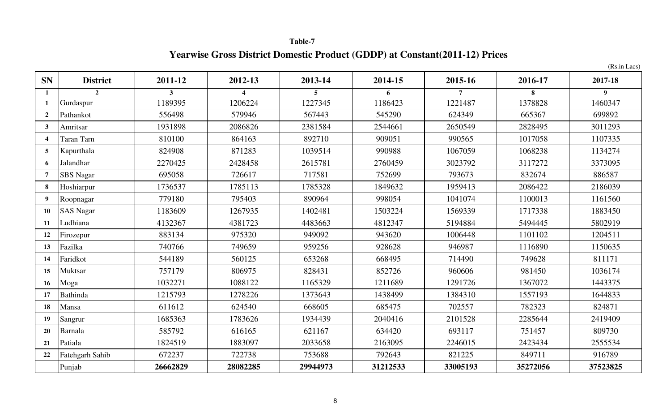# **Table-7 Yearwise Gross District Domestic Product (GDDP) at Constant(2011-12) Prices**

|                          |                        |          |          |          |          |          |          | (Rs.in Lacs) |
|--------------------------|------------------------|----------|----------|----------|----------|----------|----------|--------------|
| <b>SN</b>                | <b>District</b>        | 2011-12  | 2012-13  | 2013-14  | 2014-15  | 2015-16  | 2016-17  | 2017-18      |
| $\mathbf{1}$             | $\overline{2}$         | 3        |          | 5        | 6        |          | 8        | 9            |
| 1                        | Gurdaspur              | 1189395  | 1206224  | 1227345  | 1186423  | 1221487  | 1378828  | 1460347      |
| $\overline{2}$           | Pathankot              | 556498   | 579946   | 567443   | 545290   | 624349   | 665367   | 699892       |
| $\mathbf{3}$             | Amritsar               | 1931898  | 2086826  | 2381584  | 2544661  | 2650549  | 2828495  | 3011293      |
| $\overline{\mathcal{A}}$ | Taran Tarn             | 810100   | 864163   | 892710   | 909051   | 990565   | 1017058  | 1107335      |
| $\overline{5}$           | Kapurthala             | 824908   | 871283   | 1039514  | 990988   | 1067059  | 1068238  | 1134274      |
| 6                        | Jalandhar              | 2270425  | 2428458  | 2615781  | 2760459  | 3023792  | 3117272  | 3373095      |
| 7                        | <b>SBS</b> Nagar       | 695058   | 726617   | 717581   | 752699   | 793673   | 832674   | 886587       |
| 8                        | Hoshiarpur             | 1736537  | 1785113  | 1785328  | 1849632  | 1959413  | 2086422  | 2186039      |
| $\boldsymbol{9}$         | Roopnagar              | 779180   | 795403   | 890964   | 998054   | 1041074  | 1100013  | 1161560      |
| 10                       | <b>SAS Nagar</b>       | 1183609  | 1267935  | 1402481  | 1503224  | 1569339  | 1717338  | 1883450      |
| 11                       | Ludhiana               | 4132367  | 4381723  | 4483663  | 4812347  | 5194884  | 5494445  | 5802919      |
| 12                       | Firozepur              | 883134   | 975320   | 949092   | 943620   | 1006448  | 1101102  | 1204511      |
| 13                       | Fazilka                | 740766   | 749659   | 959256   | 928628   | 946987   | 1116890  | 1150635      |
| 14                       | Faridkot               | 544189   | 560125   | 653268   | 668495   | 714490   | 749628   | 811171       |
| 15                       | <b>Muktsar</b>         | 757179   | 806975   | 828431   | 852726   | 960606   | 981450   | 1036174      |
| 16                       | Moga                   | 1032271  | 1088122  | 1165329  | 1211689  | 1291726  | 1367072  | 1443375      |
| 17                       | <b>Bathinda</b>        | 1215793  | 1278226  | 1373643  | 1438499  | 1384310  | 1557193  | 1644833      |
| 18                       | Mansa                  | 611612   | 624540   | 668605   | 685475   | 702557   | 782323   | 824871       |
| 19                       | Sangrur                | 1685363  | 1783626  | 1934439  | 2040416  | 2101528  | 2285644  | 2419409      |
| <b>20</b>                | Barnala                | 585792   | 616165   | 621167   | 634420   | 693117   | 751457   | 809730       |
| 21                       | Patiala                | 1824519  | 1883097  | 2033658  | 2163095  | 2246015  | 2423434  | 2555534      |
| 22                       | <b>Fatehgarh Sahib</b> | 672237   | 722738   | 753688   | 792643   | 821225   | 849711   | 916789       |
|                          | Punjab                 | 26662829 | 28082285 | 29944973 | 31212533 | 33005193 | 35272056 | 37523825     |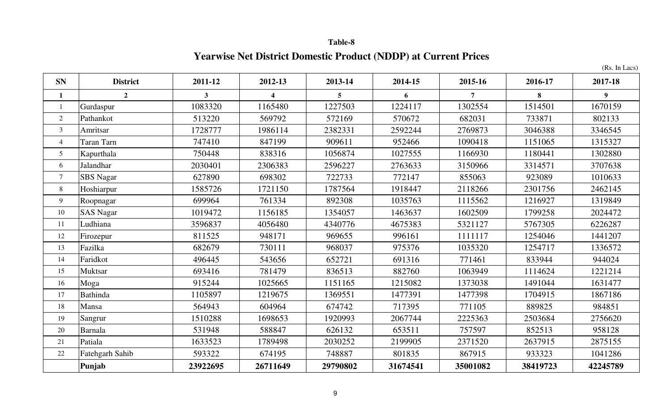# **Yearwise Net District Domestic Product (NDDP) at Current Prices**

(Rs. In Lacs)

| <b>SN</b>      | <b>District</b>  | 2011-12      | 2012-13  | 2013-14        | 2014-15  | 2015-16        | 2016-17  | 2017-18        |
|----------------|------------------|--------------|----------|----------------|----------|----------------|----------|----------------|
| $\mathbf{1}$   | $\overline{2}$   | $\mathbf{3}$ | 4        | 5 <sup>5</sup> | 6        | $\overline{7}$ | 8        | 9 <sup>1</sup> |
| $\mathbf{1}$   | Gurdaspur        | 1083320      | 1165480  | 1227503        | 1224117  | 1302554        | 1514501  | 1670159        |
| $\overline{2}$ | Pathankot        | 513220       | 569792   | 572169         | 570672   | 682031         | 733871   | 802133         |
| $\overline{3}$ | Amritsar         | 1728777      | 1986114  | 2382331        | 2592244  | 2769873        | 3046388  | 3346545        |
| $\overline{4}$ | Taran Tarn       | 747410       | 847199   | 909611         | 952466   | 1090418        | 1151065  | 1315327        |
| 5              | Kapurthala       | 750448       | 838316   | 1056874        | 1027555  | 1166930        | 1180441  | 1302880        |
| 6              | Jalandhar        | 2030401      | 2306383  | 2596227        | 2763633  | 3150966        | 3314571  | 3707638        |
| $\overline{7}$ | <b>SBS</b> Nagar | 627890       | 698302   | 722733         | 772147   | 855063         | 923089   | 1010633        |
| 8              | Hoshiarpur       | 1585726      | 1721150  | 1787564        | 1918447  | 2118266        | 2301756  | 2462145        |
| 9              | Roopnagar        | 699964       | 761334   | 892308         | 1035763  | 1115562        | 1216927  | 1319849        |
| 10             | <b>SAS Nagar</b> | 1019472      | 1156185  | 1354057        | 1463637  | 1602509        | 1799258  | 2024472        |
| 11             | Ludhiana         | 3596837      | 4056480  | 4340776        | 4675383  | 5321127        | 5767305  | 6226287        |
| 12             | Firozepur        | 811525       | 948171   | 969655         | 996161   | 1111117        | 1254046  | 1441207        |
| 13             | Fazilka          | 682679       | 730111   | 968037         | 975376   | 1035320        | 1254717  | 1336572        |
| 14             | Faridkot         | 496445       | 543656   | 652721         | 691316   | 771461         | 833944   | 944024         |
| 15             | Muktsar          | 693416       | 781479   | 836513         | 882760   | 1063949        | 1114624  | 1221214        |
| 16             | Moga             | 915244       | 1025665  | 1151165        | 1215082  | 1373038        | 1491044  | 1631477        |
| 17             | <b>Bathinda</b>  | 1105897      | 1219675  | 1369551        | 1477391  | 1477398        | 1704915  | 1867186        |
| 18             | Mansa            | 564943       | 604964   | 674742         | 717395   | 771105         | 889825   | 984851         |
| 19             | Sangrur          | 1510288      | 1698653  | 1920993        | 2067744  | 2225363        | 2503684  | 2756620        |
| 20             | Barnala          | 531948       | 588847   | 626132         | 653511   | 757597         | 852513   | 958128         |
| 21             | Patiala          | 1633523      | 1789498  | 2030252        | 2199905  | 2371520        | 2637915  | 2875155        |
| 22             | Fatehgarh Sahib  | 593322       | 674195   | 748887         | 801835   | 867915         | 933323   | 1041286        |
|                | Punjab           | 23922695     | 26711649 | 29790802       | 31674541 | 35001082       | 38419723 | 42245789       |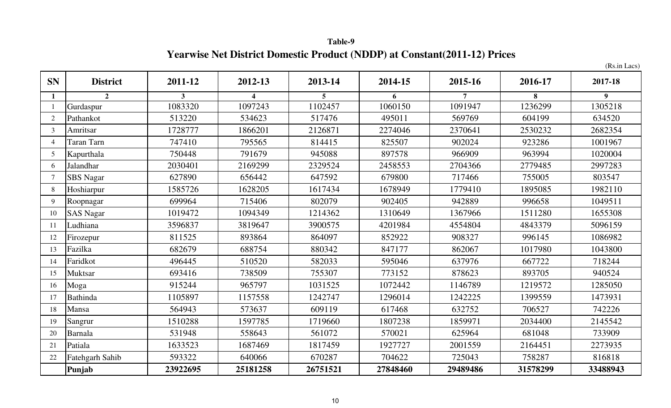**Table-9 Yearwise Net District Domestic Product (NDDP) at Constant(2011-12) Prices**

(Rs.in Lacs)

| <b>SN</b>      | <b>District</b>   | 2011-12  | 2012-13          | 2013-14  | 2014-15  | 2015-16        | 2016-17  | 2017-18  |
|----------------|-------------------|----------|------------------|----------|----------|----------------|----------|----------|
|                | 2 <sup>1</sup>    | 3        | $\boldsymbol{4}$ | 5        | 6        | $\overline{7}$ | 8        | 9        |
|                | Gurdaspur         | 1083320  | 1097243          | 1102457  | 1060150  | 1091947        | 1236299  | 1305218  |
| $\overline{2}$ | Pathankot         | 513220   | 534623           | 517476   | 495011   | 569769         | 604199   | 634520   |
| 3              | Amritsar          | 1728777  | 1866201          | 2126871  | 2274046  | 2370641        | 2530232  | 2682354  |
| $\overline{4}$ | <b>Taran Tarn</b> | 747410   | 795565           | 814415   | 825507   | 902024         | 923286   | 1001967  |
| 5              | Kapurthala        | 750448   | 791679           | 945088   | 897578   | 966909         | 963994   | 1020004  |
| 6              | Jalandhar         | 2030401  | 2169299          | 2329524  | 2458553  | 2704366        | 2779485  | 2997283  |
| $\tau$         | SBS Nagar         | 627890   | 656442           | 647592   | 679800   | 717466         | 755005   | 803547   |
| 8              | Hoshiarpur        | 1585726  | 1628205          | 1617434  | 1678949  | 1779410        | 1895085  | 1982110  |
| 9              | Roopnagar         | 699964   | 715406           | 802079   | 902405   | 942889         | 996658   | 1049511  |
| 10             | <b>SAS Nagar</b>  | 1019472  | 1094349          | 1214362  | 1310649  | 1367966        | 1511280  | 1655308  |
| 11             | Ludhiana          | 3596837  | 3819647          | 3900575  | 4201984  | 4554804        | 4843379  | 5096159  |
| 12             | Firozepur         | 811525   | 893864           | 864097   | 852922   | 908327         | 996145   | 1086982  |
| 13             | Fazilka           | 682679   | 688754           | 880342   | 847177   | 862067         | 1017980  | 1043800  |
| 14             | Faridkot          | 496445   | 510520           | 582033   | 595046   | 637976         | 667722   | 718244   |
| 15             | Muktsar           | 693416   | 738509           | 755307   | 773152   | 878623         | 893705   | 940524   |
| 16             | Moga              | 915244   | 965797           | 1031525  | 1072442  | 1146789        | 1219572  | 1285050  |
| 17             | <b>Bathinda</b>   | 1105897  | 1157558          | 1242747  | 1296014  | 1242225        | 1399559  | 1473931  |
| 18             | Mansa             | 564943   | 573637           | 609119   | 617468   | 632752         | 706527   | 742226   |
| 19             | Sangrur           | 1510288  | 1597785          | 1719660  | 1807238  | 1859971        | 2034400  | 2145542  |
| 20             | Barnala           | 531948   | 558643           | 561072   | 570021   | 625964         | 681048   | 733909   |
| 21             | Patiala           | 1633523  | 1687469          | 1817459  | 1927727  | 2001559        | 2164451  | 2273935  |
| 22             | Fatehgarh Sahib   | 593322   | 640066           | 670287   | 704622   | 725043         | 758287   | 816818   |
|                | Punjab            | 23922695 | 25181258         | 26751521 | 27848460 | 29489486       | 31578299 | 33488943 |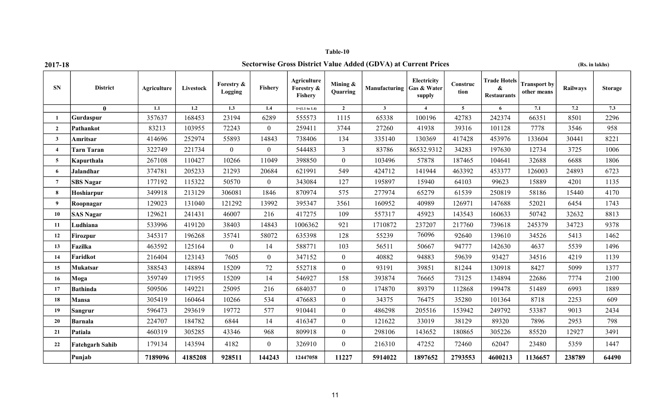| Table-10 |  |
|----------|--|
|----------|--|

## **2017-18 Sectorwise Gross District Value Added (GDVA) at Current Prices (Rs. in lakhs)**

| <b>SN</b>        | <b>District</b>        | Agriculture | Livestock        | Forestry &<br>Logging | Fishery        | Agriculture<br>Forestry &<br>Fishery | Mining $\&$<br>Quarring | Manufacturing Gas & Water | Electricity<br>supply  | Construc<br>tion | <b>Trade Hotels</b><br>&<br><b>Restaurants</b> | <b>Transport by</b><br>other means | Railways | <b>Storage</b>   |
|------------------|------------------------|-------------|------------------|-----------------------|----------------|--------------------------------------|-------------------------|---------------------------|------------------------|------------------|------------------------------------------------|------------------------------------|----------|------------------|
|                  | $\mathbf{0}$           | 1.1         | $\overline{1.2}$ | $\overline{1.3}$      | 1.4            | $1=(1.1 \text{ to } 1.4)$            | $\overline{2}$          | $\mathbf{3}$              | $\boldsymbol{\Lambda}$ | $\overline{5}$   | 6                                              | 7.1                                | 7.2      | $\overline{7.3}$ |
|                  | Gurdaspur              | 357637      | 168453           | 23194                 | 6289           | 555573                               | 1115                    | 65338                     | 100196                 | 42783            | 242374                                         | 66351                              | 8501     | 2296             |
| $\overline{2}$   | Pathankot              | 83213       | 103955           | 72243                 | $\theta$       | 259411                               | 3744                    | 27260                     | 41938                  | 39316            | 101128                                         | 7778                               | 3546     | 958              |
| 3                | Amritsar               | 414696      | 252974           | 55893                 | 14843          | 738406                               | 134                     | 335140                    | 130369                 | 417428           | 453976                                         | 133604                             | 30441    | 8221             |
| $\boldsymbol{4}$ | <b>Tarn Taran</b>      | 322749      | 221734           | $\overline{0}$        | $\overline{0}$ | 544483                               | $\mathfrak{Z}$          | 83786                     | 86532.9312             | 34283            | 197630                                         | 12734                              | 3725     | 1006             |
| 5                | Kapurthala             | 267108      | 110427           | 10266                 | 11049          | 398850                               | $\overline{0}$          | 103496                    | 57878                  | 187465           | 104641                                         | 32688                              | 6688     | 1806             |
| 6                | <b>Jalandhar</b>       | 374781      | 205233           | 21293                 | 20684          | 621991                               | 549                     | 424712                    | 141944                 | 463392           | 453377                                         | 126003                             | 24893    | 6723             |
| $\overline{7}$   | <b>SBS Nagar</b>       | 177192      | 115322           | 50570                 | $\overline{0}$ | 343084                               | 127                     | 195897                    | 15940                  | 64103            | 99623                                          | 15889                              | 4201     | 1135             |
| 8                | Hoshiarpur             | 349918      | 213129           | 306081                | 1846           | 870974                               | 575                     | 277974                    | 65279                  | 61539            | 250819                                         | 58186                              | 15440    | 4170             |
| 9                | Roopnagar              | 129023      | 131040           | 121292                | 13992          | 395347                               | 3561                    | 160952                    | 40989                  | 126971           | 147688                                         | 52021                              | 6454     | 1743             |
| 10               | <b>SAS Nagar</b>       | 129621      | 241431           | 46007                 | 216            | 417275                               | 109                     | 557317                    | 45923                  | 143543           | 160633                                         | 50742                              | 32632    | 8813             |
| 11               | Ludhiana               | 533996      | 419120           | 38403                 | 14843          | 1006362                              | 921                     | 1710872                   | 237207                 | 217760           | 739618                                         | 245379                             | 34723    | 9378             |
| 12               | Firozpur               | 345317      | 196268           | 35741                 | 58072          | 635398                               | 128                     | 55239                     | 76096                  | 92640            | 139610                                         | 34526                              | 5413     | 1462             |
| 13               | Fazilka                | 463592      | 125164           | $\overline{0}$        | 14             | 588771                               | 103                     | 56511                     | 50667                  | 94777            | 142630                                         | 4637                               | 5539     | 1496             |
| 14               | Faridkot               | 216404      | 123143           | 7605                  | $\overline{0}$ | 347152                               | $\boldsymbol{0}$        | 40882                     | 94883                  | 59639            | 93427                                          | 34516                              | 4219     | 1139             |
| 15               | Mukatsar               | 388543      | 148894           | 15209                 | 72             | 552718                               | $\boldsymbol{0}$        | 93191                     | 39851                  | 81244            | 130918                                         | 8427                               | 5099     | 1377             |
| 16               | Moga                   | 359749      | 171955           | 15209                 | 14             | 546927                               | 158                     | 393874                    | 76665                  | 73125            | 134894                                         | 22686                              | 7774     | 2100             |
| 17               | <b>Bathinda</b>        | 509506      | 149221           | 25095                 | 216            | 684037                               | $\mathbf{0}$            | 174870                    | 89379                  | 112868           | 199478                                         | 51489                              | 6993     | 1889             |
| 18               | Mansa                  | 305419      | 160464           | 10266                 | 534            | 476683                               | $\mathbf{0}$            | 34375                     | 76475                  | 35280            | 101364                                         | 8718                               | 2253     | 609              |
| 19               | <b>Sangrur</b>         | 596473      | 293619           | 19772                 | 577            | 910441                               | $\mathbf{0}$            | 486298                    | 205516                 | 153942           | 249792                                         | 53387                              | 9013     | 2434             |
| 20               | <b>Barnala</b>         | 224707      | 184782           | 6844                  | 14             | 416347                               | $\mathbf{0}$            | 121622                    | 33019                  | 38129            | 89320                                          | 7896                               | 2953     | 798              |
| 21               | Patiala                | 460319      | 305285           | 43346                 | 968            | 809918                               | $\overline{0}$          | 298106                    | 143652                 | 180865           | 305226                                         | 85520                              | 12927    | 3491             |
| 22               | <b>Fatehgarh Sahib</b> | 179134      | 143594           | 4182                  | $\theta$       | 326910                               | $\mathbf{0}$            | 216310                    | 47252                  | 72460            | 62047                                          | 23480                              | 5359     | 1447             |
|                  | Punjab                 | 7189096     | 4185208          | 928511                | 144243         | 12447058                             | 11227                   | 5914022                   | 1897652                | 2793553          | 4600213                                        | 1136657                            | 238789   | 64490            |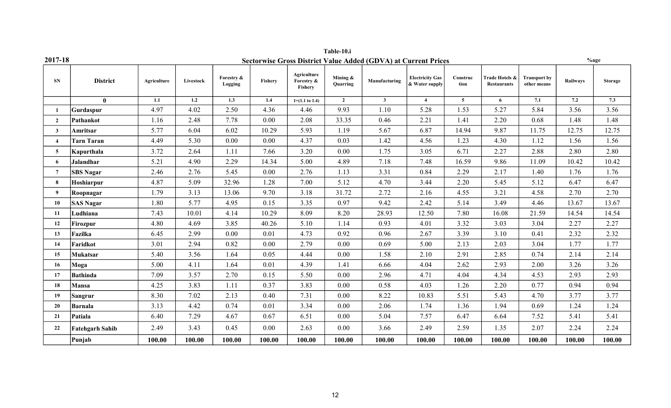|                  |                        |             |           |                       |                |                                      | Table-10.i           |                                                                       |                                          |                  |                                      |                                    |                 |                |
|------------------|------------------------|-------------|-----------|-----------------------|----------------|--------------------------------------|----------------------|-----------------------------------------------------------------------|------------------------------------------|------------------|--------------------------------------|------------------------------------|-----------------|----------------|
| 2017-18          |                        |             |           |                       |                |                                      |                      | <b>Sectorwise Gross District Value Added (GDVA) at Current Prices</b> |                                          |                  |                                      |                                    | $%$ age         |                |
| <b>SN</b>        | <b>District</b>        | Agriculture | Livestock | Forestry &<br>Logging | <b>Fisherv</b> | Agriculture<br>Forestry &<br>Fishery | Mining &<br>Quarring | Manufacturing                                                         | <b>Electricity Gas</b><br>& Water supply | Construc<br>tion | Trade Hotels &<br><b>Restaurants</b> | <b>Transport by</b><br>other means | <b>Railways</b> | <b>Storage</b> |
|                  | $\mathbf{0}$           | 1.1         | 1.2       | 1.3                   | 1.4            | $1=(1.1 \text{ to } 1.4)$            | $\overline{2}$       | $\mathbf{3}$                                                          | $\overline{4}$                           | $\overline{5}$   | 6                                    | 7.1                                | 7.2             | 7.3            |
|                  | Gurdaspur              | 4.97        | 4.02      | 2.50                  | 4.36           | 4.46                                 | 9.93                 | 1.10                                                                  | 5.28                                     | 1.53             | 5.27                                 | 5.84                               | 3.56            | 3.56           |
| $\overline{2}$   | Pathankot              | 1.16        | 2.48      | 7.78                  | 0.00           | 2.08                                 | 33.35                | 0.46                                                                  | 2.21                                     | 1.41             | 2.20                                 | 0.68                               | 1.48            | 1.48           |
| $\mathbf{3}$     | Amritsar               | 5.77        | 6.04      | 6.02                  | 10.29          | 5.93                                 | 1.19                 | 5.67                                                                  | 6.87                                     | 14.94            | 9.87                                 | 11.75                              | 12.75           | 12.75          |
| $\overline{4}$   | <b>Tarn Taran</b>      | 4.49        | 5.30      | 0.00                  | 0.00           | 4.37                                 | 0.03                 | 1.42                                                                  | 4.56                                     | 1.23             | 4.30                                 | 1.12                               | 1.56            | 1.56           |
| 5                | Kapurthala             | 3.72        | 2.64      | 1.11                  | 7.66           | 3.20                                 | 0.00                 | 1.75                                                                  | 3.05                                     | 6.71             | 2.27                                 | 2.88                               | 2.80            | 2.80           |
| 6                | <b>Jalandhar</b>       | 5.21        | 4.90      | 2.29                  | 14.34          | 5.00                                 | 4.89                 | 7.18                                                                  | 7.48                                     | 16.59            | 9.86                                 | 11.09                              | 10.42           | 10.42          |
| $\overline{7}$   | <b>SBS Nagar</b>       | 2.46        | 2.76      | 5.45                  | 0.00           | 2.76                                 | 1.13                 | 3.31                                                                  | 0.84                                     | 2.29             | 2.17                                 | 1.40                               | 1.76            | 1.76           |
| 8                | Hoshiarpur             | 4.87        | 5.09      | 32.96                 | 1.28           | 7.00                                 | 5.12                 | 4.70                                                                  | 3.44                                     | 2.20             | 5.45                                 | 5.12                               | 6.47            | 6.47           |
| 9                | Roopnagar              | 1.79        | 3.13      | 13.06                 | 9.70           | 3.18                                 | 31.72                | 2.72                                                                  | 2.16                                     | 4.55             | 3.21                                 | 4.58                               | 2.70            | 2.70           |
| 10               | <b>SAS Nagar</b>       | 1.80        | 5.77      | 4.95                  | 0.15           | 3.35                                 | 0.97                 | 9.42                                                                  | 2.42                                     | 5.14             | 3.49                                 | 4.46                               | 13.67           | 13.67          |
| 11               | Ludhiana               | 7.43        | 10.01     | 4.14                  | 10.29          | 8.09                                 | 8.20                 | 28.93                                                                 | 12.50                                    | 7.80             | 16.08                                | 21.59                              | 14.54           | 14.54          |
| 12               | Firozpur               | 4.80        | 4.69      | 3.85                  | 40.26          | 5.10                                 | 1.14                 | 0.93                                                                  | 4.01                                     | 3.32             | 3.03                                 | 3.04                               | 2.27            | 2.27           |
| 13 <sup>13</sup> | Fazilka                | 6.45        | 2.99      | 0.00                  | 0.01           | 4.73                                 | 0.92                 | 0.96                                                                  | 2.67                                     | 3.39             | 3.10                                 | 0.41                               | 2.32            | 2.32           |
| 14               | Faridkot               | 3.01        | 2.94      | 0.82                  | 0.00           | 2.79                                 | $0.00\,$             | 0.69                                                                  | 5.00                                     | 2.13             | 2.03                                 | 3.04                               | 1.77            | 1.77           |
| 15               | <b>Mukatsar</b>        | 5.40        | 3.56      | 1.64                  | 0.05           | 4.44                                 | 0.00                 | 1.58                                                                  | 2.10                                     | 2.91             | 2.85                                 | 0.74                               | 2.14            | 2.14           |
| 16               | Moga                   | 5.00        | 4.11      | 1.64                  | 0.01           | 4.39                                 | 1.41                 | 6.66                                                                  | 4.04                                     | 2.62             | 2.93                                 | 2.00                               | 3.26            | 3.26           |
| 17               | Bathinda               | 7.09        | 3.57      | 2.70                  | 0.15           | 5.50                                 | 0.00                 | 2.96                                                                  | 4.71                                     | 4.04             | 4.34                                 | 4.53                               | 2.93            | 2.93           |
| 18               | <b>Mansa</b>           | 4.25        | 3.83      | 1.11                  | 0.37           | 3.83                                 | 0.00                 | 0.58                                                                  | 4.03                                     | 1.26             | 2.20                                 | 0.77                               | 0.94            | 0.94           |
| 19               | Sangrur                | 8.30        | 7.02      | 2.13                  | 0.40           | 7.31                                 | 0.00                 | 8.22                                                                  | 10.83                                    | 5.51             | 5.43                                 | 4.70                               | 3.77            | 3.77           |
| 20               | Barnala                | 3.13        | 4.42      | 0.74                  | 0.01           | 3.34                                 | 0.00                 | 2.06                                                                  | 1.74                                     | 1.36             | 1.94                                 | 0.69                               | 1.24            | 1.24           |
| 21               | Patiala                | 6.40        | 7.29      | 4.67                  | 0.67           | 6.51                                 | 0.00                 | 5.04                                                                  | 7.57                                     | 6.47             | 6.64                                 | 7.52                               | 5.41            | 5.41           |
| 22               | <b>Fatehgarh Sahib</b> | 2.49        | 3.43      | 0.45                  | 0.00           | 2.63                                 | 0.00                 | 3.66                                                                  | 2.49                                     | 2.59             | 1.35                                 | 2.07                               | 2.24            | 2.24           |
|                  | Punjab                 | 100.00      | 100.00    | 100.00                | 100.00         | 100.00                               | 100.00               | 100.00                                                                | 100.00                                   | 100.00           | 100.00                               | 100.00                             | 100.00          | 100.00         |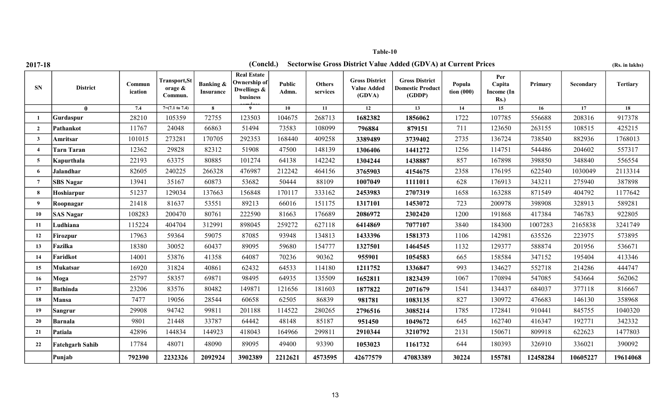| 2017-18             |                        |                   |                                        |                                   | (Concld.)                                                     |                 |                           |                                                       | <b>Sectorwise Gross District Value Added (GDVA) at Current Prices</b> |                        |                                        |          |           | (Rs. in lakhs)  |
|---------------------|------------------------|-------------------|----------------------------------------|-----------------------------------|---------------------------------------------------------------|-----------------|---------------------------|-------------------------------------------------------|-----------------------------------------------------------------------|------------------------|----------------------------------------|----------|-----------|-----------------|
| <b>SN</b>           | <b>District</b>        | Commun<br>ication | Transport, St<br>orage $\&$<br>Commun. | <b>Banking &amp;</b><br>Insurance | <b>Real Estate</b><br>Ownership of<br>Dwellings &<br>business | Public<br>Admn. | <b>Others</b><br>services | <b>Gross District</b><br><b>Value Added</b><br>(GDVA) | <b>Gross District</b><br><b>Domestic Product</b><br>(GDDP)            | Popula<br>tion $(000)$ | Per<br>Capita<br>Income (In<br>$Rs.$ ) | Primary  | Secondary | <b>Tertiary</b> |
|                     | $\mathbf{0}$           | 7.4               | $7=(7.1 \text{ to } 7.4)$              | 8                                 | 9                                                             | 10              | 11                        | $\overline{12}$                                       | 13                                                                    | 14                     | 15                                     | 16       | 17        | 18              |
|                     | Gurdaspur              | 28210             | 105359                                 | 72755                             | 123503                                                        | 104675          | 268713                    | 1682382                                               | 1856062                                                               | 1722                   | 107785                                 | 556688   | 208316    | 917378          |
| $\overline{2}$      | Pathankot              | 11767             | 24048                                  | 66863                             | 51494                                                         | 73583           | 108099                    | 796884                                                | 879151                                                                | 711                    | 123650                                 | 263155   | 108515    | 425215          |
| 3                   | Amritsar               | 101015            | 273281                                 | 170705                            | 292353                                                        | 168440          | 409258                    | 3389489                                               | 3739402                                                               | 2735                   | 136724                                 | 738540   | 882936    | 1768013         |
| $\overline{\bf{4}}$ | <b>Tarn Taran</b>      | 12362             | 29828                                  | 82312                             | 51908                                                         | 47500           | 148139                    | 1306406                                               | 1441272                                                               | 1256                   | 114751                                 | 544486   | 204602    | 557317          |
| 5                   | Kapurthala             | 22193             | 63375                                  | 80885                             | 101274                                                        | 64138           | 142242                    | 1304244                                               | 1438887                                                               | 857                    | 167898                                 | 398850   | 348840    | 556554          |
| 6                   | Jalandhar              | 82605             | 240225                                 | 266328                            | 476987                                                        | 212242          | 464156                    | 3765903                                               | 4154675                                                               | 2358                   | 176195                                 | 622540   | 1030049   | 2113314         |
| 7                   | <b>SBS Nagar</b>       | 13941             | 35167                                  | 60873                             | 53682                                                         | 50444           | 88109                     | 1007049                                               | 1111011                                                               | 628                    | 176913                                 | 343211   | 275940    | 387898          |
| 8                   | Hoshiarpur             | 51237             | 129034                                 | 137663                            | 156848                                                        | 170117          | 333162                    | 2453983                                               | 2707319                                                               | 1658                   | 163288                                 | 871549   | 404792    | 1177642         |
| 9                   | Roopnagar              | 21418             | 81637                                  | 53551                             | 89213                                                         | 66016           | 151175                    | 1317101                                               | 1453072                                                               | 723                    | 200978                                 | 398908   | 328913    | 589281          |
| 10                  | <b>SAS Nagar</b>       | 108283            | 200470                                 | 80761                             | 222590                                                        | 81663           | 176689                    | 2086972                                               | 2302420                                                               | 1200                   | 191868                                 | 417384   | 746783    | 922805          |
| 11                  | Ludhiana               | 115224            | 404704                                 | 312991                            | 898045                                                        | 259272          | 627118                    | 6414869                                               | 7077107                                                               | 3840                   | 184300                                 | 1007283  | 2165838   | 3241749         |
| 12                  | <b>Firozpur</b>        | 17963             | 59364                                  | 59075                             | 87085                                                         | 93948           | 134813                    | 1433396                                               | 1581373                                                               | 1106                   | 142981                                 | 635526   | 223975    | 573895          |
| 13                  | Fazilka                | 18380             | 30052                                  | 60437                             | 89095                                                         | 59680           | 154777                    | 1327501                                               | 1464545                                                               | 1132                   | 129377                                 | 588874   | 201956    | 536671          |
| 14                  | Faridkot               | 14001             | 53876                                  | 41358                             | 64087                                                         | 70236           | 90362                     | 955901                                                | 1054583                                                               | 665                    | 158584                                 | 347152   | 195404    | 413346          |
| 15                  | Mukatsar               | 16920             | 31824                                  | 40861                             | 62432                                                         | 64533           | 114180                    | 1211752                                               | 1336847                                                               | 993                    | 134627                                 | 552718   | 214286    | 444747          |
| 16                  | Moga                   | 25797             | 58357                                  | 69871                             | 98495                                                         | 64935           | 135509                    | 1652811                                               | 1823439                                                               | 1067                   | 170894                                 | 547085   | 543664    | 562062          |
| 17                  | <b>Bathinda</b>        | 23206             | 83576                                  | 80482                             | 149871                                                        | 121656          | 181603                    | 1877822                                               | 2071679                                                               | 1541                   | 134437                                 | 684037   | 377118    | 816667          |
| 18                  | Mansa                  | 7477              | 19056                                  | 28544                             | 60658                                                         | 62505           | 86839                     | 981781                                                | 1083135                                                               | 827                    | 130972                                 | 476683   | 146130    | 358968          |
| 19                  | Sangrur                | 29908             | 94742                                  | 99811                             | 201188                                                        | 114522          | 280265                    | 2796516                                               | 3085214                                                               | 1785                   | 172841                                 | 910441   | 845755    | 1040320         |
| 20                  | <b>Barnala</b>         | 9801              | 21448                                  | 33787                             | 64442                                                         | 48148           | 85187                     | 951450                                                | 1049672                                                               | 645                    | 162740                                 | 416347   | 192771    | 342332          |
| 21                  | Patiala                | 42896             | 144834                                 | 144923                            | 418043                                                        | 164966          | 299811                    | 2910344                                               | 3210792                                                               | 2131                   | 150671                                 | 809918   | 622623    | 1477803         |
| 22                  | <b>Fatehgarh Sahib</b> | 17784             | 48071                                  | 48090                             | 89095                                                         | 49400           | 93390                     | 1053023                                               | 1161732                                                               | 644                    | 180393                                 | 326910   | 336021    | 390092          |
|                     | Punjab                 | 792390            | 2232326                                | 2092924                           | 3902389                                                       | 2212621         | 4573595                   | 42677579                                              | 47083389                                                              | 30224                  | 155781                                 | 12458284 | 10605227  | 19614068        |

13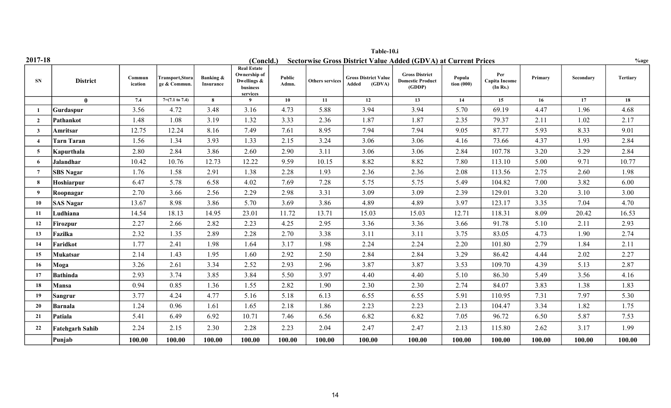|                |                        |                   |                                  |                                   |                                                                           |                 |                        | Table-10.i                                     |                                                                       |                        |                                  |         |           |                 |
|----------------|------------------------|-------------------|----------------------------------|-----------------------------------|---------------------------------------------------------------------------|-----------------|------------------------|------------------------------------------------|-----------------------------------------------------------------------|------------------------|----------------------------------|---------|-----------|-----------------|
| 2017-18        |                        |                   |                                  |                                   | (Concld.)                                                                 |                 |                        |                                                | <b>Sectorwise Gross District Value Added (GDVA) at Current Prices</b> |                        |                                  |         |           | %age            |
| <b>SN</b>      | <b>District</b>        | Commun<br>ication | Transport, Stora<br>ge & Commun. | <b>Banking &amp;</b><br>Insurance | <b>Real Estate</b><br>Ownership of<br>Dwellings &<br>business<br>services | Public<br>Admn. | <b>Others services</b> | <b>Gross District Value</b><br>(GDVA)<br>Added | <b>Gross District</b><br><b>Domestic Product</b><br>(GDDP)            | Popula<br>tion $(000)$ | Per<br>Capita Income<br>(In Rs.) | Primary | Secondary | <b>Tertiary</b> |
|                | $\mathbf{0}$           | 7.4               | $7=(7.1 \text{ to } 7.4)$        | 8                                 |                                                                           | 10              | 11                     | 12                                             | 13                                                                    | 14                     | 15                               | 16      | 17        | 18              |
|                | Gurdaspur              | 3.56              | 4.72                             | 3.48                              | 3.16                                                                      | 4.73            | 5.88                   | 3.94                                           | 3.94                                                                  | 5.70                   | 69.19                            | 4.47    | 1.96      | 4.68            |
| $\overline{2}$ | Pathankot              | 1.48              | 1.08                             | 3.19                              | 1.32                                                                      | 3.33            | 2.36                   | 1.87                                           | 1.87                                                                  | 2.35                   | 79.37                            | 2.11    | 1.02      | 2.17            |
| $\mathbf{3}$   | Amritsar               | 12.75             | 12.24                            | 8.16                              | 7.49                                                                      | 7.61            | 8.95                   | 7.94                                           | 7.94                                                                  | 9.05                   | 87.77                            | 5.93    | 8.33      | 9.01            |
|                | Tarn Taran             | 1.56              | 1.34                             | 3.93                              | 1.33                                                                      | 2.15            | 3.24                   | 3.06                                           | 3.06                                                                  | 4.16                   | 73.66                            | 4.37    | 1.93      | 2.84            |
| 5              | Kapurthala             | 2.80              | 2.84                             | 3.86                              | 2.60                                                                      | 2.90            | 3.11                   | 3.06                                           | 3.06                                                                  | 2.84                   | 107.78                           | 3.20    | 3.29      | 2.84            |
| -6             | Jalandhar              | 10.42             | 10.76                            | 12.73                             | 12.22                                                                     | 9.59            | 10.15                  | 8.82                                           | 8.82                                                                  | 7.80                   | 113.10                           | 5.00    | 9.71      | 10.77           |
| -7             | <b>SBS Nagar</b>       | 1.76              | 1.58                             | 2.91                              | 1.38                                                                      | 2.28            | 1.93                   | 2.36                                           | 2.36                                                                  | 2.08                   | 113.56                           | 2.75    | 2.60      | 1.98            |
| -8             | Hoshiarpur             | 6.47              | 5.78                             | 6.58                              | 4.02                                                                      | 7.69            | 7.28                   | 5.75                                           | 5.75                                                                  | 5.49                   | 104.82                           | 7.00    | 3.82      | 6.00            |
| 9              | Roopnagar              | 2.70              | 3.66                             | 2.56                              | 2.29                                                                      | 2.98            | 3.31                   | 3.09                                           | 3.09                                                                  | 2.39                   | 129.01                           | 3.20    | 3.10      | 3.00            |
| 10             | <b>SAS Nagar</b>       | 13.67             | 8.98                             | 3.86                              | 5.70                                                                      | 3.69            | 3.86                   | 4.89                                           | 4.89                                                                  | 3.97                   | 123.17                           | 3.35    | 7.04      | 4.70            |
| 11             | Ludhiana               | 14.54             | 18.13                            | 14.95                             | 23.01                                                                     | 11.72           | 13.71                  | 15.03                                          | 15.03                                                                 | 12.71                  | 118.31                           | 8.09    | 20.42     | 16.53           |
| 12             | Firozpur               | 2.27              | 2.66                             | 2.82                              | 2.23                                                                      | 4.25            | 2.95                   | 3.36                                           | 3.36                                                                  | 3.66                   | 91.78                            | 5.10    | 2.11      | 2.93            |
| 13             | Fazilka                | 2.32              | 1.35                             | 2.89                              | 2.28                                                                      | 2.70            | 3.38                   | 3.11                                           | 3.11                                                                  | 3.75                   | 83.05                            | 4.73    | 1.90      | 2.74            |
| 14             | Faridkot               | 1.77              | 2.41                             | 1.98                              | 1.64                                                                      | 3.17            | 1.98                   | 2.24                                           | 2.24                                                                  | 2.20                   | 101.80                           | 2.79    | 1.84      | 2.11            |
| 15             | Mukatsar               | 2.14              | 1.43                             | 1.95                              | 1.60                                                                      | 2.92            | 2.50                   | 2.84                                           | 2.84                                                                  | 3.29                   | 86.42                            | 4.44    | 2.02      | 2.27            |
| 16             | Moga                   | 3.26              | 2.61                             | 3.34                              | 2.52                                                                      | 2.93            | 2.96                   | 3.87                                           | 3.87                                                                  | 3.53                   | 109.70                           | 4.39    | 5.13      | 2.87            |
| 17             | Bathinda               | 2.93              | 3.74                             | 3.85                              | 3.84                                                                      | 5.50            | 3.97                   | 4.40                                           | 4.40                                                                  | 5.10                   | 86.30                            | 5.49    | 3.56      | 4.16            |
| 18             | Mansa                  | 0.94              | 0.85                             | 1.36                              | 1.55                                                                      | 2.82            | 1.90                   | 2.30                                           | 2.30                                                                  | 2.74                   | 84.07                            | 3.83    | 1.38      | 1.83            |
| 19             | Sangrur                | 3.77              | 4.24                             | 4.77                              | 5.16                                                                      | 5.18            | 6.13                   | 6.55                                           | 6.55                                                                  | 5.91                   | 110.95                           | 7.31    | 7.97      | 5.30            |
| 20             | Barnala                | 1.24              | 0.96                             | 1.61                              | 1.65                                                                      | 2.18            | 1.86                   | 2.23                                           | 2.23                                                                  | 2.13                   | 104.47                           | 3.34    | 1.82      | 1.75            |
| 21             | Patiala                | 5.41              | 6.49                             | 6.92                              | 10.71                                                                     | 7.46            | 6.56                   | 6.82                                           | 6.82                                                                  | 7.05                   | 96.72                            | 6.50    | 5.87      | 7.53            |
| 22             | <b>Fatehgarh Sahib</b> | 2.24              | 2.15                             | 2.30                              | 2.28                                                                      | 2.23            | 2.04                   | 2.47                                           | 2.47                                                                  | 2.13                   | 115.80                           | 2.62    | 3.17      | 1.99            |
|                | Punjab                 | 100.00            | 100.00                           | 100.00                            | 100.00                                                                    | 100.00          | 100.00                 | 100.00                                         | 100.00                                                                | 100.00                 | 100.00                           | 100.00  | 100.00    | 100.00          |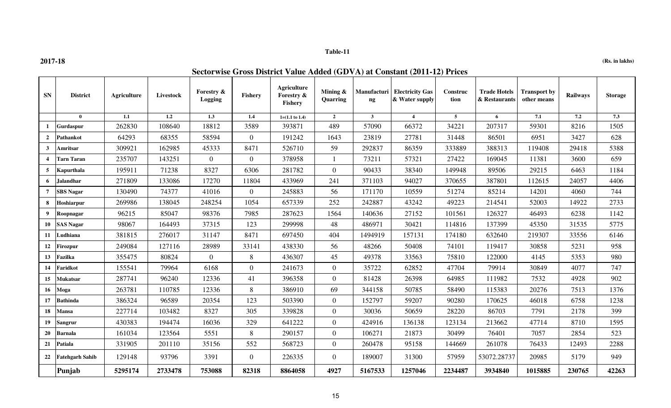**2017-18 (Rs. in lakhs)**

## **Sectorwise Gross District Value Added (GDVA) at Constant (2011-12) Prices**

| <b>SN</b>               | <b>District</b>        | <b>Agriculture</b> | Livestock | Forestry &<br><b>Logging</b> | <b>Fishery</b> | <b>Agriculture</b><br>Forestry &<br><b>Fishery</b> | Mining &<br>Quarring | Manufacturi<br>$\mathbf{ng}$ | <b>Electricity Gas</b><br>& Water supply | Construc<br>tion | <b>Trade Hotels</b><br>& Restaurants | <b>Transport by</b><br>other means | Railways | <b>Storage</b> |
|-------------------------|------------------------|--------------------|-----------|------------------------------|----------------|----------------------------------------------------|----------------------|------------------------------|------------------------------------------|------------------|--------------------------------------|------------------------------------|----------|----------------|
|                         | $\theta$               | 1.1                | 1.2       | 1.3                          | 1.4            | $1=(1.1 \text{ to } 1.4)$                          | $\overline{2}$       | $\mathbf{3}$                 | $\overline{4}$                           | $\overline{5}$   | 6                                    | 7.1                                | 7.2      | 7.3            |
| 1                       | Gurdaspur              | 262830             | 108640    | 18812                        | 3589           | 393871                                             | 489                  | 57090                        | 66372                                    | 34221            | 207317                               | 59301                              | 8216     | 1505           |
| $\overline{2}$          | Pathankot              | 64293              | 68355     | 58594                        | $\overline{0}$ | 191242                                             | 1643                 | 23819                        | 27781                                    | 31448            | 86501                                | 6951                               | 3427     | 628            |
| $\mathbf{3}$            | Amritsar               | 309921             | 162985    | 45333                        | 8471           | 526710                                             | 59                   | 292837                       | 86359                                    | 333889           | 388313                               | 119408                             | 29418    | 5388           |
| $\overline{\mathbf{4}}$ | <b>Tarn Taran</b>      | 235707             | 143251    | $\overline{0}$               | $\overline{0}$ | 378958                                             | $\mathbf{1}$         | 73211                        | 57321                                    | 27422            | 169045                               | 11381                              | 3600     | 659            |
| 5                       | Kapurthala             | 195911             | 71238     | 8327                         | 6306           | 281782                                             | $\overline{0}$       | 90433                        | 38340                                    | 149948           | 89506                                | 29215                              | 6463     | 1184           |
| 6                       | Jalandhar              | 271809             | 133086    | 17270                        | 11804          | 433969                                             | 241                  | 371103                       | 94027                                    | 370655           | 387801                               | 112615                             | 24057    | 4406           |
| $7\phantom{.0}$         | <b>SBS Nagar</b>       | 130490             | 74377     | 41016                        | $\theta$       | 245883                                             | 56                   | 171170                       | 10559                                    | 51274            | 85214                                | 14201                              | 4060     | 744            |
| 8                       | Hoshiarpur             | 269986             | 138045    | 248254                       | 1054           | 657339                                             | 252                  | 242887                       | 43242                                    | 49223            | 214541                               | 52003                              | 14922    | 2733           |
| 9                       | Roopnagar              | 96215              | 85047     | 98376                        | 7985           | 287623                                             | 1564                 | 140636                       | 27152                                    | 101561           | 126327                               | 46493                              | 6238     | 1142           |
| 10                      | <b>SAS Nagar</b>       | 98067              | 164493    | 37315                        | 123            | 299998                                             | 48                   | 486971                       | 30421                                    | 114816           | 137399                               | 45350                              | 31535    | 5775           |
| 11                      | Ludhiana               | 381815             | 276017    | 31147                        | 8471           | 697450                                             | 404                  | 1494919                      | 157131                                   | 174180           | 632640                               | 219307                             | 33556    | 6146           |
| 12                      | <b>Firozpur</b>        | 249084             | 127116    | 28989                        | 33141          | 438330                                             | 56                   | 48266                        | 50408                                    | 74101            | 119417                               | 30858                              | 5231     | 958            |
| 13                      | Fazilka                | 355475             | 80824     | $\overline{0}$               | 8              | 436307                                             | 45                   | 49378                        | 33563                                    | 75810            | 122000                               | 4145                               | 5353     | 980            |
| 14                      | Faridkot               | 155541             | 79964     | 6168                         | $\theta$       | 241673                                             | $\overline{0}$       | 35722                        | 62852                                    | 47704            | 79914                                | 30849                              | 4077     | 747            |
| 15                      | <b>Mukatsar</b>        | 287741             | 96240     | 12336                        | 41             | 396358                                             | $\overline{0}$       | 81428                        | 26398                                    | 64985            | 111982                               | 7532                               | 4928     | 902            |
| 16                      | Moga                   | 263781             | 110785    | 12336                        | 8              | 386910                                             | 69                   | 344158                       | 50785                                    | 58490            | 115383                               | 20276                              | 7513     | 1376           |
| 17                      | <b>Bathinda</b>        | 386324             | 96589     | 20354                        | 123            | 503390                                             | $\overline{0}$       | 152797                       | 59207                                    | 90280            | 170625                               | 46018                              | 6758     | 1238           |
| 18                      | <b>Mansa</b>           | 227714             | 103482    | 8327                         | 305            | 339828                                             | $\overline{0}$       | 30036                        | 50659                                    | 28220            | 86703                                | 7791                               | 2178     | 399            |
| 19                      | Sangrur                | 430383             | 194474    | 16036                        | 329            | 641222                                             | $\overline{0}$       | 424916                       | 136138                                   | 123134           | 213662                               | 47714                              | 8710     | 1595           |
| 20                      | <b>Barnala</b>         | 161034             | 123564    | 5551                         | 8              | 290157                                             | $\overline{0}$       | 106271                       | 21873                                    | 30499            | 76401                                | 7057                               | 2854     | 523            |
| 21                      | Patiala                | 331905             | 201110    | 35156                        | 552            | 568723                                             | $\overline{0}$       | 260478                       | 95158                                    | 144669           | 261078                               | 76433                              | 12493    | 2288           |
| 22                      | <b>Fatehgarh Sahib</b> | 129148             | 93796     | 3391                         | $\overline{0}$ | 226335                                             | $\overline{0}$       | 189007                       | 31300                                    | 57959            | 53072.28737                          | 20985                              | 5179     | 949            |
|                         | Punjab                 | 5295174            | 2733478   | 753088                       | 82318          | 8864058                                            | 4927                 | 5167533                      | 1257046                                  | 2234487          | 3934840                              | 1015885                            | 230765   | 42263          |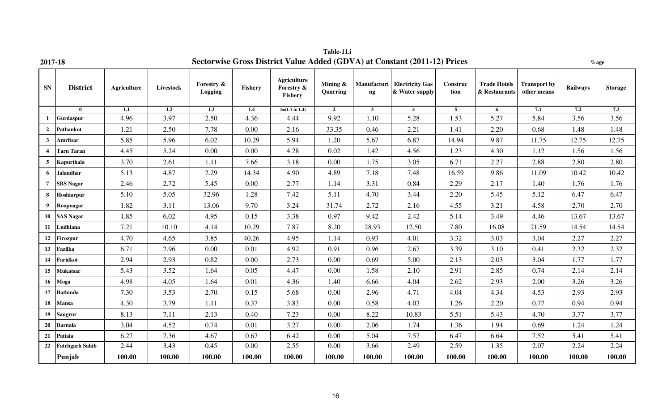| 2017-18          |                        |                    |           |                       |          |                                             |                         |                   | Sectorwise Gross District Value Added (GDVA) at Constant (2011-12) Prices |                  |                                      |                                    |          | $%$ age        |
|------------------|------------------------|--------------------|-----------|-----------------------|----------|---------------------------------------------|-------------------------|-------------------|---------------------------------------------------------------------------|------------------|--------------------------------------|------------------------------------|----------|----------------|
| ${\bf SN}$       | <b>District</b>        | <b>Agriculture</b> | Livestock | Forestry &<br>Logging | Fishery  | <b>Agriculture</b><br>Forestry &<br>Fishery | Mining $\&$<br>Quarring | Manufacturi<br>ng | <b>Electricity Gas</b><br>& Water supply                                  | Construc<br>tion | <b>Trade Hotels</b><br>& Restaurants | <b>Transport by</b><br>other means | Railways | <b>Storage</b> |
|                  | $\mathbf{0}$           | 1.1                | 1.2       | 1.3                   | 1.4      | $1=(1.1 \text{ to } 1.4)$                   | $\overline{2}$          | 3 <sup>7</sup>    | $\overline{4}$                                                            | $5\overline{)}$  | 6                                    | 7.1                                | 7.2      | 7.3            |
| -1               | Gurdaspur              | 4.96               | 3.97      | 2.50                  | 4.36     | 4.44                                        | 9.92                    | 1.10              | 5.28                                                                      | 1.53             | 5.27                                 | 5.84                               | 3.56     | 3.56           |
| $\overline{2}$   | Pathankot              | 1.21               | 2.50      | 7.78                  | 0.00     | 2.16                                        | 33.35                   | 0.46              | 2.21                                                                      | 1.41             | 2.20                                 | 0.68                               | 1.48     | 1.48           |
| $\mathbf{3}$     | Amritsar               | 5.85               | 5.96      | 6.02                  | 10.29    | 5.94                                        | 1.20                    | 5.67              | 6.87                                                                      | 14.94            | 9.87                                 | 11.75                              | 12.75    | 12.75          |
| $\boldsymbol{4}$ | <b>Tarn Taran</b>      | 4.45               | 5.24      | 0.00                  | 0.00     | 4.28                                        | 0.02                    | 1.42              | 4.56                                                                      | 1.23             | 4.30                                 | 1.12                               | 1.56     | 1.56           |
| 5                | Kapurthala             | 3.70               | 2.61      | 1.11                  | 7.66     | 3.18                                        | 0.00                    | 1.75              | 3.05                                                                      | 6.71             | 2.27                                 | 2.88                               | 2.80     | 2.80           |
| 6                | <b>Jalandhar</b>       | 5.13               | 4.87      | 2.29                  | 14.34    | 4.90                                        | 4.89                    | 7.18              | 7.48                                                                      | 16.59            | 9.86                                 | 11.09                              | 10.42    | 10.42          |
| $\overline{7}$   | <b>SBS Nagar</b>       | 2.46               | 2.72      | 5.45                  | 0.00     | 2.77                                        | 1.14                    | 3.31              | 0.84                                                                      | 2.29             | 2.17                                 | 1.40                               | 1.76     | 1.76           |
| 8                | Hoshiarpur             | 5.10               | 5.05      | 32.96                 | 1.28     | 7.42                                        | 5.11                    | 4.70              | 3.44                                                                      | 2.20             | 5.45                                 | 5.12                               | 6.47     | 6.47           |
| 9                | Roopnagar              | 1.82               | 3.11      | 13.06                 | 9.70     | 3.24                                        | 31.74                   | 2.72              | 2.16                                                                      | 4.55             | 3.21                                 | 4.58                               | 2.70     | 2.70           |
| 10               | <b>SAS Nagar</b>       | 1.85               | 6.02      | 4.95                  | 0.15     | 3.38                                        | 0.97                    | 9.42              | 2.42                                                                      | 5.14             | 3.49                                 | 4.46                               | 13.67    | 13.67          |
| 11               | Ludhiana               | 7.21               | 10.10     | 4.14                  | 10.29    | 7.87                                        | 8.20                    | 28.93             | 12.50                                                                     | 7.80             | 16.08                                | 21.59                              | 14.54    | 14.54          |
| 12               | <b>Firozpur</b>        | 4.70               | 4.65      | 3.85                  | 40.26    | 4.95                                        | 1.14                    | 0.93              | 4.01                                                                      | 3.32             | 3.03                                 | 3.04                               | 2.27     | 2.27           |
| 13               | Fazilka                | 6.71               | 2.96      | 0.00                  | 0.01     | 4.92                                        | 0.91                    | 0.96              | 2.67                                                                      | 3.39             | 3.10                                 | 0.41                               | 2.32     | 2.32           |
| 14               | Faridkot               | 2.94               | 2.93      | 0.82                  | 0.00     | 2.73                                        | 0.00                    | 0.69              | 5.00                                                                      | 2.13             | 2.03                                 | 3.04                               | 1.77     | 1.77           |
| 15               | <b>Mukatsar</b>        | 5.43               | 3.52      | 1.64                  | 0.05     | 4.47                                        | 0.00                    | 1.58              | 2.10                                                                      | 2.91             | 2.85                                 | 0.74                               | 2.14     | 2.14           |
| 16               | Moga                   | 4.98               | 4.05      | 1.64                  | 0.01     | 4.36                                        | 1.40                    | 6.66              | 4.04                                                                      | 2.62             | 2.93                                 | 2.00                               | 3.26     | 3.26           |
| 17               | <b>Bathinda</b>        | 7.30               | 3.53      | 2.70                  | 0.15     | 5.68                                        | 0.00                    | 2.96              | 4.71                                                                      | 4.04             | 4.34                                 | 4.53                               | 2.93     | 2.93           |
| 18               | <b>Mansa</b>           | 4.30               | 3.79      | 1.11                  | 0.37     | 3.83                                        | 0.00                    | 0.58              | 4.03                                                                      | 1.26             | 2.20                                 | 0.77                               | 0.94     | 0.94           |
| 19               | <b>Sangrur</b>         | 8.13               | 7.11      | 2.13                  | 0.40     | 7.23                                        | 0.00                    | 8.22              | 10.83                                                                     | 5.51             | 5.43                                 | 4.70                               | 3.77     | 3.77           |
| 20               | <b>Barnala</b>         | 3.04               | 4.52      | 0.74                  | 0.01     | 3.27                                        | 0.00                    | 2.06              | 1.74                                                                      | 1.36             | 1.94                                 | 0.69                               | 1.24     | 1.24           |
| 21               | Patiala                | 6.27               | 7.36      | 4.67                  | 0.67     | 6.42                                        | 0.00                    | 5.04              | 7.57                                                                      | 6.47             | 6.64                                 | 7.52                               | 5.41     | 5.41           |
| 22               | <b>Fatehgarh Sahib</b> | 2.44               | 3.43      | 0.45                  | $0.00\,$ | 2.55                                        | 0.00                    | 3.66              | 2.49                                                                      | 2.59             | 1.35                                 | 2.07                               | 2.24     | 2.24           |
|                  | Punjab                 | 100.00             | 100.00    | 100.00                | 100.00   | 100.00                                      | 100.00                  | 100.00            | 100.00                                                                    | 100.00           | 100.00                               | 100.00                             | 100.00   | 100.00         |

**Table-11.i**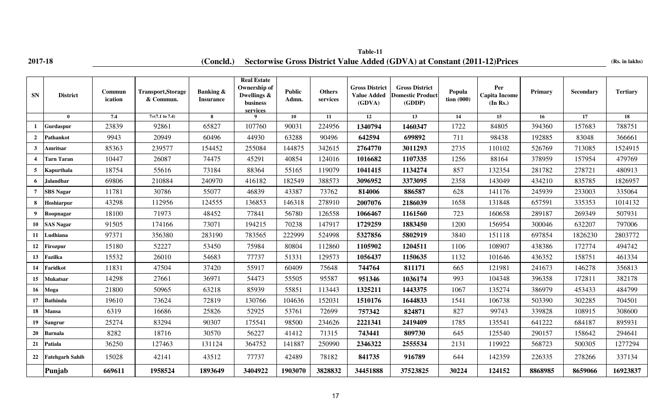## **2017-18 (Concld.)** Sectorwise Gross District Value Added (GDVA) at Constant (2011-12)Prices (Rs. in lakhs) **Table-11**

| <b>SN</b>        | <b>District</b>        | Commun<br>ication | <b>Transport, Storage</b><br>& Commun. | Banking &<br><b>Insurance</b> | <b>Real Estate</b><br>Ownership of<br>Dwellings &<br>business<br>services | Public<br>Admn. | <b>Others</b><br>services | <b>Gross District</b><br><b>Value Added</b><br>(GDVA) | <b>Gross District</b><br><b>Domestic Product</b><br>(GDDP) | Popula<br>tion $(000)$ | Per<br><b>Capita Income</b><br>(In Rs.) | Primary | Secondary | <b>Tertiary</b> |
|------------------|------------------------|-------------------|----------------------------------------|-------------------------------|---------------------------------------------------------------------------|-----------------|---------------------------|-------------------------------------------------------|------------------------------------------------------------|------------------------|-----------------------------------------|---------|-----------|-----------------|
|                  | $\mathbf{0}$           | 7.4               | $7=(7.1 \text{ to } 7.4)$              | 8                             | $\mathbf Q$                                                               | 10              | 11                        | 12                                                    | 13                                                         | 14                     | 15                                      | 16      | 17        | 18              |
|                  | Gurdaspur              | 23839             | 92861                                  | 65827                         | 107760                                                                    | 90031           | 224956                    | 1340794                                               | 1460347                                                    | 1722                   | 84805                                   | 394360  | 157683    | 788751          |
| $\overline{2}$   | Pathankot              | 9943              | 20949                                  | 60496                         | 44930                                                                     | 63288           | 90496                     | 642594                                                | 699892                                                     | 711                    | 98438                                   | 192885  | 83048     | 366661          |
| $\mathbf{3}$     | Amritsar               | 85363             | 239577                                 | 154452                        | 255084                                                                    | 144875          | 342615                    | 2764770                                               | 3011293                                                    | 2735                   | 110102                                  | 526769  | 713085    | 1524915         |
| $\boldsymbol{4}$ | Tarn Taran             | 10447             | 26087                                  | 74475                         | 45291                                                                     | 40854           | 124016                    | 1016682                                               | 1107335                                                    | 1256                   | 88164                                   | 378959  | 157954    | 479769          |
|                  | Kapurthala             | 18754             | 55616                                  | 73184                         | 88364                                                                     | 55165           | 119079                    | 1041415                                               | 1134274                                                    | 857                    | 132354                                  | 281782  | 278721    | 480913          |
| 6                | <b>Jalandhar</b>       | 69806             | 210884                                 | 240970                        | 416182                                                                    | 182549          | 388573                    | 3096952                                               | 3373095                                                    | 2358                   | 143049                                  | 434210  | 835785    | 1826957         |
| $\overline{7}$   | <b>SBS</b> Nagar       | 11781             | 30786                                  | 55077                         | 46839                                                                     | 43387           | 73762                     | 814006                                                | 886587                                                     | 628                    | 141176                                  | 245939  | 233003    | 335064          |
| 8                | Hoshiarpur             | 43298             | 112956                                 | 124555                        | 136853                                                                    | 146318          | 278910                    | 2007076                                               | 2186039                                                    | 1658                   | 131848                                  | 657591  | 335353    | 1014132         |
| 9                | Roopnagar              | 18100             | 71973                                  | 48452                         | 77841                                                                     | 56780           | 126558                    | 1066467                                               | 1161560                                                    | 723                    | 160658                                  | 289187  | 269349    | 507931          |
| 10               | <b>SAS Nagar</b>       | 91505             | 174166                                 | 73071                         | 194215                                                                    | 70238           | 147917                    | 1729259                                               | 1883450                                                    | 1200                   | 156954                                  | 300046  | 632207    | 797006          |
| 11               | Ludhiana               | 97371             | 356380                                 | 283190                        | 783565                                                                    | 222999          | 524998                    | 5327856                                               | 5802919                                                    | 3840                   | 151118                                  | 697854  | 1826230   | 2803772         |
| 12               | <b>Firozpur</b>        | 15180             | 52227                                  | 53450                         | 75984                                                                     | 80804           | 112860                    | 1105902                                               | 1204511                                                    | 1106                   | 108907                                  | 438386  | 172774    | 494742          |
| 13               | Fazilka                | 15532             | 26010                                  | 54683                         | 77737                                                                     | 51331           | 129573                    | 1056437                                               | 1150635                                                    | 1132                   | 101646                                  | 436352  | 158751    | 461334          |
| 14               | Faridkot               | 11831             | 47504                                  | 37420                         | 55917                                                                     | 60409           | 75648                     | 744764                                                | 811171                                                     | 665                    | 121981                                  | 241673  | 146278    | 356813          |
| 15               | Mukatsar               | 14298             | 27661                                  | 36971                         | 54473                                                                     | 55505           | 95587                     | 951346                                                | 1036174                                                    | 993                    | 104348                                  | 396358  | 172811    | 382178          |
| 16               | Moga                   | 21800             | 50965                                  | 63218                         | 85939                                                                     | 55851           | 113443                    | 1325211                                               | 1443375                                                    | 1067                   | 135274                                  | 386979  | 453433    | 484799          |
| 17               | <b>Bathinda</b>        | 19610             | 73624                                  | 72819                         | 130766                                                                    | 104636          | 152031                    | 1510176                                               | 1644833                                                    | 1541                   | 106738                                  | 503390  | 302285    | 704501          |
| 18               | Mansa                  | 6319              | 16686                                  | 25826                         | 52925                                                                     | 53761           | 72699                     | 757342                                                | 824871                                                     | 827                    | 99743                                   | 339828  | 108915    | 308600          |
| 19               | Sangrur                | 25274             | 83294                                  | 90307                         | 175541                                                                    | 98500           | 234626                    | 2221341                                               | 2419409                                                    | 1785                   | 135541                                  | 641222  | 684187    | 895931          |
| 20               | Barnala                | 8282              | 18716                                  | 30570                         | 56227                                                                     | 41412           | 71315                     | 743441                                                | 809730                                                     | 645                    | 125540                                  | 290157  | 158642    | 294641          |
| 21               | Patiala                | 36250             | 127463                                 | 131124                        | 364752                                                                    | 141887          | 250990                    | 2346322                                               | 2555534                                                    | 2131                   | 119922                                  | 568723  | 500305    | 1277294         |
| 22               | <b>Fatehgarh Sahib</b> | 15028             | 42141                                  | 43512                         | 77737                                                                     | 42489           | 78182                     | 841735                                                | 916789                                                     | 644                    | 142359                                  | 226335  | 278266    | 337134          |
|                  | Punjab                 | 669611            | 1958524                                | 1893649                       | 3404922                                                                   | 1903070         | 3828832                   | 34451888                                              | 37523825                                                   | 30224                  | 124152                                  | 8868985 | 8659066   | 16923837        |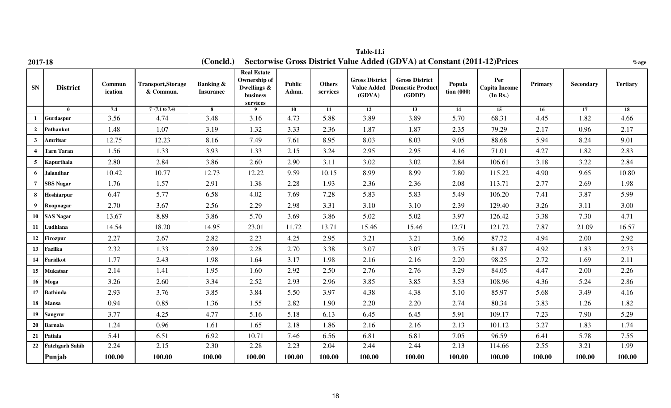| 2017-18                 |                        |                   |                                       | (Concld.)                                |                                                                            |                 |                           |                                                       | Sectorwise Gross District Value Added (GDVA) at Constant (2011-12) Prices |                                    |                                         |         |           | $%$ age         |
|-------------------------|------------------------|-------------------|---------------------------------------|------------------------------------------|----------------------------------------------------------------------------|-----------------|---------------------------|-------------------------------------------------------|---------------------------------------------------------------------------|------------------------------------|-----------------------------------------|---------|-----------|-----------------|
| ${\bf SN}$              | <b>District</b>        | Commun<br>ication | <b>Transport,Storage</b><br>& Commun. | <b>Banking &amp;</b><br><b>Insurance</b> | <b>Real Estate</b><br>Ownership of<br>Dwellings &<br>$busines$<br>services | Public<br>Admn. | <b>Others</b><br>services | <b>Gross District</b><br><b>Value Added</b><br>(GDVA) | <b>Gross District</b><br><b>Domestic Product</b><br>(GDDP)                | Popula<br>$\frac{1}{2}$ tion (000) | Per<br><b>Capita Income</b><br>(In Rs.) | Primary | Secondary | <b>Tertiary</b> |
|                         | $\bf{0}$               | 7.4               | $7=(7.1 \text{ to } 7.4)$             | 8                                        | 9                                                                          | 10              | 11                        | $\overline{12}$                                       | 13                                                                        | 14                                 | 15                                      | 16      | 17        | 18              |
| 1                       | <b>Gurdaspur</b>       | 3.56              | 4.74                                  | 3.48                                     | 3.16                                                                       | 4.73            | 5.88                      | 3.89                                                  | 3.89                                                                      | 5.70                               | 68.31                                   | 4.45    | 1.82      | 4.66            |
| $\overline{2}$          | Pathankot              | 1.48              | 1.07                                  | 3.19                                     | 1.32                                                                       | 3.33            | 2.36                      | 1.87                                                  | 1.87                                                                      | 2.35                               | 79.29                                   | 2.17    | 0.96      | 2.17            |
| $\mathbf{3}$            | Amritsar               | 12.75             | 12.23                                 | 8.16                                     | 7.49                                                                       | 7.61            | 8.95                      | 8.03                                                  | 8.03                                                                      | 9.05                               | 88.68                                   | 5.94    | 8.24      | 9.01            |
| $\overline{\mathbf{4}}$ | <b>Tarn Taran</b>      | 1.56              | 1.33                                  | 3.93                                     | 1.33                                                                       | 2.15            | 3.24                      | 2.95                                                  | 2.95                                                                      | 4.16                               | 71.01                                   | 4.27    | 1.82      | 2.83            |
| 5                       | Kapurthala             | 2.80              | 2.84                                  | 3.86                                     | 2.60                                                                       | 2.90            | 3.11                      | 3.02                                                  | 3.02                                                                      | 2.84                               | 106.61                                  | 3.18    | 3.22      | 2.84            |
| 6                       | <b>Jalandhar</b>       | 10.42             | 10.77                                 | 12.73                                    | 12.22                                                                      | 9.59            | 10.15                     | 8.99                                                  | 8.99                                                                      | 7.80                               | 115.22                                  | 4.90    | 9.65      | 10.80           |
| $7\overline{ }$         | <b>SBS Nagar</b>       | 1.76              | 1.57                                  | 2.91                                     | 1.38                                                                       | 2.28            | 1.93                      | 2.36                                                  | 2.36                                                                      | 2.08                               | 113.71                                  | 2.77    | 2.69      | 1.98            |
| 8                       | Hoshiarpur             | 6.47              | 5.77                                  | 6.58                                     | 4.02                                                                       | 7.69            | 7.28                      | 5.83                                                  | 5.83                                                                      | 5.49                               | 106.20                                  | 7.41    | 3.87      | 5.99            |
| 9                       | Roopnagar              | 2.70              | 3.67                                  | 2.56                                     | 2.29                                                                       | 2.98            | 3.31                      | 3.10                                                  | 3.10                                                                      | 2.39                               | 129.40                                  | 3.26    | 3.11      | 3.00            |
| 10                      | <b>SAS Nagar</b>       | 13.67             | 8.89                                  | 3.86                                     | 5.70                                                                       | 3.69            | 3.86                      | 5.02                                                  | 5.02                                                                      | 3.97                               | 126.42                                  | 3.38    | 7.30      | 4.71            |
| 11                      | Ludhiana               | 14.54             | 18.20                                 | 14.95                                    | 23.01                                                                      | 11.72           | 13.71                     | 15.46                                                 | 15.46                                                                     | 12.71                              | 121.72                                  | 7.87    | 21.09     | 16.57           |
| 12                      | <b>Firozpur</b>        | 2.27              | 2.67                                  | 2.82                                     | 2.23                                                                       | 4.25            | 2.95                      | 3.21                                                  | 3.21                                                                      | 3.66                               | 87.72                                   | 4.94    | 2.00      | 2.92            |
| 13                      | Fazilka                | 2.32              | 1.33                                  | 2.89                                     | 2.28                                                                       | 2.70            | 3.38                      | 3.07                                                  | 3.07                                                                      | 3.75                               | 81.87                                   | 4.92    | 1.83      | 2.73            |
| 14                      | Faridkot               | 1.77              | 2.43                                  | 1.98                                     | 1.64                                                                       | 3.17            | 1.98                      | 2.16                                                  | 2.16                                                                      | 2.20                               | 98.25                                   | 2.72    | 1.69      | 2.11            |
| 15                      | <b>Mukatsar</b>        | 2.14              | 1.41                                  | 1.95                                     | 1.60                                                                       | 2.92            | 2.50                      | 2.76                                                  | 2.76                                                                      | 3.29                               | 84.05                                   | 4.47    | 2.00      | 2.26            |
| 16                      | Moga                   | 3.26              | 2.60                                  | 3.34                                     | 2.52                                                                       | 2.93            | 2.96                      | 3.85                                                  | 3.85                                                                      | 3.53                               | 108.96                                  | 4.36    | 5.24      | 2.86            |
| 17                      | <b>Bathinda</b>        | 2.93              | 3.76                                  | 3.85                                     | 3.84                                                                       | 5.50            | 3.97                      | 4.38                                                  | 4.38                                                                      | 5.10                               | 85.97                                   | 5.68    | 3.49      | 4.16            |
| 18                      | <b>Mansa</b>           | 0.94              | 0.85                                  | 1.36                                     | 1.55                                                                       | 2.82            | 1.90                      | 2.20                                                  | 2.20                                                                      | 2.74                               | 80.34                                   | 3.83    | 1.26      | 1.82            |
| 19 <sup>°</sup>         | Sangrur                | 3.77              | 4.25                                  | 4.77                                     | 5.16                                                                       | 5.18            | 6.13                      | 6.45                                                  | 6.45                                                                      | 5.91                               | 109.17                                  | 7.23    | 7.90      | 5.29            |
| 20                      | <b>Barnala</b>         | 1.24              | 0.96                                  | 1.61                                     | 1.65                                                                       | 2.18            | 1.86                      | 2.16                                                  | 2.16                                                                      | 2.13                               | 101.12                                  | 3.27    | 1.83      | 1.74            |
| 21                      | Patiala                | 5.41              | 6.51                                  | 6.92                                     | 10.71                                                                      | 7.46            | 6.56                      | 6.81                                                  | 6.81                                                                      | 7.05                               | 96.59                                   | 6.41    | 5.78      | 7.55            |
| 22                      | <b>Fatehgarh Sahib</b> | 2.24              | 2.15                                  | 2.30                                     | 2.28                                                                       | 2.23            | 2.04                      | 2.44                                                  | 2.44                                                                      | 2.13                               | 114.66                                  | 2.55    | 3.21      | 1.99            |
|                         | Punjab                 | 100.00            | 100.00                                | 100.00                                   | 100.00                                                                     | 100.00          | 100.00                    | 100.00                                                | 100.00                                                                    | 100.00                             | 100.00                                  | 100.00  | 100.00    | 100.00          |

**Table-11.i**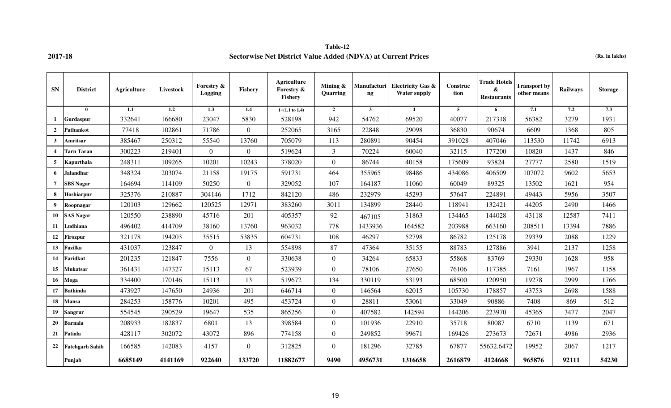### **Table-12 2017-18 Sectorwise Net District Value Added (NDVA) at Current Prices (Rs. in lakhs)**

| <b>SN</b>               | <b>District</b>        | Agriculture | <b>Livestock</b> | Forestry &<br>Logging | <b>Fishery</b>   | Agriculture<br>Forestry &<br>Fishery | Mining $\&$<br>Quarring | Manufacturi<br>$\mathbf{ng}$ | <b>Electricity Gas &amp;</b><br><b>Water supply</b> | Construc<br>tion | <b>Trade Hotels</b><br>&<br><b>Restaurants</b> | <b>Transport by</b><br>other means | Railways | <b>Storage</b>   |
|-------------------------|------------------------|-------------|------------------|-----------------------|------------------|--------------------------------------|-------------------------|------------------------------|-----------------------------------------------------|------------------|------------------------------------------------|------------------------------------|----------|------------------|
|                         | $\mathbf{0}$           | 1.1         | 1.2              | 1.3                   | 1.4              | $1=(1.1 \text{ to } 1.4)$            | $\overline{2}$          | $\mathbf{3}$                 | $\overline{4}$                                      | 5 <sup>5</sup>   | 6                                              | 7.1                                | 7.2      | $\overline{7.3}$ |
| 1                       | Gurdaspur              | 332641      | 166680           | 23047                 | 5830             | 528198                               | 942                     | 54762                        | 69520                                               | 40077            | 217318                                         | 56382                              | 3279     | 1931             |
| $\overline{2}$          | <b>Pathankot</b>       | 77418       | 102861           | 71786                 | $\overline{0}$   | 252065                               | 3165                    | 22848                        | 29098                                               | 36830            | 90674                                          | 6609                               | 1368     | 805              |
| 3                       | Amritsar               | 385467      | 250312           | 55540                 | 13760            | 705079                               | 113                     | 280891                       | 90454                                               | 391028           | 407046                                         | 113530                             | 11742    | 6913             |
| $\overline{\mathbf{4}}$ | <b>Tarn Taran</b>      | 300223      | 219401           | $\Omega$              | $\overline{0}$   | 519624                               | 3                       | 70224                        | 60040                                               | 32115            | 177200                                         | 10820                              | 1437     | 846              |
| 5 <sup>5</sup>          | Kapurthala             | 248311      | 109265           | 10201                 | 10243            | 378020                               | $\theta$                | 86744                        | 40158                                               | 175609           | 93824                                          | 27777                              | 2580     | 1519             |
| 6                       | <b>Jalandhar</b>       | 348324      | 203074           | 21158                 | 19175            | 591731                               | 464                     | 355965                       | 98486                                               | 434086           | 406509                                         | 107072                             | 9602     | 5653             |
| $\overline{7}$          | <b>SBS Nagar</b>       | 164694      | 114109           | 50250                 | $\boldsymbol{0}$ | 329052                               | 107                     | 164187                       | 11060                                               | 60049            | 89325                                          | 13502                              | 1621     | 954              |
| 8                       | Hoshiarpur             | 325376      | 210887           | 304146                | 1712             | 842120                               | 486                     | 232979                       | 45293                                               | 57647            | 224891                                         | 49443                              | 5956     | 3507             |
| 9                       | Roopnagar              | 120103      | 129662           | 120525                | 12971            | 383260                               | 3011                    | 134899                       | 28440                                               | 118941           | 132421                                         | 44205                              | 2490     | 1466             |
| 10                      | <b>SAS Nagar</b>       | 120550      | 238890           | 45716                 | 201              | 405357                               | 92                      | 467105                       | 31863                                               | 134465           | 144028                                         | 43118                              | 12587    | 7411             |
| 11                      | Ludhiana               | 496402      | 414709           | 38160                 | 13760            | 963032                               | 778                     | 1433936                      | 164582                                              | 203988           | 663160                                         | 208511                             | 13394    | 7886             |
| 12                      | Firozpur               | 321178      | 194203           | 35515                 | 53835            | 604731                               | 108                     | 46297                        | 52798                                               | 86782            | 125178                                         | 29339                              | 2088     | 1229             |
| 13                      | Fazilka                | 431037      | 123847           | $\Omega$              | 13               | 554898                               | 87                      | 47364                        | 35155                                               | 88783            | 127886                                         | 3941                               | 2137     | 1258             |
| 14                      | Faridkot               | 201235      | 121847           | 7556                  | $\boldsymbol{0}$ | 330638                               | $\Omega$                | 34264                        | 65833                                               | 55868            | 83769                                          | 29330                              | 1628     | 958              |
| 15                      | Mukatsar               | 361431      | 147327           | 15113                 | 67               | 523939                               | $\overline{0}$          | 78106                        | 27650                                               | 76106            | 117385                                         | 7161                               | 1967     | 1158             |
| 16                      | Moga                   | 334400      | 170146           | 15113                 | 13               | 519672                               | 134                     | 330119                       | 53193                                               | 68500            | 120950                                         | 19278                              | 2999     | 1766             |
| 17                      | <b>Bathinda</b>        | 473927      | 147650           | 24936                 | 201              | 646714                               | $\theta$                | 146564                       | 62015                                               | 105730           | 178857                                         | 43753                              | 2698     | 1588             |
| 18                      | <b>Mansa</b>           | 284253      | 158776           | 10201                 | 495              | 453724                               | $\theta$                | 28811                        | 53061                                               | 33049            | 90886                                          | 7408                               | 869      | 512              |
| 19                      | Sangrur                | 554545      | 290529           | 19647                 | 535              | 865256                               | $\theta$                | 407582                       | 142594                                              | 144206           | 223970                                         | 45365                              | 3477     | 2047             |
| 20                      | <b>Barnala</b>         | 208933      | 182837           | 6801                  | 13               | 398584                               | $\theta$                | 101936                       | 22910                                               | 35718            | 80087                                          | 6710                               | 1139     | 671              |
| 21                      | Patiala                | 428117      | 302072           | 43072                 | 896              | 774158                               | $\overline{0}$          | 249852                       | 99671                                               | 169426           | 273673                                         | 72671                              | 4986     | 2936             |
| 22                      | <b>Fatehgarh Sahib</b> | 166585      | 142083           | 4157                  | $\boldsymbol{0}$ | 312825                               | $\Omega$                | 181296                       | 32785                                               | 67877            | 55632.6472                                     | 19952                              | 2067     | 1217             |
|                         | Punjab                 | 6685149     | 4141169          | 922640                | 133720           | 11882677                             | 9490                    | 4956731                      | 1316658                                             | 2616879          | 4124668                                        | 965876                             | 92111    | 54230            |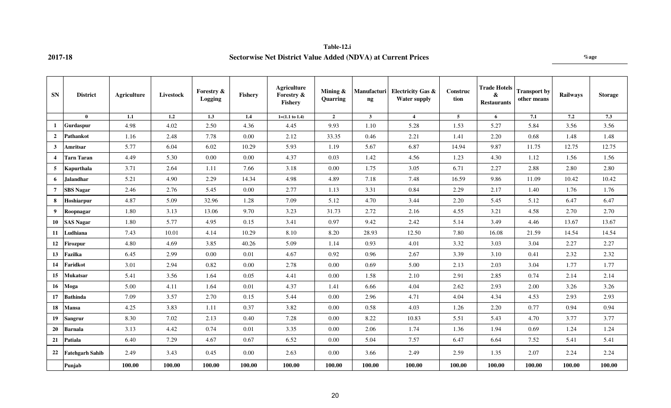### **Table-12.i 2017-18 Sectorwise Net District Value Added (NDVA) at Current Prices %age**

| <b>SN</b>             | <b>District</b>        | Agriculture | <b>Livestock</b> | Forestry &<br>Logging | Fishery | <b>Agriculture</b><br>Forestry &<br>Fishery | Mining $\&$<br>Quarring | Manufacturi<br>$\mathbf{n}$ | <b>Electricity Gas &amp;</b><br><b>Water supply</b> | Construc<br>tion | <b>Trade Hotels</b><br>&<br><b>Restaurants</b> | <b>Transport by</b><br>other means | <b>Railways</b> | <b>Storage</b> |
|-----------------------|------------------------|-------------|------------------|-----------------------|---------|---------------------------------------------|-------------------------|-----------------------------|-----------------------------------------------------|------------------|------------------------------------------------|------------------------------------|-----------------|----------------|
|                       | $\mathbf{0}$           | 1.1         | 1.2              | 1.3                   | $1.4\,$ | $1=(1.1 \text{ to } 1.4)$                   | $\overline{2}$          | $\mathbf{3}$                | $\overline{4}$                                      | 5 <sup>5</sup>   | 6                                              | 7.1                                | 7.2             | 7.3            |
| 1                     | <b>Gurdaspur</b>       | 4.98        | 4.02             | 2.50                  | 4.36    | 4.45                                        | 9.93                    | 1.10                        | 5.28                                                | 1.53             | 5.27                                           | 5.84                               | 3.56            | 3.56           |
| $\overline{2}$        | Pathankot              | 1.16        | 2.48             | 7.78                  | 0.00    | 2.12                                        | 33.35                   | 0.46                        | 2.21                                                | 1.41             | 2.20                                           | 0.68                               | 1.48            | 1.48           |
| 3                     | Amritsar               | 5.77        | 6.04             | 6.02                  | 10.29   | 5.93                                        | 1.19                    | 5.67                        | 6.87                                                | 14.94            | 9.87                                           | 11.75                              | 12.75           | 12.75          |
| $\boldsymbol{\Delta}$ | Tarn Taran             | 4.49        | 5.30             | 0.00                  | 0.00    | 4.37                                        | 0.03                    | 1.42                        | 4.56                                                | 1.23             | 4.30                                           | 1.12                               | 1.56            | 1.56           |
| 5                     | Kapurthala             | 3.71        | 2.64             | 1.11                  | 7.66    | 3.18                                        | 0.00                    | 1.75                        | 3.05                                                | 6.71             | 2.27                                           | 2.88                               | 2.80            | 2.80           |
| 6                     | <b>Jalandhar</b>       | 5.21        | 4.90             | 2.29                  | 14.34   | 4.98                                        | 4.89                    | 7.18                        | 7.48                                                | 16.59            | 9.86                                           | 11.09                              | 10.42           | 10.42          |
| $\overline{7}$        | <b>SBS</b> Nagar       | 2.46        | 2.76             | 5.45                  | 0.00    | 2.77                                        | 1.13                    | 3.31                        | 0.84                                                | 2.29             | 2.17                                           | 1.40                               | 1.76            | 1.76           |
| 8                     | Hoshiarpur             | 4.87        | 5.09             | 32.96                 | 1.28    | 7.09                                        | 5.12                    | 4.70                        | 3.44                                                | 2.20             | 5.45                                           | 5.12                               | 6.47            | 6.47           |
| 9                     | Roopnagar              | 1.80        | 3.13             | 13.06                 | 9.70    | 3.23                                        | 31.73                   | 2.72                        | 2.16                                                | 4.55             | 3.21                                           | 4.58                               | 2.70            | 2.70           |
| 10                    | <b>SAS Nagar</b>       | 1.80        | 5.77             | 4.95                  | 0.15    | 3.41                                        | 0.97                    | 9.42                        | 2.42                                                | 5.14             | 3.49                                           | 4.46                               | 13.67           | 13.67          |
| 11                    | Ludhiana               | 7.43        | 10.01            | 4.14                  | 10.29   | 8.10                                        | 8.20                    | 28.93                       | 12.50                                               | 7.80             | 16.08                                          | 21.59                              | 14.54           | 14.54          |
| 12                    | Firozpur               | 4.80        | 4.69             | 3.85                  | 40.26   | 5.09                                        | 1.14                    | 0.93                        | 4.01                                                | 3.32             | 3.03                                           | 3.04                               | 2.27            | 2.27           |
| 13                    | Fazilka                | 6.45        | 2.99             | 0.00                  | 0.01    | 4.67                                        | 0.92                    | 0.96                        | 2.67                                                | 3.39             | 3.10                                           | 0.41                               | 2.32            | 2.32           |
| 14                    | Faridkot               | 3.01        | 2.94             | 0.82                  | 0.00    | 2.78                                        | 0.00                    | 0.69                        | 5.00                                                | 2.13             | 2.03                                           | 3.04                               | 1.77            | 1.77           |
| 15                    | <b>Mukatsar</b>        | 5.41        | 3.56             | 1.64                  | 0.05    | 4.41                                        | 0.00                    | 1.58                        | 2.10                                                | 2.91             | 2.85                                           | 0.74                               | 2.14            | 2.14           |
| 16                    | Moga                   | 5.00        | 4.11             | 1.64                  | 0.01    | 4.37                                        | 1.41                    | 6.66                        | 4.04                                                | 2.62             | 2.93                                           | 2.00                               | 3.26            | 3.26           |
| 17                    | <b>Bathinda</b>        | 7.09        | 3.57             | 2.70                  | 0.15    | 5.44                                        | 0.00                    | 2.96                        | 4.71                                                | 4.04             | 4.34                                           | 4.53                               | 2.93            | 2.93           |
| 18                    | <b>Mansa</b>           | 4.25        | 3.83             | 1.11                  | 0.37    | 3.82                                        | 0.00                    | 0.58                        | 4.03                                                | 1.26             | 2.20                                           | 0.77                               | 0.94            | 0.94           |
| 19                    | <b>Sangrur</b>         | 8.30        | 7.02             | 2.13                  | 0.40    | 7.28                                        | 0.00                    | 8.22                        | 10.83                                               | 5.51             | 5.43                                           | 4.70                               | 3.77            | 3.77           |
| 20                    | <b>Barnala</b>         | 3.13        | 4.42             | 0.74                  | 0.01    | 3.35                                        | 0.00                    | 2.06                        | 1.74                                                | 1.36             | 1.94                                           | 0.69                               | 1.24            | 1.24           |
| 21                    | <b>Patiala</b>         | 6.40        | 7.29             | 4.67                  | 0.67    | 6.52                                        | 0.00                    | 5.04                        | 7.57                                                | 6.47             | 6.64                                           | 7.52                               | 5.41            | 5.41           |
| 22                    | <b>Fatehgarh Sahib</b> | 2.49        | 3.43             | 0.45                  | 0.00    | 2.63                                        | 0.00                    | 3.66                        | 2.49                                                | 2.59             | 1.35                                           | 2.07                               | 2.24            | 2.24           |
|                       | Punjab                 | 100.00      | 100.00           | 100.00                | 100.00  | 100.00                                      | 100.00                  | 100.00                      | 100.00                                              | 100.00           | 100.00                                         | 100.00                             | 100.00          | 100.00         |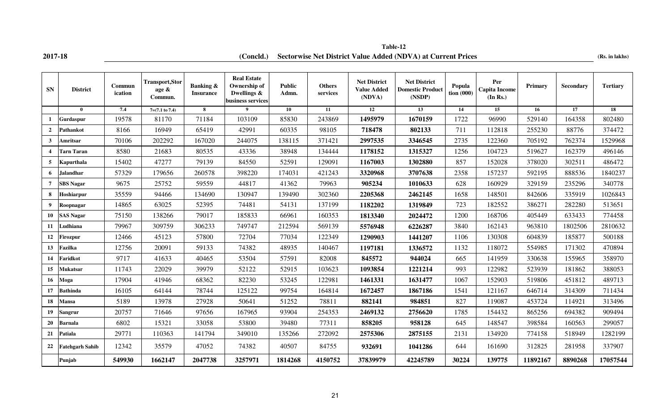**2017-18 (Concld.) Sectorwise Net District Value Added (NDVA) at Current Prices** (Rs. in lakhs) **Table-12**

| <b>SN</b>               | <b>District</b>        | Commun<br>ication | <b>Transport, Stor</b><br>age &<br>Commun. | <b>Banking &amp;</b><br><b>Insurance</b> | <b>Real Estate</b><br>Ownership of<br>Dwellings &<br>business services | <b>Public</b><br>Admn. | <b>Others</b><br>services | <b>Net District</b><br><b>Value Added</b><br>(NDVA) | <b>Net District</b><br><b>Domestic Product</b><br>(NSDP) | Popula<br>$\frac{1}{2}$ tion (000) | Per<br><b>Capita Income</b><br>(In Rs.) | Primary  | Secondary | <b>Tertiary</b> |
|-------------------------|------------------------|-------------------|--------------------------------------------|------------------------------------------|------------------------------------------------------------------------|------------------------|---------------------------|-----------------------------------------------------|----------------------------------------------------------|------------------------------------|-----------------------------------------|----------|-----------|-----------------|
|                         | $\mathbf{0}$           | 7.4               | $7=(7.1 \text{ to } 7.4)$                  | 8                                        | 9                                                                      | 10                     | 11                        | 12                                                  | 13                                                       | 14                                 | 15                                      | 16       | 17        | 18              |
| $\mathbf{1}$            | Gurdaspur              | 19578             | 81170                                      | 71184                                    | 103109                                                                 | 85830                  | 243869                    | 1495979                                             | 1670159                                                  | 1722                               | 96990                                   | 529140   | 164358    | 802480          |
| $\overline{2}$          | Pathankot              | 8166              | 16949                                      | 65419                                    | 42991                                                                  | 60335                  | 98105                     | 718478                                              | 802133                                                   | 711                                | 112818                                  | 255230   | 88776     | 374472          |
| $\mathbf{3}$            | Amritsar               | 70106             | 202292                                     | 167020                                   | 244075                                                                 | 138115                 | 371421                    | 2997535                                             | 3346545                                                  | 2735                               | 122360                                  | 705192   | 762374    | 1529968         |
| $\overline{\mathbf{4}}$ | Tarn Taran             | 8580              | 21683                                      | 80535                                    | 43336                                                                  | 38948                  | 134444                    | 1178152                                             | 1315327                                                  | 1256                               | 104723                                  | 519627   | 162379    | 496146          |
| 5                       | Kapurthala             | 15402             | 47277                                      | 79139                                    | 84550                                                                  | 52591                  | 129091                    | 1167003                                             | 1302880                                                  | 857                                | 152028                                  | 378020   | 302511    | 486472          |
| 6                       | Jalandhar              | 57329             | 179656                                     | 260578                                   | 398220                                                                 | 174031                 | 421243                    | 3320968                                             | 3707638                                                  | 2358                               | 157237                                  | 592195   | 888536    | 1840237         |
| $\overline{7}$          | <b>SBS Nagar</b>       | 9675              | 25752                                      | 59559                                    | 44817                                                                  | 41362                  | 79963                     | 905234                                              | 1010633                                                  | 628                                | 160929                                  | 329159   | 235296    | 340778          |
| 8                       | Hoshiarpur             | 35559             | 94466                                      | 134690                                   | 130947                                                                 | 139490                 | 302360                    | 2205368                                             | 2462145                                                  | 1658                               | 148501                                  | 842606   | 335919    | 1026843         |
| 9                       | Roopnagar              | 14865             | 63025                                      | 52395                                    | 74481                                                                  | 54131                  | 137199                    | 1182202                                             | 1319849                                                  | 723                                | 182552                                  | 386271   | 282280    | 513651          |
| 10                      | <b>SAS Nagar</b>       | 75150             | 138266                                     | 79017                                    | 185833                                                                 | 66961                  | 160353                    | 1813340                                             | 2024472                                                  | 1200                               | 168706                                  | 405449   | 633433    | 774458          |
| 11                      | Ludhiana               | 79967             | 309759                                     | 306233                                   | 749747                                                                 | 212594                 | 569139                    | 5576948                                             | 6226287                                                  | 3840                               | 162143                                  | 963810   | 1802506   | 2810632         |
| 12                      | Firozpur               | 12466             | 45123                                      | 57800                                    | 72704                                                                  | 77034                  | 122349                    | 1290903                                             | 1441207                                                  | 1106                               | 130308                                  | 604839   | 185877    | 500188          |
| 13                      | Fazilka                | 12756             | 20091                                      | 59133                                    | 74382                                                                  | 48935                  | 140467                    | 1197181                                             | 1336572                                                  | 1132                               | 118072                                  | 554985   | 171302    | 470894          |
| 14                      | Faridkot               | 9717              | 41633                                      | 40465                                    | 53504                                                                  | 57591                  | 82008                     | 845572                                              | 944024                                                   | 665                                | 141959                                  | 330638   | 155965    | 358970          |
| 15                      | Mukatsar               | 11743             | 22029                                      | 39979                                    | 52122                                                                  | 52915                  | 103623                    | 1093854                                             | 1221214                                                  | 993                                | 122982                                  | 523939   | 181862    | 388053          |
| 16                      | Moga                   | 17904             | 41946                                      | 68362                                    | 82230                                                                  | 53245                  | 122981                    | 1461331                                             | 1631477                                                  | 1067                               | 152903                                  | 519806   | 451812    | 489713          |
| 17                      | <b>Bathinda</b>        | 16105             | 64144                                      | 78744                                    | 125122                                                                 | 99754                  | 164814                    | 1672457                                             | 1867186                                                  | 1541                               | 121167                                  | 646714   | 314309    | 711434          |
| 18                      | Mansa                  | 5189              | 13978                                      | 27928                                    | 50641                                                                  | 51252                  | 78811                     | 882141                                              | 984851                                                   | 827                                | 119087                                  | 453724   | 114921    | 313496          |
| 19                      | Sangrur                | 20757             | 71646                                      | 97656                                    | 167965                                                                 | 93904                  | 254353                    | 2469132                                             | 2756620                                                  | 1785                               | 154432                                  | 865256   | 694382    | 909494          |
| 20                      | <b>Barnala</b>         | 6802              | 15321                                      | 33058                                    | 53800                                                                  | 39480                  | 77311                     | 858205                                              | 958128                                                   | 645                                | 148547                                  | 398584   | 160563    | 299057          |
| 21                      | Patiala                | 29771             | 110363                                     | 141794                                   | 349010                                                                 | 135266                 | 272092                    | 2575306                                             | 2875155                                                  | 2131                               | 134920                                  | 774158   | 518949    | 1282199         |
| 22                      | <b>Fatehgarh Sahib</b> | 12342             | 35579                                      | 47052                                    | 74382                                                                  | 40507                  | 84755                     | 932691                                              | 1041286                                                  | 644                                | 161690                                  | 312825   | 281958    | 337907          |
|                         | Punjab                 | 549930            | 1662147                                    | 2047738                                  | 3257971                                                                | 1814268                | 4150752                   | 37839979                                            | 42245789                                                 | 30224                              | 139775                                  | 11892167 | 8890268   | 17057544        |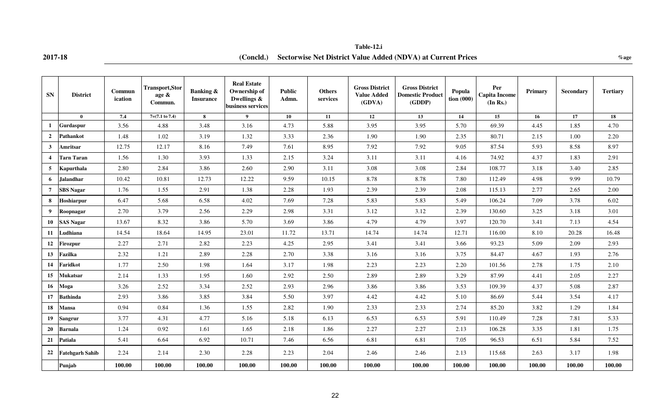**2017-18 %age (Concld.) Sectorwise Net District Value Added (NDVA) at Current Prices Table-12.i**

| <b>SN</b>        | <b>District</b>        | <b>Commun</b><br>ication | <b>Transport, Stor</b><br>age &<br>Commun. | <b>Banking &amp;</b><br><b>Insurance</b> | <b>Real Estate</b><br>Ownership of<br>Dwellings &<br>business services | <b>Public</b><br>Admn. | <b>Others</b><br>services | <b>Gross District</b><br><b>Value Added</b><br>(GDVA) | <b>Gross District</b><br><b>Domestic Product</b><br>(GDDP) | Popula<br>tion (000) | Per<br><b>Capita Income</b><br>(In Rs.) | Primary | Secondary | <b>Tertiary</b> |
|------------------|------------------------|--------------------------|--------------------------------------------|------------------------------------------|------------------------------------------------------------------------|------------------------|---------------------------|-------------------------------------------------------|------------------------------------------------------------|----------------------|-----------------------------------------|---------|-----------|-----------------|
|                  | $\mathbf{0}$           | 7.4                      | $7=(7.1 \text{ to } 7.4)$                  | 8                                        | $\overline{9}$                                                         | 10                     | 11                        | 12                                                    | 13                                                         | 14                   | 15                                      | 16      | 17        | 18              |
|                  | Gurdaspur              | 3.56                     | 4.88                                       | 3.48                                     | 3.16                                                                   | 4.73                   | 5.88                      | 3.95                                                  | 3.95                                                       | 5.70                 | 69.39                                   | 4.45    | 1.85      | 4.70            |
| $\overline{2}$   | Pathankot              | 1.48                     | 1.02                                       | 3.19                                     | 1.32                                                                   | 3.33                   | 2.36                      | 1.90                                                  | 1.90                                                       | 2.35                 | 80.71                                   | 2.15    | 1.00      | 2.20            |
| $\mathbf{3}$     | Amritsar               | 12.75                    | 12.17                                      | 8.16                                     | 7.49                                                                   | 7.61                   | 8.95                      | 7.92                                                  | 7.92                                                       | 9.05                 | 87.54                                   | 5.93    | 8.58      | 8.97            |
| $\boldsymbol{4}$ | Tarn Taran             | 1.56                     | 1.30                                       | 3.93                                     | 1.33                                                                   | 2.15                   | 3.24                      | 3.11                                                  | 3.11                                                       | 4.16                 | 74.92                                   | 4.37    | 1.83      | 2.91            |
| 5                | Kapurthala             | 2.80                     | 2.84                                       | 3.86                                     | 2.60                                                                   | 2.90                   | 3.11                      | 3.08                                                  | 3.08                                                       | 2.84                 | 108.77                                  | 3.18    | 3.40      | 2.85            |
| 6                | Jalandhar              | 10.42                    | 10.81                                      | 12.73                                    | 12.22                                                                  | 9.59                   | 10.15                     | 8.78                                                  | 8.78                                                       | 7.80                 | 112.49                                  | 4.98    | 9.99      | 10.79           |
| $\overline{7}$   | <b>SBS</b> Nagar       | 1.76                     | 1.55                                       | 2.91                                     | 1.38                                                                   | 2.28                   | 1.93                      | 2.39                                                  | 2.39                                                       | 2.08                 | 115.13                                  | 2.77    | 2.65      | 2.00            |
| 8                | Hoshiarpur             | 6.47                     | 5.68                                       | 6.58                                     | 4.02                                                                   | 7.69                   | 7.28                      | 5.83                                                  | 5.83                                                       | 5.49                 | 106.24                                  | 7.09    | 3.78      | 6.02            |
| 9                | Roopnagar              | 2.70                     | 3.79                                       | 2.56                                     | 2.29                                                                   | 2.98                   | 3.31                      | 3.12                                                  | 3.12                                                       | 2.39                 | 130.60                                  | 3.25    | 3.18      | 3.01            |
| 10               | <b>SAS Nagar</b>       | 13.67                    | 8.32                                       | 3.86                                     | 5.70                                                                   | 3.69                   | 3.86                      | 4.79                                                  | 4.79                                                       | 3.97                 | 120.70                                  | 3.41    | 7.13      | 4.54            |
| 11               | Ludhiana               | 14.54                    | 18.64                                      | 14.95                                    | 23.01                                                                  | 11.72                  | 13.71                     | 14.74                                                 | 14.74                                                      | 12.71                | 116.00                                  | 8.10    | 20.28     | 16.48           |
| 12               | Firozpur               | 2.27                     | 2.71                                       | 2.82                                     | 2.23                                                                   | 4.25                   | 2.95                      | 3.41                                                  | 3.41                                                       | 3.66                 | 93.23                                   | 5.09    | 2.09      | 2.93            |
| 13               | Fazilka                | 2.32                     | 1.21                                       | 2.89                                     | 2.28                                                                   | 2.70                   | 3.38                      | 3.16                                                  | 3.16                                                       | 3.75                 | 84.47                                   | 4.67    | 1.93      | 2.76            |
| 14               | Faridkot               | 1.77                     | 2.50                                       | 1.98                                     | 1.64                                                                   | 3.17                   | 1.98                      | 2.23                                                  | 2.23                                                       | 2.20                 | 101.56                                  | 2.78    | 1.75      | 2.10            |
| 15               | <b>Mukatsar</b>        | 2.14                     | 1.33                                       | 1.95                                     | 1.60                                                                   | 2.92                   | 2.50                      | 2.89                                                  | 2.89                                                       | 3.29                 | 87.99                                   | 4.41    | 2.05      | 2.27            |
| 16               | Moga                   | 3.26                     | 2.52                                       | 3.34                                     | 2.52                                                                   | 2.93                   | 2.96                      | 3.86                                                  | 3.86                                                       | 3.53                 | 109.39                                  | 4.37    | 5.08      | 2.87            |
| 17               | <b>Bathinda</b>        | 2.93                     | 3.86                                       | 3.85                                     | 3.84                                                                   | 5.50                   | 3.97                      | 4.42                                                  | 4.42                                                       | 5.10                 | 86.69                                   | 5.44    | 3.54      | 4.17            |
| 18               | Mansa                  | 0.94                     | 0.84                                       | 1.36                                     | 1.55                                                                   | 2.82                   | 1.90                      | 2.33                                                  | 2.33                                                       | 2.74                 | 85.20                                   | 3.82    | 1.29      | 1.84            |
| 19               | <b>Sangrur</b>         | 3.77                     | 4.31                                       | 4.77                                     | 5.16                                                                   | 5.18                   | 6.13                      | 6.53                                                  | 6.53                                                       | 5.91                 | 110.49                                  | 7.28    | 7.81      | 5.33            |
| 20               | <b>Barnala</b>         | 1.24                     | 0.92                                       | 1.61                                     | 1.65                                                                   | 2.18                   | 1.86                      | 2.27                                                  | 2.27                                                       | 2.13                 | 106.28                                  | 3.35    | 1.81      | 1.75            |
| 21               | Patiala                | 5.41                     | 6.64                                       | 6.92                                     | 10.71                                                                  | 7.46                   | 6.56                      | 6.81                                                  | 6.81                                                       | 7.05                 | 96.53                                   | 6.51    | 5.84      | 7.52            |
| 22               | <b>Fatehgarh Sahib</b> | 2.24                     | 2.14                                       | 2.30                                     | 2.28                                                                   | 2.23                   | 2.04                      | 2.46                                                  | 2.46                                                       | 2.13                 | 115.68                                  | 2.63    | 3.17      | 1.98            |
|                  | Punjab                 | 100.00                   | 100.00                                     | 100.00                                   | 100.00                                                                 | 100.00                 | 100.00                    | 100.00                                                | 100.00                                                     | 100.00               | 100.00                                  | 100.00  | 100.00    | 100.00          |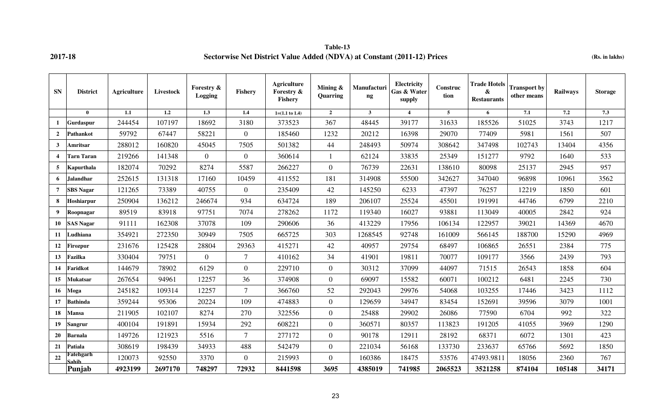**Table-13 2017-18 Sectorwise Net District Value Added (NDVA) at Constant (2011-12) Prices (Rs. in lakhs)**

| <b>SN</b>      | <b>District</b>    | <b>Agriculture</b> | Livestock | Forestry &<br>Logging | <b>Fishery</b> | <b>Agriculture</b><br>Forestry &<br><b>Fishery</b> | Mining $\&$<br>Quarring | Manufacturi<br>$\mathbf{ng}$ | Electricity<br>Gas & Water<br>supply | Construc<br>tion | <b>Trade Hotels</b><br>&<br><b>Restaurants</b> | <b>Transport by</b><br>other means | Railways | <b>Storage</b> |
|----------------|--------------------|--------------------|-----------|-----------------------|----------------|----------------------------------------------------|-------------------------|------------------------------|--------------------------------------|------------------|------------------------------------------------|------------------------------------|----------|----------------|
|                | $\mathbf{0}$       | 1.1                | 1.2       | 1.3                   | 1.4            | $1=(1.1 \text{ to } 1.4)$                          | $\overline{2}$          | $\mathbf{3}$                 | $\boldsymbol{\Delta}$                | 5 <sup>5</sup>   | 6                                              | 7.1                                | 7.2      | 7.3            |
| -1             | Gurdaspur          | 244454             | 107197    | 18692                 | 3180           | 373523                                             | 367                     | 48445                        | 39177                                | 31633            | 185526                                         | 51025                              | 3743     | 1217           |
| $\overline{2}$ | Pathankot          | 59792              | 67447     | 58221                 | $\overline{0}$ | 185460                                             | 1232                    | 20212                        | 16398                                | 29070            | 77409                                          | 5981                               | 1561     | 507            |
| $\mathbf{3}$   | Amritsar           | 288012             | 160820    | 45045                 | 7505           | 501382                                             | 44                      | 248493                       | 50974                                | 308642           | 347498                                         | 102743                             | 13404    | 4356           |
| $\overline{4}$ | <b>Tarn Taran</b>  | 219266             | 141348    | $\overline{0}$        | $\overline{0}$ | 360614                                             |                         | 62124                        | 33835                                | 25349            | 151277                                         | 9792                               | 1640     | 533            |
| 5              | Kapurthala         | 182074             | 70292     | 8274                  | 5587           | 266227                                             | $\mathbf{0}$            | 76739                        | 22631                                | 138610           | 80098                                          | 25137                              | 2945     | 957            |
| 6              | Jalandhar          | 252615             | 131318    | 17160                 | 10459          | 411552                                             | 181                     | 314908                       | 55500                                | 342627           | 347040                                         | 96898                              | 10961    | 3562           |
| $\overline{7}$ | <b>SBS</b> Nagar   | 121265             | 73389     | 40755                 | $\overline{0}$ | 235409                                             | 42                      | 145250                       | 6233                                 | 47397            | 76257                                          | 12219                              | 1850     | 601            |
| 8              | Hoshiarpur         | 250904             | 136212    | 246674                | 934            | 634724                                             | 189                     | 206107                       | 25524                                | 45501            | 191991                                         | 44746                              | 6799     | 2210           |
| 9              | Roopnagar          | 89519              | 83918     | 97751                 | 7074           | 278262                                             | 1172                    | 119340                       | 16027                                | 93881            | 113049                                         | 40005                              | 2842     | 924            |
| 10             | <b>SAS Nagar</b>   | 91111              | 162308    | 37078                 | 109            | 290606                                             | 36                      | 413229                       | 17956                                | 106134           | 122957                                         | 39021                              | 14369    | 4670           |
| 11             | Ludhiana           | 354921             | 272350    | 30949                 | 7505           | 665725                                             | 303                     | 1268545                      | 92748                                | 161009           | 566145                                         | 188700                             | 15290    | 4969           |
| 12             | <b>Firozpur</b>    | 231676             | 125428    | 28804                 | 29363          | 415271                                             | 42                      | 40957                        | 29754                                | 68497            | 106865                                         | 26551                              | 2384     | 775            |
| 13             | Fazilka            | 330404             | 79751     | $\overline{0}$        | $\tau$         | 410162                                             | 34                      | 41901                        | 19811                                | 70077            | 109177                                         | 3566                               | 2439     | 793            |
| 14             | Faridkot           | 144679             | 78902     | 6129                  | $\overline{0}$ | 229710                                             | $\overline{0}$          | 30312                        | 37099                                | 44097            | 71515                                          | 26543                              | 1858     | 604            |
| 15             | Mukatsar           | 267654             | 94961     | 12257                 | 36             | 374908                                             | $\mathbf{0}$            | 69097                        | 15582                                | 60071            | 100212                                         | 6481                               | 2245     | 730            |
| 16             | Moga               | 245182             | 109314    | 12257                 | $\tau$         | 366760                                             | 52                      | 292043                       | 29976                                | 54068            | 103255                                         | 17446                              | 3423     | 1112           |
| 17             | <b>Bathinda</b>    | 359244             | 95306     | 20224                 | 109            | 474883                                             | $\overline{0}$          | 129659                       | 34947                                | 83454            | 152691                                         | 39596                              | 3079     | 1001           |
| 18             | Mansa              | 211905             | 102107    | 8274                  | 270            | 322556                                             | $\overline{0}$          | 25488                        | 29902                                | 26086            | 77590                                          | 6704                               | 992      | 322            |
| 19             | <b>Sangrur</b>     | 400104             | 191891    | 15934                 | 292            | 608221                                             | $\overline{0}$          | 360571                       | 80357                                | 113823           | 191205                                         | 41055                              | 3969     | 1290           |
| 20             | <b>Barnala</b>     | 149726             | 121923    | 5516                  | 7              | 277172                                             | $\mathbf{0}$            | 90178                        | 12911                                | 28192            | 68371                                          | 6072                               | 1301     | 423            |
| 21             | Patiala            | 308619             | 198439    | 34933                 | 488            | 542479                                             | $\overline{0}$          | 221034                       | 56168                                | 133730           | 233637                                         | 65766                              | 5692     | 1850           |
| 22             | Fatehgarh<br>Sahih | 120073             | 92550     | 3370                  | $\overline{0}$ | 215993                                             | $\overline{0}$          | 160386                       | 18475                                | 53576            | 47493.9811                                     | 18056                              | 2360     | 767            |
|                | Punjab             | 4923199            | 2697170   | 748297                | 72932          | 8441598                                            | 3695                    | 4385019                      | 741985                               | 2065523          | 3521258                                        | 874104                             | 105148   | 34171          |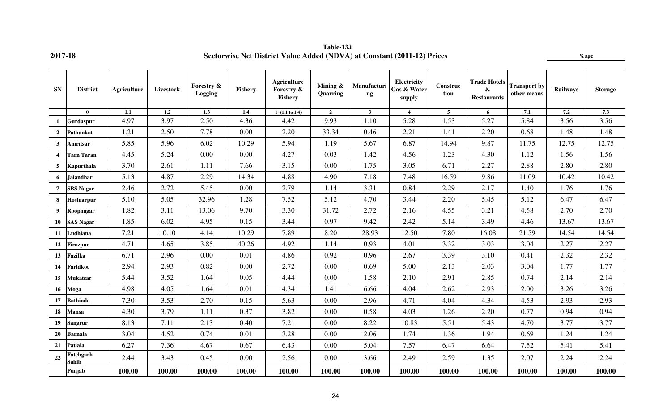| <b>SN</b>               | <b>District</b>    | Agriculture | Livestock        | Forestry &<br>Logging | Fishery | <b>Agriculture</b><br>Forestry &<br>Fishery | Mining &<br>Quarring | Manufacturi<br>$\boldsymbol{\mathsf{ng}}$ | <b>Electricity</b><br>Gas & Water<br>supply | <b>Construc</b><br>tion | <b>Trade Hotels</b><br>&<br><b>Restaurants</b> | <b>Transport by</b><br>other means | <b>Railways</b> | <b>Storage</b> |
|-------------------------|--------------------|-------------|------------------|-----------------------|---------|---------------------------------------------|----------------------|-------------------------------------------|---------------------------------------------|-------------------------|------------------------------------------------|------------------------------------|-----------------|----------------|
|                         | $\mathbf{0}$       | 1.1         | $\overline{1.2}$ | $\overline{1.3}$      | 1.4     | $1=(1.1 \text{ to } 1.4)$                   | $\overline{2}$       | $\mathbf{3}$                              | $\overline{4}$                              | 5 <sup>5</sup>          | 6                                              | 7.1                                | 7.2             | 7.3            |
| -1                      | Gurdaspur          | 4.97        | 3.97             | 2.50                  | 4.36    | 4.42                                        | 9.93                 | 1.10                                      | 5.28                                        | 1.53                    | 5.27                                           | 5.84                               | 3.56            | 3.56           |
| $\overline{2}$          | <b>Pathankot</b>   | 1.21        | 2.50             | 7.78                  | 0.00    | 2.20                                        | 33.34                | 0.46                                      | 2.21                                        | 1.41                    | 2.20                                           | 0.68                               | 1.48            | 1.48           |
| $\mathbf{3}$            | Amritsar           | 5.85        | 5.96             | 6.02                  | 10.29   | 5.94                                        | 1.19                 | 5.67                                      | 6.87                                        | 14.94                   | 9.87                                           | 11.75                              | 12.75           | 12.75          |
| $\overline{\mathbf{4}}$ | Tarn Taran         | 4.45        | 5.24             | 0.00                  | 0.00    | 4.27                                        | 0.03                 | 1.42                                      | 4.56                                        | 1.23                    | 4.30                                           | 1.12                               | 1.56            | 1.56           |
| 5                       | Kapurthala         | 3.70        | 2.61             | 1.11                  | 7.66    | 3.15                                        | 0.00                 | 1.75                                      | 3.05                                        | 6.71                    | 2.27                                           | 2.88                               | 2.80            | 2.80           |
| 6                       | <b>Jalandhar</b>   | 5.13        | 4.87             | 2.29                  | 14.34   | 4.88                                        | 4.90                 | 7.18                                      | 7.48                                        | 16.59                   | 9.86                                           | 11.09                              | 10.42           | 10.42          |
| $\overline{7}$          | <b>SBS Nagar</b>   | 2.46        | 2.72             | 5.45                  | 0.00    | 2.79                                        | 1.14                 | 3.31                                      | 0.84                                        | 2.29                    | 2.17                                           | 1.40                               | 1.76            | 1.76           |
| 8                       | Hoshiarpur         | 5.10        | 5.05             | 32.96                 | 1.28    | 7.52                                        | 5.12                 | 4.70                                      | 3.44                                        | 2.20                    | 5.45                                           | 5.12                               | 6.47            | 6.47           |
| 9                       | Roopnagar          | 1.82        | 3.11             | 13.06                 | 9.70    | 3.30                                        | 31.72                | 2.72                                      | 2.16                                        | 4.55                    | 3.21                                           | 4.58                               | 2.70            | 2.70           |
| 10                      | <b>SAS Nagar</b>   | 1.85        | 6.02             | 4.95                  | 0.15    | 3.44                                        | 0.97                 | 9.42                                      | 2.42                                        | 5.14                    | 3.49                                           | 4.46                               | 13.67           | 13.67          |
| 11                      | Ludhiana           | 7.21        | 10.10            | 4.14                  | 10.29   | 7.89                                        | 8.20                 | 28.93                                     | 12.50                                       | 7.80                    | 16.08                                          | 21.59                              | 14.54           | 14.54          |
| 12                      | <b>Firozpur</b>    | 4.71        | 4.65             | 3.85                  | 40.26   | 4.92                                        | 1.14                 | 0.93                                      | 4.01                                        | 3.32                    | 3.03                                           | 3.04                               | 2.27            | 2.27           |
| 13                      | Fazilka            | 6.71        | 2.96             | 0.00                  | 0.01    | 4.86                                        | 0.92                 | 0.96                                      | 2.67                                        | 3.39                    | 3.10                                           | 0.41                               | 2.32            | 2.32           |
| 14                      | Faridkot           | 2.94        | 2.93             | 0.82                  | 0.00    | 2.72                                        | 0.00                 | 0.69                                      | 5.00                                        | 2.13                    | 2.03                                           | 3.04                               | 1.77            | 1.77           |
| 15                      | Mukatsar           | 5.44        | 3.52             | 1.64                  | 0.05    | 4.44                                        | 0.00                 | 1.58                                      | 2.10                                        | 2.91                    | 2.85                                           | 0.74                               | 2.14            | 2.14           |
| 16                      | Moga               | 4.98        | 4.05             | 1.64                  | 0.01    | 4.34                                        | 1.41                 | 6.66                                      | 4.04                                        | 2.62                    | 2.93                                           | 2.00                               | 3.26            | 3.26           |
| 17                      | <b>Bathinda</b>    | 7.30        | 3.53             | 2.70                  | 0.15    | 5.63                                        | 0.00                 | 2.96                                      | 4.71                                        | 4.04                    | 4.34                                           | 4.53                               | 2.93            | 2.93           |
| 18                      | <b>Mansa</b>       | 4.30        | 3.79             | 1.11                  | 0.37    | 3.82                                        | 0.00                 | 0.58                                      | 4.03                                        | 1.26                    | 2.20                                           | 0.77                               | 0.94            | 0.94           |
| 19                      | Sangrur            | 8.13        | 7.11             | 2.13                  | 0.40    | 7.21                                        | 0.00                 | 8.22                                      | 10.83                                       | 5.51                    | 5.43                                           | 4.70                               | 3.77            | 3.77           |
| 20                      | <b>Barnala</b>     | 3.04        | 4.52             | 0.74                  | 0.01    | 3.28                                        | 0.00                 | 2.06                                      | 1.74                                        | 1.36                    | 1.94                                           | 0.69                               | 1.24            | 1.24           |
| 21                      | Patiala            | 6.27        | 7.36             | 4.67                  | 0.67    | 6.43                                        | 0.00                 | 5.04                                      | 7.57                                        | 6.47                    | 6.64                                           | 7.52                               | 5.41            | 5.41           |
| 22                      | Fatehgarh<br>Sahib | 2.44        | 3.43             | 0.45                  | 0.00    | 2.56                                        | 0.00                 | 3.66                                      | 2.49                                        | 2.59                    | 1.35                                           | 2.07                               | 2.24            | 2.24           |
|                         | Punjab             | 100.00      | 100.00           | 100.00                | 100.00  | 100.00                                      | 100.00               | 100.00                                    | 100.00                                      | 100.00                  | 100.00                                         | 100.00                             | 100.00          | 100.00         |

**Table-13.i 2017-18 Sectorwise Net District Value Added (NDVA) at Constant (2011-12) Prices %age**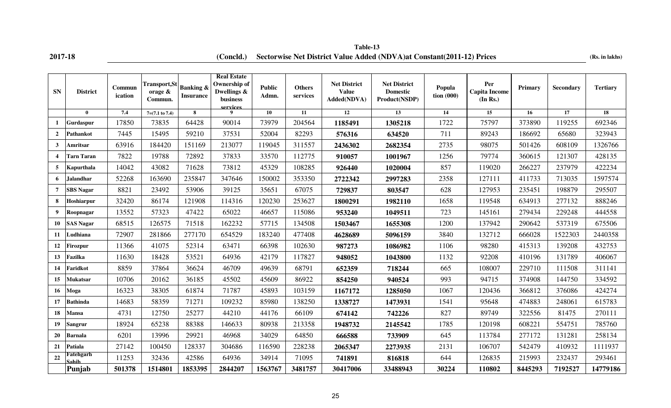| <b>SN</b>               | <b>District</b>    | Commun<br>ication | <b>Transport, St</b><br>orage $\&$<br>Commun. | <b>Banking &amp;</b><br><b>Insurance</b> | <b>Real Estate</b><br>Ownership of<br>Dwellings &<br>business<br>services | <b>Public</b><br>Admn. | <b>Others</b><br>services | <b>Net District</b><br><b>Value</b><br>Added(NDVA) | Net District<br><b>Domestic</b><br>Product(NSDP) | Popula<br>$\frac{1}{2}$ tion (000) | Per<br><b>Capita Income</b><br>(In Rs.) | Primary | Secondary | <b>Tertiary</b> |
|-------------------------|--------------------|-------------------|-----------------------------------------------|------------------------------------------|---------------------------------------------------------------------------|------------------------|---------------------------|----------------------------------------------------|--------------------------------------------------|------------------------------------|-----------------------------------------|---------|-----------|-----------------|
|                         | $\mathbf{0}$       | 7.4               | $7=(7.1 \text{ to } 7.4)$                     | 8                                        | $\mathbf{Q}$                                                              | 10                     | 11                        | 12                                                 | 13                                               | 14                                 | 15                                      | 16      | 17        | 18              |
|                         | Gurdaspur          | 17850             | 73835                                         | 64428                                    | 90014                                                                     | 73979                  | 204564                    | 1185491                                            | 1305218                                          | 1722                               | 75797                                   | 373890  | 119255    | 692346          |
| $\overline{2}$          | Pathankot          | 7445              | 15495                                         | 59210                                    | 37531                                                                     | 52004                  | 82293                     | 576316                                             | 634520                                           | 711                                | 89243                                   | 186692  | 65680     | 323943          |
| $\mathbf{3}$            | Amritsar           | 63916             | 184420                                        | 151169                                   | 213077                                                                    | 119045                 | 311557                    | 2436302                                            | 2682354                                          | 2735                               | 98075                                   | 501426  | 608109    | 1326766         |
| $\overline{\mathbf{4}}$ | <b>Tarn Taran</b>  | 7822              | 19788                                         | 72892                                    | 37833                                                                     | 33570                  | 112775                    | 910057                                             | 1001967                                          | 1256                               | 79774                                   | 360615  | 121307    | 428135          |
| 5                       | Kapurthala         | 14042             | 43082                                         | 71628                                    | 73812                                                                     | 45329                  | 108285                    | 926440                                             | 1020004                                          | 857                                | 119020                                  | 266227  | 237979    | 422234          |
| 6                       | Jalandhar          | 52268             | 163690                                        | 235847                                   | 347646                                                                    | 150002                 | 353350                    | 2722342                                            | 2997283                                          | 2358                               | 127111                                  | 411733  | 713035    | 1597574         |
| $\overline{7}$          | <b>SBS Nagar</b>   | 8821              | 23492                                         | 53906                                    | 39125                                                                     | 35651                  | 67075                     | 729837                                             | 803547                                           | 628                                | 127953                                  | 235451  | 198879    | 295507          |
| 8                       | Hoshiarpur         | 32420             | 86174                                         | 121908                                   | 114316                                                                    | 120230                 | 253627                    | 1800291                                            | 1982110                                          | 1658                               | 119548                                  | 634913  | 277132    | 888246          |
| 9                       | Roopnagar          | 13552             | 57323                                         | 47422                                    | 65022                                                                     | 46657                  | 115086                    | 953240                                             | 1049511                                          | 723                                | 145161                                  | 279434  | 229248    | 444558          |
| 10                      | <b>SAS Nagar</b>   | 68515             | 126575                                        | 71518                                    | 162232                                                                    | 57715                  | 134508                    | 1503467                                            | 1655308                                          | 1200                               | 137942                                  | 290642  | 537319    | 675506          |
| 11                      | Ludhiana           | 72907             | 281866                                        | 277170                                   | 654529                                                                    | 183240                 | 477408                    | 4628689                                            | 5096159                                          | 3840                               | 132712                                  | 666028  | 1522303   | 2440358         |
| 12                      | Firozpur           | 11366             | 41075                                         | 52314                                    | 63471                                                                     | 66398                  | 102630                    | 987273                                             | 1086982                                          | 1106                               | 98280                                   | 415313  | 139208    | 432753          |
| 13                      | Fazilka            | 11630             | 18428                                         | 53521                                    | 64936                                                                     | 42179                  | 117827                    | 948052                                             | 1043800                                          | 1132                               | 92208                                   | 410196  | 131789    | 406067          |
| 14                      | Faridkot           | 8859              | 37864                                         | 36624                                    | 46709                                                                     | 49639                  | 68791                     | 652359                                             | 718244                                           | 665                                | 108007                                  | 229710  | 111508    | 311141          |
| 15                      | Mukatsar           | 10706             | 20162                                         | 36185                                    | 45502                                                                     | 45609                  | 86922                     | 854250                                             | 940524                                           | 993                                | 94715                                   | 374908  | 144750    | 334592          |
| 16                      | Moga               | 16323             | 38305                                         | 61874                                    | 71787                                                                     | 45893                  | 103159                    | 1167172                                            | 1285050                                          | 1067                               | 120436                                  | 366812  | 376086    | 424274          |
| 17                      | <b>Bathinda</b>    | 14683             | 58359                                         | 71271                                    | 109232                                                                    | 85980                  | 138250                    | 1338727                                            | 1473931                                          | 1541                               | 95648                                   | 474883  | 248061    | 615783          |
| 18                      | Mansa              | 4731              | 12750                                         | 25277                                    | 44210                                                                     | 44176                  | 66109                     | 674142                                             | 742226                                           | 827                                | 89749                                   | 322556  | 81475     | 270111          |
| 19                      | Sangrur            | 18924             | 65238                                         | 88388                                    | 146633                                                                    | 80938                  | 213358                    | 1948732                                            | 2145542                                          | 1785                               | 120198                                  | 608221  | 554751    | 785760          |
| 20                      | <b>Barnala</b>     | 6201              | 13996                                         | 29921                                    | 46968                                                                     | 34029                  | 64850                     | 666588                                             | 733909                                           | 645                                | 113784                                  | 277172  | 131281    | 258134          |
| 21                      | <b>Patiala</b>     | 27142             | 100450                                        | 128337                                   | 304686                                                                    | 116590                 | 228238                    | 2065347                                            | 2273935                                          | 2131                               | 106707                                  | 542479  | 410932    | 1111937         |
| 22                      | Fatehgarh<br>Sahih | 11253             | 32436                                         | 42586                                    | 64936                                                                     | 34914                  | 71095                     | 741891                                             | 816818                                           | 644                                | 126835                                  | 215993  | 232437    | 293461          |
|                         | Punjab             | 501378            | 1514801                                       | 1853395                                  | 2844207                                                                   | 1563767                | 3481757                   | 30417006                                           | 33488943                                         | 30224                              | 110802                                  | 8445293 | 7192527   | 14779186        |

**2017-18 (Concld.)** Sectorwise Net District Value Added (NDVA)at Constant(2011-12) Prices (Rs. in lakhs) **Table-13**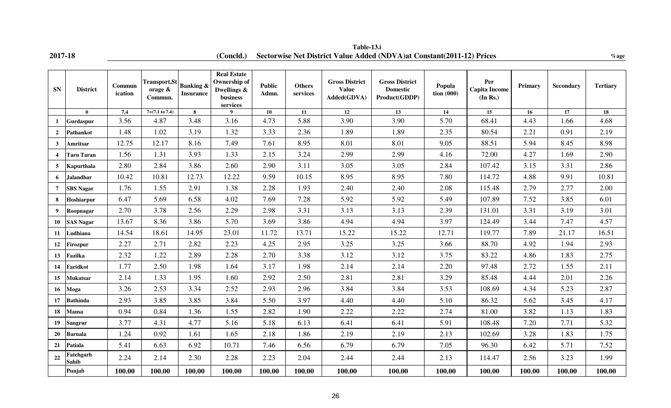|   | ٠ |  |
|---|---|--|
| ı |   |  |

**2017-18** *Concld.***) Sectorwise Net District Value Added (NDVA)at Constant(2011-12) Prices** *& % age* **Table-13.i**

| <b>SN</b>               | <b>District</b>           | Commun<br>ication | <b>Transport, St</b><br>orage &<br>Commun. | <b>Banking &amp;</b><br><b>Insurance</b> | <b>Real Estate</b><br>Ownership of<br>Dwellings &<br>business<br>services | <b>Public</b><br>Admn. | <b>Others</b><br>services | <b>Gross District</b><br><b>Value</b><br>Added(GDVA) | <b>Gross District</b><br><b>Domestic</b><br>Product(GDDP) | Popula<br>$\frac{1}{2}$ tion (000) | Per<br><b>Capita Income</b><br>(In Rs.) | Primary | <b>Secondary</b> | <b>Tertiary</b> |
|-------------------------|---------------------------|-------------------|--------------------------------------------|------------------------------------------|---------------------------------------------------------------------------|------------------------|---------------------------|------------------------------------------------------|-----------------------------------------------------------|------------------------------------|-----------------------------------------|---------|------------------|-----------------|
|                         | $\mathbf{0}$              | 7.4               | $7=(7.1 \text{ to } 7.4)$                  | 8                                        | $\mathbf Q$                                                               | 10                     | 11                        | 12                                                   | 13                                                        | 14                                 | 15                                      | 16      | 17               | 18              |
| $\mathbf{1}$            | Gurdaspur                 | 3.56              | 4.87                                       | 3.48                                     | 3.16                                                                      | 4.73                   | 5.88                      | 3.90                                                 | 3.90                                                      | 5.70                               | 68.41                                   | 4.43    | 1.66             | 4.68            |
| $\overline{2}$          | <b>Pathankot</b>          | 1.48              | 1.02                                       | 3.19                                     | 1.32                                                                      | 3.33                   | 2.36                      | 1.89                                                 | 1.89                                                      | 2.35                               | 80.54                                   | 2.21    | 0.91             | 2.19            |
| $\mathbf{3}$            | Amritsar                  | 12.75             | 12.17                                      | 8.16                                     | 7.49                                                                      | 7.61                   | 8.95                      | 8.01                                                 | 8.01                                                      | 9.05                               | 88.51                                   | 5.94    | 8.45             | 8.98            |
| $\overline{\mathbf{4}}$ | <b>Tarn Taran</b>         | 1.56              | 1.31                                       | 3.93                                     | 1.33                                                                      | 2.15                   | 3.24                      | 2.99                                                 | 2.99                                                      | 4.16                               | 72.00                                   | 4.27    | 1.69             | 2.90            |
| 5 <sup>5</sup>          | <b>Kapurthala</b>         | 2.80              | 2.84                                       | 3.86                                     | 2.60                                                                      | 2.90                   | 3.11                      | 3.05                                                 | 3.05                                                      | 2.84                               | 107.42                                  | 3.15    | 3.31             | 2.86            |
| 6                       | Jalandhar                 | 10.42             | 10.81                                      | 12.73                                    | 12.22                                                                     | 9.59                   | 10.15                     | 8.95                                                 | 8.95                                                      | 7.80                               | 114.72                                  | 4.88    | 9.91             | 10.81           |
| $\overline{7}$          | <b>SBS</b> Nagar          | 1.76              | 1.55                                       | 2.91                                     | 1.38                                                                      | 2.28                   | 1.93                      | 2.40                                                 | 2.40                                                      | 2.08                               | 115.48                                  | 2.79    | 2.77             | 2.00            |
| 8                       | Hoshiarpur                | 6.47              | 5.69                                       | 6.58                                     | 4.02                                                                      | 7.69                   | 7.28                      | 5.92                                                 | 5.92                                                      | 5.49                               | 107.89                                  | 7.52    | 3.85             | 6.01            |
| $\boldsymbol{9}$        | Roopnagar                 | 2.70              | 3.78                                       | 2.56                                     | 2.29                                                                      | 2.98                   | 3.31                      | 3.13                                                 | 3.13                                                      | 2.39                               | 131.01                                  | 3.31    | 3.19             | 3.01            |
| 10                      | <b>SAS Nagar</b>          | 13.67             | 8.36                                       | 3.86                                     | 5.70                                                                      | 3.69                   | 3.86                      | 4.94                                                 | 4.94                                                      | 3.97                               | 124.49                                  | 3.44    | 7.47             | 4.57            |
| 11                      | Ludhiana                  | 14.54             | 18.61                                      | 14.95                                    | 23.01                                                                     | 11.72                  | 13.71                     | 15.22                                                | 15.22                                                     | 12.71                              | 119.77                                  | 7.89    | 21.17            | 16.51           |
| 12                      | Firozpur                  | 2.27              | 2.71                                       | 2.82                                     | 2.23                                                                      | 4.25                   | 2.95                      | 3.25                                                 | 3.25                                                      | 3.66                               | 88.70                                   | 4.92    | 1.94             | 2.93            |
| 13                      | Fazilka                   | 2.32              | 1.22                                       | 2.89                                     | 2.28                                                                      | 2.70                   | 3.38                      | 3.12                                                 | 3.12                                                      | 3.75                               | 83.22                                   | 4.86    | 1.83             | 2.75            |
| 14                      | Faridkot                  | 1.77              | 2.50                                       | 1.98                                     | 1.64                                                                      | 3.17                   | 1.98                      | 2.14                                                 | 2.14                                                      | 2.20                               | 97.48                                   | 2.72    | 1.55             | 2.11            |
| 15                      | Mukatsar                  | 2.14              | 1.33                                       | 1.95                                     | 1.60                                                                      | 2.92                   | 2.50                      | 2.81                                                 | 2.81                                                      | 3.29                               | 85.48                                   | 4.44    | 2.01             | 2.26            |
| 16                      | Moga                      | 3.26              | 2.53                                       | 3.34                                     | 2.52                                                                      | 2.93                   | 2.96                      | 3.84                                                 | 3.84                                                      | 3.53                               | 108.69                                  | 4.34    | 5.23             | 2.87            |
| 17                      | <b>Bathinda</b>           | 2.93              | 3.85                                       | 3.85                                     | 3.84                                                                      | 5.50                   | 3.97                      | 4.40                                                 | 4.40                                                      | 5.10                               | 86.32                                   | 5.62    | 3.45             | 4.17            |
| 18                      | Mansa                     | 0.94              | 0.84                                       | 1.36                                     | 1.55                                                                      | 2.82                   | 1.90                      | 2.22                                                 | 2.22                                                      | 2.74                               | 81.00                                   | 3.82    | 1.13             | 1.83            |
| 19                      | <b>Sangrur</b>            | 3.77              | 4.31                                       | 4.77                                     | 5.16                                                                      | 5.18                   | 6.13                      | 6.41                                                 | 6.41                                                      | 5.91                               | 108.48                                  | 7.20    | 7.71             | 5.32            |
| 20                      | <b>Barnala</b>            | 1.24              | 0.92                                       | 1.61                                     | 1.65                                                                      | 2.18                   | 1.86                      | 2.19                                                 | 2.19                                                      | 2.13                               | 102.69                                  | 3.28    | 1.83             | 1.75            |
| 21                      | Patiala                   | 5.41              | 6.63                                       | 6.92                                     | 10.71                                                                     | 7.46                   | 6.56                      | 6.79                                                 | 6.79                                                      | 7.05                               | 96.30                                   | 6.42    | 5.71             | 7.52            |
| 22                      | Fatehgarh<br><b>Sahib</b> | 2.24              | 2.14                                       | 2.30                                     | 2.28                                                                      | 2.23                   | 2.04                      | 2.44                                                 | 2.44                                                      | 2.13                               | 114.47                                  | 2.56    | 3.23             | 1.99            |
|                         | Punjab                    | 100.00            | 100.00                                     | 100.00                                   | 100.00                                                                    | 100.00                 | 100.00                    | 100.00                                               | 100.00                                                    | 100.00                             | 100.00                                  | 100.00  | 100.00           | 100.00          |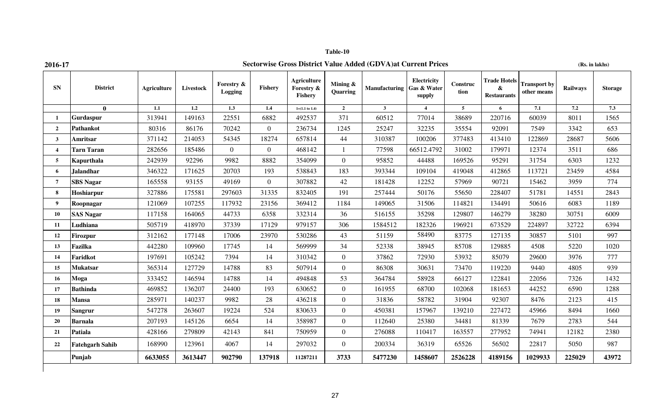## **2016-17 Sectorwise Gross District Value Added (GDVA)at Current Prices (Rs. in lakhs)**

| <b>SN</b>       | <b>District</b>        | <b>Agriculture</b> | Livestock | <b>Forestry &amp;</b><br>Logging | Fishery        | <b>Agriculture</b><br>Forestry &<br>Fishery | Mining $\&$<br>Quarring | Manufacturing Gas & Water | Electricity<br>supply | Construc<br>tion | <b>Trade Hotels</b><br>&<br><b>Restaurants</b> | <b>Transport by</b><br>other means | Railways | <b>Storage</b>   |
|-----------------|------------------------|--------------------|-----------|----------------------------------|----------------|---------------------------------------------|-------------------------|---------------------------|-----------------------|------------------|------------------------------------------------|------------------------------------|----------|------------------|
|                 | $\mathbf{0}$           | 1.1                | 1.2       | $\overline{1.3}$                 | 1.4            | $1=(1.1 \text{ to } 1.4)$                   | $\overline{2}$          | $\mathbf{3}$              | $\blacktriangle$      | $\overline{5}$   | 6                                              | 7.1                                | 7.2      | $\overline{7.3}$ |
| 1               | Gurdaspur              | 313941             | 149163    | 22551                            | 6882           | 492537                                      | 371                     | 60512                     | 77014                 | 38689            | 220716                                         | 60039                              | 8011     | 1565             |
| $\overline{2}$  | <b>Pathankot</b>       | 80316              | 86176     | 70242                            | $\overline{0}$ | 236734                                      | 1245                    | 25247                     | 32235                 | 35554            | 92091                                          | 7549                               | 3342     | 653              |
| $\mathbf{3}$    | Amritsar               | 371142             | 214053    | 54345                            | 18274          | 657814                                      | 44                      | 310387                    | 100206                | 377483           | 413410                                         | 122869                             | 28687    | 5606             |
| $\overline{4}$  | <b>Tarn Taran</b>      | 282656             | 185486    | $\overline{0}$                   | $\overline{0}$ | 468142                                      |                         | 77598                     | 66512.4792            | 31002            | 179971                                         | 12374                              | 3511     | 686              |
| $5\overline{5}$ | Kapurthala             | 242939             | 92296     | 9982                             | 8882           | 354099                                      | $\overline{0}$          | 95852                     | 44488                 | 169526           | 95291                                          | 31754                              | 6303     | 1232             |
| 6               | Jalandhar              | 346322             | 171625    | 20703                            | 193            | 538843                                      | 183                     | 393344                    | 109104                | 419048           | 412865                                         | 113721                             | 23459    | 4584             |
| $\overline{7}$  | <b>SBS</b> Nagar       | 165558             | 93155     | 49169                            | $\Omega$       | 307882                                      | 42                      | 181428                    | 12252                 | 57969            | 90721                                          | 15462                              | 3959     | 774              |
| $\bf{8}$        | Hoshiarpur             | 327886             | 175581    | 297603                           | 31335          | 832405                                      | 191                     | 257444                    | 50176                 | 55650            | 228407                                         | 51781                              | 14551    | 2843             |
| 9               | Roopnagar              | 121069             | 107255    | 117932                           | 23156          | 369412                                      | 1184                    | 149065                    | 31506                 | 114821           | 134491                                         | 50616                              | 6083     | 1189             |
| 10              | <b>SAS Nagar</b>       | 117158             | 164065    | 44733                            | 6358           | 332314                                      | 36                      | 516155                    | 35298                 | 129807           | 146279                                         | 38280                              | 30751    | 6009             |
| 11              | Ludhiana               | 505719             | 418970    | 37339                            | 17129          | 979157                                      | 306                     | 1584512                   | 182326                | 196921           | 673529                                         | 224897                             | 32722    | 6394             |
| 12              | <b>Firozpur</b>        | 312162             | 177148    | 17006                            | 23970          | 530286                                      | 43                      | 51159                     | 58490                 | 83775            | 127135                                         | 30857                              | 5101     | 997              |
| 13              | Fazilka                | 442280             | 109960    | 17745                            | 14             | 569999                                      | 34                      | 52338                     | 38945                 | 85708            | 129885                                         | 4508                               | 5220     | 1020             |
| 14              | Faridkot               | 197691             | 105242    | 7394                             | 14             | 310342                                      | $\overline{0}$          | 37862                     | 72930                 | 53932            | 85079                                          | 29600                              | 3976     | 777              |
| 15              | <b>Mukatsar</b>        | 365314             | 127729    | 14788                            | 83             | 507914                                      | $\overline{0}$          | 86308                     | 30631                 | 73470            | 119220                                         | 9440                               | 4805     | 939              |
| 16              | Moga                   | 333452             | 146594    | 14788                            | 14             | 494848                                      | 53                      | 364784                    | 58928                 | 66127            | 122841                                         | 22056                              | 7326     | 1432             |
| 17              | <b>Bathinda</b>        | 469852             | 136207    | 24400                            | 193            | 630652                                      | $\mathbf{0}$            | 161955                    | 68700                 | 102068           | 181653                                         | 44252                              | 6590     | 1288             |
| 18              | <b>Mansa</b>           | 285971             | 140237    | 9982                             | 28             | 436218                                      | $\overline{0}$          | 31836                     | 58782                 | 31904            | 92307                                          | 8476                               | 2123     | 415              |
| 19 <sup>°</sup> | <b>Sangrur</b>         | 547278             | 263607    | 19224                            | 524            | 830633                                      | $\overline{0}$          | 450381                    | 157967                | 139210           | 227472                                         | 45966                              | 8494     | 1660             |
| 20              | <b>Barnala</b>         | 207193             | 145126    | 6654                             | 14             | 358987                                      | $\overline{0}$          | 112640                    | 25380                 | 34481            | 81339                                          | 7679                               | 2783     | 544              |
| 21              | Patiala                | 428166             | 279809    | 42143                            | 841            | 750959                                      | $\overline{0}$          | 276088                    | 110417                | 163557           | 277952                                         | 74941                              | 12182    | 2380             |
| 22              | <b>Fatehgarh Sahib</b> | 168990             | 123961    | 4067                             | 14             | 297032                                      | $\overline{0}$          | 200334                    | 36319                 | 65526            | 56502                                          | 22817                              | 5050     | 987              |
|                 | Punjab                 | 6633055            | 3613447   | 902790                           | 137918         | 11287211                                    | 3733                    | 5477230                   | 1458607               | 2526228          | 4189156                                        | 1029933                            | 225029   | 43972            |
|                 |                        |                    |           |                                  |                |                                             |                         |                           |                       |                  |                                                |                                    |          |                  |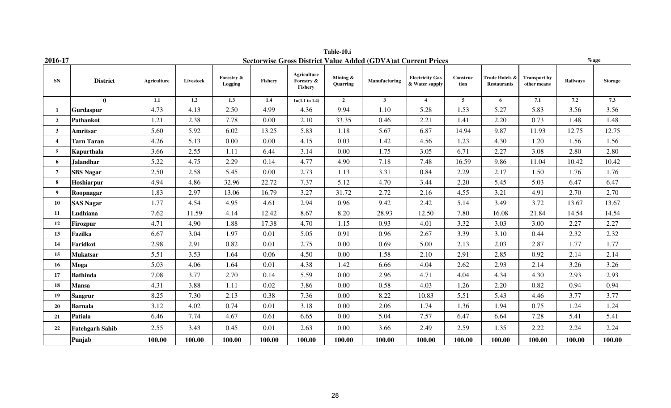|                | Table-10.i<br><b>Sectorwise Gross District Value Added (GDVA)at Current Prices</b><br>$%$ age |             |           |                       |         |                                      |                         |               |                                          |                  |                                      |                                    |          |                |
|----------------|-----------------------------------------------------------------------------------------------|-------------|-----------|-----------------------|---------|--------------------------------------|-------------------------|---------------|------------------------------------------|------------------|--------------------------------------|------------------------------------|----------|----------------|
| 2016-17        |                                                                                               |             |           |                       |         |                                      |                         |               |                                          |                  |                                      |                                    |          |                |
| <b>SN</b>      | <b>District</b>                                                                               | Agriculture | Livestock | Forestry &<br>Logging | Fishery | Agriculture<br>Forestry &<br>Fishery | Mining $\&$<br>Quarring | Manufacturing | <b>Electricity Gas</b><br>& Water supply | Construc<br>tion | Trade Hotels &<br><b>Restaurants</b> | <b>Transport by</b><br>other means | Railways | <b>Storage</b> |
|                | $\mathbf{0}$                                                                                  | 1.1         | 1.2       | 1.3                   | 1.4     | $1=(1.1 \text{ to } 1.4)$            | $\overline{2}$          | $\mathbf{3}$  | $\overline{4}$                           | $5^{\circ}$      | 6                                    | 7.1                                | 7.2      | 7.3            |
| -1             | Gurdaspur                                                                                     | 4.73        | 4.13      | 2.50                  | 4.99    | 4.36                                 | 9.94                    | 1.10          | 5.28                                     | 1.53             | 5.27                                 | 5.83                               | 3.56     | 3.56           |
| $\overline{2}$ | <b>Pathankot</b>                                                                              | 1.21        | 2.38      | 7.78                  | 0.00    | 2.10                                 | 33.35                   | 0.46          | 2.21                                     | 1.41             | 2.20                                 | 0.73                               | 1.48     | 1.48           |
| $\mathbf{3}$   | Amritsar                                                                                      | 5.60        | 5.92      | 6.02                  | 13.25   | 5.83                                 | 1.18                    | 5.67          | 6.87                                     | 14.94            | 9.87                                 | 11.93                              | 12.75    | 12.75          |
| $\overline{4}$ | <b>Tarn Taran</b>                                                                             | 4.26        | 5.13      | 0.00                  | 0.00    | 4.15                                 | 0.03                    | 1.42          | 4.56                                     | 1.23             | 4.30                                 | 1.20                               | 1.56     | 1.56           |
| 5 <sup>5</sup> | Kapurthala                                                                                    | 3.66        | 2.55      | 1.11                  | 6.44    | 3.14                                 | 0.00                    | 1.75          | 3.05                                     | 6.71             | 2.27                                 | 3.08                               | 2.80     | 2.80           |
| 6              | <b>Jalandhar</b>                                                                              | 5.22        | 4.75      | 2.29                  | 0.14    | 4.77                                 | 4.90                    | 7.18          | 7.48                                     | 16.59            | 9.86                                 | 11.04                              | 10.42    | 10.42          |
| $\tau$         | <b>SBS Nagar</b>                                                                              | 2.50        | 2.58      | 5.45                  | 0.00    | 2.73                                 | 1.13                    | 3.31          | 0.84                                     | 2.29             | 2.17                                 | 1.50                               | 1.76     | 1.76           |
| 8              | Hoshiarpur                                                                                    | 4.94        | 4.86      | 32.96                 | 22.72   | 7.37                                 | 5.12                    | 4.70          | 3.44                                     | 2.20             | 5.45                                 | 5.03                               | 6.47     | 6.47           |
| 9              | Roopnagar                                                                                     | 1.83        | 2.97      | 13.06                 | 16.79   | 3.27                                 | 31.72                   | 2.72          | 2.16                                     | 4.55             | 3.21                                 | 4.91                               | 2.70     | 2.70           |
| 10             | <b>SAS Nagar</b>                                                                              | 1.77        | 4.54      | 4.95                  | 4.61    | 2.94                                 | 0.96                    | 9.42          | 2.42                                     | 5.14             | 3.49                                 | 3.72                               | 13.67    | 13.67          |
| 11             | Ludhiana                                                                                      | 7.62        | 11.59     | 4.14                  | 12.42   | 8.67                                 | 8.20                    | 28.93         | 12.50                                    | 7.80             | 16.08                                | 21.84                              | 14.54    | 14.54          |
| 12             | Firozpur                                                                                      | 4.71        | 4.90      | 1.88                  | 17.38   | 4.70                                 | 1.15                    | 0.93          | 4.01                                     | 3.32             | 3.03                                 | 3.00                               | 2.27     | 2.27           |
| 13             | <b>Fazilka</b>                                                                                | 6.67        | 3.04      | 1.97                  | 0.01    | 5.05                                 | 0.91                    | 0.96          | 2.67                                     | 3.39             | 3.10                                 | 0.44                               | 2.32     | 2.32           |
| 14             | Faridkot                                                                                      | 2.98        | 2.91      | 0.82                  | 0.01    | 2.75                                 | 0.00                    | 0.69          | 5.00                                     | 2.13             | 2.03                                 | 2.87                               | 1.77     | 1.77           |
| 15             | <b>Mukatsar</b>                                                                               | 5.51        | 3.53      | 1.64                  | 0.06    | 4.50                                 | 0.00                    | 1.58          | 2.10                                     | 2.91             | 2.85                                 | 0.92                               | 2.14     | 2.14           |
| 16             | Moga                                                                                          | 5.03        | 4.06      | 1.64                  | 0.01    | 4.38                                 | 1.42                    | 6.66          | 4.04                                     | 2.62             | 2.93                                 | 2.14                               | 3.26     | 3.26           |
| 17             | <b>Bathinda</b>                                                                               | 7.08        | 3.77      | 2.70                  | 0.14    | 5.59                                 | 0.00                    | 2.96          | 4.71                                     | 4.04             | 4.34                                 | 4.30                               | 2.93     | 2.93           |
| 18             | <b>Mansa</b>                                                                                  | 4.31        | 3.88      | 1.11                  | 0.02    | 3.86                                 | 0.00                    | 0.58          | 4.03                                     | 1.26             | 2.20                                 | 0.82                               | 0.94     | 0.94           |
| 19             | <b>Sangrur</b>                                                                                | 8.25        | 7.30      | 2.13                  | 0.38    | 7.36                                 | 0.00                    | 8.22          | 10.83                                    | 5.51             | 5.43                                 | 4.46                               | 3.77     | 3.77           |
| 20             | <b>Barnala</b>                                                                                | 3.12        | 4.02      | 0.74                  | 0.01    | 3.18                                 | 0.00                    | 2.06          | 1.74                                     | 1.36             | 1.94                                 | 0.75                               | 1.24     | 1.24           |
| 21             | Patiala                                                                                       | 6.46        | 7.74      | 4.67                  | 0.61    | 6.65                                 | 0.00                    | 5.04          | 7.57                                     | 6.47             | 6.64                                 | 7.28                               | 5.41     | 5.41           |
| 22             | <b>Fatehgarh Sahib</b>                                                                        | 2.55        | 3.43      | 0.45                  | 0.01    | 2.63                                 | 0.00                    | 3.66          | 2.49                                     | 2.59             | 1.35                                 | 2.22                               | 2.24     | 2.24           |
|                | Punjab                                                                                        | 100.00      | 100.00    | 100.00                | 100.00  | 100.00                               | 100.00                  | 100.00        | 100.00                                   | 100.00           | 100.00                               | 100.00                             | 100.00   | 100.00         |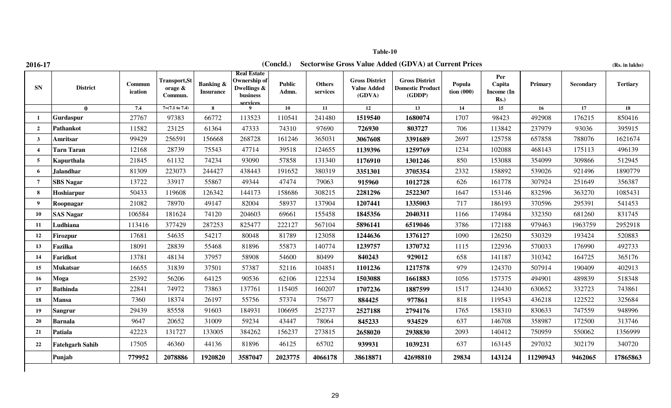| 2016-1 |  |
|--------|--|

**Table-10**

**2016-17 (Rs. in lakhs) (Concld.) Sectorwise Gross Value Added (GDVA) at Current Prices** 

| (Rs. in lakhs) |  |  |  |  |  |
|----------------|--|--|--|--|--|
|----------------|--|--|--|--|--|

| <b>SN</b>               | <b>District</b>        | Commun<br>ication | <b>Transport, St</b><br>orage &<br>Commun. | <b>Banking &amp;</b><br><b>Insurance</b> | <b>Real Estate</b><br>Ownership of<br>Dwellings &<br>business<br>services | <b>Public</b><br>Admn. | <b>Others</b><br>services | <b>Gross District</b><br><b>Value Added</b><br>(GDVA) | <b>Gross District</b><br><b>Domestic Product</b><br>(GDDP) | Popula<br>$\;$ tion (000) | Per<br>Capita<br>Income (In<br>$Rs.$ ) | Primary  | <b>Secondary</b> | <b>Tertiary</b> |
|-------------------------|------------------------|-------------------|--------------------------------------------|------------------------------------------|---------------------------------------------------------------------------|------------------------|---------------------------|-------------------------------------------------------|------------------------------------------------------------|---------------------------|----------------------------------------|----------|------------------|-----------------|
|                         | $\mathbf{0}$           | 7.4               | $7=(7.1 \text{ to } 7.4)$                  | 8                                        | $\bf{Q}$                                                                  | 10                     | 11                        | 12                                                    | 13                                                         | 14                        | 15                                     | 16       | 17               | 18              |
|                         | Gurdaspur              | 27767             | 97383                                      | 66772                                    | 113523                                                                    | 110541                 | 241480                    | 1519540                                               | 1680074                                                    | 1707                      | 98423                                  | 492908   | 176215           | 850416          |
| $\overline{2}$          | <b>Pathankot</b>       | 11582             | 23125                                      | 61364                                    | 47333                                                                     | 74310                  | 97690                     | 726930                                                | 803727                                                     | 706                       | 113842                                 | 237979   | 93036            | 395915          |
| $\mathbf{3}$            | Amritsar               | 99429             | 256591                                     | 156668                                   | 268728                                                                    | 161246                 | 365031                    | 3067608                                               | 3391689                                                    | 2697                      | 125758                                 | 657858   | 788076           | 1621674         |
| $\overline{\mathbf{4}}$ | <b>Tarn Taran</b>      | 12168             | 28739                                      | 75543                                    | 47714                                                                     | 39518                  | 124655                    | 1139396                                               | 1259769                                                    | 1234                      | 102088                                 | 468143   | 175113           | 496139          |
| $\overline{5}$          | Kapurthala             | 21845             | 61132                                      | 74234                                    | 93090                                                                     | 57858                  | 131340                    | 1176910                                               | 1301246                                                    | 850                       | 153088                                 | 354099   | 309866           | 512945          |
| 6                       | <b>Jalandhar</b>       | 81309             | 223073                                     | 244427                                   | 438443                                                                    | 191652                 | 380319                    | 3351301                                               | 3705354                                                    | 2332                      | 158892                                 | 539026   | 921496           | 1890779         |
| $\overline{7}$          | <b>SBS Nagar</b>       | 13722             | 33917                                      | 55867                                    | 49344                                                                     | 47474                  | 79063                     | 915960                                                | 1012728                                                    | 626                       | 161778                                 | 307924   | 251649           | 356387          |
| 8                       | Hoshiarpur             | 50433             | 119608                                     | 126342                                   | 144173                                                                    | 158686                 | 308215                    | 2281296                                               | 2522307                                                    | 1647                      | 153146                                 | 832596   | 363270           | 1085431         |
| 9                       | Roopnagar              | 21082             | 78970                                      | 49147                                    | 82004                                                                     | 58937                  | 137904                    | 1207441                                               | 1335003                                                    | 717                       | 186193                                 | 370596   | 295391           | 541453          |
| 10                      | <b>SAS Nagar</b>       | 106584            | 181624                                     | 74120                                    | 204603                                                                    | 69661                  | 155458                    | 1845356                                               | 2040311                                                    | 1166                      | 174984                                 | 332350   | 681260           | 831745          |
| 11                      | Ludhiana               | 113416            | 377429                                     | 287253                                   | 825477                                                                    | 222127                 | 567104                    | 5896141                                               | 6519046                                                    | 3786                      | 172188                                 | 979463   | 1963759          | 2952918         |
| 12                      | <b>Firozpur</b>        | 17681             | 54635                                      | 54217                                    | 80048                                                                     | 81789                  | 123058                    | 1244636                                               | 1376127                                                    | 1090                      | 126250                                 | 530329   | 193424           | 520883          |
| 13                      | Fazilka                | 18091             | 28839                                      | 55468                                    | 81896                                                                     | 55873                  | 140774                    | 1239757                                               | 1370732                                                    | 1115                      | 122936                                 | 570033   | 176990           | 492733          |
| 14                      | Faridkot               | 13781             | 48134                                      | 37957                                    | 58908                                                                     | 54600                  | 80499                     | 840243                                                | 929012                                                     | 658                       | 141187                                 | 310342   | 164725           | 365176          |
| 15 <sup>15</sup>        | Mukatsar               | 16655             | 31839                                      | 37501                                    | 57387                                                                     | 52116                  | 104851                    | 1101236                                               | 1217578                                                    | 979                       | 124370                                 | 507914   | 190409           | 402913          |
| 16                      | Moga                   | 25392             | 56206                                      | 64125                                    | 90536                                                                     | 62106                  | 122534                    | 1503088                                               | 1661883                                                    | 1056                      | 157375                                 | 494901   | 489839           | 518348          |
| 17                      | <b>Bathinda</b>        | 22841             | 74972                                      | 73863                                    | 137761                                                                    | 115405                 | 160207                    | 1707236                                               | 1887599                                                    | 1517                      | 124430                                 | 630652   | 332723           | 743861          |
| 18                      | <b>Mansa</b>           | 7360              | 18374                                      | 26197                                    | 55756                                                                     | 57374                  | 75677                     | 884425                                                | 977861                                                     | 818                       | 119543                                 | 436218   | 122522           | 325684          |
| 19 <sup>°</sup>         | <b>Sangrur</b>         | 29439             | 85558                                      | 91603                                    | 184931                                                                    | 106695                 | 252737                    | 2527188                                               | 2794176                                                    | 1765                      | 158310                                 | 830633   | 747559           | 948996          |
| 20                      | <b>Barnala</b>         | 9647              | 20652                                      | 31009                                    | 59234                                                                     | 43447                  | 78064                     | 845233                                                | 934529                                                     | 637                       | 146708                                 | 358987   | 172500           | 313746          |
| 21                      | <b>Patiala</b>         | 42223             | 131727                                     | 133005                                   | 384262                                                                    | 156237                 | 273815                    | 2658020                                               | 2938830                                                    | 2093                      | 140412                                 | 750959   | 550062           | 1356999         |
| 22                      | <b>Fatehgarh Sahib</b> | 17505             | 46360                                      | 44136                                    | 81896                                                                     | 46125                  | 65702                     | 939931                                                | 1039231                                                    | 637                       | 163145                                 | 297032   | 302179           | 340720          |
|                         | Punjab                 | 779952            | 2078886                                    | 1920820                                  | 3587047                                                                   | 2023775                | 4066178                   | 38618871                                              | 42698810                                                   | 29834                     | 143124                                 | 11290943 | 9462065          | 17865863        |
|                         |                        |                   |                                            |                                          |                                                                           |                        |                           |                                                       |                                                            |                           |                                        |          |                  |                 |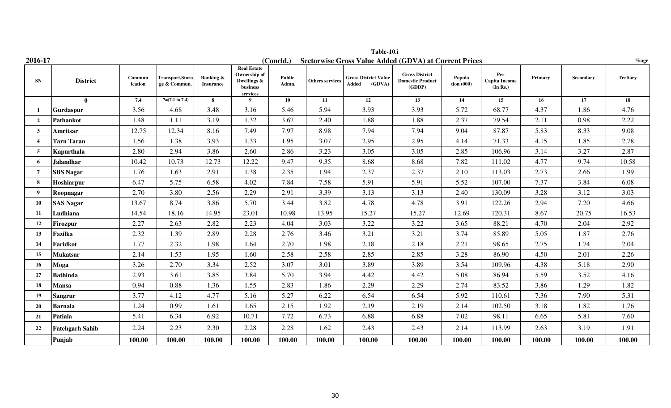|                         | Table-10.i             |                   |                                         |                                          |                                                                           |                 |                        |                                                |                                                              |                                    |                                         |         |           |                 |
|-------------------------|------------------------|-------------------|-----------------------------------------|------------------------------------------|---------------------------------------------------------------------------|-----------------|------------------------|------------------------------------------------|--------------------------------------------------------------|------------------------------------|-----------------------------------------|---------|-----------|-----------------|
| 2016-17                 |                        |                   |                                         |                                          |                                                                           | (Concld.)       |                        |                                                | <b>Sectorwise Gross Value Added (GDVA) at Current Prices</b> |                                    |                                         |         |           | $\%$ age        |
| <b>SN</b>               | <b>District</b>        | Commun<br>ication | <b>Transport, Stora</b><br>ge & Commun. | <b>Banking &amp;</b><br><b>Insurance</b> | <b>Real Estate</b><br>Ownership of<br>Dwellings &<br>business<br>services | Public<br>Admn. | <b>Others services</b> | <b>Gross District Value</b><br>(GDVA)<br>Added | <b>Gross District</b><br><b>Domestic Product</b><br>(GDDP)   | Popula<br>$\frac{1}{2}$ tion (000) | Per<br><b>Capita Income</b><br>(In Rs.) | Primary | Secondary | <b>Tertiary</b> |
|                         | $\mathbf{0}$           | 7.4               | $7=(7.1 \text{ to } 7.4)$               | 8                                        | 9                                                                         | 10              | 11                     | 12                                             | 13                                                           | 14                                 | 15                                      | 16      | 17        | 18              |
| - 1                     | Gurdaspur              | 3.56              | 4.68                                    | 3.48                                     | 3.16                                                                      | 5.46            | 5.94                   | 3.93                                           | 3.93                                                         | 5.72                               | 68.77                                   | 4.37    | 1.86      | 4.76            |
| $\overline{2}$          | Pathankot              | 1.48              | 1.11                                    | 3.19                                     | 1.32                                                                      | 3.67            | 2.40                   | 1.88                                           | 1.88                                                         | 2.37                               | 79.54                                   | 2.11    | 0.98      | 2.22            |
| $\overline{\mathbf{3}}$ | Amritsar               | 12.75             | 12.34                                   | 8.16                                     | 7.49                                                                      | 7.97            | 8.98                   | 7.94                                           | 7.94                                                         | 9.04                               | 87.87                                   | 5.83    | 8.33      | 9.08            |
| $\overline{\mathbf{4}}$ | <b>Tarn Taran</b>      | 1.56              | 1.38                                    | 3.93                                     | 1.33                                                                      | 1.95            | 3.07                   | 2.95                                           | 2.95                                                         | 4.14                               | 71.33                                   | 4.15    | 1.85      | 2.78            |
| -5                      | <b>Kapurthala</b>      | 2.80              | 2.94                                    | 3.86                                     | 2.60                                                                      | 2.86            | 3.23                   | 3.05                                           | 3.05                                                         | 2.85                               | 106.96                                  | 3.14    | 3.27      | 2.87            |
| 6                       | <b>Jalandhar</b>       | 10.42             | 10.73                                   | 12.73                                    | 12.22                                                                     | 9.47            | 9.35                   | 8.68                                           | 8.68                                                         | 7.82                               | 111.02                                  | 4.77    | 9.74      | 10.58           |
| 7                       | <b>SBS Nagar</b>       | 1.76              | 1.63                                    | 2.91                                     | 1.38                                                                      | 2.35            | 1.94                   | 2.37                                           | 2.37                                                         | 2.10                               | 113.03                                  | 2.73    | 2.66      | 1.99            |
| 8                       | Hoshiarpur             | 6.47              | 5.75                                    | 6.58                                     | 4.02                                                                      | 7.84            | 7.58                   | 5.91                                           | 5.91                                                         | 5.52                               | 107.00                                  | 7.37    | 3.84      | 6.08            |
| $\boldsymbol{q}$        | Roopnagar              | 2.70              | 3.80                                    | 2.56                                     | 2.29                                                                      | 2.91            | 3.39                   | 3.13                                           | 3.13                                                         | 2.40                               | 130.09                                  | 3.28    | 3.12      | 3.03            |
| 10                      | <b>SAS Nagar</b>       | 13.67             | 8.74                                    | 3.86                                     | 5.70                                                                      | 3.44            | 3.82                   | 4.78                                           | 4.78                                                         | 3.91                               | 122.26                                  | 2.94    | 7.20      | 4.66            |
| 11                      | Ludhiana               | 14.54             | 18.16                                   | 14.95                                    | 23.01                                                                     | 10.98           | 13.95                  | 15.27                                          | 15.27                                                        | 12.69                              | 120.31                                  | 8.67    | 20.75     | 16.53           |
| 12                      | Firozpur               | 2.27              | 2.63                                    | 2.82                                     | 2.23                                                                      | 4.04            | 3.03                   | 3.22                                           | 3.22                                                         | 3.65                               | 88.21                                   | 4.70    | 2.04      | 2.92            |
| 13                      | <b>Fazilka</b>         | 2.32              | 1.39                                    | 2.89                                     | 2.28                                                                      | 2.76            | 3.46                   | 3.21                                           | 3.21                                                         | 3.74                               | 85.89                                   | 5.05    | 1.87      | 2.76            |
| 14                      | Faridkot               | 1.77              | 2.32                                    | 1.98                                     | 1.64                                                                      | 2.70            | 1.98                   | 2.18                                           | 2.18                                                         | 2.21                               | 98.65                                   | 2.75    | 1.74      | 2.04            |
| 15                      | <b>Mukatsar</b>        | 2.14              | 1.53                                    | 1.95                                     | 1.60                                                                      | 2.58            | 2.58                   | 2.85                                           | 2.85                                                         | 3.28                               | 86.90                                   | 4.50    | 2.01      | 2.26            |
| 16                      | Moga                   | 3.26              | 2.70                                    | 3.34                                     | 2.52                                                                      | 3.07            | 3.01                   | 3.89                                           | 3.89                                                         | 3.54                               | 109.96                                  | 4.38    | 5.18      | 2.90            |
| 17                      | <b>Bathinda</b>        | 2.93              | 3.61                                    | 3.85                                     | 3.84                                                                      | 5.70            | 3.94                   | 4.42                                           | 4.42                                                         | 5.08                               | 86.94                                   | 5.59    | 3.52      | 4.16            |
| 18                      | <b>Mansa</b>           | 0.94              | 0.88                                    | 1.36                                     | 1.55                                                                      | 2.83            | 1.86                   | 2.29                                           | 2.29                                                         | 2.74                               | 83.52                                   | 3.86    | 1.29      | 1.82            |
| 19                      | <b>Sangrur</b>         | 3.77              | 4.12                                    | 4.77                                     | 5.16                                                                      | 5.27            | 6.22                   | 6.54                                           | 6.54                                                         | 5.92                               | 110.61                                  | 7.36    | 7.90      | 5.31            |
| 20                      | <b>Barnala</b>         | 1.24              | 0.99                                    | 1.61                                     | 1.65                                                                      | 2.15            | 1.92                   | 2.19                                           | 2.19                                                         | 2.14                               | 102.50                                  | 3.18    | 1.82      | 1.76            |
| 21                      | Patiala                | 5.41              | 6.34                                    | 6.92                                     | 10.71                                                                     | 7.72            | 6.73                   | 6.88                                           | 6.88                                                         | 7.02                               | 98.11                                   | 6.65    | 5.81      | 7.60            |
| 22                      | <b>Fatehgarh Sahib</b> | 2.24              | 2.23                                    | 2.30                                     | 2.28                                                                      | 2.28            | 1.62                   | 2.43                                           | 2.43                                                         | 2.14                               | 113.99                                  | 2.63    | 3.19      | 1.91            |
|                         | Punjab                 | 100.00            | 100.00                                  | 100.00                                   | 100.00                                                                    | 100.00          | 100.00                 | 100.00                                         | 100.00                                                       | 100.00                             | 100.00                                  | 100.00  | 100.00    | 100.00          |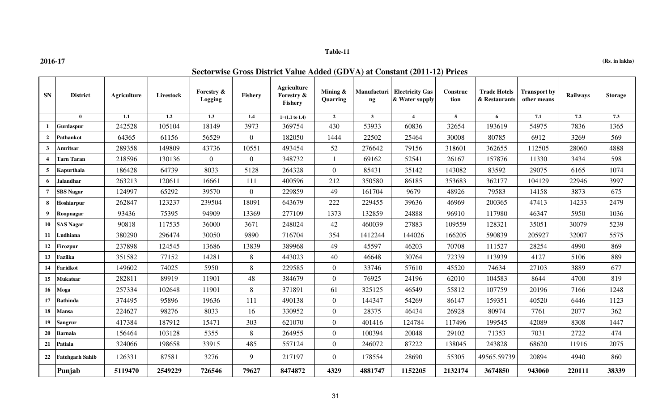**2016-17**

### **Table-11**

**(Rs. in lakhs)**

| <b>SN</b>        | <b>District</b>        | <b>Agriculture</b> | Livestock | <b>Forestry &amp;</b><br><b>Logging</b> | Fishery        | Agriculture<br>Forestry &<br>Fishery | Mining &<br><b>Quarring</b> | Manufacturi<br>$\mathbf{ng}$ | <b>Electricity Gas</b><br>& Water supply | Construc<br>tion | <b>Trade Hotels</b><br>& Restaurants | <b>Transport by</b><br>other means | Railways | <b>Storage</b> |
|------------------|------------------------|--------------------|-----------|-----------------------------------------|----------------|--------------------------------------|-----------------------------|------------------------------|------------------------------------------|------------------|--------------------------------------|------------------------------------|----------|----------------|
|                  | $\mathbf{0}$           | 1.1                | 1.2       | 1.3                                     | 1.4            | $1=(1.1 \text{ to } 1.4)$            | $\overline{2}$              | 3 <sup>1</sup>               | $\overline{4}$                           | 5 <sup>5</sup>   | 6                                    | 7.1                                | 7.2      | 7.3            |
| $\mathbf{1}$     | Gurdaspur              | 242528             | 105104    | 18149                                   | 3973           | 369754                               | 430                         | 53933                        | 60836                                    | 32654            | 193619                               | 54975                              | 7836     | 1365           |
| $\overline{2}$   | Pathankot              | 64365              | 61156     | 56529                                   | $\theta$       | 182050                               | 1444                        | 22502                        | 25464                                    | 30008            | 80785                                | 6912                               | 3269     | 569            |
| $\mathbf{3}$     | Amritsar               | 289358             | 149809    | 43736                                   | 10551          | 493454                               | 52                          | 276642                       | 79156                                    | 318601           | 362655                               | 112505                             | 28060    | 4888           |
| $\boldsymbol{4}$ | <b>Tarn Taran</b>      | 218596             | 130136    | $\overline{0}$                          | $\Omega$       | 348732                               | $\mathbf{1}$                | 69162                        | 52541                                    | 26167            | 157876                               | 11330                              | 3434     | 598            |
| 5                | Kapurthala             | 186428             | 64739     | 8033                                    | 5128           | 264328                               | $\overline{0}$              | 85431                        | 35142                                    | 143082           | 83592                                | 29075                              | 6165     | 1074           |
| 6                | Jalandhar              | 263213             | 120611    | 16661                                   | 111            | 400596                               | 212                         | 350580                       | 86185                                    | 353683           | 362177                               | 104129                             | 22946    | 3997           |
| $\overline{7}$   | <b>SBS</b> Nagar       | 124997             | 65292     | 39570                                   | $\overline{0}$ | 229859                               | 49                          | 161704                       | 9679                                     | 48926            | 79583                                | 14158                              | 3873     | 675            |
| 8                | Hoshiarpur             | 262847             | 123237    | 239504                                  | 18091          | 643679                               | 222                         | 229455                       | 39636                                    | 46969            | 200365                               | 47413                              | 14233    | 2479           |
| 9                | Roopnagar              | 93436              | 75395     | 94909                                   | 13369          | 277109                               | 1373                        | 132859                       | 24888                                    | 96910            | 117980                               | 46347                              | 5950     | 1036           |
| 10               | <b>SAS Nagar</b>       | 90818              | 117535    | 36000                                   | 3671           | 248024                               | 42                          | 460039                       | 27883                                    | 109559           | 128321                               | 35051                              | 30079    | 5239           |
| 11               | Ludhiana               | 380290             | 296474    | 30050                                   | 9890           | 716704                               | 354                         | 1412244                      | 144026                                   | 166205           | 590839                               | 205927                             | 32007    | 5575           |
| 12               | Firozpur               | 237898             | 124545    | 13686                                   | 13839          | 389968                               | 49                          | 45597                        | 46203                                    | 70708            | 111527                               | 28254                              | 4990     | 869            |
| 13               | Fazilka                | 351582             | 77152     | 14281                                   | 8              | 443023                               | 40                          | 46648                        | 30764                                    | 72339            | 113939                               | 4127                               | 5106     | 889            |
| 14               | Faridkot               | 149602             | 74025     | 5950                                    | 8              | 229585                               | $\overline{0}$              | 33746                        | 57610                                    | 45520            | 74634                                | 27103                              | 3889     | 677            |
| 15               | Mukatsar               | 282811             | 89919     | 11901                                   | 48             | 384679                               | $\overline{0}$              | 76925                        | 24196                                    | 62010            | 104583                               | 8644                               | 4700     | 819            |
| 16               | Moga                   | 257334             | 102648    | 11901                                   | 8              | 371891                               | 61                          | 325125                       | 46549                                    | 55812            | 107759                               | 20196                              | 7166     | 1248           |
| 17               | <b>Bathinda</b>        | 374495             | 95896     | 19636                                   | 111            | 490138                               | $\overline{0}$              | 144347                       | 54269                                    | 86147            | 159351                               | 40520                              | 6446     | 1123           |
| 18               | Mansa                  | 224627             | 98276     | 8033                                    | 16             | 330952                               | $\overline{0}$              | 28375                        | 46434                                    | 26928            | 80974                                | 7761                               | 2077     | 362            |
| 19               | <b>Sangrur</b>         | 417384             | 187912    | 15471                                   | 303            | 621070                               | $\overline{0}$              | 401416                       | 124784                                   | 117496           | 199545                               | 42089                              | 8308     | 1447           |
| 20               | <b>Barnala</b>         | 156464             | 103128    | 5355                                    | 8              | 264955                               | $\overline{0}$              | 100394                       | 20048                                    | 29102            | 71353                                | 7031                               | 2722     | 474            |
| 21               | Patiala                | 324066             | 198658    | 33915                                   | 485            | 557124                               | $\overline{0}$              | 246072                       | 87222                                    | 138045           | 243828                               | 68620                              | 11916    | 2075           |
| 22               | <b>Fatehgarh Sahib</b> | 126331             | 87581     | 3276                                    | 9              | 217197                               | $\overline{0}$              | 178554                       | 28690                                    | 55305            | 49565.59739                          | 20894                              | 4940     | 860            |
|                  | Punjab                 | 5119470            | 2549229   | 726546                                  | 79627          | 8474872                              | 4329                        | 4881747                      | 1152205                                  | 2132174          | 3674850                              | 943060                             | 220111   | 38339          |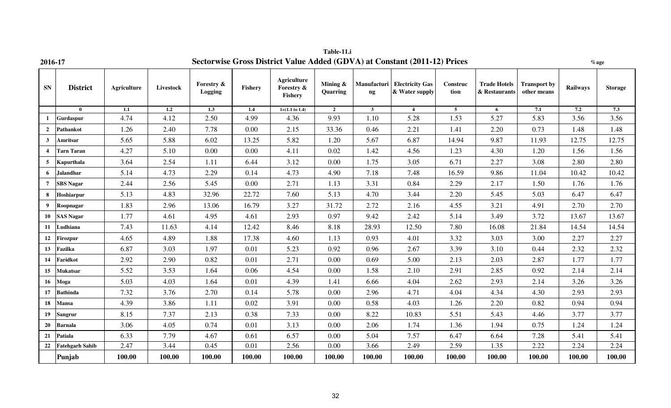| 2016-17                 |                        |                    |           |                       |                |                                             |                         |                | Sectorwise Gross District Value Added (GDVA) at Constant (2011-12) Prices |                  |                                      |                                    | $\%$ age |                |
|-------------------------|------------------------|--------------------|-----------|-----------------------|----------------|---------------------------------------------|-------------------------|----------------|---------------------------------------------------------------------------|------------------|--------------------------------------|------------------------------------|----------|----------------|
| ${\bf SN}$              | <b>District</b>        | <b>Agriculture</b> | Livestock | Forestry &<br>Logging | <b>Fishery</b> | <b>Agriculture</b><br>Forestry &<br>Fishery | Mining $\&$<br>Quarring | ng             | Manufacturi   Electricity Gas<br>& Water supply                           | Construc<br>tion | <b>Trade Hotels</b><br>& Restaurants | <b>Transport by</b><br>other means | Railways | <b>Storage</b> |
|                         | $\bf{0}$               | 1.1                | 1.2       | 1.3                   | 1.4            | $1=(1.1 \text{ to } 1.4)$                   | $\overline{2}$          | 3 <sup>1</sup> | $\overline{4}$                                                            | $5\overline{5}$  | 6                                    | 7.1                                | 7.2      | 7.3            |
| -1                      | Gurdaspur              | 4.74               | 4.12      | 2.50                  | 4.99           | 4.36                                        | 9.93                    | 1.10           | 5.28                                                                      | 1.53             | 5.27                                 | 5.83                               | 3.56     | 3.56           |
| $\overline{2}$          | Pathankot              | 1.26               | 2.40      | 7.78                  | 0.00           | 2.15                                        | 33.36                   | 0.46           | 2.21                                                                      | 1.41             | 2.20                                 | 0.73                               | 1.48     | 1.48           |
| $\mathbf{3}$            | Amritsar               | 5.65               | 5.88      | 6.02                  | 13.25          | 5.82                                        | 1.20                    | 5.67           | 6.87                                                                      | 14.94            | 9.87                                 | 11.93                              | 12.75    | 12.75          |
| $\overline{\mathbf{4}}$ | <b>Tarn Taran</b>      | 4.27               | 5.10      | 0.00                  | 0.00           | 4.11                                        | 0.02                    | 1.42           | 4.56                                                                      | 1.23             | 4.30                                 | 1.20                               | 1.56     | 1.56           |
| 5                       | Kapurthala             | 3.64               | 2.54      | 1.11                  | 6.44           | 3.12                                        | 0.00                    | 1.75           | 3.05                                                                      | 6.71             | 2.27                                 | 3.08                               | 2.80     | 2.80           |
| 6                       | <b>Jalandhar</b>       | 5.14               | 4.73      | 2.29                  | 0.14           | 4.73                                        | 4.90                    | 7.18           | 7.48                                                                      | 16.59            | 9.86                                 | 11.04                              | 10.42    | 10.42          |
| $\overline{7}$          | <b>SBS Nagar</b>       | 2.44               | 2.56      | 5.45                  | 0.00           | 2.71                                        | 1.13                    | 3.31           | 0.84                                                                      | 2.29             | 2.17                                 | 1.50                               | 1.76     | 1.76           |
| 8                       | Hoshiarpur             | 5.13               | 4.83      | 32.96                 | 22.72          | 7.60                                        | 5.13                    | 4.70           | 3.44                                                                      | 2.20             | 5.45                                 | 5.03                               | 6.47     | 6.47           |
| 9                       | Roopnagar              | 1.83               | 2.96      | 13.06                 | 16.79          | 3.27                                        | 31.72                   | 2.72           | 2.16                                                                      | 4.55             | 3.21                                 | 4.91                               | 2.70     | 2.70           |
| 10                      | <b>SAS Nagar</b>       | 1.77               | 4.61      | 4.95                  | 4.61           | 2.93                                        | 0.97                    | 9.42           | 2.42                                                                      | 5.14             | 3.49                                 | 3.72                               | 13.67    | 13.67          |
| 11                      | Ludhiana               | 7.43               | 11.63     | 4.14                  | 12.42          | 8.46                                        | 8.18                    | 28.93          | 12.50                                                                     | 7.80             | 16.08                                | 21.84                              | 14.54    | 14.54          |
| 12                      | <b>Firozpur</b>        | 4.65               | 4.89      | 1.88                  | 17.38          | 4.60                                        | 1.13                    | 0.93           | 4.01                                                                      | 3.32             | 3.03                                 | 3.00                               | 2.27     | 2.27           |
| 13                      | Fazilka                | 6.87               | 3.03      | 1.97                  | 0.01           | 5.23                                        | 0.92                    | 0.96           | 2.67                                                                      | 3.39             | 3.10                                 | 0.44                               | 2.32     | 2.32           |
| 14                      | Faridkot               | 2.92               | 2.90      | 0.82                  | 0.01           | 2.71                                        | 0.00                    | 0.69           | 5.00                                                                      | 2.13             | 2.03                                 | 2.87                               | 1.77     | 1.77           |
| 15                      | <b>Mukatsar</b>        | 5.52               | 3.53      | 1.64                  | 0.06           | 4.54                                        | 0.00                    | 1.58           | 2.10                                                                      | 2.91             | 2.85                                 | 0.92                               | 2.14     | 2.14           |
| 16                      | Moga                   | 5.03               | 4.03      | 1.64                  | 0.01           | 4.39                                        | 1.41                    | 6.66           | 4.04                                                                      | 2.62             | 2.93                                 | 2.14                               | 3.26     | 3.26           |
| 17                      | <b>Bathinda</b>        | 7.32               | 3.76      | 2.70                  | 0.14           | 5.78                                        | 0.00                    | 2.96           | 4.71                                                                      | 4.04             | 4.34                                 | 4.30                               | 2.93     | 2.93           |
| 18                      | <b>Mansa</b>           | 4.39               | 3.86      | 1.11                  | 0.02           | 3.91                                        | 0.00                    | 0.58           | 4.03                                                                      | 1.26             | 2.20                                 | 0.82                               | 0.94     | 0.94           |
| 19                      | <b>Sangrur</b>         | 8.15               | 7.37      | 2.13                  | 0.38           | 7.33                                        | 0.00                    | 8.22           | 10.83                                                                     | 5.51             | 5.43                                 | 4.46                               | 3.77     | 3.77           |
| 20                      | <b>Barnala</b>         | 3.06               | 4.05      | 0.74                  | 0.01           | 3.13                                        | 0.00                    | 2.06           | 1.74                                                                      | 1.36             | 1.94                                 | 0.75                               | 1.24     | 1.24           |
| 21                      | Patiala                | 6.33               | 7.79      | 4.67                  | 0.61           | 6.57                                        | 0.00                    | 5.04           | 7.57                                                                      | 6.47             | 6.64                                 | 7.28                               | 5.41     | 5.41           |
| 22                      | <b>Fatehgarh Sahib</b> | 2.47               | 3.44      | 0.45                  | 0.01           | 2.56                                        | 0.00                    | 3.66           | 2.49                                                                      | 2.59             | 1.35                                 | 2.22                               | 2.24     | 2.24           |
|                         | Punjab                 | 100.00             | 100.00    | 100.00                | 100.00         | 100.00                                      | 100.00                  | 100.00         | 100.00                                                                    | 100.00           | 100.00                               | 100.00                             | 100.00   | 100.00         |

**Table-11.i**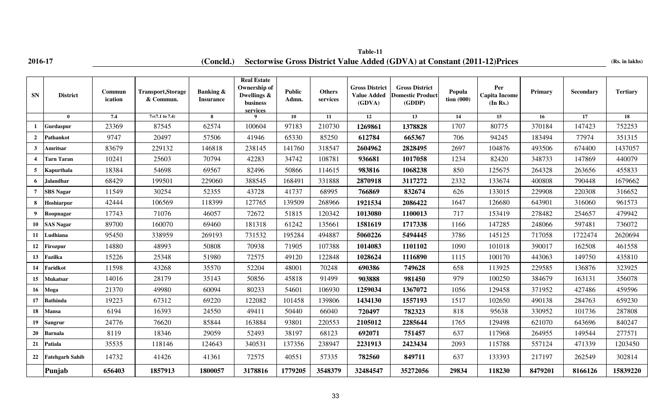## **2016-17 (Concld.)** Sectorwise Gross District Value Added (GDVA) at Constant (2011-12)Prices (Rs. in lakhs) **Table-11**

| <b>SN</b>        | <b>District</b>        | Commun<br>ication | <b>Transport, Storage</b><br>& Commun. | Banking &<br><b>Insurance</b> | <b>Real Estate</b><br>Ownership of<br>Dwellings &<br>business<br>services | Public<br>Admn. | <b>Others</b><br>services | <b>Gross District</b><br><b>Value Added</b><br>(GDVA) | <b>Gross District</b><br><b>Domestic Product</b><br>(GDDP) | Popula<br>tion $(000)$ | Per<br><b>Capita Income</b><br>(In Rs.) | Primary | Secondary | <b>Tertiary</b> |
|------------------|------------------------|-------------------|----------------------------------------|-------------------------------|---------------------------------------------------------------------------|-----------------|---------------------------|-------------------------------------------------------|------------------------------------------------------------|------------------------|-----------------------------------------|---------|-----------|-----------------|
|                  | $\mathbf{0}$           | 7.4               | $7=(7.1 \text{ to } 7.4)$              | 8                             | $\mathbf Q$                                                               | 10              | 11                        | 12                                                    | 13                                                         | 14                     | 15                                      | 16      | 17        | 18              |
|                  | Gurdaspur              | 23369             | 87545                                  | 62574                         | 100604                                                                    | 97183           | 210730                    | 1269861                                               | 1378828                                                    | 1707                   | 80775                                   | 370184  | 147423    | 752253          |
| $\overline{2}$   | Pathankot              | 9747              | 20497                                  | 57506                         | 41946                                                                     | 65330           | 85250                     | 612784                                                | 665367                                                     | 706                    | 94245                                   | 183494  | 77974     | 351315          |
| $\mathbf{3}$     | Amritsar               | 83679             | 229132                                 | 146818                        | 238145                                                                    | 141760          | 318547                    | 2604962                                               | 2828495                                                    | 2697                   | 104876                                  | 493506  | 674400    | 1437057         |
| $\boldsymbol{4}$ | Tarn Taran             | 10241             | 25603                                  | 70794                         | 42283                                                                     | 34742           | 108781                    | 936681                                                | 1017058                                                    | 1234                   | 82420                                   | 348733  | 147869    | 440079          |
|                  | Kapurthala             | 18384             | 54698                                  | 69567                         | 82496                                                                     | 50866           | 114615                    | 983816                                                | 1068238                                                    | 850                    | 125675                                  | 264328  | 263656    | 455833          |
| 6                | <b>Jalandhar</b>       | 68429             | 199501                                 | 229060                        | 388545                                                                    | 168491          | 331888                    | 2870918                                               | 3117272                                                    | 2332                   | 133674                                  | 400808  | 790448    | 1679662         |
| $\overline{7}$   | <b>SBS</b> Nagar       | 11549             | 30254                                  | 52355                         | 43728                                                                     | 41737           | 68995                     | 766869                                                | 832674                                                     | 626                    | 133015                                  | 229908  | 220308    | 316652          |
| 8                | Hoshiarpur             | 42444             | 106569                                 | 118399                        | 127765                                                                    | 139509          | 268966                    | 1921534                                               | 2086422                                                    | 1647                   | 126680                                  | 643901  | 316060    | 961573          |
| 9                | Roopnagar              | 17743             | 71076                                  | 46057                         | 72672                                                                     | 51815           | 120342                    | 1013080                                               | 1100013                                                    | 717                    | 153419                                  | 278482  | 254657    | 479942          |
| 10               | <b>SAS Nagar</b>       | 89700             | 160070                                 | 69460                         | 181318                                                                    | 61242           | 135661                    | 1581619                                               | 1717338                                                    | 1166                   | 147285                                  | 248066  | 597481    | 736072          |
| 11               | Ludhiana               | 95450             | 338959                                 | 269193                        | 731532                                                                    | 195284          | 494887                    | 5060226                                               | 5494445                                                    | 3786                   | 145125                                  | 717058  | 1722474   | 2620694         |
| 12               | <b>Firozpur</b>        | 14880             | 48993                                  | 50808                         | 70938                                                                     | 71905           | 107388                    | 1014083                                               | 1101102                                                    | 1090                   | 101018                                  | 390017  | 162508    | 461558          |
| 13               | Fazilka                | 15226             | 25348                                  | 51980                         | 72575                                                                     | 49120           | 122848                    | 1028624                                               | 1116890                                                    | 1115                   | 100170                                  | 443063  | 149750    | 435810          |
| 14               | <b>Faridkot</b>        | 11598             | 43268                                  | 35570                         | 52204                                                                     | 48001           | 70248                     | 690386                                                | 749628                                                     | 658                    | 113925                                  | 229585  | 136876    | 323925          |
| 15               | Mukatsar               | 14016             | 28179                                  | 35143                         | 50856                                                                     | 45818           | 91499                     | 903888                                                | 981450                                                     | 979                    | 100250                                  | 384679  | 163131    | 356078          |
| 16               | Moga                   | 21370             | 49980                                  | 60094                         | 80233                                                                     | 54601           | 106930                    | 1259034                                               | 1367072                                                    | 1056                   | 129458                                  | 371952  | 427486    | 459596          |
| 17               | <b>Bathinda</b>        | 19223             | 67312                                  | 69220                         | 122082                                                                    | 101458          | 139806                    | 1434130                                               | 1557193                                                    | 1517                   | 102650                                  | 490138  | 284763    | 659230          |
| 18               | Mansa                  | 6194              | 16393                                  | 24550                         | 49411                                                                     | 50440           | 66040                     | 720497                                                | 782323                                                     | 818                    | 95638                                   | 330952  | 101736    | 287808          |
| 19 <sup>°</sup>  | Sangrur                | 24776             | 76620                                  | 85844                         | 163884                                                                    | 93801           | 220553                    | 2105012                                               | 2285644                                                    | 1765                   | 129498                                  | 621070  | 643696    | 840247          |
| 20               | Barnala                | 8119              | 18346                                  | 29059                         | 52493                                                                     | 38197           | 68123                     | 692071                                                | 751457                                                     | 637                    | 117968                                  | 264955  | 149544    | 277571          |
| 21               | Patiala                | 35535             | 118146                                 | 124643                        | 340531                                                                    | 137356          | 238947                    | 2231913                                               | 2423434                                                    | 2093                   | 115788                                  | 557124  | 471339    | 1203450         |
| 22               | <b>Fatehgarh Sahib</b> | 14732             | 41426                                  | 41361                         | 72575                                                                     | 40551           | 57335                     | 782560                                                | 849711                                                     | 637                    | 133393                                  | 217197  | 262549    | 302814          |
|                  | Punjab                 | 656403            | 1857913                                | 1800057                       | 3178816                                                                   | 1779205         | 3548379                   | 32484547                                              | 35272056                                                   | 29834                  | 118230                                  | 8479201 | 8166126   | 15839220        |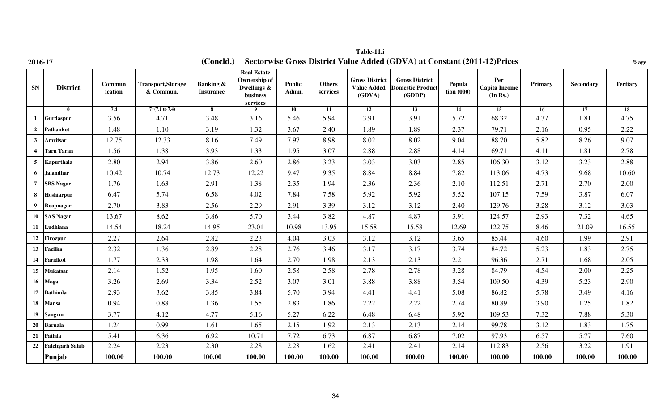| 2016-17                 |                        |                   |                                       | (Concld.)                                | Sectorwise Gross District Value Added (GDVA) at Constant (2011-12) Prices  |                 |                           |                                                       |                                                            |                                    |                                         |         |           |                 |
|-------------------------|------------------------|-------------------|---------------------------------------|------------------------------------------|----------------------------------------------------------------------------|-----------------|---------------------------|-------------------------------------------------------|------------------------------------------------------------|------------------------------------|-----------------------------------------|---------|-----------|-----------------|
| ${\bf SN}$              | <b>District</b>        | Commun<br>ication | <b>Transport,Storage</b><br>& Commun. | <b>Banking &amp;</b><br><b>Insurance</b> | <b>Real Estate</b><br>Ownership of<br>Dwellings &<br>$busines$<br>services | Public<br>Admn. | <b>Others</b><br>services | <b>Gross District</b><br><b>Value Added</b><br>(GDVA) | <b>Gross District</b><br><b>Domestic Product</b><br>(GDDP) | Popula<br>$\frac{1}{2}$ tion (000) | Per<br><b>Capita Income</b><br>(In Rs.) | Primary | Secondary | <b>Tertiary</b> |
|                         | $\bf{0}$               | 7.4               | $7=(7.1 \text{ to } 7.4)$             | 8                                        | 9                                                                          | 10              | 11                        | $\overline{12}$                                       | 13                                                         | 14                                 | 15                                      | 16      | 17        | 18              |
| 1                       | <b>Gurdaspur</b>       | 3.56              | 4.71                                  | 3.48                                     | 3.16                                                                       | 5.46            | 5.94                      | 3.91                                                  | 3.91                                                       | 5.72                               | 68.32                                   | 4.37    | 1.81      | 4.75            |
| $\overline{2}$          | Pathankot              | 1.48              | 1.10                                  | 3.19                                     | 1.32                                                                       | 3.67            | 2.40                      | 1.89                                                  | 1.89                                                       | 2.37                               | 79.71                                   | 2.16    | 0.95      | 2.22            |
| $\mathbf{3}$            | Amritsar               | 12.75             | 12.33                                 | 8.16                                     | 7.49                                                                       | 7.97            | 8.98                      | 8.02                                                  | 8.02                                                       | 9.04                               | 88.70                                   | 5.82    | 8.26      | 9.07            |
| $\overline{\mathbf{4}}$ | <b>Tarn Taran</b>      | 1.56              | 1.38                                  | 3.93                                     | 1.33                                                                       | 1.95            | 3.07                      | 2.88                                                  | 2.88                                                       | 4.14                               | 69.71                                   | 4.11    | 1.81      | 2.78            |
| 5                       | Kapurthala             | 2.80              | 2.94                                  | 3.86                                     | 2.60                                                                       | 2.86            | 3.23                      | 3.03                                                  | 3.03                                                       | 2.85                               | 106.30                                  | 3.12    | 3.23      | 2.88            |
| 6                       | <b>Jalandhar</b>       | 10.42             | 10.74                                 | 12.73                                    | 12.22                                                                      | 9.47            | 9.35                      | 8.84                                                  | 8.84                                                       | 7.82                               | 113.06                                  | 4.73    | 9.68      | 10.60           |
| $7\overline{ }$         | <b>SBS Nagar</b>       | 1.76              | 1.63                                  | 2.91                                     | 1.38                                                                       | 2.35            | 1.94                      | 2.36                                                  | 2.36                                                       | 2.10                               | 112.51                                  | 2.71    | 2.70      | 2.00            |
| 8                       | Hoshiarpur             | 6.47              | 5.74                                  | 6.58                                     | 4.02                                                                       | 7.84            | 7.58                      | 5.92                                                  | 5.92                                                       | 5.52                               | 107.15                                  | 7.59    | 3.87      | 6.07            |
| 9                       | Roopnagar              | 2.70              | 3.83                                  | 2.56                                     | 2.29                                                                       | 2.91            | 3.39                      | 3.12                                                  | 3.12                                                       | 2.40                               | 129.76                                  | 3.28    | 3.12      | 3.03            |
| 10                      | <b>SAS Nagar</b>       | 13.67             | 8.62                                  | 3.86                                     | 5.70                                                                       | 3.44            | 3.82                      | 4.87                                                  | 4.87                                                       | 3.91                               | 124.57                                  | 2.93    | 7.32      | 4.65            |
| 11                      | Ludhiana               | 14.54             | 18.24                                 | 14.95                                    | 23.01                                                                      | 10.98           | 13.95                     | 15.58                                                 | 15.58                                                      | 12.69                              | 122.75                                  | 8.46    | 21.09     | 16.55           |
| 12                      | <b>Firozpur</b>        | 2.27              | 2.64                                  | 2.82                                     | 2.23                                                                       | 4.04            | 3.03                      | 3.12                                                  | 3.12                                                       | 3.65                               | 85.44                                   | 4.60    | 1.99      | 2.91            |
| 13                      | Fazilka                | 2.32              | 1.36                                  | 2.89                                     | 2.28                                                                       | 2.76            | 3.46                      | 3.17                                                  | 3.17                                                       | 3.74                               | 84.72                                   | 5.23    | 1.83      | 2.75            |
| 14                      | Faridkot               | 1.77              | 2.33                                  | 1.98                                     | 1.64                                                                       | 2.70            | 1.98                      | 2.13                                                  | 2.13                                                       | 2.21                               | 96.36                                   | 2.71    | 1.68      | 2.05            |
| 15                      | <b>Mukatsar</b>        | 2.14              | 1.52                                  | 1.95                                     | 1.60                                                                       | 2.58            | 2.58                      | 2.78                                                  | 2.78                                                       | 3.28                               | 84.79                                   | 4.54    | 2.00      | 2.25            |
| 16                      | Moga                   | 3.26              | 2.69                                  | 3.34                                     | 2.52                                                                       | 3.07            | 3.01                      | 3.88                                                  | 3.88                                                       | 3.54                               | 109.50                                  | 4.39    | 5.23      | 2.90            |
| 17                      | <b>Bathinda</b>        | 2.93              | 3.62                                  | 3.85                                     | 3.84                                                                       | 5.70            | 3.94                      | 4.41                                                  | 4.41                                                       | 5.08                               | 86.82                                   | 5.78    | 3.49      | 4.16            |
| 18                      | <b>Mansa</b>           | 0.94              | 0.88                                  | 1.36                                     | 1.55                                                                       | 2.83            | 1.86                      | 2.22                                                  | 2.22                                                       | 2.74                               | 80.89                                   | 3.90    | 1.25      | 1.82            |
| 19 <sup>°</sup>         | Sangrur                | 3.77              | 4.12                                  | 4.77                                     | 5.16                                                                       | 5.27            | 6.22                      | 6.48                                                  | 6.48                                                       | 5.92                               | 109.53                                  | 7.32    | 7.88      | 5.30            |
| 20                      | <b>Barnala</b>         | 1.24              | 0.99                                  | 1.61                                     | 1.65                                                                       | 2.15            | 1.92                      | 2.13                                                  | 2.13                                                       | 2.14                               | 99.78                                   | 3.12    | 1.83      | 1.75            |
| 21                      | Patiala                | 5.41              | 6.36                                  | 6.92                                     | 10.71                                                                      | 7.72            | 6.73                      | 6.87                                                  | 6.87                                                       | 7.02                               | 97.93                                   | 6.57    | 5.77      | 7.60            |
| 22                      | <b>Fatehgarh Sahib</b> | 2.24              | 2.23                                  | 2.30                                     | 2.28                                                                       | 2.28            | 1.62                      | 2.41                                                  | 2.41                                                       | 2.14                               | 112.83                                  | 2.56    | 3.22      | 1.91            |
|                         | Punjab                 | 100.00            | 100.00                                | 100.00                                   | 100.00                                                                     | 100.00          | 100.00                    | 100.00                                                | 100.00                                                     | 100.00                             | 100.00                                  | 100.00  | 100.00    | 100.00          |

**Table-11.i**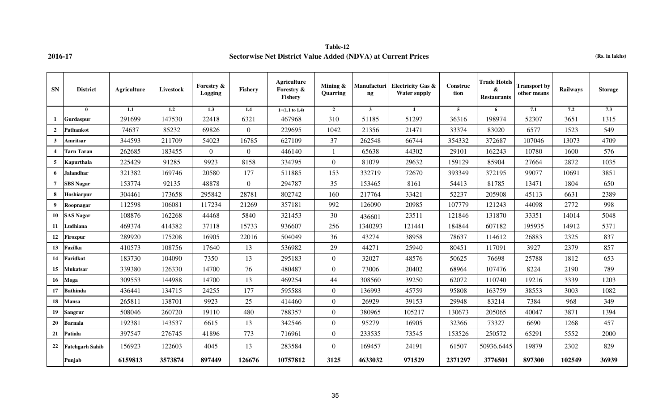### **Table-12 2016-17 Sectorwise Net District Value Added (NDVA) at Current Prices (Rs. in lakhs)**

| <b>SN</b>               | <b>District</b>        | Agriculture | <b>Livestock</b> | Forestry &<br>Logging | <b>Fishery</b>   | <b>Agriculture</b><br>Forestry &<br><b>Fishery</b> | Mining $\&$<br>Quarring | Manufacturi<br>$\mathbf{ng}$ | <b>Electricity Gas &amp;</b><br><b>Water supply</b> | Construc<br>tion | <b>Trade Hotels</b><br>&<br><b>Restaurants</b> | <b>Transport by</b><br>other means | <b>Railways</b> | <b>Storage</b> |
|-------------------------|------------------------|-------------|------------------|-----------------------|------------------|----------------------------------------------------|-------------------------|------------------------------|-----------------------------------------------------|------------------|------------------------------------------------|------------------------------------|-----------------|----------------|
|                         | $\mathbf{0}$           | 1.1         | 1.2              | 1.3                   | 1.4              | $1=(1.1 \text{ to } 1.4)$                          | $\overline{2}$          | $\mathbf{3}$                 | $\overline{4}$                                      | 5 <sup>5</sup>   | 6                                              | 7.1                                | 7.2             | 7.3            |
| 1                       | Gurdaspur              | 291699      | 147530           | 22418                 | 6321             | 467968                                             | 310                     | 51185                        | 51297                                               | 36316            | 198974                                         | 52307                              | 3651            | 1315           |
| $\overline{2}$          | <b>Pathankot</b>       | 74637       | 85232            | 69826                 | $\Omega$         | 229695                                             | 1042                    | 21356                        | 21471                                               | 33374            | 83020                                          | 6577                               | 1523            | 549            |
| $\mathbf{3}$            | Amritsar               | 344593      | 211709           | 54023                 | 16785            | 627109                                             | 37                      | 262548                       | 66744                                               | 354332           | 372687                                         | 107046                             | 13073           | 4709           |
| $\overline{\mathbf{4}}$ | <b>Tarn Taran</b>      | 262685      | 183455           | $\mathbf{0}$          | $\overline{0}$   | 446140                                             |                         | 65638                        | 44302                                               | 29101            | 162243                                         | 10780                              | 1600            | 576            |
| 5                       | Kapurthala             | 225429      | 91285            | 9923                  | 8158             | 334795                                             | $\overline{0}$          | 81079                        | 29632                                               | 159129           | 85904                                          | 27664                              | 2872            | 1035           |
| 6                       | <b>Jalandhar</b>       | 321382      | 169746           | 20580                 | 177              | 511885                                             | 153                     | 332719                       | 72670                                               | 393349           | 372195                                         | 99077                              | 10691           | 3851           |
| $\overline{7}$          | <b>SBS Nagar</b>       | 153774      | 92135            | 48878                 | $\boldsymbol{0}$ | 294787                                             | 35                      | 153465                       | 8161                                                | 54413            | 81785                                          | 13471                              | 1804            | 650            |
| 8                       | Hoshiarpur             | 304461      | 173658           | 295842                | 28781            | 802742                                             | 160                     | 217764                       | 33421                                               | 52237            | 205908                                         | 45113                              | 6631            | 2389           |
| 9                       | Roopnagar              | 112598      | 106081           | 117234                | 21269            | 357181                                             | 992                     | 126090                       | 20985                                               | 107779           | 121243                                         | 44098                              | 2772            | 998            |
| 10                      | <b>SAS Nagar</b>       | 108876      | 162268           | 44468                 | 5840             | 321453                                             | 30                      | 436601                       | 23511                                               | 121846           | 131870                                         | 33351                              | 14014           | 5048           |
| 11                      | Ludhiana               | 469374      | 414382           | 37118                 | 15733            | 936607                                             | 256                     | 1340293                      | 121441                                              | 184844           | 607182                                         | 195935                             | 14912           | 5371           |
| 12                      | Firozpur               | 289920      | 175208           | 16905                 | 22016            | 504049                                             | 36                      | 43274                        | 38958                                               | 78637            | 114612                                         | 26883                              | 2325            | 837            |
| 13                      | Fazilka                | 410573      | 108756           | 17640                 | 13               | 536982                                             | 29                      | 44271                        | 25940                                               | 80451            | 117091                                         | 3927                               | 2379            | 857            |
| 14                      | Faridkot               | 183730      | 104090           | 7350                  | 13               | 295183                                             | $\overline{0}$          | 32027                        | 48576                                               | 50625            | 76698                                          | 25788                              | 1812            | 653            |
| 15                      | <b>Mukatsar</b>        | 339380      | 126330           | 14700                 | 76               | 480487                                             | $\overline{0}$          | 73006                        | 20402                                               | 68964            | 107476                                         | 8224                               | 2190            | 789            |
| 16                      | Moga                   | 309553      | 144988           | 14700                 | 13               | 469254                                             | 44                      | 308560                       | 39250                                               | 62072            | 110740                                         | 19216                              | 3339            | 1203           |
| 17                      | <b>Bathinda</b>        | 436441      | 134715           | 24255                 | 177              | 595588                                             | $\overline{0}$          | 136993                       | 45759                                               | 95808            | 163759                                         | 38553                              | 3003            | 1082           |
| 18                      | Mansa                  | 265811      | 138701           | 9923                  | 25               | 414460                                             | $\overline{0}$          | 26929                        | 39153                                               | 29948            | 83214                                          | 7384                               | 968             | 349            |
| 19                      | Sangrur                | 508046      | 260720           | 19110                 | 480              | 788357                                             | $\overline{0}$          | 380965                       | 105217                                              | 130673           | 205065                                         | 40047                              | 3871            | 1394           |
| 20                      | <b>Barnala</b>         | 192381      | 143537           | 6615                  | 13               | 342546                                             | $\Omega$                | 95279                        | 16905                                               | 32366            | 73327                                          | 6690                               | 1268            | 457            |
| 21                      | Patiala                | 397547      | 276745           | 41896                 | 773              | 716961                                             | $\overline{0}$          | 233535                       | 73545                                               | 153526           | 250572                                         | 65291                              | 5552            | 2000           |
| 22                      | <b>Fatehgarh Sahib</b> | 156923      | 122603           | 4045                  | 13               | 283584                                             | $\Omega$                | 169457                       | 24191                                               | 61507            | 50936.6445                                     | 19879                              | 2302            | 829            |
|                         | Punjab                 | 6159813     | 3573874          | 897449                | 126676           | 10757812                                           | 3125                    | 4633032                      | 971529                                              | 2371297          | 3776501                                        | 897300                             | 102549          | 36939          |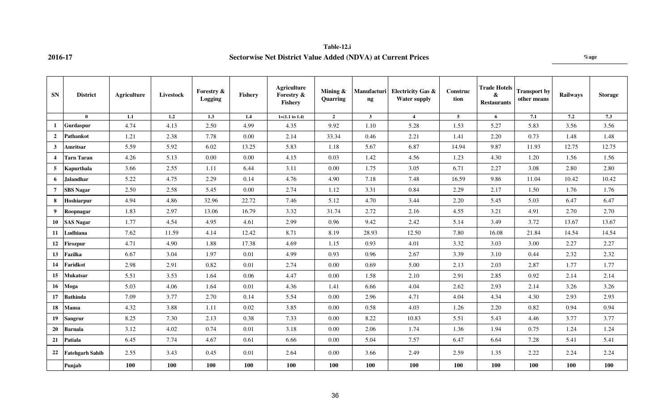### **Table-12.i 2016-17 Sectorwise Net District Value Added (NDVA) at Current Prices %age**

| <b>SN</b>               | <b>District</b>        | Agriculture | <b>Livestock</b> | Forestry &<br>Logging | Fishery | <b>Agriculture</b><br>Forestry &<br>Fishery | Mining $\&$<br>Quarring | Manufacturi<br>$\mathbf{n}$ | <b>Electricity Gas &amp;</b><br><b>Water supply</b> | Construc<br>tion | <b>Trade Hotels</b><br>&<br><b>Restaurants</b> | <b>Transport by</b><br>other means | <b>Railways</b> | <b>Storage</b> |
|-------------------------|------------------------|-------------|------------------|-----------------------|---------|---------------------------------------------|-------------------------|-----------------------------|-----------------------------------------------------|------------------|------------------------------------------------|------------------------------------|-----------------|----------------|
|                         | $\mathbf{0}$           | 1.1         | 1.2              | 1.3                   | $1.4\,$ | $1=(1.1 \text{ to } 1.4)$                   | $\overline{2}$          | $\mathbf{3}$                | $\overline{4}$                                      | 5 <sup>5</sup>   | 6                                              | 7.1                                | 7.2             | 7.3            |
| 1                       | <b>Gurdaspur</b>       | 4.74        | 4.13             | 2.50                  | 4.99    | 4.35                                        | 9.92                    | 1.10                        | 5.28                                                | 1.53             | 5.27                                           | 5.83                               | 3.56            | 3.56           |
| $\overline{2}$          | Pathankot              | 1.21        | 2.38             | 7.78                  | 0.00    | 2.14                                        | 33.34                   | 0.46                        | 2.21                                                | 1.41             | 2.20                                           | 0.73                               | 1.48            | 1.48           |
| $\mathbf{3}$            | Amritsar               | 5.59        | 5.92             | 6.02                  | 13.25   | 5.83                                        | 1.18                    | 5.67                        | 6.87                                                | 14.94            | 9.87                                           | 11.93                              | 12.75           | 12.75          |
| $\overline{\mathbf{4}}$ | Tarn Taran             | 4.26        | 5.13             | 0.00                  | 0.00    | 4.15                                        | 0.03                    | 1.42                        | 4.56                                                | 1.23             | 4.30                                           | 1.20                               | 1.56            | 1.56           |
| 5                       | Kapurthala             | 3.66        | 2.55             | 1.11                  | 6.44    | 3.11                                        | 0.00                    | 1.75                        | 3.05                                                | 6.71             | 2.27                                           | 3.08                               | 2.80            | 2.80           |
| 6                       | <b>Jalandhar</b>       | 5.22        | 4.75             | 2.29                  | 0.14    | 4.76                                        | 4.90                    | 7.18                        | 7.48                                                | 16.59            | 9.86                                           | 11.04                              | 10.42           | 10.42          |
| $\overline{7}$          | <b>SBS Nagar</b>       | 2.50        | 2.58             | 5.45                  | 0.00    | 2.74                                        | 1.12                    | 3.31                        | 0.84                                                | 2.29             | 2.17                                           | 1.50                               | 1.76            | 1.76           |
| 8                       | Hoshiarpur             | 4.94        | 4.86             | 32.96                 | 22.72   | 7.46                                        | 5.12                    | 4.70                        | 3.44                                                | 2.20             | 5.45                                           | 5.03                               | 6.47            | 6.47           |
| 9                       | Roopnagar              | 1.83        | 2.97             | 13.06                 | 16.79   | 3.32                                        | 31.74                   | 2.72                        | 2.16                                                | 4.55             | 3.21                                           | 4.91                               | 2.70            | 2.70           |
| 10                      | <b>SAS Nagar</b>       | 1.77        | 4.54             | 4.95                  | 4.61    | 2.99                                        | 0.96                    | 9.42                        | 2.42                                                | 5.14             | 3.49                                           | 3.72                               | 13.67           | 13.67          |
| 11                      | Ludhiana               | 7.62        | 11.59            | 4.14                  | 12.42   | 8.71                                        | 8.19                    | 28.93                       | 12.50                                               | 7.80             | 16.08                                          | 21.84                              | 14.54           | 14.54          |
| 12                      | Firozpur               | 4.71        | 4.90             | 1.88                  | 17.38   | 4.69                                        | 1.15                    | 0.93                        | 4.01                                                | 3.32             | 3.03                                           | 3.00                               | 2.27            | 2.27           |
| 13                      | Fazilka                | 6.67        | 3.04             | 1.97                  | 0.01    | 4.99                                        | 0.93                    | 0.96                        | 2.67                                                | 3.39             | 3.10                                           | 0.44                               | 2.32            | 2.32           |
| 14                      | Faridkot               | 2.98        | 2.91             | 0.82                  | 0.01    | 2.74                                        | 0.00                    | 0.69                        | 5.00                                                | 2.13             | 2.03                                           | 2.87                               | 1.77            | 1.77           |
| 15                      | <b>Mukatsar</b>        | 5.51        | 3.53             | 1.64                  | 0.06    | 4.47                                        | 0.00                    | 1.58                        | 2.10                                                | 2.91             | 2.85                                           | 0.92                               | 2.14            | 2.14           |
| 16                      | Moga                   | 5.03        | 4.06             | 1.64                  | 0.01    | 4.36                                        | 1.41                    | 6.66                        | 4.04                                                | 2.62             | 2.93                                           | 2.14                               | 3.26            | 3.26           |
| 17                      | <b>Bathinda</b>        | 7.09        | 3.77             | 2.70                  | 0.14    | 5.54                                        | 0.00                    | 2.96                        | 4.71                                                | 4.04             | 4.34                                           | 4.30                               | 2.93            | 2.93           |
| 18                      | <b>Mansa</b>           | 4.32        | 3.88             | 1.11                  | 0.02    | 3.85                                        | 0.00                    | 0.58                        | 4.03                                                | 1.26             | 2.20                                           | 0.82                               | 0.94            | 0.94           |
| 19                      | Sangrur                | 8.25        | 7.30             | 2.13                  | 0.38    | 7.33                                        | 0.00                    | 8.22                        | 10.83                                               | 5.51             | 5.43                                           | 4.46                               | 3.77            | 3.77           |
| 20                      | <b>Barnala</b>         | 3.12        | 4.02             | 0.74                  | 0.01    | 3.18                                        | 0.00                    | 2.06                        | 1.74                                                | 1.36             | 1.94                                           | 0.75                               | 1.24            | 1.24           |
| 21                      | Patiala                | 6.45        | 7.74             | 4.67                  | 0.61    | 6.66                                        | 0.00                    | 5.04                        | 7.57                                                | 6.47             | 6.64                                           | 7.28                               | 5.41            | 5.41           |
| 22                      | <b>Fatehgarh Sahib</b> | 2.55        | 3.43             | 0.45                  | 0.01    | 2.64                                        | 0.00                    | 3.66                        | 2.49                                                | 2.59             | 1.35                                           | 2.22                               | 2.24            | 2.24           |
|                         | Punjab                 | <b>100</b>  | 100              | <b>100</b>            | 100     | 100                                         | 100                     | 100                         | 100                                                 | 100              | 100                                            | 100                                | 100             | 100            |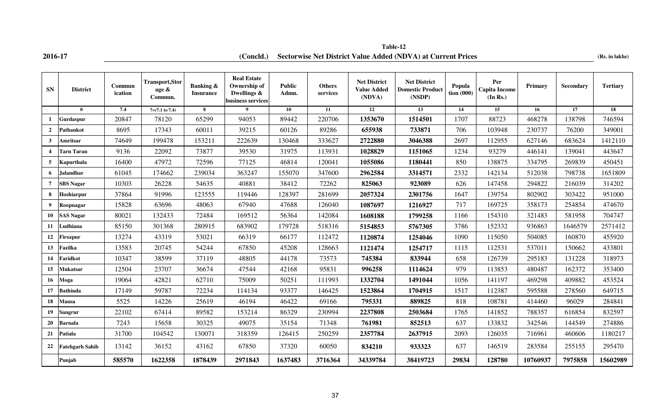**2016-17 (Rs. in lakhs) (Concld.) Sectorwise Net District Value Added (NDVA) at Current Prices Table-12**

| <b>SN</b>        | <b>District</b>        | Commun<br>ication | <b>Transport, Stor</b><br>age &<br>Commun. | <b>Banking &amp;</b><br><b>Insurance</b> | <b>Real Estate</b><br>Ownership of<br>Dwellings &<br>business services | <b>Public</b><br>Admn. | <b>Others</b><br>services | <b>Net District</b><br><b>Value Added</b><br>(NDVA) | <b>Net District</b><br><b>Domestic Product</b><br>(NSDP) | Popula<br>$\frac{1}{2}$ tion (000) | Per<br><b>Capita Income</b><br>(In Rs.) | Primary  | Secondary | <b>Tertiary</b> |
|------------------|------------------------|-------------------|--------------------------------------------|------------------------------------------|------------------------------------------------------------------------|------------------------|---------------------------|-----------------------------------------------------|----------------------------------------------------------|------------------------------------|-----------------------------------------|----------|-----------|-----------------|
|                  | $\mathbf{0}$           | 7.4               | $7=(7.1 \text{ to } 7.4)$                  | 8                                        | 9                                                                      | 10                     | 11                        | 12                                                  | 13                                                       | 14                                 | 15                                      | 16       | 17        | 18              |
| $\mathbf{1}$     | Gurdaspur              | 20847             | 78120                                      | 65299                                    | 94053                                                                  | 89442                  | 220706                    | 1353670                                             | 1514501                                                  | 1707                               | 88723                                   | 468278   | 138798    | 746594          |
| $\overline{2}$   | Pathankot              | 8695              | 17343                                      | 60011                                    | 39215                                                                  | 60126                  | 89286                     | 655938                                              | 733871                                                   | 706                                | 103948                                  | 230737   | 76200     | 349001          |
| $\mathbf{3}$     | Amritsar               | 74649             | 199478                                     | 153211                                   | 222639                                                                 | 130468                 | 333627                    | 2722880                                             | 3046388                                                  | 2697                               | 112955                                  | 627146   | 683624    | 1412110         |
| $\boldsymbol{4}$ | Tarn Taran             | 9136              | 22092                                      | 73877                                    | 39530                                                                  | 31975                  | 113931                    | 1028829                                             | 1151065                                                  | 1234                               | 93279                                   | 446141   | 139041    | 443647          |
| 5                | Kapurthala             | 16400             | 47972                                      | 72596                                    | 77125                                                                  | 46814                  | 120041                    | 1055086                                             | 1180441                                                  | 850                                | 138875                                  | 334795   | 269839    | 450451          |
| 6                | Jalandhar              | 61045             | 174662                                     | 239034                                   | 363247                                                                 | 155070                 | 347600                    | 2962584                                             | 3314571                                                  | 2332                               | 142134                                  | 512038   | 798738    | 1651809         |
| $\overline{7}$   | <b>SBS Nagar</b>       | 10303             | 26228                                      | 54635                                    | 40881                                                                  | 38412                  | 72262                     | 825063                                              | 923089                                                   | 626                                | 147458                                  | 294822   | 216039    | 314202          |
| 8                | Hoshiarpur             | 37864             | 91996                                      | 123555                                   | 119446                                                                 | 128397                 | 281699                    | 2057324                                             | 2301756                                                  | 1647                               | 139754                                  | 802902   | 303422    | 951000          |
| 9                | Roopnagar              | 15828             | 63696                                      | 48063                                    | 67940                                                                  | 47688                  | 126040                    | 1087697                                             | 1216927                                                  | 717                                | 169725                                  | 358173   | 254854    | 474670          |
| 10               | <b>SAS Nagar</b>       | 80021             | 132433                                     | 72484                                    | 169512                                                                 | 56364                  | 142084                    | 1608188                                             | 1799258                                                  | 1166                               | 154310                                  | 321483   | 581958    | 704747          |
| 11               | Ludhiana               | 85150             | 301368                                     | 280915                                   | 683902                                                                 | 179728                 | 518316                    | 5154853                                             | 5767305                                                  | 3786                               | 152332                                  | 936863   | 1646579   | 2571412         |
| 12               | Firozpur               | 13274             | 43319                                      | 53021                                    | 66319                                                                  | 66177                  | 112472                    | 1120874                                             | 1254046                                                  | 1090                               | 115050                                  | 504085   | 160870    | 455920          |
| 13               | Fazilka                | 13583             | 20745                                      | 54244                                    | 67850                                                                  | 45208                  | 128663                    | 1121474                                             | 1254717                                                  | 1115                               | 112531                                  | 537011   | 150662    | 433801          |
| 14               | Faridkot               | 10347             | 38599                                      | 37119                                    | 48805                                                                  | 44178                  | 73573                     | 745384                                              | 833944                                                   | 658                                | 126739                                  | 295183   | 131228    | 318973          |
| 15               | Mukatsar               | 12504             | 23707                                      | 36674                                    | 47544                                                                  | 42168                  | 95831                     | 996258                                              | 1114624                                                  | 979                                | 113853                                  | 480487   | 162372    | 353400          |
| 16               | Moga                   | 19064             | 42821                                      | 62710                                    | 75009                                                                  | 50251                  | 111993                    | 1332704                                             | 1491044                                                  | 1056                               | 141197                                  | 469298   | 409882    | 453524          |
| 17               | <b>Bathinda</b>        | 17149             | 59787                                      | 72234                                    | 114134                                                                 | 93377                  | 146425                    | 1523864                                             | 1704915                                                  | 1517                               | 112387                                  | 595588   | 278560    | 649715          |
| 18               | Mansa                  | 5525              | 14226                                      | 25619                                    | 46194                                                                  | 46422                  | 69166                     | 795331                                              | 889825                                                   | 818                                | 108781                                  | 414460   | 96029     | 284841          |
| 19               | Sangrur                | 22102             | 67414                                      | 89582                                    | 153214                                                                 | 86329                  | 230994                    | 2237808                                             | 2503684                                                  | 1765                               | 141852                                  | 788357   | 616854    | 832597          |
| 20               | <b>Barnala</b>         | 7243              | 15658                                      | 30325                                    | 49075                                                                  | 35154                  | 71348                     | 761981                                              | 852513                                                   | 637                                | 133832                                  | 342546   | 144549    | 274886          |
| 21               | Patiala                | 31700             | 104542                                     | 130071                                   | 318359                                                                 | 126415                 | 250259                    | 2357784                                             | 2637915                                                  | 2093                               | 126035                                  | 716961   | 460606    | 1180217         |
| 22               | <b>Fatehgarh Sahib</b> | 13142             | 36152                                      | 43162                                    | 67850                                                                  | 37320                  | 60050                     | 834210                                              | 933323                                                   | 637                                | 146519                                  | 283584   | 255155    | 295470          |
|                  | Punjab                 | 585570            | 1622358                                    | 1878439                                  | 2971843                                                                | 1637483                | 3716364                   | 34339784                                            | 38419723                                                 | 29834                              | 128780                                  | 10760937 | 7975858   | 15602989        |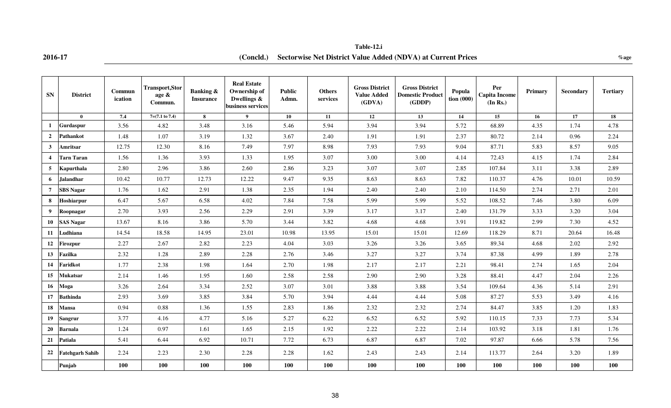**2016-17 %age (Concld.) Sectorwise Net District Value Added (NDVA) at Current Prices Table-12.i**

| <b>SN</b>      | <b>District</b>        | Commun<br>ication | <b>Transport,Stor</b><br>age &<br>Commun. | <b>Banking &amp;</b><br><b>Insurance</b> | <b>Real Estate</b><br>Ownership of<br>Dwellings &<br>business services | <b>Public</b><br>Admn. | <b>Others</b><br>services | <b>Gross District</b><br><b>Value Added</b><br>(GDVA) | <b>Gross District</b><br><b>Domestic Product</b><br>(GDDP) | Popula<br>tion (000) | Per<br><b>Capita Income</b><br>(In Rs.) | Primary | Secondary | <b>Tertiary</b> |
|----------------|------------------------|-------------------|-------------------------------------------|------------------------------------------|------------------------------------------------------------------------|------------------------|---------------------------|-------------------------------------------------------|------------------------------------------------------------|----------------------|-----------------------------------------|---------|-----------|-----------------|
|                | $\mathbf{0}$           | 7,4               | $7=(7.1 \text{ to } 7.4)$                 | 8                                        | 9 <sup>1</sup>                                                         | 10                     | 11                        | 12                                                    | 13                                                         | 14                   | 15                                      | 16      | 17        | 18              |
| 1              | Gurdaspur              | 3.56              | 4.82                                      | 3.48                                     | 3.16                                                                   | 5.46                   | 5.94                      | 3.94                                                  | 3.94                                                       | 5.72                 | 68.89                                   | 4.35    | 1.74      | 4.78            |
| $\overline{2}$ | Pathankot              | 1.48              | 1.07                                      | 3.19                                     | 1.32                                                                   | 3.67                   | 2.40                      | 1.91                                                  | 1.91                                                       | 2.37                 | 80.72                                   | 2.14    | 0.96      | 2.24            |
| 3              | Amritsar               | 12.75             | 12.30                                     | 8.16                                     | 7.49                                                                   | 7.97                   | 8.98                      | 7.93                                                  | 7.93                                                       | 9.04                 | 87.71                                   | 5.83    | 8.57      | 9.05            |
| $\overline{4}$ | <b>Tarn Taran</b>      | 1.56              | 1.36                                      | 3.93                                     | 1.33                                                                   | 1.95                   | 3.07                      | 3.00                                                  | 3.00                                                       | 4.14                 | 72.43                                   | 4.15    | 1.74      | 2.84            |
| 5 <sup>5</sup> | Kapurthala             | 2.80              | 2.96                                      | 3.86                                     | 2.60                                                                   | 2.86                   | 3.23                      | 3.07                                                  | 3.07                                                       | 2.85                 | 107.84                                  | 3.11    | 3.38      | 2.89            |
| 6              | <b>Jalandhar</b>       | 10.42             | 10.77                                     | 12.73                                    | 12.22                                                                  | 9.47                   | 9.35                      | 8.63                                                  | 8.63                                                       | 7.82                 | 110.37                                  | 4.76    | 10.01     | 10.59           |
| $\overline{7}$ | <b>SBS Nagar</b>       | 1.76              | 1.62                                      | 2.91                                     | 1.38                                                                   | 2.35                   | 1.94                      | 2.40                                                  | 2.40                                                       | 2.10                 | 114.50                                  | 2.74    | 2.71      | 2.01            |
| 8              | Hoshiarpur             | 6.47              | 5.67                                      | 6.58                                     | 4.02                                                                   | 7.84                   | 7.58                      | 5.99                                                  | 5.99                                                       | 5.52                 | 108.52                                  | 7.46    | 3.80      | 6.09            |
| 9              | Roopnagar              | 2.70              | 3.93                                      | 2.56                                     | 2.29                                                                   | 2.91                   | 3.39                      | 3.17                                                  | 3.17                                                       | 2.40                 | 131.79                                  | 3.33    | 3.20      | 3.04            |
| 10             | <b>SAS Nagar</b>       | 13.67             | 8.16                                      | 3.86                                     | 5.70                                                                   | 3.44                   | 3.82                      | 4.68                                                  | 4.68                                                       | 3.91                 | 119.82                                  | 2.99    | 7.30      | 4.52            |
|                | 11 Ludhiana            | 14.54             | 18.58                                     | 14.95                                    | 23.01                                                                  | 10.98                  | 13.95                     | 15.01                                                 | 15.01                                                      | 12.69                | 118.29                                  | 8.71    | 20.64     | 16.48           |
| 12             | Firozpur               | 2.27              | 2.67                                      | 2.82                                     | 2.23                                                                   | 4.04                   | 3.03                      | 3.26                                                  | 3.26                                                       | 3.65                 | 89.34                                   | 4.68    | 2.02      | 2.92            |
| 13             | <b>Fazilka</b>         | 2.32              | 1.28                                      | 2.89                                     | 2.28                                                                   | 2.76                   | 3.46                      | 3.27                                                  | 3.27                                                       | 3.74                 | 87.38                                   | 4.99    | 1.89      | 2.78            |
| 14             | Faridkot               | 1.77              | 2.38                                      | 1.98                                     | 1.64                                                                   | 2.70                   | 1.98                      | 2.17                                                  | 2.17                                                       | 2.21                 | 98.41                                   | 2.74    | 1.65      | 2.04            |
| 15             | Mukatsar               | 2.14              | 1.46                                      | 1.95                                     | 1.60                                                                   | 2.58                   | 2.58                      | 2.90                                                  | 2.90                                                       | 3.28                 | 88.41                                   | 4.47    | 2.04      | 2.26            |
| 16             | Moga                   | 3.26              | 2.64                                      | 3.34                                     | 2.52                                                                   | 3.07                   | 3.01                      | 3.88                                                  | 3.88                                                       | 3.54                 | 109.64                                  | 4.36    | 5.14      | 2.91            |
| 17             | <b>Bathinda</b>        | 2.93              | 3.69                                      | 3.85                                     | 3.84                                                                   | 5.70                   | 3.94                      | 4.44                                                  | 4.44                                                       | 5.08                 | 87.27                                   | 5.53    | 3.49      | 4.16            |
| 18             | Mansa                  | 0.94              | 0.88                                      | 1.36                                     | 1.55                                                                   | 2.83                   | 1.86                      | 2.32                                                  | 2.32                                                       | 2.74                 | 84.47                                   | 3.85    | 1.20      | 1.83            |
| 19             | <b>Sangrur</b>         | 3.77              | 4.16                                      | 4.77                                     | 5.16                                                                   | 5.27                   | 6.22                      | 6.52                                                  | 6.52                                                       | 5.92                 | 110.15                                  | 7.33    | 7.73      | 5.34            |
| 20             | <b>Barnala</b>         | 1.24              | 0.97                                      | 1.61                                     | 1.65                                                                   | 2.15                   | 1.92                      | 2.22                                                  | 2.22                                                       | 2.14                 | 103.92                                  | 3.18    | 1.81      | 1.76            |
| 21             | Patiala                | 5.41              | 6.44                                      | 6.92                                     | 10.71                                                                  | 7.72                   | 6.73                      | 6.87                                                  | 6.87                                                       | 7.02                 | 97.87                                   | 6.66    | 5.78      | 7.56            |
| 22             | <b>Fatehgarh Sahib</b> | 2.24              | 2.23                                      | 2.30                                     | 2.28                                                                   | 2.28                   | 1.62                      | 2.43                                                  | 2.43                                                       | 2.14                 | 113.77                                  | 2.64    | 3.20      | 1.89            |
|                | Punjab                 | 100               | 100                                       | 100                                      | 100                                                                    | 100                    | 100                       | 100                                                   | 100                                                        | 100                  | 100                                     | 100     | 100       | 100             |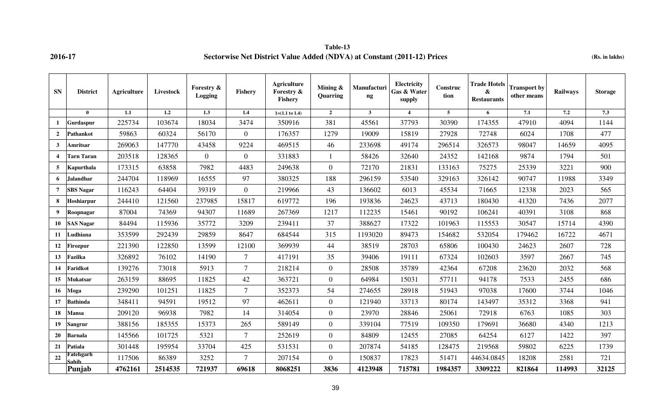**Table-13 2016-17 Sectorwise Net District Value Added (NDVA) at Constant (2011-12) Prices (Rs. in lakhs)**

| <b>SN</b>      | <b>District</b>    | <b>Agriculture</b> | Livestock | Forestry &<br>Logging | Fishery        | <b>Agriculture</b><br>Forestry &<br><b>Fishery</b> | Mining &<br>Quarring | Manufacturi<br>$\boldsymbol{\mathsf{ng}}$ | Electricity<br>Gas & Water<br>supply | Construc<br>tion | <b>Trade Hotels</b><br>$\pmb{\&}$<br><b>Restaurants</b> | <b>Transport by</b><br>other means | <b>Railways</b> | <b>Storage</b> |
|----------------|--------------------|--------------------|-----------|-----------------------|----------------|----------------------------------------------------|----------------------|-------------------------------------------|--------------------------------------|------------------|---------------------------------------------------------|------------------------------------|-----------------|----------------|
|                | $\mathbf{0}$       | 1.1                | 1.2       | 1.3                   | 1.4            | $1=(1.1 \text{ to } 1.4)$                          | $\overline{2}$       | $\mathbf{3}$                              | $\overline{4}$                       | 5                | 6                                                       | 7.1                                | 7.2             | 7.3            |
| -1             | Gurdaspur          | 225734             | 103674    | 18034                 | 3474           | 350916                                             | 381                  | 45561                                     | 37793                                | 30390            | 174355                                                  | 47910                              | 4094            | 1144           |
| $\overline{2}$ | Pathankot          | 59863              | 60324     | 56170                 | $\overline{0}$ | 176357                                             | 1279                 | 19009                                     | 15819                                | 27928            | 72748                                                   | 6024                               | 1708            | 477            |
| $\mathbf{3}$   | Amritsar           | 269063             | 147770    | 43458                 | 9224           | 469515                                             | 46                   | 233698                                    | 49174                                | 296514           | 326573                                                  | 98047                              | 14659           | 4095           |
| $\overline{4}$ | <b>Tarn Taran</b>  | 203518             | 128365    | $\overline{0}$        | $\overline{0}$ | 331883                                             |                      | 58426                                     | 32640                                | 24352            | 142168                                                  | 9874                               | 1794            | 501            |
| 5              | Kapurthala         | 173315             | 63858     | 7982                  | 4483           | 249638                                             | $\mathbf{0}$         | 72170                                     | 21831                                | 133163           | 75275                                                   | 25339                              | 3221            | 900            |
| 6              | Jalandhar          | 244704             | 118969    | 16555                 | 97             | 380325                                             | 188                  | 296159                                    | 53540                                | 329163           | 326142                                                  | 90747                              | 11988           | 3349           |
| $\overline{7}$ | <b>SBS Nagar</b>   | 116243             | 64404     | 39319                 | $\overline{0}$ | 219966                                             | 43                   | 136602                                    | 6013                                 | 45534            | 71665                                                   | 12338                              | 2023            | 565            |
| 8              | Hoshiarpur         | 244410             | 121560    | 237985                | 15817          | 619772                                             | 196                  | 193836                                    | 24623                                | 43713            | 180430                                                  | 41320                              | 7436            | 2077           |
| 9              | Roopnagar          | 87004              | 74369     | 94307                 | 11689          | 267369                                             | 1217                 | 112235                                    | 15461                                | 90192            | 106241                                                  | 40391                              | 3108            | 868            |
| 10             | <b>SAS Nagar</b>   | 84494              | 115936    | 35772                 | 3209           | 239411                                             | 37                   | 388627                                    | 17322                                | 101963           | 115553                                                  | 30547                              | 15714           | 4390           |
| 11             | Ludhiana           | 353599             | 292439    | 29859                 | 8647           | 684544                                             | 315                  | 1193020                                   | 89473                                | 154682           | 532054                                                  | 179462                             | 16722           | 4671           |
| 12             | <b>Firozpur</b>    | 221390             | 122850    | 13599                 | 12100          | 369939                                             | 44                   | 38519                                     | 28703                                | 65806            | 100430                                                  | 24623                              | 2607            | 728            |
| 13             | Fazilka            | 326892             | 76102     | 14190                 | 7              | 417191                                             | 35                   | 39406                                     | 19111                                | 67324            | 102603                                                  | 3597                               | 2667            | 745            |
| 14             | Faridkot           | 139276             | 73018     | 5913                  | $\overline{7}$ | 218214                                             | $\mathbf{0}$         | 28508                                     | 35789                                | 42364            | 67208                                                   | 23620                              | 2032            | 568            |
| 15             | Mukatsar           | 263159             | 88695     | 11825                 | 42             | 363721                                             | $\mathbf{0}$         | 64984                                     | 15031                                | 57711            | 94178                                                   | 7533                               | 2455            | 686            |
| 16             | Moga               | 239290             | 101251    | 11825                 | $\overline{7}$ | 352373                                             | 54                   | 274655                                    | 28918                                | 51943            | 97038                                                   | 17600                              | 3744            | 1046           |
| 17             | <b>Bathinda</b>    | 348411             | 94591     | 19512                 | 97             | 462611                                             | $\overline{0}$       | 121940                                    | 33713                                | 80174            | 143497                                                  | 35312                              | 3368            | 941            |
| 18             | Mansa              | 209120             | 96938     | 7982                  | 14             | 314054                                             | $\overline{0}$       | 23970                                     | 28846                                | 25061            | 72918                                                   | 6763                               | 1085            | 303            |
| 19             | <b>Sangrur</b>     | 388156             | 185355    | 15373                 | 265            | 589149                                             | $\mathbf{0}$         | 339104                                    | 77519                                | 109350           | 179691                                                  | 36680                              | 4340            | 1213           |
| 20             | <b>Barnala</b>     | 145566             | 101725    | 5321                  | 7              | 252619                                             | $\mathbf{0}$         | 84809                                     | 12455                                | 27085            | 64254                                                   | 6127                               | 1422            | 397            |
| 21             | Patiala            | 301448             | 195954    | 33704                 | 425            | 531531                                             | $\overline{0}$       | 207874                                    | 54185                                | 128475           | 219568                                                  | 59802                              | 6225            | 1739           |
| 22             | Fatehgarh<br>Sahih | 117506             | 86389     | 3252                  | $\tau$         | 207154                                             | $\overline{0}$       | 150837                                    | 17823                                | 51471            | 44634.0845                                              | 18208                              | 2581            | 721            |
|                | Punjab             | 4762161            | 2514535   | 721937                | 69618          | 8068251                                            | 3836                 | 4123948                                   | 715781                               | 1984357          | 3309222                                                 | 821864                             | 114993          | 32125          |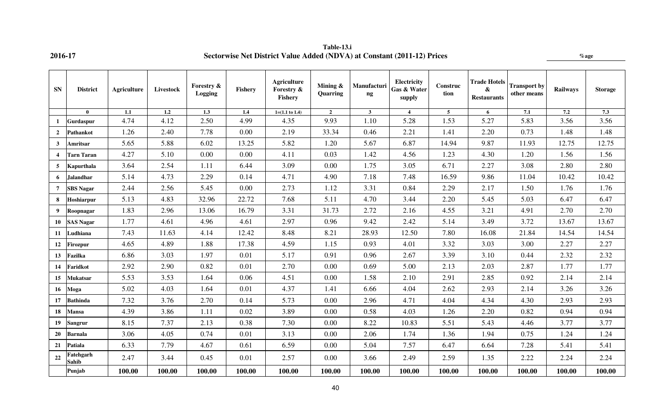| <b>SN</b>      | <b>District</b>    | Agriculture | Livestock        | Forestry &<br>Logging | Fishery | <b>Agriculture</b><br>Forestry &<br>Fishery | Mining &<br>Quarring | Manufacturi<br>ng       | <b>Electricity</b><br>Gas & Water<br>supply | Construc<br>tion | <b>Trade Hotels</b><br>&<br><b>Restaurants</b> | <b>Transport by</b><br>other means | <b>Railways</b> | <b>Storage</b> |
|----------------|--------------------|-------------|------------------|-----------------------|---------|---------------------------------------------|----------------------|-------------------------|---------------------------------------------|------------------|------------------------------------------------|------------------------------------|-----------------|----------------|
|                | $\mathbf{0}$       | $1.1\,$     | $\overline{1.2}$ | $\overline{1.3}$      | 1.4     | $1=(1.1 \text{ to } 1.4)$                   | $\overline{2}$       | $\overline{\mathbf{3}}$ | $\overline{\mathbf{4}}$                     | 5 <sup>5</sup>   | 6                                              | 7.1                                | 7.2             | 7.3            |
| 1              | Gurdaspur          | 4.74        | 4.12             | 2.50                  | 4.99    | 4.35                                        | 9.93                 | 1.10                    | 5.28                                        | 1.53             | 5.27                                           | 5.83                               | 3.56            | 3.56           |
| $\overline{2}$ | Pathankot          | 1.26        | 2.40             | 7.78                  | 0.00    | 2.19                                        | 33.34                | 0.46                    | 2.21                                        | 1.41             | 2.20                                           | 0.73                               | 1.48            | 1.48           |
| $\mathbf{3}$   | Amritsar           | 5.65        | 5.88             | 6.02                  | 13.25   | 5.82                                        | 1.20                 | 5.67                    | 6.87                                        | 14.94            | 9.87                                           | 11.93                              | 12.75           | 12.75          |
| $\overline{4}$ | <b>Tarn Taran</b>  | 4.27        | 5.10             | 0.00                  | 0.00    | 4.11                                        | 0.03                 | 1.42                    | 4.56                                        | 1.23             | 4.30                                           | 1.20                               | 1.56            | 1.56           |
| 5              | Kapurthala         | 3.64        | 2.54             | 1.11                  | 6.44    | 3.09                                        | 0.00                 | 1.75                    | 3.05                                        | 6.71             | 2.27                                           | 3.08                               | 2.80            | 2.80           |
| 6              | <b>Jalandhar</b>   | 5.14        | 4.73             | 2.29                  | 0.14    | 4.71                                        | 4.90                 | 7.18                    | 7.48                                        | 16.59            | 9.86                                           | 11.04                              | 10.42           | 10.42          |
| $\overline{7}$ | <b>SBS Nagar</b>   | 2.44        | 2.56             | 5.45                  | 0.00    | 2.73                                        | 1.12                 | 3.31                    | 0.84                                        | 2.29             | 2.17                                           | 1.50                               | 1.76            | 1.76           |
| 8              | Hoshiarpur         | 5.13        | 4.83             | 32.96                 | 22.72   | 7.68                                        | 5.11                 | 4.70                    | 3.44                                        | 2.20             | 5.45                                           | 5.03                               | 6.47            | 6.47           |
| 9              | Roopnagar          | 1.83        | 2.96             | 13.06                 | 16.79   | 3.31                                        | 31.73                | 2.72                    | 2.16                                        | 4.55             | 3.21                                           | 4.91                               | 2.70            | 2.70           |
| 10             | <b>SAS Nagar</b>   | 1.77        | 4.61             | 4.96                  | 4.61    | 2.97                                        | 0.96                 | 9.42                    | 2.42                                        | 5.14             | 3.49                                           | 3.72                               | 13.67           | 13.67          |
| 11             | Ludhiana           | 7.43        | 11.63            | 4.14                  | 12.42   | 8.48                                        | 8.21                 | 28.93                   | 12.50                                       | 7.80             | 16.08                                          | 21.84                              | 14.54           | 14.54          |
| 12             | <b>Firozpur</b>    | 4.65        | 4.89             | 1.88                  | 17.38   | 4.59                                        | 1.15                 | 0.93                    | 4.01                                        | 3.32             | 3.03                                           | 3.00                               | 2.27            | 2.27           |
| 13             | Fazilka            | 6.86        | 3.03             | 1.97                  | 0.01    | 5.17                                        | 0.91                 | 0.96                    | 2.67                                        | 3.39             | 3.10                                           | 0.44                               | 2.32            | 2.32           |
| 14             | Faridkot           | 2.92        | 2.90             | 0.82                  | 0.01    | 2.70                                        | 0.00                 | 0.69                    | 5.00                                        | 2.13             | 2.03                                           | 2.87                               | 1.77            | 1.77           |
| 15             | <b>Mukatsar</b>    | 5.53        | 3.53             | 1.64                  | 0.06    | 4.51                                        | 0.00                 | 1.58                    | 2.10                                        | 2.91             | 2.85                                           | 0.92                               | 2.14            | 2.14           |
| 16             | Moga               | 5.02        | 4.03             | 1.64                  | 0.01    | 4.37                                        | 1.41                 | 6.66                    | 4.04                                        | 2.62             | 2.93                                           | 2.14                               | 3.26            | 3.26           |
| 17             | <b>Bathinda</b>    | 7.32        | 3.76             | 2.70                  | 0.14    | 5.73                                        | 0.00                 | 2.96                    | 4.71                                        | 4.04             | 4.34                                           | 4.30                               | 2.93            | 2.93           |
| 18             | <b>Mansa</b>       | 4.39        | 3.86             | 1.11                  | 0.02    | 3.89                                        | 0.00                 | 0.58                    | 4.03                                        | 1.26             | 2.20                                           | 0.82                               | 0.94            | 0.94           |
| 19             | Sangrur            | 8.15        | 7.37             | 2.13                  | 0.38    | 7.30                                        | 0.00                 | 8.22                    | 10.83                                       | 5.51             | 5.43                                           | 4.46                               | 3.77            | 3.77           |
| 20             | <b>Barnala</b>     | 3.06        | 4.05             | 0.74                  | 0.01    | 3.13                                        | 0.00                 | 2.06                    | 1.74                                        | 1.36             | 1.94                                           | 0.75                               | 1.24            | 1.24           |
| 21             | Patiala            | 6.33        | 7.79             | 4.67                  | 0.61    | 6.59                                        | 0.00                 | 5.04                    | 7.57                                        | 6.47             | 6.64                                           | 7.28                               | 5.41            | 5.41           |
| 22             | Fatehgarh<br>Sahib | 2.47        | 3.44             | 0.45                  | 0.01    | 2.57                                        | 0.00                 | 3.66                    | 2.49                                        | 2.59             | 1.35                                           | 2.22                               | 2.24            | 2.24           |
|                | Punjab             | 100.00      | 100.00           | 100.00                | 100.00  | 100.00                                      | 100.00               | 100.00                  | 100.00                                      | 100.00           | 100.00                                         | 100.00                             | 100.00          | 100.00         |

**Table-13.i 2016-17 Sectorwise Net District Value Added (NDVA) at Constant (2011-12) Prices %age**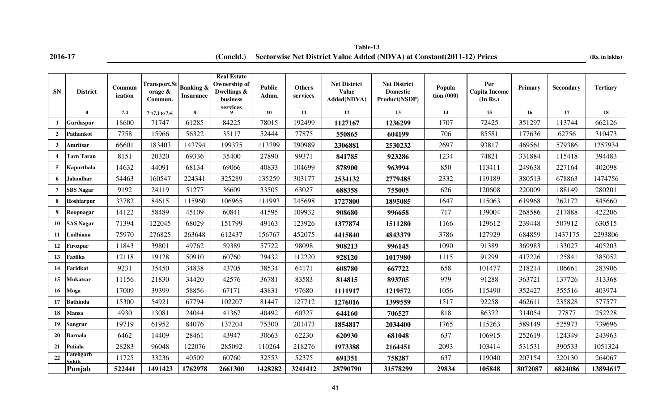**2016-17 (Concld.)** Sectorwise Net District Value Added (NDVA) at Constant(2011-12) Prices (Rs. in lakhs) **Table-13**

| <b>SN</b>      | <b>District</b>   | Commun<br>ication | Transport,St<br>orage $\&$<br>Commun. | <b>Banking &amp;</b><br><b>Insurance</b> | <b>Real Estate</b><br>Ownership of<br>Dwellings &<br>business<br>services | <b>Public</b><br>Admn. | <b>Others</b><br>services | <b>Net District</b><br><b>Value</b><br>Added(NDVA) | <b>Net District</b><br><b>Domestic</b><br>Product(NSDP) | Popula<br>tion (000) | Per<br><b>Capita Income</b><br>(In Rs.) | Primary | <b>Secondary</b> | <b>Tertiary</b> |
|----------------|-------------------|-------------------|---------------------------------------|------------------------------------------|---------------------------------------------------------------------------|------------------------|---------------------------|----------------------------------------------------|---------------------------------------------------------|----------------------|-----------------------------------------|---------|------------------|-----------------|
|                | $\mathbf{0}$      | 7.4               | $7=(7.1 \text{ to } 7.4)$             | 8                                        | 9                                                                         | 10                     | 11                        | $\overline{12}$                                    | 13                                                      | 14                   | 15                                      | 16      | 17               | 18              |
| -1             | Gurdaspur         | 18600             | 71747                                 | 61285                                    | 84225                                                                     | 78015                  | 192499                    | 1127167                                            | 1236299                                                 | 1707                 | 72425                                   | 351297  | 113744           | 662126          |
| $\overline{2}$ | Pathankot         | 7758              | 15966                                 | 56322                                    | 35117                                                                     | 52444                  | 77875                     | 550865                                             | 604199                                                  | 706                  | 85581                                   | 177636  | 62756            | 310473          |
| $\mathbf{3}$   | Amritsar          | 66601             | 183403                                | 143794                                   | 199375                                                                    | 113799                 | 290989                    | 2306881                                            | 2530232                                                 | 2697                 | 93817                                   | 469561  | 579386           | 1257934         |
| $\overline{4}$ | <b>Tarn Taran</b> | 8151              | 20320                                 | 69336                                    | 35400                                                                     | 27890                  | 99371                     | 841785                                             | 923286                                                  | 1234                 | 74821                                   | 331884  | 115418           | 394483          |
| 5              | Kapurthala        | 14632             | 44091                                 | 68134                                    | 69066                                                                     | 40833                  | 104699                    | 878900                                             | 963994                                                  | 850                  | 113411                                  | 249638  | 227164           | 402098          |
| 6              | <b>Jalandhar</b>  | 54463             | 160547                                | 224341                                   | 325289                                                                    | 135259                 | 303177                    | 2534132                                            | 2779485                                                 | 2332                 | 119189                                  | 380513  | 678863           | 1474756         |
| 7              | <b>SBS Nagar</b>  | 9192              | 24119                                 | 51277                                    | 36609                                                                     | 33505                  | 63027                     | 688358                                             | 755005                                                  | 626                  | 120608                                  | 220009  | 188149           | 280201          |
| 8              | Hoshiarpur        | 33782             | 84615                                 | 115960                                   | 106965                                                                    | 111993                 | 245698                    | 1727800                                            | 1895085                                                 | 1647                 | 115063                                  | 619968  | 262172           | 845660          |
| 9              | Roopnagar         | 14122             | 58489                                 | 45109                                    | 60841                                                                     | 41595                  | 109932                    | 908680                                             | 996658                                                  | 717                  | 139004                                  | 268586  | 217888           | 422206          |
| 10             | <b>SAS Nagar</b>  | 71394             | 122045                                | 68029                                    | 151799                                                                    | 49163                  | 123926                    | 1377874                                            | 1511280                                                 | 1166                 | 129612                                  | 239448  | 507912           | 630515          |
| 11             | Ludhiana          | 75970             | 276825                                | 263648                                   | 612437                                                                    | 156767                 | 452075                    | 4415840                                            | 4843379                                                 | 3786                 | 127929                                  | 684859  | 1437175          | 2293806         |
| 12             | Firozpur          | 11843             | 39801                                 | 49762                                    | 59389                                                                     | 57722                  | 98098                     | 908213                                             | 996145                                                  | 1090                 | 91389                                   | 369983  | 133027           | 405203          |
| 13             | Fazilka           | 12118             | 19128                                 | 50910                                    | 60760                                                                     | 39432                  | 112220                    | 928120                                             | 1017980                                                 | 1115                 | 91299                                   | 417226  | 125841           | 385052          |
| 14             | Faridkot          | 9231              | 35450                                 | 34838                                    | 43705                                                                     | 38534                  | 64171                     | 608780                                             | 667722                                                  | 658                  | 101477                                  | 218214  | 106661           | 283906          |
| 15             | Mukatsar          | 11156             | 21830                                 | 34420                                    | 42576                                                                     | 36781                  | 83583                     | 814815                                             | 893705                                                  | 979                  | 91288                                   | 363721  | 137726           | 313368          |
| 16             | Moga              | 17009             | 39399                                 | 58856                                    | 67171                                                                     | 43831                  | 97680                     | 1111917                                            | 1219572                                                 | 1056                 | 115490                                  | 352427  | 355516           | 403974          |
| 17             | Bathinda          | 15300             | 54921                                 | 67794                                    | 102207                                                                    | 81447                  | 127712                    | 1276016                                            | 1399559                                                 | 1517                 | 92258                                   | 462611  | 235828           | 577577          |
| 18             | <b>Mansa</b>      | 4930              | 13081                                 | 24044                                    | 41367                                                                     | 40492                  | 60327                     | 644160                                             | 706527                                                  | 818                  | 86372                                   | 314054  | 77877            | 252228          |
| 19             | <b>Sangrur</b>    | 19719             | 61952                                 | 84076                                    | 137204                                                                    | 75300                  | 201473                    | 1854817                                            | 2034400                                                 | 1765                 | 115263                                  | 589149  | 525973           | 739696          |
| 20             | Barnala           | 6462              | 14409                                 | 28461                                    | 43947                                                                     | 30663                  | 62230                     | 620930                                             | 681048                                                  | 637                  | 106915                                  | 252619  | 124349           | 243963          |
| 21             | Patiala           | 28283             | 96048                                 | 122076                                   | 285092                                                                    | 110264                 | 218276                    | 1973388                                            | 2164451                                                 | 2093                 | 103414                                  | 531531  | 390533           | 1051324         |
| 22             | Fatehgarh<br>ahil | 11725             | 33236                                 | 40509                                    | 60760                                                                     | 32553                  | 52375                     | 691351                                             | 758287                                                  | 637                  | 119040                                  | 207154  | 220130           | 264067          |
|                | Punjab            | 522441            | 1491423                               | 1762978                                  | 2661300                                                                   | 1428282                | 3241412                   | 28790790                                           | 31578299                                                | 29834                | 105848                                  | 8072087 | 6824086          | 13894617        |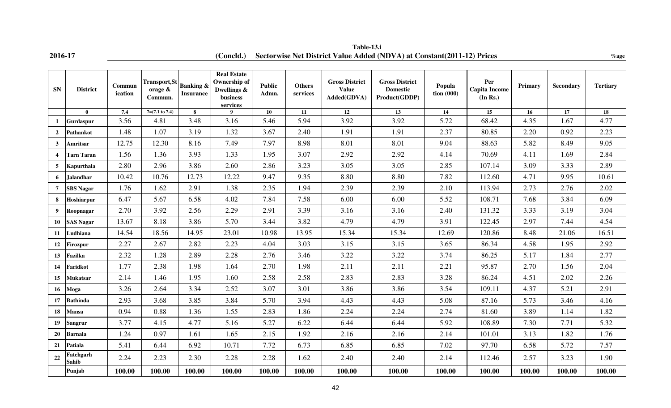**2016-17 %age (Concld.) Sectorwise Net District Value Added (NDVA) at Constant(2011-12) Prices Table-13.i**

| <b>SN</b>               | <b>District</b>    | Commun<br>ication | <b>Transport, St</b><br>orage &<br>Commun. | <b>Banking &amp;</b><br><b>Insurance</b> | <b>Real Estate</b><br><b>Ownership of</b><br>Dwellings &<br>business<br>services | <b>Public</b><br>Admn. | <b>Others</b><br>services | <b>Gross District</b><br><b>Value</b><br>Added(GDVA) | <b>Gross District</b><br><b>Domestic</b><br>Product(GDDP) | Popula<br>$\frac{1}{2}$ tion (000) | Per<br><b>Capita Income</b><br>(In Rs.) | Primary | <b>Secondary</b> | <b>Tertiary</b> |
|-------------------------|--------------------|-------------------|--------------------------------------------|------------------------------------------|----------------------------------------------------------------------------------|------------------------|---------------------------|------------------------------------------------------|-----------------------------------------------------------|------------------------------------|-----------------------------------------|---------|------------------|-----------------|
|                         | $\mathbf{0}$       | 7.4               | $7=(7.1 \text{ to } 7.4)$                  | 8                                        | $\mathbf Q$                                                                      | 10                     | 11                        | <b>12</b>                                            | 13                                                        | 14                                 | 15                                      | 16      | 17               | 18              |
| $\mathbf{1}$            | Gurdaspur          | 3.56              | 4.81                                       | 3.48                                     | 3.16                                                                             | 5.46                   | 5.94                      | 3.92                                                 | 3.92                                                      | 5.72                               | 68.42                                   | 4.35    | 1.67             | 4.77            |
| $\overline{2}$          | Pathankot          | 1.48              | 1.07                                       | 3.19                                     | 1.32                                                                             | 3.67                   | 2.40                      | 1.91                                                 | 1.91                                                      | 2.37                               | 80.85                                   | 2.20    | 0.92             | 2.23            |
| $\mathbf{3}$            | <b>Amritsar</b>    | 12.75             | 12.30                                      | 8.16                                     | 7.49                                                                             | 7.97                   | 8.98                      | 8.01                                                 | 8.01                                                      | 9.04                               | 88.63                                   | 5.82    | 8.49             | 9.05            |
| $\overline{\mathbf{4}}$ | <b>Tarn Taran</b>  | 1.56              | 1.36                                       | 3.93                                     | 1.33                                                                             | 1.95                   | 3.07                      | 2.92                                                 | 2.92                                                      | 4.14                               | 70.69                                   | 4.11    | 1.69             | 2.84            |
| 5                       | Kapurthala         | 2.80              | 2.96                                       | 3.86                                     | 2.60                                                                             | 2.86                   | 3.23                      | 3.05                                                 | 3.05                                                      | 2.85                               | 107.14                                  | 3.09    | 3.33             | 2.89            |
| 6                       | <b>Jalandhar</b>   | 10.42             | 10.76                                      | 12.73                                    | 12.22                                                                            | 9.47                   | 9.35                      | 8.80                                                 | 8.80                                                      | 7.82                               | 112.60                                  | 4.71    | 9.95             | 10.61           |
| $\overline{7}$          | <b>SBS Nagar</b>   | 1.76              | 1.62                                       | 2.91                                     | 1.38                                                                             | 2.35                   | 1.94                      | 2.39                                                 | 2.39                                                      | 2.10                               | 113.94                                  | 2.73    | 2.76             | 2.02            |
| 8                       | Hoshiarpur         | 6.47              | 5.67                                       | 6.58                                     | 4.02                                                                             | 7.84                   | 7.58                      | 6.00                                                 | 6.00                                                      | 5.52                               | 108.71                                  | 7.68    | 3.84             | 6.09            |
| 9                       | Roopnagar          | 2.70              | 3.92                                       | 2.56                                     | 2.29                                                                             | 2.91                   | 3.39                      | 3.16                                                 | 3.16                                                      | 2.40                               | 131.32                                  | 3.33    | 3.19             | 3.04            |
| 10                      | <b>SAS Nagar</b>   | 13.67             | 8.18                                       | 3.86                                     | 5.70                                                                             | 3.44                   | 3.82                      | 4.79                                                 | 4.79                                                      | 3.91                               | 122.45                                  | 2.97    | 7.44             | 4.54            |
| 11                      | Ludhiana           | 14.54             | 18.56                                      | 14.95                                    | 23.01                                                                            | 10.98                  | 13.95                     | 15.34                                                | 15.34                                                     | 12.69                              | 120.86                                  | 8.48    | 21.06            | 16.51           |
| 12                      | <b>Firozpur</b>    | 2.27              | 2.67                                       | 2.82                                     | 2.23                                                                             | 4.04                   | 3.03                      | 3.15                                                 | 3.15                                                      | 3.65                               | 86.34                                   | 4.58    | 1.95             | 2.92            |
| 13                      | Fazilka            | 2.32              | 1.28                                       | 2.89                                     | 2.28                                                                             | 2.76                   | 3.46                      | 3.22                                                 | 3.22                                                      | 3.74                               | 86.25                                   | 5.17    | 1.84             | 2.77            |
| 14                      | Faridkot           | 1.77              | 2.38                                       | 1.98                                     | 1.64                                                                             | 2.70                   | 1.98                      | 2.11                                                 | 2.11                                                      | 2.21                               | 95.87                                   | 2.70    | 1.56             | 2.04            |
| 15 <sup>15</sup>        | <b>Mukatsar</b>    | 2.14              | 1.46                                       | 1.95                                     | 1.60                                                                             | 2.58                   | 2.58                      | 2.83                                                 | 2.83                                                      | 3.28                               | 86.24                                   | 4.51    | 2.02             | 2.26            |
| 16                      | Moga               | 3.26              | 2.64                                       | 3.34                                     | 2.52                                                                             | 3.07                   | 3.01                      | 3.86                                                 | 3.86                                                      | 3.54                               | 109.11                                  | 4.37    | 5.21             | 2.91            |
| 17                      | <b>Bathinda</b>    | 2.93              | 3.68                                       | 3.85                                     | 3.84                                                                             | 5.70                   | 3.94                      | 4.43                                                 | 4.43                                                      | 5.08                               | 87.16                                   | 5.73    | 3.46             | 4.16            |
| 18                      | <b>Mansa</b>       | 0.94              | 0.88                                       | 1.36                                     | 1.55                                                                             | 2.83                   | 1.86                      | 2.24                                                 | 2.24                                                      | 2.74                               | 81.60                                   | 3.89    | 1.14             | 1.82            |
| 19                      | <b>Sangrur</b>     | 3.77              | 4.15                                       | 4.77                                     | 5.16                                                                             | 5.27                   | 6.22                      | 6.44                                                 | 6.44                                                      | 5.92                               | 108.89                                  | 7.30    | 7.71             | 5.32            |
| 20                      | <b>Barnala</b>     | 1.24              | 0.97                                       | 1.61                                     | 1.65                                                                             | 2.15                   | 1.92                      | 2.16                                                 | 2.16                                                      | 2.14                               | 101.01                                  | 3.13    | 1.82             | 1.76            |
| 21                      | Patiala            | 5.41              | 6.44                                       | 6.92                                     | 10.71                                                                            | 7.72                   | 6.73                      | 6.85                                                 | 6.85                                                      | 7.02                               | 97.70                                   | 6.58    | 5.72             | 7.57            |
| 22                      | Fatehgarh<br>Sahib | 2.24              | 2.23                                       | 2.30                                     | 2.28                                                                             | 2.28                   | 1.62                      | 2.40                                                 | 2.40                                                      | 2.14                               | 112.46                                  | 2.57    | 3.23             | 1.90            |
|                         | Punjab             | 100.00            | 100.00                                     | 100.00                                   | 100.00                                                                           | 100.00                 | 100.00                    | 100.00                                               | 100.00                                                    | 100.00                             | 100.00                                  | 100.00  | 100.00           | 100.00          |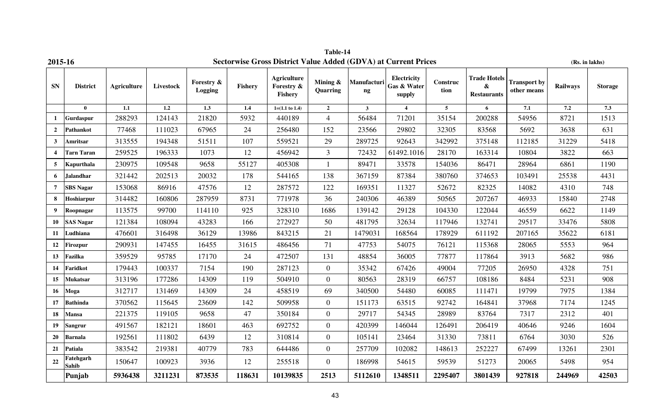| 2015-16                 |                    |                    |           |                       |         |                                                    |                                |                                   | <b>Sectorwise Gross District Value Added (GDVA) at Current Prices</b> |                  |                                                         |                                    | (Rs. in lakhs)  |                |
|-------------------------|--------------------|--------------------|-----------|-----------------------|---------|----------------------------------------------------|--------------------------------|-----------------------------------|-----------------------------------------------------------------------|------------------|---------------------------------------------------------|------------------------------------|-----------------|----------------|
| SN                      | <b>District</b>    | <b>Agriculture</b> | Livestock | Forestry &<br>Logging | Fishery | <b>Agriculture</b><br>Forestry &<br><b>Fishery</b> | Mining $\&$<br><b>Quarring</b> | Manufacturi<br>$\bold{n}\bold{g}$ | Electricity<br>Gas & Water<br>supply                                  | Construc<br>tion | <b>Trade Hotels</b><br>$\pmb{\&}$<br><b>Restaurants</b> | <b>Transport by</b><br>other means | <b>Railways</b> | <b>Storage</b> |
|                         | $\mathbf{0}$       | $\overline{1.1}$   | 1.2       | 1.3                   | 1.4     | $1=(1.1 \text{ to } 1.4)$                          | $\mathbf 2$                    | $\mathbf{3}$                      | $\overline{\mathbf{4}}$                                               | $5\phantom{.0}$  | 6                                                       | 7.1                                | 7.2             | 7.3            |
| -1                      | Gurdaspur          | 288293             | 124143    | 21820                 | 5932    | 440189                                             | $\overline{4}$                 | 56484                             | 71201                                                                 | 35154            | 200288                                                  | 54956                              | 8721            | 1513           |
| $\overline{2}$          | Pathankot          | 77468              | 111023    | 67965                 | 24      | 256480                                             | 152                            | 23566                             | 29802                                                                 | 32305            | 83568                                                   | 5692                               | 3638            | 631            |
| $\mathbf{3}$            | Amritsar           | 313555             | 194348    | 51511                 | 107     | 559521                                             | 29                             | 289725                            | 92643                                                                 | 342992           | 375148                                                  | 112185                             | 31229           | 5418           |
| $\overline{\mathbf{4}}$ | <b>Tarn Taran</b>  | 259525             | 196333    | 1073                  | 12      | 456942                                             | 3                              | 72432                             | 61492.1016                                                            | 28170            | 163314                                                  | 10804                              | 3822            | 663            |
| 5                       | Kapurthala         | 230975             | 109548    | 9658                  | 55127   | 405308                                             | $\mathbf{1}$                   | 89471                             | 33578                                                                 | 154036           | 86471                                                   | 28964                              | 6861            | 1190           |
| 6                       | <b>Jalandhar</b>   | 321442             | 202513    | 20032                 | 178     | 544165                                             | 138                            | 367159                            | 87384                                                                 | 380760           | 374653                                                  | 103491                             | 25538           | 4431           |
| $\overline{7}$          | <b>SBS Nagar</b>   | 153068             | 86916     | 47576                 | 12      | 287572                                             | 122                            | 169351                            | 11327                                                                 | 52672            | 82325                                                   | 14082                              | 4310            | 748            |
| 8                       | Hoshiarpur         | 314482             | 160806    | 287959                | 8731    | 771978                                             | 36                             | 240306                            | 46389                                                                 | 50565            | 207267                                                  | 46933                              | 15840           | 2748           |
| 9                       | Roopnagar          | 113575             | 99700     | 114110                | 925     | 328310                                             | 1686                           | 139142                            | 29128                                                                 | 104330           | 122044                                                  | 46559                              | 6622            | 1149           |
| 10                      | <b>SAS Nagar</b>   | 121384             | 108094    | 43283                 | 166     | 272927                                             | 50                             | 481795                            | 32634                                                                 | 117946           | 132741                                                  | 29517                              | 33476           | 5808           |
| 11                      | Ludhiana           | 476601             | 316498    | 36129                 | 13986   | 843215                                             | 21                             | 1479031                           | 168564                                                                | 178929           | 611192                                                  | 207165                             | 35622           | 6181           |
| 12                      | <b>Firozpur</b>    | 290931             | 147455    | 16455                 | 31615   | 486456                                             | 71                             | 47753                             | 54075                                                                 | 76121            | 115368                                                  | 28065                              | 5553            | 964            |
| 13                      | Fazilka            | 359529             | 95785     | 17170                 | 24      | 472507                                             | 131                            | 48854                             | 36005                                                                 | 77877            | 117864                                                  | 3913                               | 5682            | 986            |
| 14                      | <b>Faridkot</b>    | 179443             | 100337    | 7154                  | 190     | 287123                                             | $\mathbf{0}$                   | 35342                             | 67426                                                                 | 49004            | 77205                                                   | 26950                              | 4328            | 751            |
| 15                      | <b>Mukatsar</b>    | 313196             | 177286    | 14309                 | 119     | 504910                                             | $\overline{0}$                 | 80563                             | 28319                                                                 | 66757            | 108186                                                  | 8484                               | 5231            | 908            |
| 16                      | Moga               | 312717             | 131469    | 14309                 | 24      | 458519                                             | 69                             | 340500                            | 54480                                                                 | 60085            | 111471                                                  | 19799                              | 7975            | 1384           |
| 17                      | <b>Bathinda</b>    | 370562             | 115645    | 23609                 | 142     | 509958                                             | $\mathbf{0}$                   | 151173                            | 63515                                                                 | 92742            | 164841                                                  | 37968                              | 7174            | 1245           |
| 18                      | <b>Mansa</b>       | 221375             | 119105    | 9658                  | 47      | 350184                                             | $\boldsymbol{0}$               | 29717                             | 54345                                                                 | 28989            | 83764                                                   | 7317                               | 2312            | 401            |
| 19                      | <b>Sangrur</b>     | 491567             | 182121    | 18601                 | 463     | 692752                                             | $\overline{0}$                 | 420399                            | 146044                                                                | 126491           | 206419                                                  | 40646                              | 9246            | 1604           |
| 20                      | <b>Barnala</b>     | 192561             | 111802    | 6439                  | 12      | 310814                                             | $\boldsymbol{0}$               | 105141                            | 23464                                                                 | 31330            | 73811                                                   | 6764                               | 3030            | 526            |
| 21                      | Patiala            | 383542             | 219381    | 40779                 | 783     | 644486                                             | $\boldsymbol{0}$               | 257709                            | 102082                                                                | 148613           | 252227                                                  | 67499                              | 13261           | 2301           |
| 22                      | Fatehgarh<br>Sahib | 150647             | 100923    | 3936                  | 12      | 255518                                             | $\overline{0}$                 | 186998                            | 54615                                                                 | 59539            | 51273                                                   | 20065                              | 5498            | 954            |
|                         | Punjab             | 5936438            | 3211231   | 873535                | 118631  | 10139835                                           | 2513                           | 5112610                           | 1348511                                                               | 2295407          | 3801439                                                 | 927818                             | 244969          | 42503          |

**Table-14**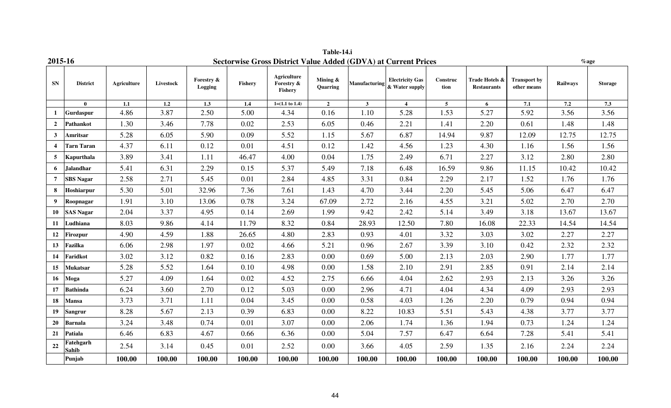| 2015-16          |                           |                    |           |                       |         |                                             |                      |               | <b>Sectorwise Gross District Value Added (GDVA) at Current Prices</b> |                  |                                      |                                    |                 | $\%$ age       |
|------------------|---------------------------|--------------------|-----------|-----------------------|---------|---------------------------------------------|----------------------|---------------|-----------------------------------------------------------------------|------------------|--------------------------------------|------------------------------------|-----------------|----------------|
| <b>SN</b>        | <b>District</b>           | <b>Agriculture</b> | Livestock | Forestry &<br>Logging | Fishery | <b>Agriculture</b><br>Forestry &<br>Fishery | Mining &<br>Quarring | Manufacturing | <b>Electricity Gas</b><br>& Water supply                              | Construc<br>tion | Trade Hotels &<br><b>Restaurants</b> | <b>Transport by</b><br>other means | <b>Railways</b> | <b>Storage</b> |
|                  | $\mathbf{0}$              | $1.1\,$            | 1.2       | 1.3                   | 1.4     | $1=(1.1 \text{ to } 1.4)$                   | $\overline{2}$       | $\mathbf{3}$  | $\overline{\mathbf{4}}$                                               | $5\phantom{.0}$  | 6                                    | 7.1                                | 7.2             | 7.3            |
|                  | Gurdaspur                 | 4.86               | 3.87      | 2.50                  | 5.00    | 4.34                                        | 0.16                 | 1.10          | 5.28                                                                  | 1.53             | 5.27                                 | 5.92                               | 3.56            | 3.56           |
| $\overline{2}$   | Pathankot                 | 1.30               | 3.46      | 7.78                  | 0.02    | 2.53                                        | 6.05                 | 0.46          | 2.21                                                                  | 1.41             | 2.20                                 | 0.61                               | 1.48            | 1.48           |
| $\mathbf{3}$     | Amritsar                  | 5.28               | 6.05      | 5.90                  | 0.09    | 5.52                                        | 1.15                 | 5.67          | 6.87                                                                  | 14.94            | 9.87                                 | 12.09                              | 12.75           | 12.75          |
| $\boldsymbol{4}$ | <b>Tarn Taran</b>         | 4.37               | 6.11      | 0.12                  | 0.01    | 4.51                                        | 0.12                 | 1.42          | 4.56                                                                  | 1.23             | 4.30                                 | 1.16                               | 1.56            | 1.56           |
| 5                | Kapurthala                | 3.89               | 3.41      | 1.11                  | 46.47   | 4.00                                        | 0.04                 | 1.75          | 2.49                                                                  | 6.71             | 2.27                                 | 3.12                               | 2.80            | 2.80           |
| 6                | <b>Jalandhar</b>          | 5.41               | 6.31      | 2.29                  | 0.15    | 5.37                                        | 5.49                 | 7.18          | 6.48                                                                  | 16.59            | 9.86                                 | 11.15                              | 10.42           | 10.42          |
| $\overline{7}$   | <b>SBS Nagar</b>          | 2.58               | 2.71      | 5.45                  | 0.01    | 2.84                                        | 4.85                 | 3.31          | 0.84                                                                  | 2.29             | 2.17                                 | 1.52                               | 1.76            | 1.76           |
| 8                | <b>Hoshiarpur</b>         | 5.30               | 5.01      | 32.96                 | 7.36    | 7.61                                        | 1.43                 | 4.70          | 3.44                                                                  | 2.20             | 5.45                                 | 5.06                               | 6.47            | 6.47           |
| 9                | Roopnagar                 | 1.91               | 3.10      | 13.06                 | 0.78    | 3.24                                        | 67.09                | 2.72          | 2.16                                                                  | 4.55             | 3.21                                 | 5.02                               | 2.70            | 2.70           |
| 10               | <b>SAS Nagar</b>          | 2.04               | 3.37      | 4.95                  | 0.14    | 2.69                                        | 1.99                 | 9.42          | 2.42                                                                  | 5.14             | 3.49                                 | 3.18                               | 13.67           | 13.67          |
| 11               | Ludhiana                  | 8.03               | 9.86      | 4.14                  | 11.79   | 8.32                                        | 0.84                 | 28.93         | 12.50                                                                 | 7.80             | 16.08                                | 22.33                              | 14.54           | 14.54          |
| 12               | <b>Firozpur</b>           | 4.90               | 4.59      | 1.88                  | 26.65   | 4.80                                        | 2.83                 | 0.93          | 4.01                                                                  | 3.32             | 3.03                                 | 3.02                               | 2.27            | 2.27           |
| 13               | Fazilka                   | 6.06               | 2.98      | 1.97                  | 0.02    | 4.66                                        | 5.21                 | 0.96          | 2.67                                                                  | 3.39             | 3.10                                 | 0.42                               | 2.32            | 2.32           |
| 14               | Faridkot                  | 3.02               | 3.12      | 0.82                  | 0.16    | 2.83                                        | 0.00                 | 0.69          | 5.00                                                                  | 2.13             | 2.03                                 | 2.90                               | 1.77            | 1.77           |
| 15               | <b>Mukatsar</b>           | 5.28               | 5.52      | 1.64                  | 0.10    | 4.98                                        | 0.00                 | 1.58          | 2.10                                                                  | 2.91             | 2.85                                 | 0.91                               | 2.14            | 2.14           |
| 16               | Moga                      | 5.27               | 4.09      | 1.64                  | 0.02    | 4.52                                        | 2.75                 | 6.66          | 4.04                                                                  | 2.62             | 2.93                                 | 2.13                               | 3.26            | 3.26           |
| 17               | <b>Bathinda</b>           | 6.24               | 3.60      | 2.70                  | 0.12    | 5.03                                        | 0.00                 | 2.96          | 4.71                                                                  | 4.04             | 4.34                                 | 4.09                               | 2.93            | 2.93           |
| 18               | <b>Mansa</b>              | 3.73               | 3.71      | 1.11                  | 0.04    | 3.45                                        | 0.00                 | 0.58          | 4.03                                                                  | 1.26             | 2.20                                 | 0.79                               | 0.94            | 0.94           |
| 19               | <b>Sangrur</b>            | 8.28               | 5.67      | 2.13                  | 0.39    | 6.83                                        | 0.00                 | 8.22          | 10.83                                                                 | 5.51             | 5.43                                 | 4.38                               | 3.77            | 3.77           |
| 20               | <b>Barnala</b>            | 3.24               | 3.48      | 0.74                  | 0.01    | 3.07                                        | 0.00                 | 2.06          | 1.74                                                                  | 1.36             | 1.94                                 | 0.73                               | 1.24            | 1.24           |
| 21               | Patiala                   | 6.46               | 6.83      | 4.67                  | 0.66    | 6.36                                        | 0.00                 | 5.04          | 7.57                                                                  | 6.47             | 6.64                                 | 7.28                               | 5.41            | 5.41           |
| 22               | Fatehgarh<br><b>Sahib</b> | 2.54               | 3.14      | 0.45                  | 0.01    | 2.52                                        | 0.00                 | 3.66          | 4.05                                                                  | 2.59             | 1.35                                 | 2.16                               | 2.24            | 2.24           |
|                  | Punjab                    | 100.00             | 100.00    | 100.00                | 100.00  | 100.00                                      | 100.00               | 100.00        | 100.00                                                                | 100.00           | 100.00                               | 100.00                             | 100.00          | 100.00         |

**Table-14.i**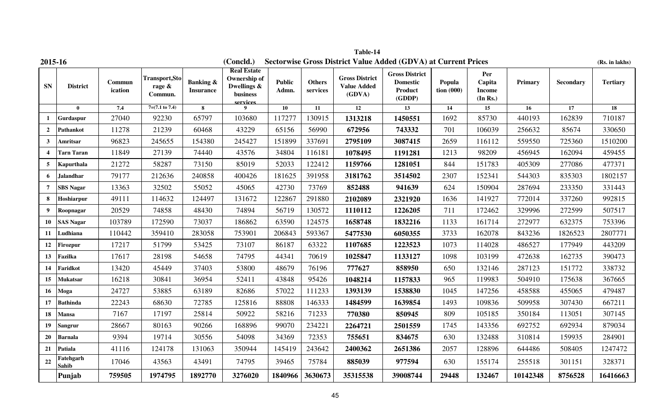| 2015-16          |                    |                   |                                            |                                          | (Concld.)                                                                        |                        |                           |                                                       | <b>Sectorwise Gross District Value Added (GDVA) at Current Prices</b> |                                    |                                            |          |                  | (Rs. in lakhs)  |
|------------------|--------------------|-------------------|--------------------------------------------|------------------------------------------|----------------------------------------------------------------------------------|------------------------|---------------------------|-------------------------------------------------------|-----------------------------------------------------------------------|------------------------------------|--------------------------------------------|----------|------------------|-----------------|
| ${\bf SN}$       | <b>District</b>    | Commun<br>ication | <b>Transport, Sto</b><br>rage &<br>Commun. | <b>Banking &amp;</b><br><b>Insurance</b> | <b>Real Estate</b><br><b>Ownership of</b><br>Dwellings &<br>business<br>services | <b>Public</b><br>Admn. | <b>Others</b><br>services | <b>Gross District</b><br><b>Value Added</b><br>(GDVA) | <b>Gross District</b><br><b>Domestic</b><br>Product<br>(GDDP)         | Popula<br>$\frac{1}{2}$ tion (000) | Per<br>Capita<br><b>Income</b><br>(In Rs.) | Primary  | <b>Secondary</b> | <b>Tertiary</b> |
|                  | $\mathbf{0}$       | 7.4               | $7=(7.1 \text{ to } 7.4)$                  | 8                                        | 9                                                                                | 10                     | 11                        | 12                                                    | $\overline{13}$                                                       | 14                                 | 15                                         | 16       | 17               | $\overline{18}$ |
| 1                | Gurdaspur          | 27040             | 92230                                      | 65797                                    | 103680                                                                           | 117277                 | 130915                    | 1313218                                               | 1450551                                                               | 1692                               | 85730                                      | 440193   | 162839           | 710187          |
| $\overline{2}$   | <b>Pathankot</b>   | 11278             | 21239                                      | 60468                                    | 43229                                                                            | 65156                  | 56990                     | 672956                                                | 743332                                                                | 701                                | 106039                                     | 256632   | 85674            | 330650          |
| 3                | Amritsar           | 96823             | 245655                                     | 154380                                   | 245427                                                                           | 151899                 | 337691                    | 2795109                                               | 3087415                                                               | 2659                               | 116112                                     | 559550   | 725360           | 1510200         |
| $\boldsymbol{4}$ | <b>Tarn Taran</b>  | 11849             | 27139                                      | 74440                                    | 43576                                                                            | 34804                  | 116181                    | 1078495                                               | 1191281                                                               | 1213                               | 98209                                      | 456945   | 162094           | 459455          |
| 5                | Kapurthala         | 21272             | 58287                                      | 73150                                    | 85019                                                                            | 52033                  | 122412                    | 1159766                                               | 1281051                                                               | 844                                | 151783                                     | 405309   | 277086           | 477371          |
| 6                | Jalandhar          | 79177             | 212636                                     | 240858                                   | 400426                                                                           | 181625                 | 391958                    | 3181762                                               | 3514502                                                               | 2307                               | 152341                                     | 544303   | 835303           | 1802157         |
| $\overline{7}$   | <b>SBS Nagar</b>   | 13363             | 32502                                      | 55052                                    | 45065                                                                            | 42730                  | 73769                     | 852488                                                | 941639                                                                | 624                                | 150904                                     | 287694   | 233350           | 331443          |
| 8                | Hoshiarpur         | 49111             | 114632                                     | 124497                                   | 131672                                                                           | 122867                 | 291880                    | 2102089                                               | 2321920                                                               | 1636                               | 141927                                     | 772014   | 337260           | 992815          |
| 9                | Roopnagar          | 20529             | 74858                                      | 48430                                    | 74894                                                                            | 56719                  | 130572                    | 1110112                                               | 1226205                                                               | 711                                | 172462                                     | 329996   | 272599           | 507517          |
| 10               | <b>SAS Nagar</b>   | 103789            | 172590                                     | 73037                                    | 186862                                                                           | 63590                  | 124575                    | 1658748                                               | 1832216                                                               | 1133                               | 161714                                     | 272977   | 632375           | 753396          |
| 11               | Ludhiana           | 110442            | 359410                                     | 283058                                   | 753901                                                                           | 206843                 | 593367                    | 5477530                                               | 6050355                                                               | 3733                               | 162078                                     | 843236   | 1826523          | 2807771         |
| 12               | Firozpur           | 17217             | 51799                                      | 53425                                    | 73107                                                                            | 86187                  | 63322                     | 1107685                                               | 1223523                                                               | 1073                               | 114028                                     | 486527   | 177949           | 443209          |
| 13               | Fazilka            | 17617             | 28198                                      | 54658                                    | 74795                                                                            | 44341                  | 70619                     | 1025847                                               | 1133127                                                               | 1098                               | 103199                                     | 472638   | 162735           | 390473          |
| 14               | Faridkot           | 13420             | 45449                                      | 37403                                    | 53800                                                                            | 48679                  | 76196                     | 777627                                                | 858950                                                                | 650                                | 132146                                     | 287123   | 151772           | 338732          |
| 15               | <b>Mukatsar</b>    | 16218             | 30841                                      | 36954                                    | 52411                                                                            | 43848                  | 95426                     | 1048214                                               | 1157833                                                               | 965                                | 119983                                     | 504910   | 175638           | 367665          |
| 16               | Moga               | 24727             | 53885                                      | 63189                                    | 82686                                                                            | 57022                  | 111233                    | 1393139                                               | 1538830                                                               | 1045                               | 147256                                     | 458588   | 455065           | 479487          |
| 17               | <b>Bathinda</b>    | 22243             | 68630                                      | 72785                                    | 125816                                                                           | 88808                  | 146333                    | 1484599                                               | 1639854                                                               | 1493                               | 109836                                     | 509958   | 307430           | 667211          |
| 18               | Mansa              | 7167              | 17197                                      | 25814                                    | 50922                                                                            | 58216                  | 71233                     | 770380                                                | 850945                                                                | 809                                | 105185                                     | 350184   | 113051           | 307145          |
| 19               | <b>Sangrur</b>     | 28667             | 80163                                      | 90266                                    | 168896                                                                           | 99070                  | 234221                    | 2264721                                               | 2501559                                                               | 1745                               | 143356                                     | 692752   | 692934           | 879034          |
| 20               | <b>Barnala</b>     | 9394              | 19714                                      | 30556                                    | 54098                                                                            | 34369                  | 72353                     | 755651                                                | 834675                                                                | 630                                | 132488                                     | 310814   | 159935           | 284901          |
| 21               | Patiala            | 41116             | 124178                                     | 131063                                   | 350944                                                                           | 145419                 | 243642                    | 2400362                                               | 2651386                                                               | 2057                               | 128896                                     | 644486   | 508405           | 1247472         |
| 22               | Fatehgarh<br>Sahib | 17046             | 43563                                      | 43491                                    | 74795                                                                            | 39465                  | 75784                     | 885039                                                | 977594                                                                | 630                                | 155174                                     | 255518   | 301151           | 328371          |
|                  | Punjab             | 759505            | 1974795                                    | 1892770                                  | 3276020                                                                          | 1840966                | 3630673                   | 35315538                                              | 39008744                                                              | 29448                              | 132467                                     | 10142348 | 8756528          | 16416663        |

**Table-14**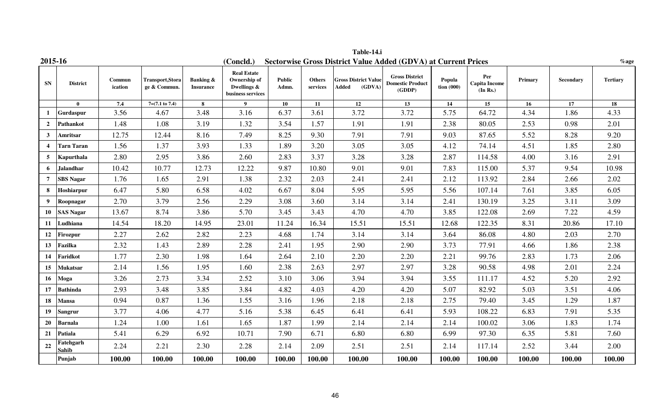| 2015-16          |                           |                   |                                        |                                          | (Concld.)                                                              |                        |                           | <b>Sectorwise Gross District Value Added (GDVA) at Current Prices</b> |                                                            |                        |                                         |         |           | $%$ age         |
|------------------|---------------------------|-------------------|----------------------------------------|------------------------------------------|------------------------------------------------------------------------|------------------------|---------------------------|-----------------------------------------------------------------------|------------------------------------------------------------|------------------------|-----------------------------------------|---------|-----------|-----------------|
| <b>SN</b>        | <b>District</b>           | Commun<br>ication | <b>Transport,Stora</b><br>ge & Commun. | <b>Banking &amp;</b><br><b>Insurance</b> | <b>Real Estate</b><br>Ownership of<br>Dwellings &<br>business services | <b>Public</b><br>Admn. | <b>Others</b><br>services | <b>Gross District Value</b><br>Added<br>(GDVA)                        | <b>Gross District</b><br><b>Domestic Product</b><br>(GDDP) | Popula<br>tion $(000)$ | Per<br><b>Capita Income</b><br>(In Rs.) | Primary | Secondary | <b>Tertiary</b> |
|                  | $\mathbf{0}$              | 7.4               | $7=(7.1 \text{ to } 7.4)$              | 8                                        | 9 <sup>1</sup>                                                         | 10                     | 11                        | 12                                                                    | 13                                                         | 14                     | 15                                      | 16      | 17        | $\overline{18}$ |
|                  | Gurdaspur                 | 3.56              | 4.67                                   | 3.48                                     | 3.16                                                                   | 6.37                   | 3.61                      | 3.72                                                                  | 3.72                                                       | 5.75                   | 64.72                                   | 4.34    | 1.86      | 4.33            |
| $\overline{2}$   | Pathankot                 | 1.48              | 1.08                                   | 3.19                                     | 1.32                                                                   | 3.54                   | 1.57                      | 1.91                                                                  | 1.91                                                       | 2.38                   | 80.05                                   | 2.53    | 0.98      | 2.01            |
| 3                | Amritsar                  | 12.75             | 12.44                                  | 8.16                                     | 7.49                                                                   | 8.25                   | 9.30                      | 7.91                                                                  | 7.91                                                       | 9.03                   | 87.65                                   | 5.52    | 8.28      | 9.20            |
| $\boldsymbol{4}$ | <b>Tarn Taran</b>         | 1.56              | 1.37                                   | 3.93                                     | 1.33                                                                   | 1.89                   | 3.20                      | 3.05                                                                  | 3.05                                                       | 4.12                   | 74.14                                   | 4.51    | 1.85      | 2.80            |
| $\overline{5}$   | Kapurthala                | 2.80              | 2.95                                   | 3.86                                     | 2.60                                                                   | 2.83                   | 3.37                      | 3.28                                                                  | 3.28                                                       | 2.87                   | 114.58                                  | 4.00    | 3.16      | 2.91            |
| 6                | <b>Jalandhar</b>          | 10.42             | 10.77                                  | 12.73                                    | 12.22                                                                  | 9.87                   | 10.80                     | 9.01                                                                  | 9.01                                                       | 7.83                   | 115.00                                  | 5.37    | 9.54      | 10.98           |
| $\overline{7}$   | <b>SBS Nagar</b>          | 1.76              | 1.65                                   | 2.91                                     | 1.38                                                                   | 2.32                   | 2.03                      | 2.41                                                                  | 2.41                                                       | 2.12                   | 113.92                                  | 2.84    | 2.66      | 2.02            |
| 8                | Hoshiarpur                | 6.47              | 5.80                                   | 6.58                                     | 4.02                                                                   | 6.67                   | 8.04                      | 5.95                                                                  | 5.95                                                       | 5.56                   | 107.14                                  | 7.61    | 3.85      | 6.05            |
| 9                | Roopnagar                 | 2.70              | 3.79                                   | 2.56                                     | 2.29                                                                   | 3.08                   | 3.60                      | 3.14                                                                  | 3.14                                                       | 2.41                   | 130.19                                  | 3.25    | 3.11      | 3.09            |
| 10               | <b>SAS Nagar</b>          | 13.67             | 8.74                                   | 3.86                                     | 5.70                                                                   | 3.45                   | 3.43                      | 4.70                                                                  | 4.70                                                       | 3.85                   | 122.08                                  | 2.69    | 7.22      | 4.59            |
| 11               | Ludhiana                  | 14.54             | 18.20                                  | 14.95                                    | 23.01                                                                  | 11.24                  | 16.34                     | 15.51                                                                 | 15.51                                                      | 12.68                  | 122.35                                  | 8.31    | 20.86     | 17.10           |
| 12               | Firozpur                  | 2.27              | 2.62                                   | 2.82                                     | 2.23                                                                   | 4.68                   | 1.74                      | 3.14                                                                  | 3.14                                                       | 3.64                   | 86.08                                   | 4.80    | 2.03      | 2.70            |
| 13               | Fazilka                   | 2.32              | 1.43                                   | 2.89                                     | 2.28                                                                   | 2.41                   | 1.95                      | 2.90                                                                  | 2.90                                                       | 3.73                   | 77.91                                   | 4.66    | 1.86      | 2.38            |
| 14               | Faridkot                  | 1.77              | 2.30                                   | 1.98                                     | 1.64                                                                   | 2.64                   | 2.10                      | 2.20                                                                  | 2.20                                                       | 2.21                   | 99.76                                   | 2.83    | 1.73      | 2.06            |
| 15               | <b>Mukatsar</b>           | 2.14              | 1.56                                   | 1.95                                     | 1.60                                                                   | 2.38                   | 2.63                      | 2.97                                                                  | 2.97                                                       | 3.28                   | 90.58                                   | 4.98    | 2.01      | 2.24            |
| 16               | <b>Moga</b>               | 3.26              | 2.73                                   | 3.34                                     | 2.52                                                                   | 3.10                   | 3.06                      | 3.94                                                                  | 3.94                                                       | 3.55                   | 111.17                                  | 4.52    | 5.20      | 2.92            |
| 17               | <b>Bathinda</b>           | 2.93              | 3.48                                   | 3.85                                     | 3.84                                                                   | 4.82                   | 4.03                      | 4.20                                                                  | 4.20                                                       | 5.07                   | 82.92                                   | 5.03    | 3.51      | 4.06            |
| 18               | <b>Mansa</b>              | 0.94              | 0.87                                   | 1.36                                     | 1.55                                                                   | 3.16                   | 1.96                      | 2.18                                                                  | 2.18                                                       | 2.75                   | 79.40                                   | 3.45    | 1.29      | 1.87            |
| 19               | <b>Sangrur</b>            | 3.77              | 4.06                                   | 4.77                                     | 5.16                                                                   | 5.38                   | 6.45                      | 6.41                                                                  | 6.41                                                       | 5.93                   | 108.22                                  | 6.83    | 7.91      | 5.35            |
| 20               | <b>Barnala</b>            | 1.24              | 1.00                                   | 1.61                                     | 1.65                                                                   | 1.87                   | 1.99                      | 2.14                                                                  | 2.14                                                       | 2.14                   | 100.02                                  | 3.06    | 1.83      | 1.74            |
| 21               | Patiala                   | 5.41              | 6.29                                   | 6.92                                     | 10.71                                                                  | 7.90                   | 6.71                      | 6.80                                                                  | 6.80                                                       | 6.99                   | 97.30                                   | 6.35    | 5.81      | 7.60            |
| 22               | Fatehgarh<br><b>Sahib</b> | 2.24              | 2.21                                   | 2.30                                     | 2.28                                                                   | 2.14                   | 2.09                      | 2.51                                                                  | 2.51                                                       | 2.14                   | 117.14                                  | 2.52    | 3.44      | 2.00            |
|                  | Punjab                    | 100.00            | 100.00                                 | 100.00                                   | 100.00                                                                 | 100.00                 | 100.00                    | 100.00                                                                | 100.00                                                     | 100.00                 | 100.00                                  | 100.00  | 100.00    | 100.00          |

**Table-14.i**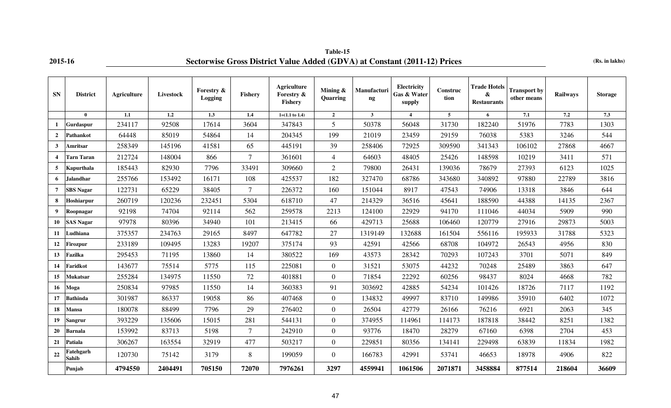# **Table-15 2015-16 Sectorwise Gross District Value Added (GDVA) at Constant (2011-12) Prices (Rs. in lakhs)**

| <b>SN</b>               | <b>District</b>    | <b>Agriculture</b> | Livestock | <b>Forestry &amp;</b><br>Logging | Fishery        | <b>Agriculture</b><br>Forestry &<br><b>Fishery</b> | Mining &<br>Quarring | Manufacturi<br>$\mathbf{ng}$ | Electricity<br>Gas & Water<br>supply | Construc<br>tion | <b>Trade Hotels</b><br>&<br><b>Restaurants</b> | <b>Transport by</b><br>other means | Railways | <b>Storage</b> |
|-------------------------|--------------------|--------------------|-----------|----------------------------------|----------------|----------------------------------------------------|----------------------|------------------------------|--------------------------------------|------------------|------------------------------------------------|------------------------------------|----------|----------------|
|                         | $\mathbf{0}$       | 1.1                | 1.2       | 1.3                              | 1.4            | $1=(1.1 \text{ to } 1.4)$                          | $\overline{2}$       | $\mathbf{3}$                 | $\blacktriangleleft$                 | $5^{\circ}$      | 6                                              | 7.1                                | 7.2      | 7.3            |
| 1                       | <b>Gurdaspur</b>   | 234117             | 92508     | 17614                            | 3604           | 347843                                             | 5                    | 50378                        | 56048                                | 31730            | 182240                                         | 51976                              | 7783     | 1303           |
| $\overline{2}$          | <b>Pathankot</b>   | 64448              | 85019     | 54864                            | 14             | 204345                                             | 199                  | 21019                        | 23459                                | 29159            | 76038                                          | 5383                               | 3246     | 544            |
| 3                       | Amritsar           | 258349             | 145196    | 41581                            | 65             | 445191                                             | 39                   | 258406                       | 72925                                | 309590           | 341343                                         | 106102                             | 27868    | 4667           |
| $\overline{\mathbf{4}}$ | <b>Tarn Taran</b>  | 212724             | 148004    | 866                              | $\overline{7}$ | 361601                                             | $\overline{4}$       | 64603                        | 48405                                | 25426            | 148598                                         | 10219                              | 3411     | 571            |
| 5                       | Kapurthala         | 185443             | 82930     | 7796                             | 33491          | 309660                                             | $\overline{2}$       | 79800                        | 26431                                | 139036           | 78679                                          | 27393                              | 6123     | 1025           |
| 6                       | Jalandhar          | 255766             | 153492    | 16171                            | 108            | 425537                                             | 182                  | 327470                       | 68786                                | 343680           | 340892                                         | 97880                              | 22789    | 3816           |
| $\overline{7}$          | <b>SBS Nagar</b>   | 122731             | 65229     | 38405                            | $\tau$         | 226372                                             | 160                  | 151044                       | 8917                                 | 47543            | 74906                                          | 13318                              | 3846     | 644            |
| 8                       | Hoshiarpur         | 260719             | 120236    | 232451                           | 5304           | 618710                                             | 47                   | 214329                       | 36516                                | 45641            | 188590                                         | 44388                              | 14135    | 2367           |
| 9                       | Roopnagar          | 92198              | 74704     | 92114                            | 562            | 259578                                             | 2213                 | 124100                       | 22929                                | 94170            | 111046                                         | 44034                              | 5909     | 990            |
| 10                      | <b>SAS Nagar</b>   | 97978              | 80396     | 34940                            | 101            | 213415                                             | 66                   | 429713                       | 25688                                | 106460           | 120779                                         | 27916                              | 29873    | 5003           |
| 11                      | Ludhiana           | 375357             | 234763    | 29165                            | 8497           | 647782                                             | 27                   | 1319149                      | 132688                               | 161504           | 556116                                         | 195933                             | 31788    | 5323           |
| 12                      | Firozpur           | 233189             | 109495    | 13283                            | 19207          | 375174                                             | 93                   | 42591                        | 42566                                | 68708            | 104972                                         | 26543                              | 4956     | 830            |
| 13                      | Fazilka            | 295453             | 71195     | 13860                            | 14             | 380522                                             | 169                  | 43573                        | 28342                                | 70293            | 107243                                         | 3701                               | 5071     | 849            |
| 14                      | Faridkot           | 143677             | 75514     | 5775                             | 115            | 225081                                             | $\overline{0}$       | 31521                        | 53075                                | 44232            | 70248                                          | 25489                              | 3863     | 647            |
| 15                      | Mukatsar           | 255284             | 134975    | 11550                            | 72             | 401881                                             | $\Omega$             | 71854                        | 22292                                | 60256            | 98437                                          | 8024                               | 4668     | 782            |
| 16                      | Moga               | 250834             | 97985     | 11550                            | 14             | 360383                                             | 91                   | 303692                       | 42885                                | 54234            | 101426                                         | 18726                              | 7117     | 1192           |
| 17                      | <b>Bathinda</b>    | 301987             | 86337     | 19058                            | 86             | 407468                                             | $\overline{0}$       | 134832                       | 49997                                | 83710            | 149986                                         | 35910                              | 6402     | 1072           |
| 18                      | Mansa              | 180078             | 88499     | 7796                             | 29             | 276402                                             | $\overline{0}$       | 26504                        | 42779                                | 26166            | 76216                                          | 6921                               | 2063     | 345            |
| 19                      | <b>Sangrur</b>     | 393229             | 135606    | 15015                            | 281            | 544131                                             | $\theta$             | 374955                       | 114961                               | 114173           | 187818                                         | 38442                              | 8251     | 1382           |
| 20                      | <b>Barnala</b>     | 153992             | 83713     | 5198                             | $\overline{7}$ | 242910                                             | $\overline{0}$       | 93776                        | 18470                                | 28279            | 67160                                          | 6398                               | 2704     | 453            |
| 21                      | Patiala            | 306267             | 163554    | 32919                            | 477            | 503217                                             | $\overline{0}$       | 229851                       | 80356                                | 134141           | 229498                                         | 63839                              | 11834    | 1982           |
| 22                      | Fatehgarh<br>Sahib | 120730             | 75142     | 3179                             | 8              | 199059                                             | $\overline{0}$       | 166783                       | 42991                                | 53741            | 46653                                          | 18978                              | 4906     | 822            |
|                         | Punjab             | 4794550            | 2404491   | 705150                           | 72070          | 7976261                                            | 3297                 | 4559941                      | 1061506                              | 2071871          | 3458884                                        | 877514                             | 218604   | 36609          |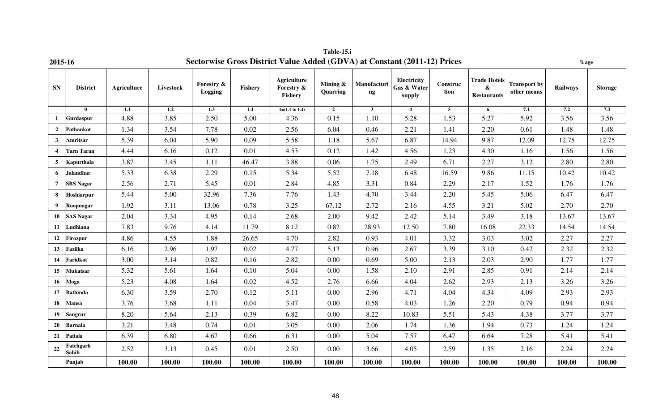| <b>2015-10</b>          |                    |                    |           |                       |         | $\overline{S}$ sector wise Gross District Value Added (GDVA) at Constant (2011-12) Frices |                      |                   |                                      |                  |                                                |                                    | % age    |                |
|-------------------------|--------------------|--------------------|-----------|-----------------------|---------|-------------------------------------------------------------------------------------------|----------------------|-------------------|--------------------------------------|------------------|------------------------------------------------|------------------------------------|----------|----------------|
| <b>SN</b>               | <b>District</b>    | <b>Agriculture</b> | Livestock | Forestry &<br>Logging | Fishery | <b>Agriculture</b><br>Forestry &<br><b>Fishery</b>                                        | Mining &<br>Quarring | Manufacturi<br>ng | Electricity<br>Gas & Water<br>supply | Construc<br>tion | <b>Trade Hotels</b><br>&<br><b>Restaurants</b> | <b>Transport by</b><br>other means | Railways | <b>Storage</b> |
|                         | $\mathbf{0}$       | 1.1                | 1.2       | 1.3                   | 1.4     | $1=(1.1 \text{ to } 1.4)$                                                                 | $\overline{2}$       | 3 <sup>1</sup>    | $\overline{4}$                       | 5 <sub>5</sub>   | 6                                              | 7.1                                | 7.2      | 7.3            |
| $\mathbf{1}$            | Gurdaspur          | 4.88               | 3.85      | 2.50                  | 5.00    | 4.36                                                                                      | 0.15                 | 1.10              | 5.28                                 | 1.53             | 5.27                                           | 5.92                               | 3.56     | 3.56           |
| $\overline{2}$          | Pathankot          | 1.34               | 3.54      | 7.78                  | 0.02    | 2.56                                                                                      | 6.04                 | 0.46              | 2.21                                 | 1.41             | 2.20                                           | 0.61                               | 1.48     | 1.48           |
| $\mathbf{3}$            | <b>Amritsar</b>    | 5.39               | 6.04      | 5.90                  | 0.09    | 5.58                                                                                      | 1.18                 | 5.67              | 6.87                                 | 14.94            | 9.87                                           | 12.09                              | 12.75    | 12.75          |
| $\overline{\mathbf{4}}$ | <b>Tarn Taran</b>  | 4.44               | 6.16      | 0.12                  | 0.01    | 4.53                                                                                      | 0.12                 | 1.42              | 4.56                                 | 1.23             | 4.30                                           | 1.16                               | 1.56     | 1.56           |
| 5                       | Kapurthala         | 3.87               | 3.45      | 1.11                  | 46.47   | 3.88                                                                                      | 0.06                 | 1.75              | 2.49                                 | 6.71             | 2.27                                           | 3.12                               | 2.80     | 2.80           |
| 6                       | <b>Jalandhar</b>   | 5.33               | 6.38      | 2.29                  | 0.15    | 5.34                                                                                      | 5.52                 | 7.18              | 6.48                                 | 16.59            | 9.86                                           | 11.15                              | 10.42    | 10.42          |
| $\overline{7}$          | <b>SBS</b> Nagar   | 2.56               | 2.71      | 5.45                  | 0.01    | 2.84                                                                                      | 4.85                 | 3.31              | 0.84                                 | 2.29             | 2.17                                           | 1.52                               | 1.76     | 1.76           |
| 8                       | Hoshiarpur         | 5.44               | 5.00      | 32.96                 | 7.36    | 7.76                                                                                      | 1.43                 | 4.70              | 3.44                                 | 2.20             | 5.45                                           | 5.06                               | 6.47     | 6.47           |
| $\boldsymbol{9}$        | Roopnagar          | 1.92               | 3.11      | 13.06                 | 0.78    | 3.25                                                                                      | 67.12                | 2.72              | 2.16                                 | 4.55             | 3.21                                           | 5.02                               | 2.70     | 2.70           |
| 10                      | <b>SAS Nagar</b>   | 2.04               | 3.34      | 4.95                  | 0.14    | 2.68                                                                                      | 2.00                 | 9.42              | 2.42                                 | 5.14             | 3.49                                           | 3.18                               | 13.67    | 13.67          |
| 11                      | Ludhiana           | 7.83               | 9.76      | 4.14                  | 11.79   | 8.12                                                                                      | 0.82                 | 28.93             | 12.50                                | 7.80             | 16.08                                          | 22.33                              | 14.54    | 14.54          |
| 12                      | <b>Firozpur</b>    | 4.86               | 4.55      | 1.88                  | 26.65   | 4.70                                                                                      | 2.82                 | 0.93              | 4.01                                 | 3.32             | 3.03                                           | 3.02                               | 2.27     | 2.27           |
| 13                      | Fazilka            | 6.16               | 2.96      | 1.97                  | 0.02    | 4.77                                                                                      | 5.13                 | 0.96              | 2.67                                 | 3.39             | 3.10                                           | 0.42                               | 2.32     | 2.32           |
| 14                      | Faridkot           | 3.00               | 3.14      | 0.82                  | 0.16    | 2.82                                                                                      | 0.00                 | 0.69              | 5.00                                 | 2.13             | 2.03                                           | 2.90                               | 1.77     | 1.77           |
| 15                      | <b>Mukatsar</b>    | 5.32               | 5.61      | 1.64                  | 0.10    | 5.04                                                                                      | 0.00                 | 1.58              | 2.10                                 | 2.91             | 2.85                                           | 0.91                               | 2.14     | 2.14           |
| 16                      | Moga               | 5.23               | 4.08      | 1.64                  | 0.02    | 4.52                                                                                      | 2.76                 | 6.66              | 4.04                                 | 2.62             | 2.93                                           | 2.13                               | 3.26     | 3.26           |
| 17                      | <b>Bathinda</b>    | 6.30               | 3.59      | 2.70                  | 0.12    | 5.11                                                                                      | 0.00                 | 2.96              | 4.71                                 | 4.04             | 4.34                                           | 4.09                               | 2.93     | 2.93           |
| 18                      | <b>Mansa</b>       | 3.76               | 3.68      | 1.11                  | 0.04    | 3.47                                                                                      | 0.00                 | 0.58              | 4.03                                 | 1.26             | 2.20                                           | 0.79                               | 0.94     | 0.94           |
| 19                      | <b>Sangrur</b>     | 8.20               | 5.64      | 2.13                  | 0.39    | 6.82                                                                                      | 0.00                 | 8.22              | 10.83                                | 5.51             | 5.43                                           | 4.38                               | 3.77     | 3.77           |
| 20                      | <b>Barnala</b>     | 3.21               | 3.48      | 0.74                  | 0.01    | 3.05                                                                                      | 0.00                 | 2.06              | 1.74                                 | 1.36             | 1.94                                           | 0.73                               | 1.24     | 1.24           |
| 21                      | Patiala            | 6.39               | 6.80      | 4.67                  | 0.66    | 6.31                                                                                      | 0.00                 | 5.04              | 7.57                                 | 6.47             | 6.64                                           | 7.28                               | 5.41     | 5.41           |
| 22                      | Fatehgarh<br>Sahib | 2.52               | 3.13      | 0.45                  | 0.01    | 2.50                                                                                      | $0.00\,$             | 3.66              | 4.05                                 | 2.59             | 1.35                                           | 2.16                               | 2.24     | 2.24           |
|                         | Punjab             | 100.00             | 100.00    | 100.00                | 100.00  | 100.00                                                                                    | 100.00               | 100.00            | 100.00                               | 100.00           | 100.00                                         | 100.00                             | 100.00   | 100.00         |

**Table-15.i** 2015-16 **Sectorwise Gross District Value Added (GDVA) at Constant (2011-12) Prices <b>***w*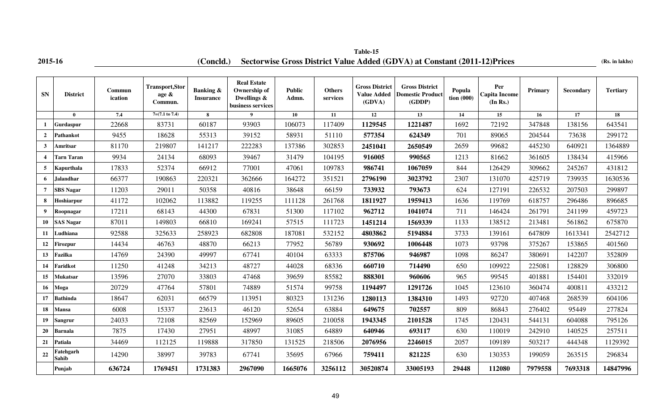# **2015-16 (Concld.)** Sectorwise Gross District Value Added (GDVA) at Constant (2011-12)Prices (Rs. in lakhs) **Table-15**

| <b>SN</b>               | <b>District</b>    | Commun<br>ication | <b>Transport, Stor</b><br>age $\&$<br>Commun. | <b>Banking &amp;</b><br><b>Insurance</b> | <b>Real Estate</b><br>Ownership of<br>Dwellings &<br>business services | <b>Public</b><br>Admn. | <b>Others</b><br>services | <b>Gross District</b><br><b>Value Added</b><br>(GDVA) | <b>Gross District</b><br><b>Domestic Product</b><br>(GDDP) | Popula<br>$\frac{1}{2}$ tion (000) | Per<br><b>Capita Income</b><br>(In Rs.) | Primary | Secondary | <b>Tertiary</b> |
|-------------------------|--------------------|-------------------|-----------------------------------------------|------------------------------------------|------------------------------------------------------------------------|------------------------|---------------------------|-------------------------------------------------------|------------------------------------------------------------|------------------------------------|-----------------------------------------|---------|-----------|-----------------|
|                         | $\mathbf{0}$       | 7.4               | $7=(7.1 \text{ to } 7.4)$                     | 8                                        | $\overline{\mathbf{9}}$                                                | 10                     | 11                        | 12                                                    | 13                                                         | 14                                 | 15                                      | 16      | 17        | 18              |
| 1                       | Gurdaspur          | 22668             | 83731                                         | 60187                                    | 93903                                                                  | 106073                 | 117409                    | 1129545                                               | 1221487                                                    | 1692                               | 72192                                   | 347848  | 138156    | 643541          |
| $\overline{2}$          | Pathankot          | 9455              | 18628                                         | 55313                                    | 39152                                                                  | 58931                  | 51110                     | 577354                                                | 624349                                                     | 701                                | 89065                                   | 204544  | 73638     | 299172          |
| $\mathbf{3}$            | Amritsar           | 81170             | 219807                                        | 141217                                   | 222283                                                                 | 137386                 | 302853                    | 2451041                                               | 2650549                                                    | 2659                               | 99682                                   | 445230  | 640921    | 1364889         |
| $\overline{\mathbf{4}}$ | <b>Tarn Taran</b>  | 9934              | 24134                                         | 68093                                    | 39467                                                                  | 31479                  | 104195                    | 916005                                                | 990565                                                     | 1213                               | 81662                                   | 361605  | 138434    | 415966          |
| 5                       | Kapurthala         | 17833             | 52374                                         | 66912                                    | 77001                                                                  | 47061                  | 109783                    | 986741                                                | 1067059                                                    | 844                                | 126429                                  | 309662  | 245267    | 431812          |
| 6                       | Jalandhar          | 66377             | 190863                                        | 220321                                   | 362666                                                                 | 164272                 | 351521                    | 2796190                                               | 3023792                                                    | 2307                               | 131070                                  | 425719  | 739935    | 1630536         |
| $\overline{7}$          | <b>SBS</b> Nagar   | 11203             | 29011                                         | 50358                                    | 40816                                                                  | 38648                  | 66159                     | 733932                                                | 793673                                                     | 624                                | 127191                                  | 226532  | 207503    | 299897          |
| 8                       | Hoshiarpur         | 41172             | 102062                                        | 113882                                   | 119255                                                                 | 111128                 | 261768                    | 1811927                                               | 1959413                                                    | 1636                               | 119769                                  | 618757  | 296486    | 896685          |
| 9                       | Roopnagar          | 17211             | 68143                                         | 44300                                    | 67831                                                                  | 51300                  | 117102                    | 962712                                                | 1041074                                                    | 711                                | 146424                                  | 261791  | 241199    | 459723          |
| 10                      | <b>SAS Nagar</b>   | 87011             | 149803                                        | 66810                                    | 169241                                                                 | 57515                  | 111723                    | 1451214                                               | 1569339                                                    | 1133                               | 138512                                  | 213481  | 561862    | 675870          |
| 11                      | Ludhiana           | 92588             | 325633                                        | 258923                                   | 682808                                                                 | 187081                 | 532152                    | 4803862                                               | 5194884                                                    | 3733                               | 139161                                  | 647809  | 1613341   | 2542712         |
| 12                      | Firozpur           | 14434             | 46763                                         | 48870                                    | 66213                                                                  | 77952                  | 56789                     | 930692                                                | 1006448                                                    | 1073                               | 93798                                   | 375267  | 153865    | 401560          |
| 13                      | Fazilka            | 14769             | 24390                                         | 49997                                    | 67741                                                                  | 40104                  | 63333                     | 875706                                                | 946987                                                     | 1098                               | 86247                                   | 380691  | 142207    | 352809          |
| 14                      | Faridkot           | 11250             | 41248                                         | 34213                                    | 48727                                                                  | 44028                  | 68336                     | 660710                                                | 714490                                                     | 650                                | 109922                                  | 225081  | 128829    | 306800          |
| 15                      | Mukatsar           | 13596             | 27070                                         | 33803                                    | 47468                                                                  | 39659                  | 85582                     | 888301                                                | 960606                                                     | 965                                | 99545                                   | 401881  | 154401    | 332019          |
| 16                      | Moga               | 20729             | 47764                                         | 57801                                    | 74889                                                                  | 51574                  | 99758                     | 1194497                                               | 1291726                                                    | 1045                               | 123610                                  | 360474  | 400811    | 433212          |
| 17                      | <b>Bathinda</b>    | 18647             | 62031                                         | 66579                                    | 113951                                                                 | 80323                  | 131236                    | 1280113                                               | 1384310                                                    | 1493                               | 92720                                   | 407468  | 268539    | 604106          |
| 18                      | Mansa              | 6008              | 15337                                         | 23613                                    | 46120                                                                  | 52654                  | 63884                     | 649675                                                | 702557                                                     | 809                                | 86843                                   | 276402  | 95449     | 277824          |
| 19                      | Sangrur            | 24033             | 72108                                         | 82569                                    | 152969                                                                 | 89605                  | 210058                    | 1943345                                               | 2101528                                                    | 1745                               | 120431                                  | 544131  | 604088    | 795126          |
| 20                      | Barnala            | 7875              | 17430                                         | 27951                                    | 48997                                                                  | 31085                  | 64889                     | 640946                                                | 693117                                                     | 630                                | 110019                                  | 242910  | 140525    | 257511          |
| 21                      | Patiala            | 34469             | 112125                                        | 119888                                   | 317850                                                                 | 131525                 | 218506                    | 2076956                                               | 2246015                                                    | 2057                               | 109189                                  | 503217  | 444348    | 1129392         |
| 22                      | Fatehgarh<br>Sahib | 14290             | 38997                                         | 39783                                    | 67741                                                                  | 35695                  | 67966                     | 759411                                                | 821225                                                     | 630                                | 130353                                  | 199059  | 263515    | 296834          |
|                         | Punjab             | 636724            | 1769451                                       | 1731383                                  | 2967090                                                                | 1665076                | 3256112                   | 30520874                                              | 33005193                                                   | 29448                              | 112080                                  | 7979558 | 7693318   | 14847996        |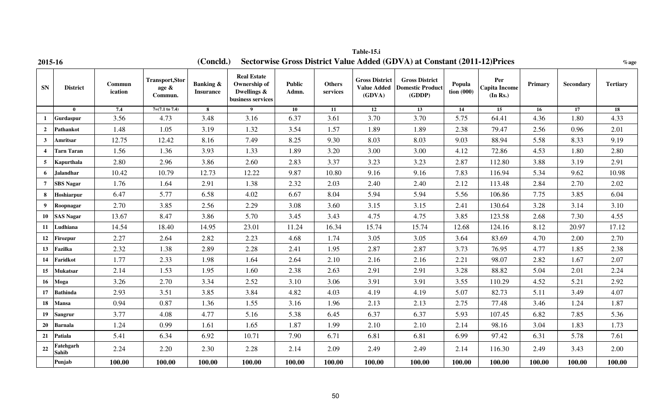| 2015-16          |                    |                   |                                           | (Concld.)                                |                                                                        |                        |                           |                                                       | Sectorwise Gross District Value Added (GDVA) at Constant (2011-12) Prices |                                      |                                         |         |           | $\%$ age        |
|------------------|--------------------|-------------------|-------------------------------------------|------------------------------------------|------------------------------------------------------------------------|------------------------|---------------------------|-------------------------------------------------------|---------------------------------------------------------------------------|--------------------------------------|-----------------------------------------|---------|-----------|-----------------|
| SN               | <b>District</b>    | Commun<br>ication | <b>Transport,Stor</b><br>age &<br>Commun. | <b>Banking &amp;</b><br><b>Insurance</b> | <b>Real Estate</b><br>Ownership of<br>Dwellings &<br>business services | <b>Public</b><br>Admn. | <b>Others</b><br>services | <b>Gross District</b><br><b>Value Added</b><br>(GDVA) | <b>Gross District</b><br><b>Domestic Product</b><br>(GDDP)                | Popula<br>$\frac{1}{2}$ tion $(000)$ | Per<br><b>Capita Income</b><br>(In Rs.) | Primary | Secondary | <b>Tertiary</b> |
|                  | $\mathbf{0}$       | 7.4               | $7=(7.1 \text{ to } 7.4)$                 | 8                                        | 9                                                                      | 10                     | 11                        | 12                                                    | 13                                                                        | 14                                   | 15                                      | 16      | 17        | 18              |
| $\mathbf{1}$     | Gurdaspur          | 3.56              | 4.73                                      | 3.48                                     | 3.16                                                                   | 6.37                   | 3.61                      | 3.70                                                  | 3.70                                                                      | 5.75                                 | 64.41                                   | 4.36    | 1.80      | 4.33            |
| $\overline{2}$   | Pathankot          | 1.48              | 1.05                                      | 3.19                                     | 1.32                                                                   | 3.54                   | 1.57                      | 1.89                                                  | 1.89                                                                      | 2.38                                 | 79.47                                   | 2.56    | 0.96      | 2.01            |
| $\mathbf{3}$     | Amritsar           | 12.75             | 12.42                                     | 8.16                                     | 7.49                                                                   | 8.25                   | 9.30                      | 8.03                                                  | 8.03                                                                      | 9.03                                 | 88.94                                   | 5.58    | 8.33      | 9.19            |
| $\overline{4}$   | <b>Tarn Taran</b>  | 1.56              | 1.36                                      | 3.93                                     | 1.33                                                                   | 1.89                   | 3.20                      | 3.00                                                  | 3.00                                                                      | 4.12                                 | 72.86                                   | 4.53    | 1.80      | 2.80            |
| 5                | Kapurthala         | 2.80              | 2.96                                      | 3.86                                     | 2.60                                                                   | 2.83                   | 3.37                      | 3.23                                                  | 3.23                                                                      | 2.87                                 | 112.80                                  | 3.88    | 3.19      | 2.91            |
| 6                | <b>Jalandhar</b>   | 10.42             | 10.79                                     | 12.73                                    | 12.22                                                                  | 9.87                   | 10.80                     | 9.16                                                  | 9.16                                                                      | 7.83                                 | 116.94                                  | 5.34    | 9.62      | 10.98           |
| $\overline{7}$   | <b>SBS Nagar</b>   | 1.76              | 1.64                                      | 2.91                                     | 1.38                                                                   | 2.32                   | 2.03                      | 2.40                                                  | 2.40                                                                      | 2.12                                 | 113.48                                  | 2.84    | 2.70      | 2.02            |
| 8                | Hoshiarpur         | 6.47              | 5.77                                      | 6.58                                     | 4.02                                                                   | 6.67                   | 8.04                      | 5.94                                                  | 5.94                                                                      | 5.56                                 | 106.86                                  | 7.75    | 3.85      | 6.04            |
| 9                | Roopnagar          | 2.70              | 3.85                                      | 2.56                                     | 2.29                                                                   | 3.08                   | 3.60                      | 3.15                                                  | 3.15                                                                      | 2.41                                 | 130.64                                  | 3.28    | 3.14      | 3.10            |
| 10               | <b>SAS Nagar</b>   | 13.67             | 8.47                                      | 3.86                                     | 5.70                                                                   | 3.45                   | 3.43                      | 4.75                                                  | 4.75                                                                      | 3.85                                 | 123.58                                  | 2.68    | 7.30      | 4.55            |
| 11               | Ludhiana           | 14.54             | 18.40                                     | 14.95                                    | 23.01                                                                  | 11.24                  | 16.34                     | 15.74                                                 | 15.74                                                                     | 12.68                                | 124.16                                  | 8.12    | 20.97     | 17.12           |
| 12               | Firozpur           | 2.27              | 2.64                                      | 2.82                                     | 2.23                                                                   | 4.68                   | 1.74                      | 3.05                                                  | 3.05                                                                      | 3.64                                 | 83.69                                   | 4.70    | 2.00      | 2.70            |
| 13 <sup>13</sup> | Fazilka            | 2.32              | 1.38                                      | 2.89                                     | 2.28                                                                   | 2.41                   | 1.95                      | 2.87                                                  | 2.87                                                                      | 3.73                                 | 76.95                                   | 4.77    | 1.85      | 2.38            |
| 14               | Faridkot           | 1.77              | 2.33                                      | 1.98                                     | 1.64                                                                   | 2.64                   | 2.10                      | 2.16                                                  | 2.16                                                                      | 2.21                                 | 98.07                                   | 2.82    | 1.67      | 2.07            |
| 15               | <b>Mukatsar</b>    | 2.14              | 1.53                                      | 1.95                                     | 1.60                                                                   | 2.38                   | 2.63                      | 2.91                                                  | 2.91                                                                      | 3.28                                 | 88.82                                   | 5.04    | 2.01      | 2.24            |
| 16               | <b>Moga</b>        | 3.26              | 2.70                                      | 3.34                                     | 2.52                                                                   | 3.10                   | 3.06                      | 3.91                                                  | 3.91                                                                      | 3.55                                 | 110.29                                  | 4.52    | 5.21      | 2.92            |
| 17               | <b>Bathinda</b>    | 2.93              | 3.51                                      | 3.85                                     | 3.84                                                                   | 4.82                   | 4.03                      | 4.19                                                  | 4.19                                                                      | 5.07                                 | 82.73                                   | 5.11    | 3.49      | 4.07            |
| 18               | <b>Mansa</b>       | 0.94              | 0.87                                      | 1.36                                     | 1.55                                                                   | 3.16                   | 1.96                      | 2.13                                                  | 2.13                                                                      | 2.75                                 | 77.48                                   | 3.46    | 1.24      | 1.87            |
| 19               | <b>Sangrur</b>     | 3.77              | 4.08                                      | 4.77                                     | 5.16                                                                   | 5.38                   | 6.45                      | 6.37                                                  | 6.37                                                                      | 5.93                                 | 107.45                                  | 6.82    | 7.85      | 5.36            |
| 20               | <b>Barnala</b>     | 1.24              | 0.99                                      | 1.61                                     | 1.65                                                                   | 1.87                   | 1.99                      | 2.10                                                  | 2.10                                                                      | 2.14                                 | 98.16                                   | 3.04    | 1.83      | 1.73            |
| 21               | Patiala            | 5.41              | 6.34                                      | 6.92                                     | 10.71                                                                  | 7.90                   | 6.71                      | 6.81                                                  | 6.81                                                                      | 6.99                                 | 97.42                                   | 6.31    | 5.78      | 7.61            |
| 22               | Fatehgarh<br>Sahib | 2.24              | 2.20                                      | 2.30                                     | 2.28                                                                   | 2.14                   | 2.09                      | 2.49                                                  | 2.49                                                                      | 2.14                                 | 116.30                                  | 2.49    | 3.43      | 2.00            |
|                  | Punjab             | 100.00            | 100.00                                    | 100.00                                   | 100.00                                                                 | 100.00                 | 100.00                    | 100.00                                                | 100.00                                                                    | 100.00                               | 100.00                                  | 100.00  | 100.00    | 100.00          |

**Table-15.i**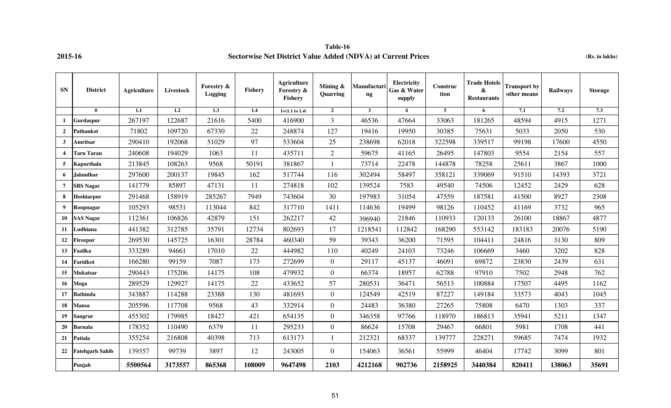### **Table-16 2015-16 Sectorwise Net District Value Added (NDVA) at Current Prices (Rs. in lakhs)**

| <b>SN</b>               | <b>District</b>        | <b>Agriculture</b> | Livestock | Forestry &<br>Logging | <b>Fishery</b> | <b>Agriculture</b><br>Forestry &<br>Fishery | Mining $\&$<br>Quarring | Manufacturi<br>$\mathbf{ng}$ | Electricity<br>Gas & Water<br>supply | Construc<br>tion | <b>Trade Hotels</b><br>$\pmb{\&}$<br><b>Restaurants</b> | <b>Transport by</b><br>other means | <b>Railways</b> | <b>Storage</b> |
|-------------------------|------------------------|--------------------|-----------|-----------------------|----------------|---------------------------------------------|-------------------------|------------------------------|--------------------------------------|------------------|---------------------------------------------------------|------------------------------------|-----------------|----------------|
|                         | $\mathbf{0}$           | 1.1                | 1.2       | 1.3                   | 1.4            | $1=(1.1 \text{ to } 1.4)$                   | $\overline{2}$          | $\overline{\mathbf{3}}$      | $\overline{4}$                       | 5                | 6                                                       | 7.1                                | 7.2             | 7.3            |
| 1                       | Gurdaspur              | 267197             | 122687    | 21616                 | 5400           | 416900                                      | $\mathfrak{Z}$          | 46536                        | 47664                                | 33063            | 181265                                                  | 48594                              | 4915            | 1271           |
| $\mathbf{2}$            | Pathankot              | 71802              | 109720    | 67330                 | 22             | 248874                                      | 127                     | 19416                        | 19950                                | 30385            | 75631                                                   | 5033                               | 2050            | 530            |
| $\mathbf{3}$            | Amritsar               | 290410             | 192068    | 51029                 | 97             | 533604                                      | 25                      | 238698                       | 62018                                | 322598           | 339517                                                  | 99198                              | 17600           | 4550           |
| $\overline{\mathbf{4}}$ | <b>Tarn Taran</b>      | 240608             | 194029    | 1063                  | 11             | 435711                                      | $\overline{2}$          | 59675                        | 41165                                | 26495            | 147803                                                  | 9554                               | 2154            | 557            |
| 5                       | Kapurthala             | 213845             | 108263    | 9568                  | 50191          | 381867                                      |                         | 73714                        | 22478                                | 144878           | 78258                                                   | 25611                              | 3867            | 1000           |
| 6                       | <b>Jalandhar</b>       | 297600             | 200137    | 19845                 | 162            | 517744                                      | 116                     | 302494                       | 58497                                | 358121           | 339069                                                  | 91510                              | 14393           | 3721           |
| $\overline{7}$          | <b>SBS</b> Nagar       | 141779             | 85897     | 47131                 | 11             | 274818                                      | 102                     | 139524                       | 7583                                 | 49540            | 74506                                                   | 12452                              | 2429            | 628            |
| 8                       | Hoshiarpur             | 291468             | 158919    | 285267                | 7949           | 743604                                      | 30                      | 197983                       | 31054                                | 47559            | 187581                                                  | 41500                              | 8927            | 2308           |
| 9                       | Roopnagar              | 105293             | 98531     | 113044                | 842            | 317710                                      | 1411                    | 114636                       | 19499                                | 98126            | 110452                                                  | 41169                              | 3732            | 965            |
| 10                      | <b>SAS Nagar</b>       | 112361             | 106826    | 42879                 | 151            | 262217                                      | 42                      | 396940                       | 21846                                | 110933           | 120133                                                  | 26100                              | 18867           | 4877           |
| 11                      | Ludhiana               | 441382             | 312785    | 35791                 | 12734          | 802693                                      | 17                      | 1218541                      | 112842                               | 168290           | 553142                                                  | 183183                             | 20076           | 5190           |
| 12                      | Firozpur               | 269530             | 145725    | 16301                 | 28784          | 460340                                      | 59                      | 39343                        | 36200                                | 71595            | 104411                                                  | 24816                              | 3130            | 809            |
| 13                      | Fazilka                | 333289             | 94661     | 17010                 | 22             | 444982                                      | 110                     | 40249                        | 24103                                | 73246            | 106669                                                  | 3460                               | 3202            | 828            |
| 14                      | Faridkot               | 166280             | 99159     | 7087                  | 173            | 272699                                      | $\overline{0}$          | 29117                        | 45137                                | 46091            | 69872                                                   | 23830                              | 2439            | 631            |
| 15                      | <b>Mukatsar</b>        | 290443             | 175206    | 14175                 | 108            | 479932                                      | $\overline{0}$          | 66374                        | 18957                                | 62788            | 97910                                                   | 7502                               | 2948            | 762            |
| 16                      | Moga                   | 289529             | 129927    | 14175                 | 22             | 433652                                      | 57                      | 280531                       | 36471                                | 56513            | 100884                                                  | 17507                              | 4495            | 1162           |
| 17                      | <b>Bathinda</b>        | 343887             | 114288    | 23388                 | 130            | 481693                                      | $\theta$                | 124549                       | 42519                                | 87227            | 149184                                                  | 33573                              | 4043            | 1045           |
| 18                      | <b>Mansa</b>           | 205596             | 117708    | 9568                  | 43             | 332914                                      | $\overline{0}$          | 24483                        | 36380                                | 27265            | 75808                                                   | 6470                               | 1303            | 337            |
| 19                      | Sangrur                | 455302             | 179985    | 18427                 | 421            | 654135                                      | $\overline{0}$          | 346358                       | 97766                                | 118970           | 186813                                                  | 35941                              | 5211            | 1347           |
| 20                      | <b>Barnala</b>         | 178352             | 110490    | 6379                  | 11             | 295233                                      | $\overline{0}$          | 86624                        | 15708                                | 29467            | 66801                                                   | 5981                               | 1708            | 441            |
| 21                      | Patiala                | 355254             | 216808    | 40398                 | 713            | 613173                                      |                         | 212321                       | 68337                                | 139777           | 228271                                                  | 59685                              | 7474            | 1932           |
| 22                      | <b>Fatehgarh Sahib</b> | 139357             | 99739     | 3897                  | 12             | 243005                                      | $\overline{0}$          | 154063                       | 36561                                | 55999            | 46404                                                   | 17742                              | 3099            | 801            |
|                         | Punjab                 | 5500564            | 3173557   | 865368                | 108009         | 9647498                                     | 2103                    | 4212168                      | 902736                               | 2158925          | 3440384                                                 | 820411                             | 138063          | 35691          |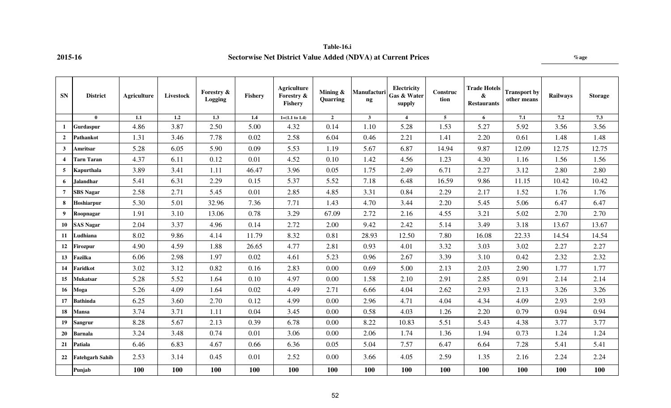# **Table-16.i 2015-16 Sectorwise Net District Value Added (NDVA) at Current Prices %age**

| <b>SN</b>               | <b>District</b>        | Agriculture | Livestock | Forestry &<br>Logging | Fishery | <b>Agriculture</b><br>Forestry &<br>Fishery | Mining $\&$<br>Quarring | Manufacturi<br>ng | Electricity<br>Gas & Water<br>supply | Construc<br>tion | <b>Trade Hotels</b><br>&<br><b>Restaurants</b> | <b>Transport by</b><br>other means | <b>Railways</b> | <b>Storage</b> |
|-------------------------|------------------------|-------------|-----------|-----------------------|---------|---------------------------------------------|-------------------------|-------------------|--------------------------------------|------------------|------------------------------------------------|------------------------------------|-----------------|----------------|
|                         | $\mathbf{0}$           | 1.1         | 1.2       | 1.3                   | 1.4     | $1=(1.1 \text{ to } 1.4)$                   | $\overline{2}$          | $\mathbf{3}$      | $\overline{4}$                       | $\overline{5}$   | 6                                              | 7.1                                | 7.2             | 7.3            |
| 1                       | Gurdaspur              | 4.86        | 3.87      | 2.50                  | 5.00    | 4.32                                        | 0.14                    | 1.10              | 5.28                                 | 1.53             | 5.27                                           | 5.92                               | 3.56            | 3.56           |
| $\overline{2}$          | Pathankot              | 1.31        | 3.46      | 7.78                  | 0.02    | 2.58                                        | 6.04                    | 0.46              | 2.21                                 | 1.41             | 2.20                                           | 0.61                               | 1.48            | 1.48           |
| $\mathbf{3}$            | <b>Amritsar</b>        | 5.28        | 6.05      | 5.90                  | 0.09    | 5.53                                        | 1.19                    | 5.67              | 6.87                                 | 14.94            | 9.87                                           | 12.09                              | 12.75           | 12.75          |
| $\overline{\mathbf{4}}$ | <b>Tarn Taran</b>      | 4.37        | 6.11      | 0.12                  | 0.01    | 4.52                                        | 0.10                    | 1.42              | 4.56                                 | 1.23             | 4.30                                           | 1.16                               | 1.56            | 1.56           |
| 5                       | Kapurthala             | 3.89        | 3.41      | 1.11                  | 46.47   | 3.96                                        | 0.05                    | 1.75              | 2.49                                 | 6.71             | 2.27                                           | 3.12                               | 2.80            | 2.80           |
| 6                       | Jalandhar              | 5.41        | 6.31      | 2.29                  | 0.15    | 5.37                                        | 5.52                    | 7.18              | 6.48                                 | 16.59            | 9.86                                           | 11.15                              | 10.42           | 10.42          |
| $\overline{7}$          | <b>SBS Nagar</b>       | 2.58        | 2.71      | 5.45                  | 0.01    | 2.85                                        | 4.85                    | 3.31              | 0.84                                 | 2.29             | 2.17                                           | 1.52                               | 1.76            | 1.76           |
| 8                       | Hoshiarpur             | 5.30        | 5.01      | 32.96                 | 7.36    | 7.71                                        | 1.43                    | 4.70              | 3.44                                 | 2.20             | 5.45                                           | 5.06                               | 6.47            | 6.47           |
| 9                       | Roopnagar              | 1.91        | 3.10      | 13.06                 | 0.78    | 3.29                                        | 67.09                   | 2.72              | 2.16                                 | 4.55             | 3.21                                           | 5.02                               | 2.70            | 2.70           |
| 10                      | <b>SAS Nagar</b>       | 2.04        | 3.37      | 4.96                  | 0.14    | 2.72                                        | 2.00                    | 9.42              | 2.42                                 | 5.14             | 3.49                                           | 3.18                               | 13.67           | 13.67          |
| 11                      | Ludhiana               | 8.02        | 9.86      | 4.14                  | 11.79   | 8.32                                        | 0.81                    | 28.93             | 12.50                                | 7.80             | 16.08                                          | 22.33                              | 14.54           | 14.54          |
| 12                      | Firozpur               | 4.90        | 4.59      | 1.88                  | 26.65   | 4.77                                        | 2.81                    | 0.93              | 4.01                                 | 3.32             | 3.03                                           | 3.02                               | 2.27            | 2.27           |
| 13                      | Fazilka                | 6.06        | 2.98      | 1.97                  | 0.02    | 4.61                                        | 5.23                    | 0.96              | 2.67                                 | 3.39             | 3.10                                           | 0.42                               | 2.32            | 2.32           |
| 14                      | Faridkot               | 3.02        | 3.12      | 0.82                  | 0.16    | 2.83                                        | 0.00                    | 0.69              | 5.00                                 | 2.13             | 2.03                                           | 2.90                               | 1.77            | 1.77           |
| 15                      | <b>Mukatsar</b>        | 5.28        | 5.52      | 1.64                  | 0.10    | 4.97                                        | 0.00                    | 1.58              | 2.10                                 | 2.91             | 2.85                                           | 0.91                               | 2.14            | 2.14           |
| 16                      | Moga                   | 5.26        | 4.09      | 1.64                  | 0.02    | 4.49                                        | 2.71                    | 6.66              | 4.04                                 | 2.62             | 2.93                                           | 2.13                               | 3.26            | 3.26           |
| 17                      | <b>Bathinda</b>        | 6.25        | 3.60      | 2.70                  | 0.12    | 4.99                                        | 0.00                    | 2.96              | 4.71                                 | 4.04             | 4.34                                           | 4.09                               | 2.93            | 2.93           |
| 18                      | Mansa                  | 3.74        | 3.71      | 1.11                  | 0.04    | 3.45                                        | 0.00                    | 0.58              | 4.03                                 | 1.26             | 2.20                                           | 0.79                               | 0.94            | 0.94           |
| 19                      | <b>Sangrur</b>         | 8.28        | 5.67      | 2.13                  | 0.39    | 6.78                                        | 0.00                    | 8.22              | 10.83                                | 5.51             | 5.43                                           | 4.38                               | 3.77            | 3.77           |
| 20                      | <b>Barnala</b>         | 3.24        | 3.48      | 0.74                  | 0.01    | 3.06                                        | 0.00                    | 2.06              | 1.74                                 | 1.36             | 1.94                                           | 0.73                               | 1.24            | 1.24           |
| 21                      | Patiala                | 6.46        | 6.83      | 4.67                  | 0.66    | 6.36                                        | 0.05                    | 5.04              | 7.57                                 | 6.47             | 6.64                                           | 7.28                               | 5.41            | 5.41           |
| 22                      | <b>Fatehgarh Sahib</b> | 2.53        | 3.14      | 0.45                  | 0.01    | 2.52                                        | 0.00                    | 3.66              | 4.05                                 | 2.59             | 1.35                                           | 2.16                               | 2.24            | 2.24           |
|                         | Punjab                 | 100         | 100       | 100                   | 100     | 100                                         | 100                     | 100               | 100                                  | <b>100</b>       | 100                                            | 100                                | 100             | 100            |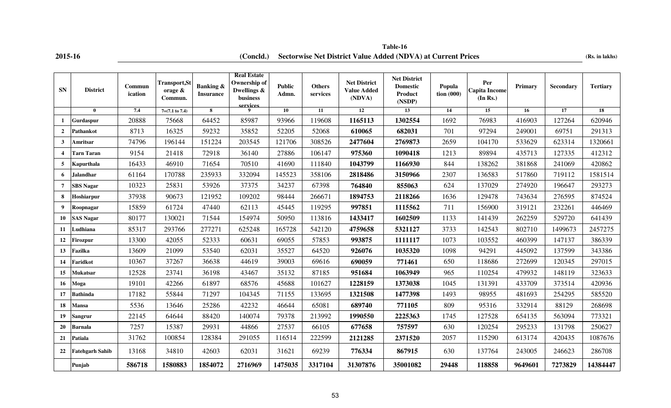| 2015-16 |  |  |
|---------|--|--|

**2015-16 (Concld.) Sectorwise Net District Value Added (NDVA) at Current Prices** (Rs. in lakhs) **Table-16**

| <b>SN</b>               | <b>District</b>        | Commun<br>ication | <b>Transport,St</b><br>orage $\&$<br>Commun. | <b>Banking &amp;</b><br><b>Insurance</b> | <b>Real Estate</b><br>Ownership of<br>Dwellings &<br>business<br>services | <b>Public</b><br>Admn. | <b>Others</b><br>services | Net District<br><b>Value Added</b><br>(NDVA) | <b>Net District</b><br><b>Domestic</b><br><b>Product</b><br>(NSDP) | Popula<br>$\frac{1}{2}$ tion (000) | Per<br><b>Capita Income</b><br>(In Rs.) | Primary | Secondary | <b>Tertiary</b> |
|-------------------------|------------------------|-------------------|----------------------------------------------|------------------------------------------|---------------------------------------------------------------------------|------------------------|---------------------------|----------------------------------------------|--------------------------------------------------------------------|------------------------------------|-----------------------------------------|---------|-----------|-----------------|
|                         | $\mathbf{0}$           | 7.4               | $7=(7.1 \text{ to } 7.4)$                    | 8                                        | $\mathbf 9$                                                               | 10                     | 11                        | <b>12</b>                                    | 13                                                                 | 14                                 | 15                                      | 16      | 17        | 18              |
| 1                       | Gurdaspur              | 20888             | 75668                                        | 64452                                    | 85987                                                                     | 93966                  | 119608                    | 1165113                                      | 1302554                                                            | 1692                               | 76983                                   | 416903  | 127264    | 620946          |
| $\overline{2}$          | Pathankot              | 8713              | 16325                                        | 59232                                    | 35852                                                                     | 52205                  | 52068                     | 610065                                       | 682031                                                             | 701                                | 97294                                   | 249001  | 69751     | 291313          |
| 3                       | Amritsar               | 74796             | 196144                                       | 151224                                   | 203545                                                                    | 121706                 | 308526                    | 2477604                                      | 2769873                                                            | 2659                               | 104170                                  | 533629  | 623314    | 1320661         |
| $\overline{\mathbf{4}}$ | <b>Tarn Taran</b>      | 9154              | 21418                                        | 72918                                    | 36140                                                                     | 27886                  | 106147                    | 975360                                       | 1090418                                                            | 1213                               | 89894                                   | 435713  | 127335    | 412312          |
| 5                       | Kapurthala             | 16433             | 46910                                        | 71654                                    | 70510                                                                     | 41690                  | 111840                    | 1043799                                      | 1166930                                                            | 844                                | 138262                                  | 381868  | 241069    | 420862          |
| 6                       | Jalandhar              | 61164             | 170788                                       | 235933                                   | 332094                                                                    | 145523                 | 358106                    | 2818486                                      | 3150966                                                            | 2307                               | 136583                                  | 517860  | 719112    | 1581514         |
| $\overline{7}$          | <b>SBS Nagar</b>       | 10323             | 25831                                        | 53926                                    | 37375                                                                     | 34237                  | 67398                     | 764840                                       | 855063                                                             | 624                                | 137029                                  | 274920  | 196647    | 293273          |
| 8                       | Hoshiarpur             | 37938             | 90673                                        | 121952                                   | 109202                                                                    | 98444                  | 266671                    | 1894753                                      | 2118266                                                            | 1636                               | 129478                                  | 743634  | 276595    | 874524          |
| 9                       | Roopnagar              | 15859             | 61724                                        | 47440                                    | 62113                                                                     | 45445                  | 119295                    | 997851                                       | 1115562                                                            | 711                                | 156900                                  | 319121  | 232261    | 446469          |
| 10                      | <b>SAS Nagar</b>       | 80177             | 130021                                       | 71544                                    | 154974                                                                    | 50950                  | 113816                    | 1433417                                      | 1602509                                                            | 1133                               | 141439                                  | 262259  | 529720    | 641439          |
| 11                      | Ludhiana               | 85317             | 293766                                       | 277271                                   | 625248                                                                    | 165728                 | 542120                    | 4759658                                      | 5321127                                                            | 3733                               | 142543                                  | 802710  | 1499673   | 2457275         |
| 12                      | Firozpur               | 13300             | 42055                                        | 52333                                    | 60631                                                                     | 69055                  | 57853                     | 993875                                       | 1111117                                                            | 1073                               | 103552                                  | 460399  | 147137    | 386339          |
| 13                      | Fazilka                | 13609             | 21099                                        | 53540                                    | 62031                                                                     | 35527                  | 64520                     | 926076                                       | 1035320                                                            | 1098                               | 94291                                   | 445092  | 137599    | 343386          |
| 14                      | Faridkot               | 10367             | 37267                                        | 36638                                    | 44619                                                                     | 39003                  | 69616                     | 690059                                       | 771461                                                             | 650                                | 118686                                  | 272699  | 120345    | 297015          |
| 15                      | Mukatsar               | 12528             | 23741                                        | 36198                                    | 43467                                                                     | 35132                  | 87185                     | 951684                                       | 1063949                                                            | 965                                | 110254                                  | 479932  | 148119    | 323633          |
| 16                      | Moga                   | 19101             | 42266                                        | 61897                                    | 68576                                                                     | 45688                  | 101627                    | 1228159                                      | 1373038                                                            | 1045                               | 131391                                  | 433709  | 373514    | 420936          |
| 17                      | <b>Bathinda</b>        | 17182             | 55844                                        | 71297                                    | 104345                                                                    | 71155                  | 133695                    | 1321508                                      | 1477398                                                            | 1493                               | 98955                                   | 481693  | 254295    | 585520          |
| 18                      | Mansa                  | 5536              | 13646                                        | 25286                                    | 42232                                                                     | 46644                  | 65081                     | 689740                                       | 771105                                                             | 809                                | 95316                                   | 332914  | 88129     | 268698          |
| 19                      | Sangrur                | 22145             | 64644                                        | 88420                                    | 140074                                                                    | 79378                  | 213992                    | 1990550                                      | 2225363                                                            | 1745                               | 127528                                  | 654135  | 563094    | 773321          |
| 20                      | Barnala                | 7257              | 15387                                        | 29931                                    | 44866                                                                     | 27537                  | 66105                     | 677658                                       | 757597                                                             | 630                                | 120254                                  | 295233  | 131798    | 250627          |
| 21                      | Patiala                | 31762             | 100854                                       | 128384                                   | 291055                                                                    | 116514                 | 222599                    | 2121285                                      | 2371520                                                            | 2057                               | 115290                                  | 613174  | 420435    | 1087676         |
| 22                      | <b>Fatehgarh Sahib</b> | 13168             | 34810                                        | 42603                                    | 62031                                                                     | 31621                  | 69239                     | 776334                                       | 867915                                                             | 630                                | 137764                                  | 243005  | 246623    | 286708          |
|                         | Punjab                 | 586718            | 1580883                                      | 1854072                                  | 2716969                                                                   | 1475035                | 3317104                   | 31307876                                     | 35001082                                                           | 29448                              | 118858                                  | 9649601 | 7273829   | 14384447        |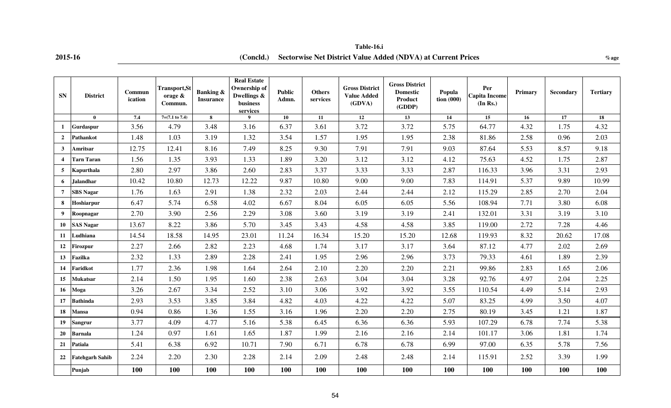# **Table-16.i**

### **2015-16 %age (Concld.) Sectorwise Net District Value Added (NDVA) at Current Prices**

| <b>SN</b>        | <b>District</b>        | Commun<br>ication | <b>Transport, St</b><br>orage $\&$<br>Commun. | <b>Banking &amp;</b><br><b>Insurance</b> | <b>Real Estate</b><br><b>Ownership of</b><br>Dwellings &<br>business<br>services | <b>Public</b><br>Admn. | <b>Others</b><br>services | <b>Gross District</b><br><b>Value Added</b><br>(GDVA) | <b>Gross District</b><br><b>Domestic</b><br>Product<br>(GDDP) | Popula<br>$\frac{1}{2}$ tion (000) | Per<br><b>Capita Income</b><br>(In Rs.) | Primary | Secondary | <b>Tertiary</b> |
|------------------|------------------------|-------------------|-----------------------------------------------|------------------------------------------|----------------------------------------------------------------------------------|------------------------|---------------------------|-------------------------------------------------------|---------------------------------------------------------------|------------------------------------|-----------------------------------------|---------|-----------|-----------------|
|                  | $\mathbf{0}$           | 7.4               | $7=(7.1 \text{ to } 7.4)$                     | 8                                        |                                                                                  | 10                     | 11                        | 12                                                    | 13                                                            | 14                                 | 15                                      | 16      | 17        | 18              |
| $\mathbf{1}$     | Gurdaspur              | 3.56              | 4.79                                          | 3.48                                     | 3.16                                                                             | 6.37                   | 3.61                      | 3.72                                                  | 3.72                                                          | 5.75                               | 64.77                                   | 4.32    | 1.75      | 4.32            |
| $\overline{2}$   | <b>Pathankot</b>       | 1.48              | 1.03                                          | 3.19                                     | 1.32                                                                             | 3.54                   | 1.57                      | 1.95                                                  | 1.95                                                          | 2.38                               | 81.86                                   | 2.58    | 0.96      | 2.03            |
| $\mathbf{3}$     | Amritsar               | 12.75             | 12.41                                         | 8.16                                     | 7.49                                                                             | 8.25                   | 9.30                      | 7.91                                                  | 7.91                                                          | 9.03                               | 87.64                                   | 5.53    | 8.57      | 9.18            |
| $\boldsymbol{4}$ | <b>Tarn Taran</b>      | 1.56              | 1.35                                          | 3.93                                     | 1.33                                                                             | 1.89                   | 3.20                      | 3.12                                                  | 3.12                                                          | 4.12                               | 75.63                                   | 4.52    | 1.75      | 2.87            |
| 5                | Kapurthala             | 2.80              | 2.97                                          | 3.86                                     | 2.60                                                                             | 2.83                   | 3.37                      | 3.33                                                  | 3.33                                                          | 2.87                               | 116.33                                  | 3.96    | 3.31      | 2.93            |
| 6                | <b>Jalandhar</b>       | 10.42             | 10.80                                         | 12.73                                    | 12.22                                                                            | 9.87                   | 10.80                     | 9.00                                                  | 9.00                                                          | 7.83                               | 114.91                                  | 5.37    | 9.89      | 10.99           |
| $\overline{7}$   | <b>SBS Nagar</b>       | 1.76              | 1.63                                          | 2.91                                     | 1.38                                                                             | 2.32                   | 2.03                      | 2.44                                                  | 2.44                                                          | 2.12                               | 115.29                                  | 2.85    | 2.70      | 2.04            |
| 8                | Hoshiarpur             | 6.47              | 5.74                                          | 6.58                                     | 4.02                                                                             | 6.67                   | 8.04                      | 6.05                                                  | 6.05                                                          | 5.56                               | 108.94                                  | 7.71    | 3.80      | 6.08            |
| 9                | Roopnagar              | 2.70              | 3.90                                          | 2.56                                     | 2.29                                                                             | 3.08                   | 3.60                      | 3.19                                                  | 3.19                                                          | 2.41                               | 132.01                                  | 3.31    | 3.19      | 3.10            |
| 10               | <b>SAS Nagar</b>       | 13.67             | 8.22                                          | 3.86                                     | 5.70                                                                             | 3.45                   | 3.43                      | 4.58                                                  | 4.58                                                          | 3.85                               | 119.00                                  | 2.72    | 7.28      | 4.46            |
| 11               | Ludhiana               | 14.54             | 18.58                                         | 14.95                                    | 23.01                                                                            | 11.24                  | 16.34                     | 15.20                                                 | 15.20                                                         | 12.68                              | 119.93                                  | 8.32    | 20.62     | 17.08           |
| 12               | Firozpur               | 2.27              | 2.66                                          | 2.82                                     | 2.23                                                                             | 4.68                   | 1.74                      | 3.17                                                  | 3.17                                                          | 3.64                               | 87.12                                   | 4.77    | 2.02      | 2.69            |
| 13               | Fazilka                | 2.32              | 1.33                                          | 2.89                                     | 2.28                                                                             | 2.41                   | 1.95                      | 2.96                                                  | 2.96                                                          | 3.73                               | 79.33                                   | 4.61    | 1.89      | 2.39            |
| 14               | Faridkot               | 1.77              | 2.36                                          | 1.98                                     | 1.64                                                                             | 2.64                   | 2.10                      | 2.20                                                  | 2.20                                                          | 2.21                               | 99.86                                   | 2.83    | 1.65      | 2.06            |
| 15               | <b>Mukatsar</b>        | 2.14              | 1.50                                          | 1.95                                     | 1.60                                                                             | 2.38                   | 2.63                      | 3.04                                                  | 3.04                                                          | 3.28                               | 92.76                                   | 4.97    | 2.04      | 2.25            |
| 16               | Moga                   | 3.26              | 2.67                                          | 3.34                                     | 2.52                                                                             | 3.10                   | 3.06                      | 3.92                                                  | 3.92                                                          | 3.55                               | 110.54                                  | 4.49    | 5.14      | 2.93            |
| 17               | <b>Bathinda</b>        | 2.93              | 3.53                                          | 3.85                                     | 3.84                                                                             | 4.82                   | 4.03                      | 4.22                                                  | 4.22                                                          | 5.07                               | 83.25                                   | 4.99    | 3.50      | 4.07            |
| 18               | Mansa                  | 0.94              | 0.86                                          | 1.36                                     | 1.55                                                                             | 3.16                   | 1.96                      | 2.20                                                  | 2.20                                                          | 2.75                               | 80.19                                   | 3.45    | 1.21      | 1.87            |
| 19               | <b>Sangrur</b>         | 3.77              | 4.09                                          | 4.77                                     | 5.16                                                                             | 5.38                   | 6.45                      | 6.36                                                  | 6.36                                                          | 5.93                               | 107.29                                  | 6.78    | 7.74      | 5.38            |
| 20               | <b>Barnala</b>         | 1.24              | 0.97                                          | 1.61                                     | 1.65                                                                             | 1.87                   | 1.99                      | 2.16                                                  | 2.16                                                          | 2.14                               | 101.17                                  | 3.06    | 1.81      | 1.74            |
| 21               | Patiala                | 5.41              | 6.38                                          | 6.92                                     | 10.71                                                                            | 7.90                   | 6.71                      | 6.78                                                  | 6.78                                                          | 6.99                               | 97.00                                   | 6.35    | 5.78      | 7.56            |
| 22               | <b>Fatehgarh Sahib</b> | 2.24              | 2.20                                          | 2.30                                     | 2.28                                                                             | 2.14                   | 2.09                      | 2.48                                                  | 2.48                                                          | 2.14                               | 115.91                                  | 2.52    | 3.39      | 1.99            |
|                  | Punjab                 | 100               | 100                                           | 100                                      | 100                                                                              | 100                    | 100                       | 100                                                   | 100                                                           | 100                                | 100                                     | 100     | 100       | 100             |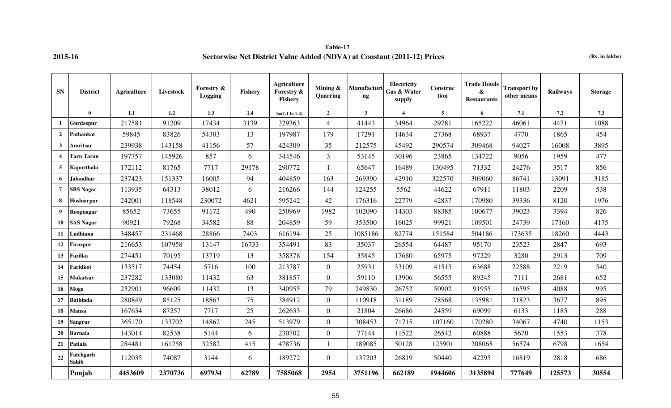**Table-17 2015-16 Sectorwise Net District Value Added (NDVA) at Constant (2011-12) Prices (Rs. in lakhs)**

| <b>SN</b>      | <b>District</b>    | <b>Agriculture</b> | Livestock | Forestry &<br>Logging | <b>Fishery</b> | <b>Agriculture</b><br>Forestry &<br>Fishery | Mining $\&$<br>Quarring | Manufacturi<br>ng | Electricity<br>Gas & Water<br>supply | Construc<br>tion | <b>Trade Hotels</b><br>$\pmb{\&}$<br><b>Restaurants</b> | <b>Transport by</b><br>other means | Railways | <b>Storage</b> |
|----------------|--------------------|--------------------|-----------|-----------------------|----------------|---------------------------------------------|-------------------------|-------------------|--------------------------------------|------------------|---------------------------------------------------------|------------------------------------|----------|----------------|
|                | $\mathbf{0}$       | 1.1                | 1.2       | 1.3                   | 1.4            | $1=(1.1 \text{ to } 1.4)$                   | $\overline{2}$          | $\overline{3}$    | $\overline{4}$                       | $\overline{5}$   | 6                                                       | 7.1                                | 7.2      | 7.3            |
| 1              | Gurdaspur          | 217581             | 91209     | 17434                 | 3139           | 329363                                      | $\overline{4}$          | 41443             | 34964                                | 29781            | 165222                                                  | 46061                              | 4471     | 1088           |
| $\overline{2}$ | Pathankot          | 59845              | 83826     | 54303                 | 13             | 197987                                      | 179                     | 17291             | 14634                                | 27368            | 68937                                                   | 4770                               | 1865     | 454            |
| $\mathbf{3}$   | Amritsar           | 239938             | 143158    | 41156                 | 57             | 424309                                      | 35                      | 212575            | 45492                                | 290574           | 309468                                                  | 94027                              | 16008    | 3895           |
| $\overline{4}$ | Tarn Taran         | 197757             | 145926    | 857                   | 6              | 344546                                      | 3                       | 53145             | 30196                                | 23865            | 134722                                                  | 9056                               | 1959     | 477            |
| 5              | Kapurthala         | 172112             | 81765     | 7717                  | 29178          | 290772                                      | $\mathbf{1}$            | 65647             | 16489                                | 130495           | 71332                                                   | 24276                              | 3517     | 856            |
| 6              | Jalandhar          | 237423             | 151337    | 16005                 | 94             | 404859                                      | 163                     | 269390            | 42910                                | 322570           | 309060                                                  | 86741                              | 13091    | 3185           |
| $\overline{7}$ | <b>SBS</b> Nagar   | 113935             | 64313     | 38012                 | 6              | 216266                                      | 144                     | 124255            | 5562                                 | 44622            | 67911                                                   | 11803                              | 2209     | 538            |
| 8              | Hoshiarpur         | 242001             | 118548    | 230072                | 4621           | 595242                                      | 42                      | 176316            | 22779                                | 42837            | 170980                                                  | 39336                              | 8120     | 1976           |
| 9              | Roopnagar          | 85652              | 73655     | 91172                 | 490            | 250969                                      | 1982                    | 102090            | 14303                                | 88385            | 100677                                                  | 39023                              | 3394     | 826            |
| 10             | <b>SAS Nagar</b>   | 90921              | 79268     | 34582                 | 88             | 204859                                      | 59                      | 353500            | 16025                                | 99921            | 109501                                                  | 24739                              | 17160    | 4175           |
| 11             | Ludhiana           | 348457             | 231468    | 28866                 | 7403           | 616194                                      | 25                      | 1085186           | 82774                                | 151584           | 504186                                                  | 173635                             | 18260    | 4443           |
| 12             | Firozpur           | 216653             | 107958    | 13147                 | 16733          | 354491                                      | 83                      | 35037             | 26554                                | 64487            | 95170                                                   | 23523                              | 2847     | 693            |
| 13             | Fazilka            | 274451             | 70195     | 13719                 | 13             | 358378                                      | 154                     | 35845             | 17680                                | 65975            | 97229                                                   | 3280                               | 2913     | 709            |
| 14             | Faridkot           | 133517             | 74454     | 5716                  | 100            | 213787                                      | $\overline{0}$          | 25931             | 33109                                | 41515            | 63688                                                   | 22588                              | 2219     | 540            |
| 15             | <b>Mukatsar</b>    | 237282             | 133080    | 11432                 | 63             | 381857                                      | $\overline{0}$          | 59110             | 13906                                | 56555            | 89245                                                   | 7111                               | 2681     | 652            |
| 16             | Moga               | 232901             | 96609     | 11432                 | 13             | 340955                                      | 79                      | 249830            | 26752                                | 50902            | 91955                                                   | 16595                              | 4088     | 995            |
| 17             | <b>Bathinda</b>    | 280849             | 85125     | 18863                 | 75             | 384912                                      | $\overline{0}$          | 110918            | 31189                                | 78568            | 135981                                                  | 31823                              | 3677     | 895            |
| 18             | Mansa              | 167634             | 87257     | 7717                  | 25             | 262633                                      | $\overline{0}$          | 21804             | 26686                                | 24559            | 69099                                                   | 6133                               | 1185     | 288            |
| 19             | <b>Sangrur</b>     | 365170             | 133702    | 14862                 | 245            | 513979                                      | $\overline{0}$          | 308453            | 71715                                | 107160           | 170280                                                  | 34067                              | 4740     | 1153           |
| 20             | <b>Barnala</b>     | 143014             | 82538     | 5144                  | 6              | 230702                                      | $\overline{0}$          | 77144             | 11522                                | 26542            | 60888                                                   | 5670                               | 1553     | 378            |
| 21             | Patiala            | 284481             | 161258    | 32582                 | 415            | 478736                                      | $\mathbf{1}$            | 189085            | 50128                                | 125901           | 208068                                                  | 56574                              | 6798     | 1654           |
| 22             | Fatehgarh<br>Sahib | 112035             | 74087     | 3144                  | 6              | 189272                                      | $\overline{0}$          | 137203            | 26819                                | 50440            | 42295                                                   | 16819                              | 2818     | 686            |
|                | Punjab             | 4453609            | 2370736   | 697934                | 62789          | 7585068                                     | 2954                    | 3751196           | 662189                               | 1944606          | 3135894                                                 | 777649                             | 125573   | 30554          |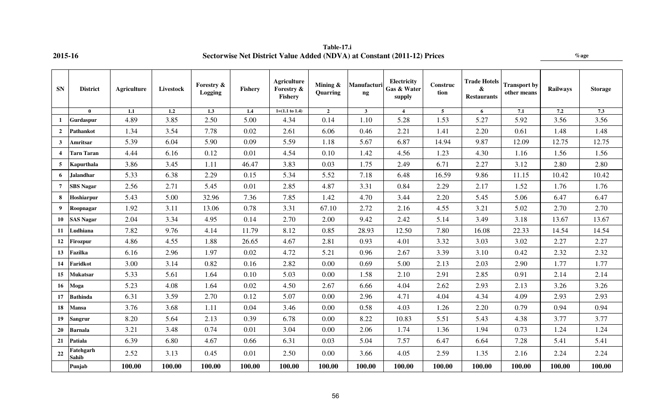| <b>SN</b>      | <b>District</b>           | <b>Agriculture</b> | Livestock | <b>Forestry &amp;</b><br><b>Logging</b> | <b>Fishery</b> | Agriculture<br>Forestry &<br>Fishery | Mining &<br>Quarring | Manufacturi<br>$\boldsymbol{\mathsf{ng}}$ | Electricity<br>Gas & Water<br>supply | Construc<br>tion | <b>Trade Hotels</b><br>&<br><b>Restaurants</b> | <b>Transport by</b><br>other means | <b>Railways</b> | <b>Storage</b> |
|----------------|---------------------------|--------------------|-----------|-----------------------------------------|----------------|--------------------------------------|----------------------|-------------------------------------------|--------------------------------------|------------------|------------------------------------------------|------------------------------------|-----------------|----------------|
|                | $\mathbf{0}$              | 1.1                | 1.2       | 1.3                                     | 1.4            | $1=(1.1 \text{ to } 1.4)$            | $\overline{2}$       | $\mathbf{3}$                              | $\boldsymbol{4}$                     | $5\overline{5}$  | 6                                              | 7.1                                | 7.2             | 7.3            |
| $\mathbf{1}$   | Gurdaspur                 | 4.89               | 3.85      | 2.50                                    | 5.00           | 4.34                                 | 0.14                 | 1.10                                      | 5.28                                 | 1.53             | 5.27                                           | 5.92                               | 3.56            | 3.56           |
| $\mathbf{2}$   | Pathankot                 | 1.34               | 3.54      | 7.78                                    | 0.02           | 2.61                                 | 6.06                 | 0.46                                      | 2.21                                 | 1.41             | 2.20                                           | 0.61                               | 1.48            | 1.48           |
| $\mathbf{3}$   | Amritsar                  | 5.39               | 6.04      | 5.90                                    | 0.09           | 5.59                                 | 1.18                 | 5.67                                      | 6.87                                 | 14.94            | 9.87                                           | 12.09                              | 12.75           | 12.75          |
| 4              | <b>Tarn Taran</b>         | 4.44               | 6.16      | 0.12                                    | 0.01           | 4.54                                 | 0.10                 | 1.42                                      | 4.56                                 | 1.23             | 4.30                                           | 1.16                               | 1.56            | 1.56           |
| $5^{\circ}$    | Kapurthala                | 3.86               | 3.45      | 1.11                                    | 46.47          | 3.83                                 | 0.03                 | 1.75                                      | 2.49                                 | 6.71             | 2.27                                           | 3.12                               | 2.80            | 2.80           |
| 6              | <b>Jalandhar</b>          | 5.33               | 6.38      | 2.29                                    | 0.15           | 5.34                                 | 5.52                 | 7.18                                      | 6.48                                 | 16.59            | 9.86                                           | 11.15                              | 10.42           | 10.42          |
| $\overline{7}$ | <b>SBS Nagar</b>          | 2.56               | 2.71      | 5.45                                    | 0.01           | 2.85                                 | 4.87                 | 3.31                                      | 0.84                                 | 2.29             | 2.17                                           | 1.52                               | 1.76            | 1.76           |
| 8              | Hoshiarpur                | 5.43               | 5.00      | 32.96                                   | 7.36           | 7.85                                 | 1.42                 | 4.70                                      | 3.44                                 | 2.20             | 5.45                                           | 5.06                               | 6.47            | 6.47           |
| $9^{\circ}$    | Roopnagar                 | 1.92               | 3.11      | 13.06                                   | 0.78           | 3.31                                 | 67.10                | 2.72                                      | 2.16                                 | 4.55             | 3.21                                           | 5.02                               | 2.70            | 2.70           |
| 10             | <b>SAS Nagar</b>          | 2.04               | 3.34      | 4.95                                    | 0.14           | 2.70                                 | 2.00                 | 9.42                                      | 2.42                                 | 5.14             | 3.49                                           | 3.18                               | 13.67           | 13.67          |
| 11             | Ludhiana                  | 7.82               | 9.76      | 4.14                                    | 11.79          | 8.12                                 | 0.85                 | 28.93                                     | 12.50                                | 7.80             | 16.08                                          | 22.33                              | 14.54           | 14.54          |
| 12             | Firozpur                  | 4.86               | 4.55      | 1.88                                    | 26.65          | 4.67                                 | 2.81                 | 0.93                                      | 4.01                                 | 3.32             | 3.03                                           | 3.02                               | 2.27            | 2.27           |
| 13             | Fazilka                   | 6.16               | 2.96      | 1.97                                    | 0.02           | 4.72                                 | 5.21                 | 0.96                                      | 2.67                                 | 3.39             | 3.10                                           | 0.42                               | 2.32            | 2.32           |
| 14             | Faridkot                  | 3.00               | 3.14      | 0.82                                    | 0.16           | 2.82                                 | 0.00                 | 0.69                                      | 5.00                                 | 2.13             | 2.03                                           | 2.90                               | 1.77            | 1.77           |
| 15             | <b>Mukatsar</b>           | 5.33               | 5.61      | 1.64                                    | 0.10           | 5.03                                 | 0.00                 | 1.58                                      | 2.10                                 | 2.91             | 2.85                                           | 0.91                               | 2.14            | 2.14           |
| 16             | Moga                      | 5.23               | 4.08      | 1.64                                    | 0.02           | 4.50                                 | 2.67                 | 6.66                                      | 4.04                                 | 2.62             | 2.93                                           | 2.13                               | 3.26            | 3.26           |
| 17             | <b>Bathinda</b>           | 6.31               | 3.59      | 2.70                                    | 0.12           | 5.07                                 | 0.00                 | 2.96                                      | 4.71                                 | 4.04             | 4.34                                           | 4.09                               | 2.93            | 2.93           |
| 18             | <b>Mansa</b>              | 3.76               | 3.68      | 1.11                                    | 0.04           | 3.46                                 | 0.00                 | 0.58                                      | 4.03                                 | 1.26             | 2.20                                           | 0.79                               | 0.94            | 0.94           |
| 19             | <b>Sangrur</b>            | 8.20               | 5.64      | 2.13                                    | 0.39           | 6.78                                 | 0.00                 | 8.22                                      | 10.83                                | 5.51             | 5.43                                           | 4.38                               | 3.77            | 3.77           |
| 20             | <b>Barnala</b>            | 3.21               | 3.48      | 0.74                                    | 0.01           | 3.04                                 | 0.00                 | 2.06                                      | 1.74                                 | 1.36             | 1.94                                           | 0.73                               | 1.24            | 1.24           |
| 21             | Patiala                   | 6.39               | 6.80      | 4.67                                    | 0.66           | 6.31                                 | 0.03                 | 5.04                                      | 7.57                                 | 6.47             | 6.64                                           | 7.28                               | 5.41            | 5.41           |
| 22             | Fatehgarh<br><b>Sahib</b> | 2.52               | 3.13      | 0.45                                    | 0.01           | 2.50                                 | 0.00                 | 3.66                                      | 4.05                                 | 2.59             | 1.35                                           | 2.16                               | 2.24            | 2.24           |
|                | Punjab                    | 100.00             | 100.00    | 100.00                                  | 100.00         | 100.00                               | 100.00               | 100.00                                    | 100.00                               | 100.00           | 100.00                                         | 100.00                             | 100.00          | 100.00         |

**Table-17.i 2015-16 Sectorwise Net District Value Added (NDVA) at Constant (2011-12) Prices %age**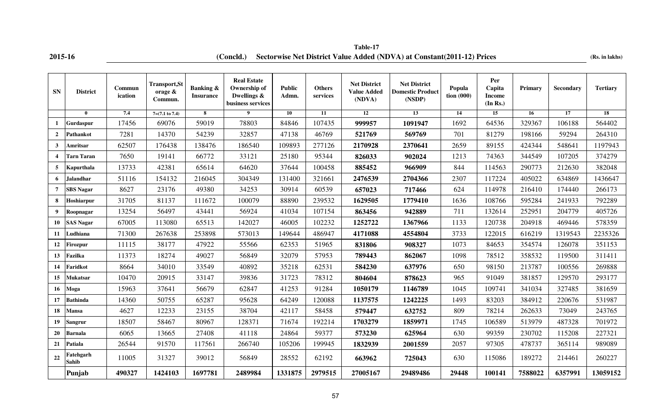**2015-16 (Concld.)** Sectorwise Net District Value Added (NDVA) at Constant(2011-12) Prices (Rs. in lakhs) **Table-17**

| <b>SN</b>        | <b>District</b>    | Commun<br>ication | <b>Transport, St</b><br>orage &<br>Commun. | <b>Banking &amp;</b><br><b>Insurance</b> | <b>Real Estate</b><br>Ownership of<br>Dwellings &<br>business services | <b>Public</b><br>Admn. | <b>Others</b><br>services | <b>Net District</b><br><b>Value Added</b><br>(NDVA) | <b>Net District</b><br><b>Domestic Product</b><br>(NSDP) | Popula<br>tion(000) | Per<br>Capita<br><b>Income</b><br>(In Rs.) | Primary | <b>Secondary</b> | <b>Tertiary</b> |
|------------------|--------------------|-------------------|--------------------------------------------|------------------------------------------|------------------------------------------------------------------------|------------------------|---------------------------|-----------------------------------------------------|----------------------------------------------------------|---------------------|--------------------------------------------|---------|------------------|-----------------|
|                  | $\mathbf{0}$       | 7.4               | $7=(7.1 \text{ to } 7.4)$                  | 8                                        | 9                                                                      | 10                     | 11                        | 12                                                  | 13                                                       | 14                  | 15                                         | 16      | 17               | 18              |
| 1                | Gurdaspur          | 17456             | 69076                                      | 59019                                    | 78803                                                                  | 84846                  | 107435                    | 999957                                              | 1091947                                                  | 1692                | 64536                                      | 329367  | 106188           | 564402          |
| $\overline{2}$   | Pathankot          | 7281              | 14370                                      | 54239                                    | 32857                                                                  | 47138                  | 46769                     | 521769                                              | 569769                                                   | 701                 | 81279                                      | 198166  | 59294            | 264310          |
| $\mathbf{3}$     | Amritsar           | 62507             | 176438                                     | 138476                                   | 186540                                                                 | 109893                 | 277126                    | 2170928                                             | 2370641                                                  | 2659                | 89155                                      | 424344  | 548641           | 1197943         |
| $\boldsymbol{4}$ | <b>Tarn Taran</b>  | 7650              | 19141                                      | 66772                                    | 33121                                                                  | 25180                  | 95344                     | 826033                                              | 902024                                                   | 1213                | 74363                                      | 344549  | 107205           | 374279          |
| 5                | <b>Kapurthala</b>  | 13733             | 42381                                      | 65614                                    | 64620                                                                  | 37644                  | 100458                    | 885452                                              | 966909                                                   | 844                 | 114563                                     | 290773  | 212630           | 382048          |
| 6                | Jalandhar          | 51116             | 154132                                     | 216045                                   | 304349                                                                 | 131400                 | 321661                    | 2476539                                             | 2704366                                                  | 2307                | 117224                                     | 405022  | 634869           | 1436647         |
| $\overline{7}$   | <b>SBS Nagar</b>   | 8627              | 23176                                      | 49380                                    | 34253                                                                  | 30914                  | 60539                     | 657023                                              | 717466                                                   | 624                 | 114978                                     | 216410  | 174440           | 266173          |
| 8                | Hoshiarpur         | 31705             | 81137                                      | 111672                                   | 100079                                                                 | 88890                  | 239532                    | 1629505                                             | 1779410                                                  | 1636                | 108766                                     | 595284  | 241933           | 792289          |
| 9                | Roopnagar          | 13254             | 56497                                      | 43441                                    | 56924                                                                  | 41034                  | 107154                    | 863456                                              | 942889                                                   | 711                 | 132614                                     | 252951  | 204779           | 405726          |
| 10               | <b>SAS Nagar</b>   | 67005             | 113080                                     | 65513                                    | 142027                                                                 | 46005                  | 102232                    | 1252722                                             | 1367966                                                  | 1133                | 120738                                     | 204918  | 469446           | 578359          |
| 11               | Ludhiana           | 71300             | 267638                                     | 253898                                   | 573013                                                                 | 149644                 | 486947                    | 4171088                                             | 4554804                                                  | 3733                | 122015                                     | 616219  | 1319543          | 2235326         |
| 12               | Firozpur           | 11115             | 38177                                      | 47922                                    | 55566                                                                  | 62353                  | 51965                     | 831806                                              | 908327                                                   | 1073                | 84653                                      | 354574  | 126078           | 351153          |
| 13               | Fazilka            | 11373             | 18274                                      | 49027                                    | 56849                                                                  | 32079                  | 57953                     | 789443                                              | 862067                                                   | 1098                | 78512                                      | 358532  | 119500           | 311411          |
| 14               | Faridkot           | 8664              | 34010                                      | 33549                                    | 40892                                                                  | 35218                  | 62531                     | 584230                                              | 637976                                                   | 650                 | 98150                                      | 213787  | 100556           | 269888          |
| 15               | Mukatsar           | 10470             | 20915                                      | 33147                                    | 39836                                                                  | 31723                  | 78312                     | 804604                                              | 878623                                                   | 965                 | 91049                                      | 381857  | 129570           | 293177          |
| 16               | Moga               | 15963             | 37641                                      | 56679                                    | 62847                                                                  | 41253                  | 91284                     | 1050179                                             | 1146789                                                  | 1045                | 109741                                     | 341034  | 327485           | 381659          |
| 17               | Bathinda           | 14360             | 50755                                      | 65287                                    | 95628                                                                  | 64249                  | 120088                    | 1137575                                             | 1242225                                                  | 1493                | 83203                                      | 384912  | 220676           | 531987          |
| 18               | <b>Mansa</b>       | 4627              | 12233                                      | 23155                                    | 38704                                                                  | 42117                  | 58458                     | 579447                                              | 632752                                                   | 809                 | 78214                                      | 262633  | 73049            | 243765          |
| 19               | Sangrur            | 18507             | 58467                                      | 80967                                    | 128371                                                                 | 71674                  | 192214                    | 1703279                                             | 1859971                                                  | 1745                | 106589                                     | 513979  | 487328           | 701972          |
| 20               | Barnala            | 6065              | 13665                                      | 27408                                    | 41118                                                                  | 24864                  | 59377                     | 573230                                              | 625964                                                   | 630                 | 99359                                      | 230702  | 115208           | 227321          |
| 21               | Patiala            | 26544             | 91570                                      | 117561                                   | 266740                                                                 | 105206                 | 199945                    | 1832939                                             | 2001559                                                  | 2057                | 97305                                      | 478737  | 365114           | 989089          |
| 22               | Fatehgarh<br>Sahib | 11005             | 31327                                      | 39012                                    | 56849                                                                  | 28552                  | 62192                     | 663962                                              | 725043                                                   | 630                 | 115086                                     | 189272  | 214461           | 260227          |
|                  | Punjab             | 490327            | 1424103                                    | 1697781                                  | 2489984                                                                | 1331875                | 2979515                   | 27005167                                            | 29489486                                                 | 29448               | 100141                                     | 7588022 | 6357991          | 13059152        |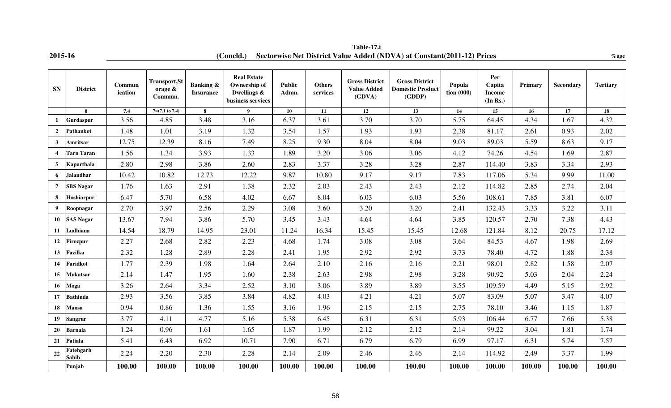|  | 2015-16 |
|--|---------|
|  |         |

**2015-16** *Concld.)* **Sectorwise Net District Value Added (NDVA) at Constant(2011-12) Prices** *<b><i>Mage Mage* **Table-17.i**

| <b>SN</b>        | <b>District</b>           | Commun<br>ication | <b>Transport, St</b><br>orage &<br>Commun. | <b>Banking &amp;</b><br><b>Insurance</b> | <b>Real Estate</b><br>Ownership of<br>Dwellings $\&$<br>business services | <b>Public</b><br>Admn. | <b>Others</b><br>services | <b>Gross District</b><br><b>Value Added</b><br>(GDVA) | <b>Gross District</b><br><b>Domestic Product</b><br>(GDDP) | Popula<br>tion(000) | Per<br>Capita<br><b>Income</b><br>(In Rs.) | Primary | Secondary | <b>Tertiary</b> |
|------------------|---------------------------|-------------------|--------------------------------------------|------------------------------------------|---------------------------------------------------------------------------|------------------------|---------------------------|-------------------------------------------------------|------------------------------------------------------------|---------------------|--------------------------------------------|---------|-----------|-----------------|
|                  | $\mathbf{0}$              | 7.4               | $7=(7.1 \text{ to } 7.4)$                  | 8                                        | $\mathbf{Q}$                                                              | 10                     | 11                        | $\overline{12}$                                       | 13                                                         | 14                  | 15                                         | 16      | 17        | 18              |
| $\mathbf 1$      | <b>Gurdaspur</b>          | 3.56              | 4.85                                       | 3.48                                     | 3.16                                                                      | 6.37                   | 3.61                      | 3.70                                                  | 3.70                                                       | 5.75                | 64.45                                      | 4.34    | 1.67      | 4.32            |
| $\overline{2}$   | Pathankot                 | 1.48              | 1.01                                       | 3.19                                     | 1.32                                                                      | 3.54                   | 1.57                      | 1.93                                                  | 1.93                                                       | 2.38                | 81.17                                      | 2.61    | 0.93      | 2.02            |
| $\mathbf{3}$     | Amritsar                  | 12.75             | 12.39                                      | 8.16                                     | 7.49                                                                      | 8.25                   | 9.30                      | 8.04                                                  | 8.04                                                       | 9.03                | 89.03                                      | 5.59    | 8.63      | 9.17            |
|                  | <b>Tarn Taran</b>         | 1.56              | 1.34                                       | 3.93                                     | 1.33                                                                      | 1.89                   | 3.20                      | 3.06                                                  | 3.06                                                       | 4.12                | 74.26                                      | 4.54    | 1.69      | 2.87            |
| $5^{\circ}$      | Kapurthala                | 2.80              | 2.98                                       | 3.86                                     | 2.60                                                                      | 2.83                   | 3.37                      | 3.28                                                  | 3.28                                                       | 2.87                | 114.40                                     | 3.83    | 3.34      | 2.93            |
| 6                | <b>Jalandhar</b>          | 10.42             | 10.82                                      | 12.73                                    | 12.22                                                                     | 9.87                   | 10.80                     | 9.17                                                  | 9.17                                                       | 7.83                | 117.06                                     | 5.34    | 9.99      | 11.00           |
| 7                | <b>SBS Nagar</b>          | 1.76              | 1.63                                       | 2.91                                     | 1.38                                                                      | 2.32                   | 2.03                      | 2.43                                                  | 2.43                                                       | 2.12                | 114.82                                     | 2.85    | 2.74      | 2.04            |
| 8                | Hoshiarpur                | 6.47              | 5.70                                       | 6.58                                     | 4.02                                                                      | 6.67                   | 8.04                      | 6.03                                                  | 6.03                                                       | 5.56                | 108.61                                     | 7.85    | 3.81      | 6.07            |
| $\boldsymbol{9}$ | Roopnagar                 | 2.70              | 3.97                                       | 2.56                                     | 2.29                                                                      | 3.08                   | 3.60                      | 3.20                                                  | 3.20                                                       | 2.41                | 132.43                                     | 3.33    | 3.22      | 3.11            |
| 10               | <b>SAS Nagar</b>          | 13.67             | 7.94                                       | 3.86                                     | 5.70                                                                      | 3.45                   | 3.43                      | 4.64                                                  | 4.64                                                       | 3.85                | 120.57                                     | 2.70    | 7.38      | 4.43            |
| 11               | Ludhiana                  | 14.54             | 18.79                                      | 14.95                                    | 23.01                                                                     | 11.24                  | 16.34                     | 15.45                                                 | 15.45                                                      | 12.68               | 121.84                                     | 8.12    | 20.75     | 17.12           |
| 12               | Firozpur                  | 2.27              | 2.68                                       | 2.82                                     | 2.23                                                                      | 4.68                   | 1.74                      | 3.08                                                  | 3.08                                                       | 3.64                | 84.53                                      | 4.67    | 1.98      | 2.69            |
| 13 <sup>7</sup>  | Fazilka                   | 2.32              | 1.28                                       | 2.89                                     | 2.28                                                                      | 2.41                   | 1.95                      | 2.92                                                  | 2.92                                                       | 3.73                | 78.40                                      | 4.72    | 1.88      | 2.38            |
| 14               | Faridkot                  | 1.77              | 2.39                                       | 1.98                                     | 1.64                                                                      | 2.64                   | 2.10                      | 2.16                                                  | 2.16                                                       | 2.21                | 98.01                                      | 2.82    | 1.58      | 2.07            |
| 15               | <b>Mukatsar</b>           | 2.14              | 1.47                                       | 1.95                                     | 1.60                                                                      | 2.38                   | 2.63                      | 2.98                                                  | 2.98                                                       | 3.28                | 90.92                                      | 5.03    | 2.04      | 2.24            |
| 16               | Moga                      | 3.26              | 2.64                                       | 3.34                                     | 2.52                                                                      | 3.10                   | 3.06                      | 3.89                                                  | 3.89                                                       | 3.55                | 109.59                                     | 4.49    | 5.15      | 2.92            |
| 17               | <b>Bathinda</b>           | 2.93              | 3.56                                       | 3.85                                     | 3.84                                                                      | 4.82                   | 4.03                      | 4.21                                                  | 4.21                                                       | 5.07                | 83.09                                      | 5.07    | 3.47      | 4.07            |
| 18               | <b>Mansa</b>              | 0.94              | 0.86                                       | 1.36                                     | 1.55                                                                      | 3.16                   | 1.96                      | 2.15                                                  | 2.15                                                       | 2.75                | 78.10                                      | 3.46    | 1.15      | 1.87            |
| 19               | Sangrur                   | 3.77              | 4.11                                       | 4.77                                     | 5.16                                                                      | 5.38                   | 6.45                      | 6.31                                                  | 6.31                                                       | 5.93                | 106.44                                     | 6.77    | 7.66      | 5.38            |
| 20               | <b>Barnala</b>            | 1.24              | 0.96                                       | 1.61                                     | 1.65                                                                      | 1.87                   | 1.99                      | 2.12                                                  | 2.12                                                       | 2.14                | 99.22                                      | 3.04    | 1.81      | 1.74            |
| 21               | Patiala                   | 5.41              | 6.43                                       | 6.92                                     | 10.71                                                                     | 7.90                   | 6.71                      | 6.79                                                  | 6.79                                                       | 6.99                | 97.17                                      | 6.31    | 5.74      | 7.57            |
| 22               | Fatehgarh<br><b>Sahib</b> | 2.24              | 2.20                                       | 2.30                                     | 2.28                                                                      | 2.14                   | 2.09                      | 2.46                                                  | 2.46                                                       | 2.14                | 114.92                                     | 2.49    | 3.37      | 1.99            |
|                  | Punjab                    | 100.00            | 100.00                                     | 100.00                                   | 100.00                                                                    | 100.00                 | 100.00                    | 100.00                                                | 100.00                                                     | 100.00              | 100.00                                     | 100.00  | 100.00    | 100.00          |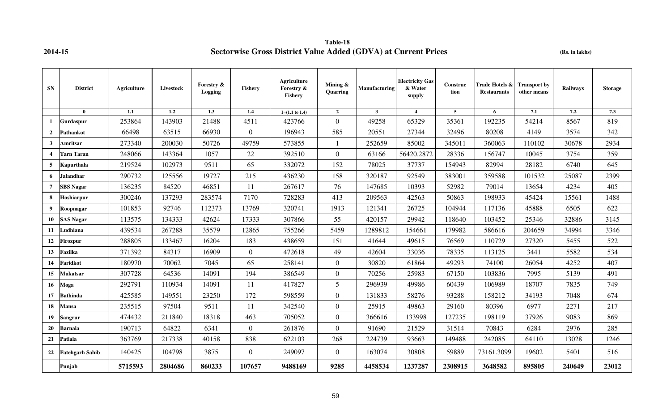**Table-18 2014-15 Sectorwise Gross District Value Added (GDVA) at Current Prices** 

**(Rs. in lakhs)**

| <b>SN</b>       | <b>District</b>        | Agriculture | Livestock | Forestry &<br>Logging | <b>Fishery</b> | Agriculture<br>Forestry &<br><b>Fishery</b> | Mining $\&$<br>Quarring | <b>Manufacturing</b> | <b>Electricity Gas</b><br>& Water<br>supply | Construc<br>tion | Trade Hotels &<br><b>Restaurants</b> | <b>Transport by</b><br>other means | <b>Railways</b> | <b>Storage</b> |
|-----------------|------------------------|-------------|-----------|-----------------------|----------------|---------------------------------------------|-------------------------|----------------------|---------------------------------------------|------------------|--------------------------------------|------------------------------------|-----------------|----------------|
|                 | $\bf{0}$               | 1.1         | 1.2       | 1.3                   | 1.4            | $1=(1.1 \text{ to } 1.4)$                   | $\overline{2}$          | $\mathbf{3}$         | $\overline{4}$                              | 5                | 6                                    | 7.1                                | 7.2             | 7.3            |
| 1               | Gurdaspur              | 253864      | 143903    | 21488                 | 4511           | 423766                                      | $\overline{0}$          | 49258                | 65329                                       | 35361            | 192235                               | 54214                              | 8567            | 819            |
| $\overline{2}$  | <b>Pathankot</b>       | 66498       | 63515     | 66930                 | $\overline{0}$ | 196943                                      | 585                     | 20551                | 27344                                       | 32496            | 80208                                | 4149                               | 3574            | 342            |
| $\mathbf{3}$    | Amritsar               | 273340      | 200030    | 50726                 | 49759          | 573855                                      | $\mathbf{1}$            | 252659               | 85002                                       | 345011           | 360063                               | 110102                             | 30678           | 2934           |
| $\overline{4}$  | <b>Tarn Taran</b>      | 248066      | 143364    | 1057                  | 22             | 392510                                      | $\overline{0}$          | 63166                | 56420.2872                                  | 28336            | 156747                               | 10045                              | 3754            | 359            |
| 5               | Kapurthala             | 219524      | 102973    | 9511                  | 65             | 332072                                      | 152                     | 78025                | 37737                                       | 154943           | 82994                                | 28182                              | 6740            | 645            |
| 6               | Jalandhar              | 290732      | 125556    | 19727                 | 215            | 436230                                      | 158                     | 320187               | 92549                                       | 383001           | 359588                               | 101532                             | 25087           | 2399           |
| $\overline{7}$  | <b>SBS Nagar</b>       | 136235      | 84520     | 46851                 | 11             | 267617                                      | 76                      | 147685               | 10393                                       | 52982            | 79014                                | 13654                              | 4234            | 405            |
| 8               | Hoshiarpur             | 300246      | 137293    | 283574                | 7170           | 728283                                      | 413                     | 209563               | 42563                                       | 50863            | 198933                               | 45424                              | 15561           | 1488           |
| 9               | Roopnagar              | 101853      | 92746     | 112373                | 13769          | 320741                                      | 1913                    | 121341               | 26725                                       | 104944           | 117136                               | 45888                              | 6505            | 622            |
| 10              | <b>SAS Nagar</b>       | 113575      | 134333    | 42624                 | 17333          | 307866                                      | 55                      | 420157               | 29942                                       | 118640           | 103452                               | 25346                              | 32886           | 3145           |
| 11              | Ludhiana               | 439534      | 267288    | 35579                 | 12865          | 755266                                      | 5459                    | 1289812              | 154661                                      | 179982           | 586616                               | 204659                             | 34994           | 3346           |
| 12              | <b>Firozpur</b>        | 288805      | 133467    | 16204                 | 183            | 438659                                      | 151                     | 41644                | 49615                                       | 76569            | 110729                               | 27320                              | 5455            | 522            |
| 13              | <b>Fazilka</b>         | 371392      | 84317     | 16909                 | $\overline{0}$ | 472618                                      | 49                      | 42604                | 33036                                       | 78335            | 113125                               | 3441                               | 5582            | 534            |
| 14              | Faridkot               | 180970      | 70062     | 7045                  | 65             | 258141                                      | $\overline{0}$          | 30820                | 61864                                       | 49293            | 74100                                | 26054                              | 4252            | 407            |
| 15              | Mukatsar               | 307728      | 64536     | 14091                 | 194            | 386549                                      | $\overline{0}$          | 70256                | 25983                                       | 67150            | 103836                               | 7995                               | 5139            | 491            |
| 16              | Moga                   | 292791      | 110934    | 14091                 | 11             | 417827                                      | 5                       | 296939               | 49986                                       | 60439            | 106989                               | 18707                              | 7835            | 749            |
| 17              | <b>Bathinda</b>        | 425585      | 149551    | 23250                 | 172            | 598559                                      | $\overline{0}$          | 131833               | 58276                                       | 93288            | 158212                               | 34193                              | 7048            | 674            |
| 18              | Mansa                  | 235515      | 97504     | 9511                  | 11             | 342540                                      | $\overline{0}$          | 25915                | 49863                                       | 29160            | 80396                                | 6977                               | 2271            | 217            |
| 19 <sup>°</sup> | Sangrur                | 474432      | 211840    | 18318                 | 463            | 705052                                      | $\mathbf{0}$            | 366616               | 133998                                      | 127235           | 198119                               | 37926                              | 9083            | 869            |
| 20              | <b>Barnala</b>         | 190713      | 64822     | 6341                  | $\overline{0}$ | 261876                                      | $\overline{0}$          | 91690                | 21529                                       | 31514            | 70843                                | 6284                               | 2976            | 285            |
| 21              | Patiala                | 363769      | 217338    | 40158                 | 838            | 622103                                      | 268                     | 224739               | 93663                                       | 149488           | 242085                               | 64110                              | 13028           | 1246           |
| 22              | <b>Fatehgarh Sahib</b> | 140425      | 104798    | 3875                  | $\overline{0}$ | 249097                                      | $\overline{0}$          | 163074               | 30808                                       | 59889            | 73161.3099                           | 19602                              | 5401            | 516            |
|                 | Punjab                 | 5715593     | 2804686   | 860233                | 107657         | 9488169                                     | 9285                    | 4458534              | 1237287                                     | 2308915          | 3648582                              | 895805                             | 240649          | 23012          |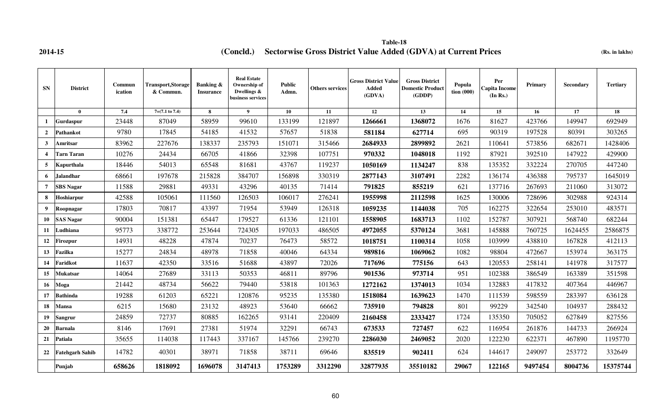**2014-15 (Concld.) Sectorwise Gross District Value Added (GDVA) at Current Prices** (Rs. in lakhs) **Table-18**

| <b>SN</b>      | <b>District</b>        | Commun<br>ication | <b>Transport, Storage</b><br>& Commun. | <b>Banking &amp;</b><br><b>Insurance</b> | <b>Real Estate</b><br>Ownership of<br>Dwellings &<br>business services | <b>Public</b><br>Admn. | Others services | <b>Gross District Value</b><br>Added<br>(GDVA) | <b>Gross District</b><br><b>Domestic Product</b><br>(GDDP) | Popula<br>tion(000) | Per<br>Capita Income <br>(In Rs.) | <b>Primary</b> | <b>Secondary</b> | <b>Tertiary</b> |
|----------------|------------------------|-------------------|----------------------------------------|------------------------------------------|------------------------------------------------------------------------|------------------------|-----------------|------------------------------------------------|------------------------------------------------------------|---------------------|-----------------------------------|----------------|------------------|-----------------|
|                | $\mathbf{0}$           | 7.4               | $7=(7.1 \text{ to } 7.4)$              | 8                                        | $\mathbf{Q}$                                                           | 10                     | 11              | 12                                             | 13                                                         | 14                  | 15                                | 16             | 17               | 18              |
| $\mathbf{1}$   | Gurdaspur              | 23448             | 87049                                  | 58959                                    | 99610                                                                  | 133199                 | 121897          | 1266661                                        | 1368072                                                    | 1676                | 81627                             | 423766         | 149947           | 692949          |
| $\overline{2}$ | Pathankot              | 9780              | 17845                                  | 54185                                    | 41532                                                                  | 57657                  | 51838           | 581184                                         | 627714                                                     | 695                 | 90319                             | 197528         | 80391            | 303265          |
| 3              | Amritsar               | 83962             | 227676                                 | 138337                                   | 235793                                                                 | 151071                 | 315466          | 2684933                                        | 2899892                                                    | 2621                | 110641                            | 573856         | 682671           | 1428406         |
|                | <b>Tarn Taran</b>      | 10276             | 24434                                  | 66705                                    | 41866                                                                  | 32398                  | 107751          | 970332                                         | 1048018                                                    | 1192                | 87921                             | 392510         | 147922           | 429900          |
| 5              | Kapurthala             | 18446             | 54013                                  | 65548                                    | 81681                                                                  | 43767                  | 119237          | 1050169                                        | 1134247                                                    | 838                 | 135352                            | 332224         | 270705           | 447240          |
| 6              | <b>Jalandhar</b>       | 68661             | 197678                                 | 215828                                   | 384707                                                                 | 156898                 | 330319          | 2877143                                        | 3107491                                                    | 2282                | 136174                            | 436388         | 795737           | 1645019         |
| $\overline{7}$ | <b>SBS Nagar</b>       | 11588             | 29881                                  | 49331                                    | 43296                                                                  | 40135                  | 71414           | 791825                                         | 855219                                                     | 621                 | 137716                            | 267693         | 211060           | 313072          |
| 8              | Hoshiarpur             | 42588             | 105061                                 | 111560                                   | 126503                                                                 | 106017                 | 276241          | 1955998                                        | 2112598                                                    | 1625                | 130006                            | 728696         | 302988           | 924314          |
| 9              | Roopnagar              | 17803             | 70817                                  | 43397                                    | 71954                                                                  | 53949                  | 126318          | 1059235                                        | 1144038                                                    | 705                 | 162275                            | 322654         | 253010           | 483571          |
| 10             | <b>SAS Nagar</b>       | 90004             | 151381                                 | 65447                                    | 179527                                                                 | 61336                  | 121101          | 1558905                                        | 1683713                                                    | 1102                | 152787                            | 307921         | 568740           | 682244          |
| 11             | Ludhiana               | 95773             | 338772                                 | 253644                                   | 724305                                                                 | 197033                 | 486505          | 4972055                                        | 5370124                                                    | 3681                | 145888                            | 760725         | 1624455          | 2586875         |
| 12             | Firozpur               | 14931             | 48228                                  | 47874                                    | 70237                                                                  | 76473                  | 58572           | 1018751                                        | 1100314                                                    | 1058                | 103999                            | 438810         | 167828           | 412113          |
| 13             | Fazilka                | 15277             | 24834                                  | 48978                                    | 71858                                                                  | 40046                  | 64334           | 989816                                         | 1069062                                                    | 1082                | 98804                             | 472667         | 153974           | 363175          |
| 14             | Faridkot               | 11637             | 42350                                  | 33516                                    | 51688                                                                  | 43897                  | 72026           | 717696                                         | 775156                                                     | 643                 | 120553                            | 258141         | 141978           | 317577          |
| 15             | <b>Mukatsar</b>        | 14064             | 27689                                  | 33113                                    | 50353                                                                  | 46811                  | 89796           | 901536                                         | 973714                                                     | 951                 | 102388                            | 386549         | 163389           | 351598          |
| 16             | Moga                   | 21442             | 48734                                  | 56622                                    | 79440                                                                  | 53818                  | 101363          | 1272162                                        | 1374013                                                    | 1034                | 132883                            | 417832         | 407364           | 446967          |
| 17             | <b>Bathinda</b>        | 19288             | 61203                                  | 65221                                    | 120876                                                                 | 95235                  | 135380          | 1518084                                        | 1639623                                                    | 1470                | 111539                            | 598559         | 283397           | 636128          |
| 18             | <b>Mansa</b>           | 6215              | 15680                                  | 23132                                    | 48923                                                                  | 53640                  | 66662           | 735910                                         | 794828                                                     | 801                 | 99229                             | 342540         | 104937           | 288432          |
| 19             | <b>Sangrur</b>         | 24859             | 72737                                  | 80885                                    | 162265                                                                 | 93141                  | 220409          | 2160458                                        | 2333427                                                    | 1724                | 135350                            | 705052         | 627849           | 827556          |
| 20             | <b>Barnala</b>         | 8146              | 17691                                  | 27381                                    | 51974                                                                  | 32291                  | 66743           | 673533                                         | 727457                                                     | 622                 | 116954                            | 261876         | 144733           | 266924          |
| 21             | Patiala                | 35655             | 114038                                 | 117443                                   | 337167                                                                 | 145766                 | 239270          | 2286030                                        | 2469052                                                    | 2020                | 122230                            | 622371         | 467890           | 1195770         |
| 22             | <b>Fatehgarh Sahib</b> | 14782             | 40301                                  | 38971                                    | 71858                                                                  | 38711                  | 69646           | 835519                                         | 902411                                                     | 624                 | 144617                            | 249097         | 253772           | 332649          |
|                | Punjab                 | 658626            | 1818092                                | 1696078                                  | 3147413                                                                | 1753289                | 3312290         | 32877935                                       | 35510182                                                   | 29067               | 122165                            | 9497454        | 8004736          | 15375744        |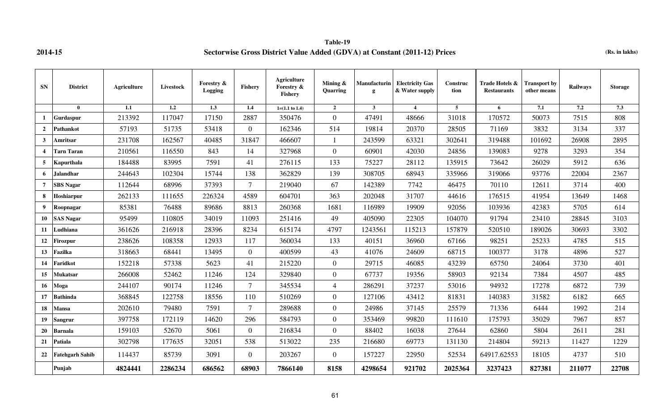**Table-19 2014-15 Sectorwise Gross District Value Added (GDVA) at Constant (2011-12) Prices (Rs. in lakhs)**

| <b>SN</b>        | <b>District</b>        | Agriculture | Livestock | Forestry &<br><b>Logging</b> | <b>Fishery</b> | Agriculture<br>Forestry &<br><b>Fishery</b> | Mining &<br>Quarring | <b>Manufacturin</b><br>g | <b>Electricity Gas</b><br>& Water supply | Construc<br>tion | Trade Hotels &<br><b>Restaurants</b> | <b>Transport by</b><br>other means | Railways | <b>Storage</b> |
|------------------|------------------------|-------------|-----------|------------------------------|----------------|---------------------------------------------|----------------------|--------------------------|------------------------------------------|------------------|--------------------------------------|------------------------------------|----------|----------------|
|                  | $\mathbf{0}$           | 1.1         | 1.2       | 1.3                          | 1.4            | $1=(1.1 \text{ to } 1.4)$                   | $\overline{2}$       | $\mathbf{3}$             | $\overline{4}$                           | 5                | 6                                    | 7.1                                | 7.2      | 7.3            |
| $\mathbf{1}$     | <b>Gurdaspur</b>       | 213392      | 117047    | 17150                        | 2887           | 350476                                      | $\overline{0}$       | 47491                    | 48666                                    | 31018            | 170572                               | 50073                              | 7515     | 808            |
| $\overline{2}$   | Pathankot              | 57193       | 51735     | 53418                        | $\Omega$       | 162346                                      | 514                  | 19814                    | 20370                                    | 28505            | 71169                                | 3832                               | 3134     | 337            |
| $\mathbf{3}$     | Amritsar               | 231708      | 162567    | 40485                        | 31847          | 466607                                      |                      | 243599                   | 63321                                    | 302641           | 319488                               | 101692                             | 26908    | 2895           |
| $\boldsymbol{4}$ | <b>Tarn Taran</b>      | 210561      | 116550    | 843                          | 14             | 327968                                      | $\overline{0}$       | 60901                    | 42030                                    | 24856            | 139083                               | 9278                               | 3293     | 354            |
| 5                | Kapurthala             | 184488      | 83995     | 7591                         | 41             | 276115                                      | 133                  | 75227                    | 28112                                    | 135915           | 73642                                | 26029                              | 5912     | 636            |
| 6                | Jalandhar              | 244643      | 102304    | 15744                        | 138            | 362829                                      | 139                  | 308705                   | 68943                                    | 335966           | 319066                               | 93776                              | 22004    | 2367           |
| $\overline{7}$   | <b>SBS Nagar</b>       | 112644      | 68996     | 37393                        | $\tau$         | 219040                                      | 67                   | 142389                   | 7742                                     | 46475            | 70110                                | 12611                              | 3714     | 400            |
| 8                | Hoshiarpur             | 262133      | 111655    | 226324                       | 4589           | 604701                                      | 363                  | 202048                   | 31707                                    | 44616            | 176515                               | 41954                              | 13649    | 1468           |
| $\boldsymbol{9}$ | Roopnagar              | 85381       | 76488     | 89686                        | 8813           | 260368                                      | 1681                 | 116989                   | 19909                                    | 92056            | 103936                               | 42383                              | 5705     | 614            |
| 10               | <b>SAS Nagar</b>       | 95499       | 110805    | 34019                        | 11093          | 251416                                      | 49                   | 405090                   | 22305                                    | 104070           | 91794                                | 23410                              | 28845    | 3103           |
| 11               | Ludhiana               | 361626      | 216918    | 28396                        | 8234           | 615174                                      | 4797                 | 1243561                  | 115213                                   | 157879           | 520510                               | 189026                             | 30693    | 3302           |
| 12               | Firozpur               | 238626      | 108358    | 12933                        | 117            | 360034                                      | 133                  | 40151                    | 36960                                    | 67166            | 98251                                | 25233                              | 4785     | 515            |
| 13               | Fazilka                | 318663      | 68441     | 13495                        | $\Omega$       | 400599                                      | 43                   | 41076                    | 24609                                    | 68715            | 100377                               | 3178                               | 4896     | 527            |
| 14               | Faridkot               | 152218      | 57338     | 5623                         | 41             | 215220                                      | $\overline{0}$       | 29715                    | 46085                                    | 43239            | 65750                                | 24064                              | 3730     | 401            |
| 15               | Mukatsar               | 266008      | 52462     | 11246                        | 124            | 329840                                      | $\overline{0}$       | 67737                    | 19356                                    | 58903            | 92134                                | 7384                               | 4507     | 485            |
| 16               | Moga                   | 244107      | 90174     | 11246                        | $\tau$         | 345534                                      | $\overline{4}$       | 286291                   | 37237                                    | 53016            | 94932                                | 17278                              | 6872     | 739            |
| 17               | <b>Bathinda</b>        | 368845      | 122758    | 18556                        | 110            | 510269                                      | $\overline{0}$       | 127106                   | 43412                                    | 81831            | 140383                               | 31582                              | 6182     | 665            |
| 18               | Mansa                  | 202610      | 79480     | 7591                         | $\tau$         | 289688                                      | $\overline{0}$       | 24986                    | 37145                                    | 25579            | 71336                                | 6444                               | 1992     | 214            |
| 19               | Sangrur                | 397758      | 172119    | 14620                        | 296            | 584793                                      | $\overline{0}$       | 353469                   | 99820                                    | 111610           | 175793                               | 35029                              | 7967     | 857            |
| 20               | <b>Barnala</b>         | 159103      | 52670     | 5061                         | $\overline{0}$ | 216834                                      | $\overline{0}$       | 88402                    | 16038                                    | 27644            | 62860                                | 5804                               | 2611     | 281            |
| 21               | <b>Patiala</b>         | 302798      | 177635    | 32051                        | 538            | 513022                                      | 235                  | 216680                   | 69773                                    | 131130           | 214804                               | 59213                              | 11427    | 1229           |
| 22               | <b>Fatehgarh Sahib</b> | 114437      | 85739     | 3091                         | $\overline{0}$ | 203267                                      | $\overline{0}$       | 157227                   | 22950                                    | 52534            | 64917.62553                          | 18105                              | 4737     | 510            |
|                  | Punjab                 | 4824441     | 2286234   | 686562                       | 68903          | 7866140                                     | 8158                 | 4298654                  | 921702                                   | 2025364          | 3237423                              | 827381                             | 211077   | 22708          |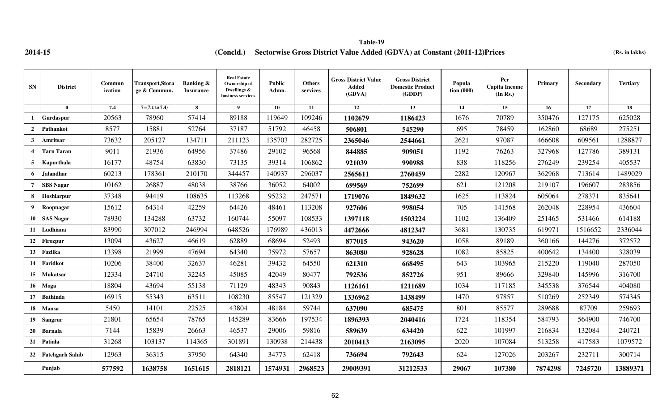# **2014-15 (Rs. in lakhs) (Concld.) Sectorwise Gross District Value Added (GDVA) at Constant (2011-12)Prices Table-19**

| <b>SN</b>               | <b>District</b>        | Commun<br>ication | <b>Transport,Stora</b><br>ge & Commun. | Banking &<br><b>Insurance</b> | <b>Real Estate</b><br>Ownership of<br>Dwellings &<br>business services | <b>Public</b><br>Admn. | <b>Others</b><br>services | <b>Gross District Value</b><br>Added<br>(GDVA) | <b>Gross District</b><br><b>Domestic Product</b><br>(GDDP) | Popula<br>$\frac{1}{2}$ tion (000) | Per<br><b>Capita Income</b><br>(In Rs.) | Primary | <b>Secondary</b> | <b>Tertiary</b> |
|-------------------------|------------------------|-------------------|----------------------------------------|-------------------------------|------------------------------------------------------------------------|------------------------|---------------------------|------------------------------------------------|------------------------------------------------------------|------------------------------------|-----------------------------------------|---------|------------------|-----------------|
|                         | $\bf{0}$               | 7.4               | $7=(7.1 \text{ to } 7.4)$              | 8                             | $\boldsymbol{9}$                                                       | 10                     | 11                        | 12                                             | 13                                                         | 14                                 | 15                                      | 16      | 17               | 18              |
| 1                       | Gurdaspur              | 20563             | 78960                                  | 57414                         | 89188                                                                  | 119649                 | 109246                    | 1102679                                        | 1186423                                                    | 1676                               | 70789                                   | 350476  | 127175           | 625028          |
| $\overline{2}$          | <b>Pathankot</b>       | 8577              | 15881                                  | 52764                         | 37187                                                                  | 51792                  | 46458                     | 506801                                         | 545290                                                     | 695                                | 78459                                   | 162860  | 68689            | 275251          |
| $\mathbf{3}$            | Amritsar               | 73632             | 205127                                 | 134711                        | 211123                                                                 | 135703                 | 282725                    | 2365046                                        | 2544661                                                    | 2621                               | 97087                                   | 466608  | 609561           | 1288877         |
| $\overline{\mathbf{4}}$ | <b>Tarn Taran</b>      | 9011              | 21936                                  | 64956                         | 37486                                                                  | 29102                  | 96568                     | 844885                                         | 909051                                                     | 1192                               | 76263                                   | 327968  | 127786           | 389131          |
| 5                       | Kapurthala             | 16177             | 48754                                  | 63830                         | 73135                                                                  | 39314                  | 106862                    | 921039                                         | 990988                                                     | 838                                | 118256                                  | 276249  | 239254           | 405537          |
| 6                       | <b>Jalandhar</b>       | 60213             | 178361                                 | 210170                        | 344457                                                                 | 140937                 | 296037                    | 2565611                                        | 2760459                                                    | 2282                               | 120967                                  | 362968  | 713614           | 1489029         |
| $\overline{7}$          | <b>SBS Nagar</b>       | 10162             | 26887                                  | 48038                         | 38766                                                                  | 36052                  | 64002                     | 699569                                         | 752699                                                     | 621                                | 121208                                  | 219107  | 196607           | 283856          |
| 8                       | Hoshiarpur             | 37348             | 94419                                  | 108635                        | 113268                                                                 | 95232                  | 247571                    | 1719076                                        | 1849632                                                    | 1625                               | 113824                                  | 605064  | 278371           | 835641          |
| 9                       | Roopnagar              | 15612             | 64314                                  | 42259                         | 64426                                                                  | 48461                  | 113208                    | 927606                                         | 998054                                                     | 705                                | 141568                                  | 262048  | 228954           | 436604          |
| 10                      | <b>SAS Nagar</b>       | 78930             | 134288                                 | 63732                         | 160744                                                                 | 55097                  | 108533                    | 1397118                                        | 1503224                                                    | 1102                               | 136409                                  | 251465  | 531466           | 614188          |
| 11                      | Ludhiana               | 83990             | 307012                                 | 246994                        | 648526                                                                 | 176989                 | 436013                    | 4472666                                        | 4812347                                                    | 3681                               | 130735                                  | 619971  | 1516652          | 2336044         |
| 12                      | <b>Firozpur</b>        | 13094             | 43627                                  | 46619                         | 62889                                                                  | 68694                  | 52493                     | 877015                                         | 943620                                                     | 1058                               | 89189                                   | 360166  | 144276           | 372572          |
| 13                      | Fazilka                | 13398             | 21999                                  | 47694                         | 64340                                                                  | 35972                  | 57657                     | 863080                                         | 928628                                                     | 1082                               | 85825                                   | 400642  | 134400           | 328039          |
| 14                      | Faridkot               | 10206             | 38400                                  | 32637                         | 46281                                                                  | 39432                  | 64550                     | 621310                                         | 668495                                                     | 643                                | 103965                                  | 215220  | 119040           | 287050          |
| 15                      | Mukatsar               | 12334             | 24710                                  | 32245                         | 45085                                                                  | 42049                  | 80477                     | 792536                                         | 852726                                                     | 951                                | 89666                                   | 329840  | 145996           | 316700          |
| 16                      | Moga                   | 18804             | 43694                                  | 55138                         | 71129                                                                  | 48343                  | 90843                     | 1126161                                        | 1211689                                                    | 1034                               | 117185                                  | 345538  | 376544           | 404080          |
| 17                      | <b>Bathinda</b>        | 16915             | 55343                                  | 63511                         | 108230                                                                 | 85547                  | 121329                    | 1336962                                        | 1438499                                                    | 1470                               | 97857                                   | 510269  | 252349           | 574345          |
| 18                      | Mansa                  | 5450              | 14101                                  | 22525                         | 43804                                                                  | 48184                  | 59744                     | 637090                                         | 685475                                                     | 801                                | 85577                                   | 289688  | 87709            | 259693          |
| 19                      | Sangrur                | 21801             | 65654                                  | 78765                         | 145289                                                                 | 83666                  | 197534                    | 1896393                                        | 2040416                                                    | 1724                               | 118354                                  | 584793  | 564900           | 746700          |
| 20                      | Barnala                | 7144              | 15839                                  | 26663                         | 46537                                                                  | 29006                  | 59816                     | 589639                                         | 634420                                                     | 622                                | 101997                                  | 216834  | 132084           | 240721          |
| 21                      | Patiala                | 31268             | 103137                                 | 114365                        | 301891                                                                 | 130938                 | 214438                    | 2010413                                        | 2163095                                                    | 2020                               | 107084                                  | 513258  | 417583           | 1079572         |
| 22                      | <b>Fatehgarh Sahib</b> | 12963             | 36315                                  | 37950                         | 64340                                                                  | 34773                  | 62418                     | 736694                                         | 792643                                                     | 624                                | 127026                                  | 203267  | 232711           | 300714          |
|                         | Punjab                 | 577592            | 1638758                                | 1651615                       | 2818121                                                                | 1574931                | 2968523                   | 29009391                                       | 31212533                                                   | 29067                              | 107380                                  | 7874298 | 7245720          | 13889371        |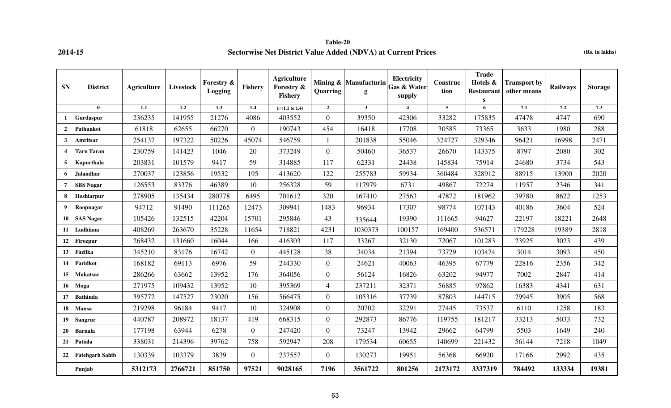**Table-20 2014-15 Sectorwise Net District Value Added (NDVA) at Current Prices (Rs. in lakhs)**

| <b>SN</b>             | <b>District</b>        | <b>Agriculture</b> | Livestock        | Forestry &<br>Logging | Fishery          | <b>Agriculture</b><br>Forestry &<br><b>Fishery</b> | Quarring         | Mining & Manufacturin<br>g | Electricity<br><b>Gas &amp; Water</b><br>supply | Construc<br>tion | <b>Trade</b><br>Hotels &<br><b>Restaurant</b><br>S | <b>Transport by</b><br>other means | Railways | <b>Storage</b> |
|-----------------------|------------------------|--------------------|------------------|-----------------------|------------------|----------------------------------------------------|------------------|----------------------------|-------------------------------------------------|------------------|----------------------------------------------------|------------------------------------|----------|----------------|
|                       | $\mathbf{0}$           | 1.1                | $\overline{1.2}$ | $\overline{1.3}$      | $\overline{1.4}$ | $1=(1.1 \text{ to } 1.4)$                          | $\overline{2}$   | $\mathbf{3}$               | $\overline{4}$                                  | $5\overline{5}$  | 6                                                  | 7.1                                | 7.2      | 7.3            |
|                       | Gurdaspur              | 236235             | 141955           | 21276                 | 4086             | 403552                                             | $\overline{0}$   | 39350                      | 42306                                           | 33282            | 175835                                             | 47478                              | 4747     | 690            |
| $\overline{2}$        | <b>Pathankot</b>       | 61818              | 62655            | 66270                 | $\overline{0}$   | 190743                                             | 454              | 16418                      | 17708                                           | 30585            | 73365                                              | 3633                               | 1980     | 288            |
| 3                     | Amritsar               | 254137             | 197322           | 50226                 | 45074            | 546759                                             |                  | 201838                     | 55046                                           | 324727           | 329346                                             | 96421                              | 16998    | 2471           |
| $\boldsymbol{\Delta}$ | <b>Tarn Taran</b>      | 230759             | 141423           | 1046                  | 20               | 373249                                             | $\boldsymbol{0}$ | 50460                      | 36537                                           | 26670            | 143375                                             | 8797                               | 2080     | 302            |
| 5                     | Kapurthala             | 203831             | 101579           | 9417                  | 59               | 314885                                             | 117              | 62331                      | 24438                                           | 145834           | 75914                                              | 24680                              | 3734     | 543            |
| 6                     | <b>Jalandhar</b>       | 270037             | 123856           | 19532                 | 195              | 413620                                             | 122              | 255783                     | 59934                                           | 360484           | 328912                                             | 88915                              | 13900    | 2020           |
| 7                     | <b>SBS Nagar</b>       | 126553             | 83376            | 46389                 | 10               | 256328                                             | 59               | 117979                     | 6731                                            | 49867            | 72274                                              | 11957                              | 2346     | 341            |
| 8                     | <b>Hoshiarpur</b>      | 278905             | 135434           | 280778                | 6495             | 701612                                             | 320              | 167410                     | 27563                                           | 47872            | 181962                                             | 39780                              | 8622     | 1253           |
| 9                     | Roopnagar              | 94712              | 91490            | 111265                | 12473            | 309941                                             | 1483             | 96934                      | 17307                                           | 98774            | 107143                                             | 40186                              | 3604     | 524            |
| 10                    | <b>SAS Nagar</b>       | 105426             | 132515           | 42204                 | 15701            | 295846                                             | 43               | 335644                     | 19390                                           | 111665           | 94627                                              | 22197                              | 18221    | 2648           |
| -11                   | Ludhiana               | 408269             | 263670           | 35228                 | 11654            | 718821                                             | 4231             | 1030373                    | 100157                                          | 169400           | 536571                                             | 179228                             | 19389    | 2818           |
| 12                    | <b>Firozpur</b>        | 268432             | 131660           | 16044                 | 166              | 416303                                             | 117              | 33267                      | 32130                                           | 72067            | 101283                                             | 23925                              | 3023     | 439            |
| 13                    | Fazilka                | 345210             | 83176            | 16742                 | $\overline{0}$   | 445128                                             | 38               | 34034                      | 21394                                           | 73729            | 103474                                             | 3014                               | 3093     | 450            |
| 14                    | Faridkot               | 168182             | 69113            | 6976                  | 59               | 244330                                             | $\overline{0}$   | 24621                      | 40063                                           | 46395            | 67779                                              | 22816                              | 2356     | 342            |
| 15                    | Mukatsar               | 286266             | 63662            | 13952                 | 176              | 364056                                             | $\overline{0}$   | 56124                      | 16826                                           | 63202            | 94977                                              | 7002                               | 2847     | 414            |
| <b>16</b>             | Moga                   | 271975             | 109432           | 13952                 | 10               | 395369                                             | $\overline{4}$   | 237211                     | 32371                                           | 56885            | 97862                                              | 16383                              | 4341     | 631            |
| 17                    | <b>Bathinda</b>        | 395772             | 147527           | 23020                 | 156              | 566475                                             | $\boldsymbol{0}$ | 105316                     | 37739                                           | 87803            | 144715                                             | 29945                              | 3905     | 568            |
| 18                    | Mansa                  | 219298             | 96184            | 9417                  | 10               | 324908                                             | $\overline{0}$   | 20702                      | 32291                                           | 27445            | 73537                                              | 6110                               | 1258     | 183            |
| 19                    | <b>Sangrur</b>         | 440787             | 208972           | 18137                 | 419              | 668315                                             | $\boldsymbol{0}$ | 292873                     | 86776                                           | 119755           | 181217                                             | 33213                              | 5033     | 732            |
| 20                    | <b>Barnala</b>         | 177198             | 63944            | 6278                  | $\overline{0}$   | 247420                                             | $\overline{0}$   | 73247                      | 13942                                           | 29662            | 64799                                              | 5503                               | 1649     | 240            |
| 21                    | <b>Patiala</b>         | 338031             | 214396           | 39762                 | 758              | 592947                                             | 208              | 179534                     | 60655                                           | 140699           | 221432                                             | 56144                              | 7218     | 1049           |
| 22                    | <b>Fatehgarh Sahib</b> | 130339             | 103379           | 3839                  | $\mathbf{0}$     | 237557                                             | $\overline{0}$   | 130273                     | 19951                                           | 56368            | 66920                                              | 17166                              | 2992     | 435            |
|                       | Punjab                 | 5312173            | 2766721          | 851750                | 97521            | 9028165                                            | 7196             | 3561722                    | 801256                                          | 2173172          | 3337319                                            | 784492                             | 133334   | 19381          |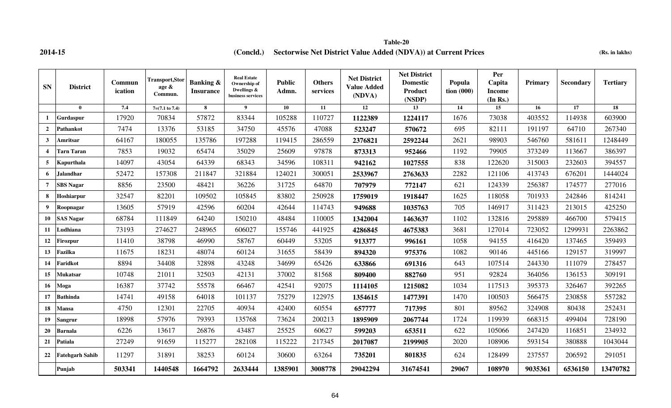**2014-15 (Rs. in lakhs) (Concld.) Sectorwise Net District Value Added (NDVA)) at Current Prices Table-20**

| <b>SN</b>        | <b>District</b>        | Commun<br>ication | <b>Transport,Stor</b><br>age &<br>Commun. | Banking &<br><b>Insurance</b> | <b>Real Estate</b><br>Ownership of<br>Dwellings &<br>business services | <b>Public</b><br>Admn. | <b>Others</b><br>services | <b>Net District</b><br><b>Value Added</b><br>(NDVA) | <b>Net District</b><br><b>Domestic</b><br><b>Product</b><br>(NSDP) | Popula<br>tion(000) | Per<br>Capita<br><b>Income</b><br>(In Rs.) | Primary | <b>Secondary</b> | <b>Tertiary</b> |
|------------------|------------------------|-------------------|-------------------------------------------|-------------------------------|------------------------------------------------------------------------|------------------------|---------------------------|-----------------------------------------------------|--------------------------------------------------------------------|---------------------|--------------------------------------------|---------|------------------|-----------------|
|                  | $\theta$               | 7.4               | $7=(7.1 \text{ to } 7.4)$                 | 8                             | $\overline{\mathbf{9}}$                                                | 10                     | 11                        | 12                                                  | 13                                                                 | 14                  | 15                                         | 16      | 17               | 18              |
|                  | Gurdaspur              | 17920             | 70834                                     | 57872                         | 83344                                                                  | 105288                 | 110727                    | 1122389                                             | 1224117                                                            | 1676                | 73038                                      | 403552  | 114938           | 603900          |
| $\overline{2}$   | Pathankot              | 7474              | 13376                                     | 53185                         | 34750                                                                  | 45576                  | 47088                     | 523247                                              | 570672                                                             | 695                 | 82111                                      | 191197  | 64710            | 267340          |
| $\mathbf{3}$     | Amritsar               | 64167             | 180055                                    | 135786                        | 197288                                                                 | 119415                 | 286559                    | 2376821                                             | 2592244                                                            | 2621                | 98903                                      | 546760  | 581611           | 1248449         |
| $\boldsymbol{4}$ | <b>Tarn Taran</b>      | 7853              | 19032                                     | 65474                         | 35029                                                                  | 25609                  | 97878                     | 873313                                              | 952466                                                             | 1192                | 79905                                      | 373249  | 113667           | 386397          |
| 5                | Kapurthala             | 14097             | 43054                                     | 64339                         | 68343                                                                  | 34596                  | 108311                    | 942162                                              | 1027555                                                            | 838                 | 122620                                     | 315003  | 232603           | 394557          |
| 6                | <b>Jalandhar</b>       | 52472             | 157308                                    | 211847                        | 321884                                                                 | 124021                 | 300051                    | 2533967                                             | 2763633                                                            | 2282                | 121106                                     | 413743  | 676201           | 1444024         |
| $\overline{7}$   | <b>SBS</b> Nagar       | 8856              | 23500                                     | 48421                         | 36226                                                                  | 31725                  | 64870                     | 707979                                              | 772147                                                             | 621                 | 124339                                     | 256387  | 174577           | 277016          |
| 8                | Hoshiarpur             | 32547             | 82201                                     | 109502                        | 105845                                                                 | 83802                  | 250928                    | 1759019                                             | 1918447                                                            | 1625                | 118058                                     | 701933  | 242846           | 814241          |
| 9                | Roopnagar              | 13605             | 57919                                     | 42596                         | 60204                                                                  | 42644                  | 114743                    | 949688                                              | 1035763                                                            | 705                 | 146917                                     | 311423  | 213015           | 425250          |
| 10               | <b>SAS Nagar</b>       | 68784             | 111849                                    | 64240                         | 150210                                                                 | 48484                  | 110005                    | 1342004                                             | 1463637                                                            | 1102                | 132816                                     | 295889  | 466700           | 579415          |
| 11               | Ludhiana               | 73193             | 274627                                    | 248965                        | 606027                                                                 | 155746                 | 441925                    | 4286845                                             | 4675383                                                            | 3681                | 127014                                     | 723052  | 1299931          | 2263862         |
| 12               | Firozpur               | 11410             | 38798                                     | 46990                         | 58767                                                                  | 60449                  | 53205                     | 913377                                              | 996161                                                             | 1058                | 94155                                      | 416420  | 137465           | 359493          |
| 13               | <b>Fazilka</b>         | 11675             | 18231                                     | 48074                         | 60124                                                                  | 31655                  | 58439                     | 894320                                              | 975376                                                             | 1082                | 90146                                      | 445166  | 129157           | 319997          |
| 14               | Faridkot               | 8894              | 34408                                     | 32898                         | 43248                                                                  | 34699                  | 65426                     | 633866                                              | 691316                                                             | 643                 | 107514                                     | 244330  | 111079           | 278457          |
| 15               | <b>Mukatsar</b>        | 10748             | 21011                                     | 32503                         | 42131                                                                  | 37002                  | 81568                     | 809400                                              | 882760                                                             | 951                 | 92824                                      | 364056  | 136153           | 309191          |
| 16               | Moga                   | 16387             | 37742                                     | 55578                         | 66467                                                                  | 42541                  | 92075                     | 1114105                                             | 1215082                                                            | 1034                | 117513                                     | 395373  | 326467           | 392265          |
| 17               | <b>Bathinda</b>        | 14741             | 49158                                     | 64018                         | 101137                                                                 | 75279                  | 122975                    | 1354615                                             | 1477391                                                            | 1470                | 100503                                     | 566475  | 230858           | 557282          |
| 18               | <b>Mansa</b>           | 4750              | 12301                                     | 22705                         | 40934                                                                  | 42400                  | 60554                     | 657777                                              | 717395                                                             | 801                 | 89562                                      | 324908  | 80438            | 252431          |
| 19               | <b>Sangrur</b>         | 18998             | 57976                                     | 79393                         | 135768                                                                 | 73624                  | 200213                    | 1895909                                             | 2067744                                                            | 1724                | 119939                                     | 668315  | 499404           | 728190          |
| 20               | <b>Barnala</b>         | 6226              | 13617                                     | 26876                         | 43487                                                                  | 25525                  | 60627                     | 599203                                              | 653511                                                             | 622                 | 105066                                     | 247420  | 116851           | 234932          |
| 21               | <b>Patiala</b>         | 27249             | 91659                                     | 115277                        | 282108                                                                 | 115222                 | 217345                    | 2017087                                             | 2199905                                                            | 2020                | 108906                                     | 593154  | 380888           | 1043044         |
| 22               | <b>Fatehgarh Sahib</b> | 11297             | 31891                                     | 38253                         | 60124                                                                  | 30600                  | 63264                     | 735201                                              | 801835                                                             | 624                 | 128499                                     | 237557  | 206592           | 291051          |
|                  | Punjab                 | 503341            | 1440548                                   | 1664792                       | 2633444                                                                | 1385901                | 3008778                   | 29042294                                            | 31674541                                                           | 29067               | 108970                                     | 9035361 | 6536150          | 13470782        |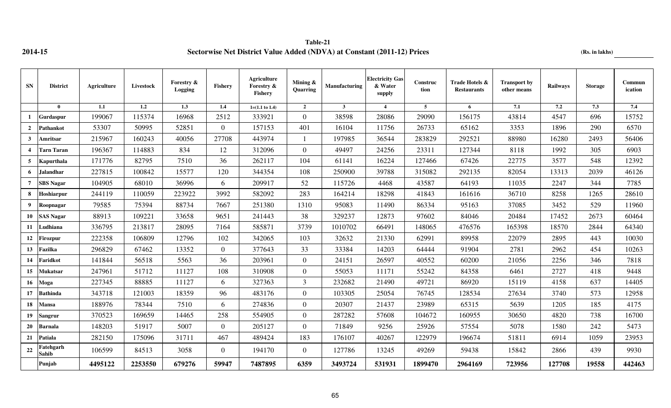**Table-21 2014-15 Sectorwise Net District Value Added (NDVA) at Constant (2011-12) Prices (Rs. in lakhs)**

| <b>SN</b>      | <b>District</b>    | Agriculture | Livestock | Forestry &<br>Logging | Fishery        | <b>Agriculture</b><br>Forestry &<br><b>Fishery</b> | Mining &<br>Quarring | <b>Manufacturing</b> | <b>Electricity Gas</b><br>& Water<br>supply | Construc<br>tion | Trade Hotels &<br><b>Restaurants</b> | <b>Transport by</b><br>other means | Railways | <b>Storage</b> | Commun<br>ication |
|----------------|--------------------|-------------|-----------|-----------------------|----------------|----------------------------------------------------|----------------------|----------------------|---------------------------------------------|------------------|--------------------------------------|------------------------------------|----------|----------------|-------------------|
|                | $\mathbf{0}$       | 1.1         | 1.2       | $\overline{1.3}$      | 1.4            | $1=(1.1 \text{ to } 1.4)$                          | $\overline{2}$       | 3 <sup>1</sup>       | $\overline{4}$                              | 5 <sup>5</sup>   | 6                                    | 7.1                                | 7.2      | 7.3            | 7.4               |
| 1              | Gurdaspur          | 199067      | 115374    | 16968                 | 2512           | 333921                                             | $\theta$             | 38598                | 28086                                       | 29090            | 156175                               | 43814                              | 4547     | 696            | 15752             |
| $\overline{2}$ | <b>Pathankot</b>   | 53307       | 50995     | 52851                 | $\Omega$       | 157153                                             | 401                  | 16104                | 11756                                       | 26733            | 65162                                | 3353                               | 1896     | 290            | 6570              |
| $\mathbf{3}$   | Amritsar           | 215967      | 160243    | 40056                 | 27708          | 443974                                             |                      | 197985               | 36544                                       | 283829           | 292521                               | 88980                              | 16280    | 2493           | 56406             |
|                | <b>Tarn Taran</b>  | 196367      | 114883    | 834                   | 12             | 312096                                             | $\Omega$             | 49497                | 24256                                       | 23311            | 127344                               | 8118                               | 1992     | 305            | 6903              |
| 5              | Kapurthala         | 171776      | 82795     | 7510                  | 36             | 262117                                             | 104                  | 61141                | 16224                                       | 127466           | 67426                                | 22775                              | 3577     | 548            | 12392             |
| 6              | <b>Jalandhar</b>   | 227815      | 100842    | 15577                 | 120            | 344354                                             | 108                  | 250900               | 39788                                       | 315082           | 292135                               | 82054                              | 13313    | 2039           | 46126             |
| 7              | <b>SBS</b> Nagar   | 104905      | 68010     | 36996                 | 6              | 209917                                             | 52                   | 115726               | 4468                                        | 43587            | 64193                                | 11035                              | 2247     | 344            | 7785              |
| 8              | Hoshiarpur         | 244119      | 110059    | 223922                | 3992           | 582092                                             | 283                  | 164214               | 18298                                       | 41843            | 161616                               | 36710                              | 8258     | 1265           | 28610             |
| 9              | Roopnagar          | 79585       | 75394     | 88734                 | 7667           | 251380                                             | 1310                 | 95083                | 11490                                       | 86334            | 95163                                | 37085                              | 3452     | 529            | 11960             |
| 10             | <b>SAS Nagar</b>   | 88913       | 109221    | 33658                 | 9651           | 241443                                             | 38                   | 329237               | 12873                                       | 97602            | 84046                                | 20484                              | 17452    | 2673           | 60464             |
| 11             | Ludhiana           | 336795      | 213817    | 28095                 | 7164           | 585871                                             | 3739                 | 1010702              | 66491                                       | 148065           | 476576                               | 165398                             | 18570    | 2844           | 64340             |
| 12             | <b>Firozpur</b>    | 222358      | 106809    | 12796                 | 102            | 342065                                             | 103                  | 32632                | 21330                                       | 62991            | 89958                                | 22079                              | 2895     | 443            | 10030             |
| 13             | Fazilka            | 296829      | 67462     | 13352                 | $\Omega$       | 377643                                             | 33                   | 33384                | 14203                                       | 64444            | 91904                                | 2781                               | 2962     | 454            | 10263             |
| 14             | Faridkot           | 141844      | 56518     | 5563                  | 36             | 203961                                             | $\overline{0}$       | 24151                | 26597                                       | 40552            | 60200                                | 21056                              | 2256     | 346            | 7818              |
| 15             | Mukatsar           | 247961      | 51712     | 11127                 | 108            | 310908                                             | $\Omega$             | 55053                | 11171                                       | 55242            | 84358                                | 6461                               | 2727     | 418            | 9448              |
| 16             | Moga               | 227345      | 88885     | 11127                 | 6              | 327363                                             | $\overline{3}$       | 232682               | 21490                                       | 49721            | 86920                                | 15119                              | 4158     | 637            | 14405             |
| 17             | <b>Bathinda</b>    | 343718      | 121003    | 18359                 | 96             | 483176                                             | $\overline{0}$       | 103305               | 25054                                       | 76745            | 128534                               | 27634                              | 3740     | 573            | 12958             |
| 18             | <b>Mansa</b>       | 188976      | 78344     | 7510                  | 6              | 274836                                             | $\boldsymbol{0}$     | 20307                | 21437                                       | 23989            | 65315                                | 5639                               | 1205     | 185            | 4175              |
| 19             | <b>Sangrur</b>     | 370523      | 169659    | 14465                 | 258            | 554905                                             | $\theta$             | 287282               | 57608                                       | 104672           | 160955                               | 30650                              | 4820     | 738            | 16700             |
| 20             | <b>Barnala</b>     | 148203      | 51917     | 5007                  | $\overline{0}$ | 205127                                             | $\overline{0}$       | 71849                | 9256                                        | 25926            | 57554                                | 5078                               | 1580     | 242            | 5473              |
| 21             | Patiala            | 282150      | 175096    | 31711                 | 467            | 489424                                             | 183                  | 176107               | 40267                                       | 122979           | 196674                               | 51811                              | 6914     | 1059           | 23953             |
| 22             | Fatehgarh<br>Sahib | 106599      | 84513     | 3058                  | $\overline{0}$ | 194170                                             | $\overline{0}$       | 127786               | 13245                                       | 49269            | 59438                                | 15842                              | 2866     | 439            | 9930              |
|                | Punjab             | 4495122     | 2253550   | 679276                | 59947          | 7487895                                            | 6359                 | 3493724              | 531931                                      | 1899470          | 2964169                              | 723956                             | 127708   | 19558          | 442463            |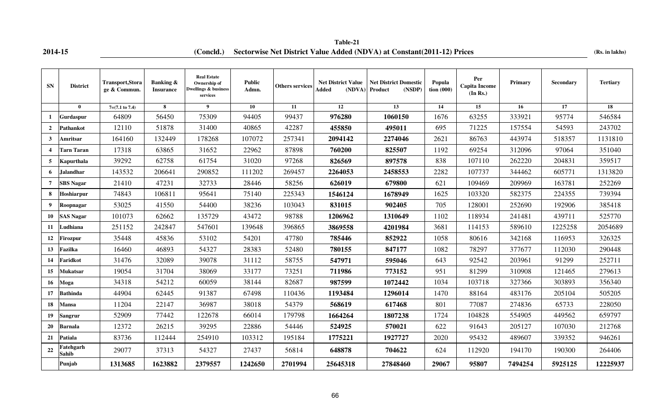**2014-15 (Concld.)** Sectorwise Net District Value Added (NDVA) at Constant(2011-12) Prices (Rs. in lakhs) **Table-21**

| <b>SN</b>               | <b>District</b>    | <b>Transport, Stora</b><br>ge & Commun. | <b>Banking &amp;</b><br><b>Insurance</b> | <b>Real Estate</b><br>Ownership of<br>Dwellings & business<br>services | <b>Public</b><br>Admn. | <b>Others services</b> | <b>Net District Value</b><br>Added<br>(NDVA) | <b>Net District Domestic</b><br>(NSDP)<br>Product | Popula<br>tion $(000)$ | Per<br>Capita Income<br>(In Rs.) | <b>Primary</b> | <b>Secondary</b> | <b>Tertiary</b> |
|-------------------------|--------------------|-----------------------------------------|------------------------------------------|------------------------------------------------------------------------|------------------------|------------------------|----------------------------------------------|---------------------------------------------------|------------------------|----------------------------------|----------------|------------------|-----------------|
|                         | $\mathbf{0}$       | $7=(7.1 \text{ to } 7.4)$               | 8                                        | 9 <sup>1</sup>                                                         | 10                     | 11                     | 12                                           | 13                                                | 14                     | 15                               | 16             | 17               | 18              |
| $\mathbf{1}$            | Gurdaspur          | 64809                                   | 56450                                    | 75309                                                                  | 94405                  | 99437                  | 976280                                       | 1060150                                           | 1676                   | 63255                            | 333921         | 95774            | 546584          |
| $\overline{2}$          | Pathankot          | 12110                                   | 51878                                    | 31400                                                                  | 40865                  | 42287                  | 455850                                       | 495011                                            | 695                    | 71225                            | 157554         | 54593            | 243702          |
| $\mathbf{3}$            | Amritsar           | 164160                                  | 132449                                   | 178268                                                                 | 107072                 | 257341                 | 2094142                                      | 2274046                                           | 2621                   | 86763                            | 443974         | 518357           | 1131810         |
| $\overline{\mathbf{4}}$ | Tarn Taran         | 17318                                   | 63865                                    | 31652                                                                  | 22962                  | 87898                  | 760200                                       | 825507                                            | 1192                   | 69254                            | 312096         | 97064            | 351040          |
| 5 <sub>5</sub>          | Kapurthala         | 39292                                   | 62758                                    | 61754                                                                  | 31020                  | 97268                  | 826569                                       | 897578                                            | 838                    | 107110                           | 262220         | 204831           | 359517          |
| 6                       | <b>Jalandhar</b>   | 143532                                  | 206641                                   | 290852                                                                 | 111202                 | 269457                 | 2264053                                      | 2458553                                           | 2282                   | 107737                           | 344462         | 605771           | 1313820         |
| $\overline{7}$          | <b>SBS Nagar</b>   | 21410                                   | 47231                                    | 32733                                                                  | 28446                  | 58256                  | 626019                                       | 679800                                            | 621                    | 109469                           | 209969         | 163781           | 252269          |
| 8                       | Hoshiarpur         | 74843                                   | 106811                                   | 95641                                                                  | 75140                  | 225343                 | 1546124                                      | 1678949                                           | 1625                   | 103320                           | 582375         | 224355           | 739394          |
| $\boldsymbol{9}$        | Roopnagar          | 53025                                   | 41550                                    | 54400                                                                  | 38236                  | 103043                 | 831015                                       | 902405                                            | 705                    | 128001                           | 252690         | 192906           | 385418          |
| 10                      | <b>SAS Nagar</b>   | 101073                                  | 62662                                    | 135729                                                                 | 43472                  | 98788                  | 1206962                                      | 1310649                                           | 1102                   | 118934                           | 241481         | 439711           | 525770          |
| 11                      | Ludhiana           | 251152                                  | 242847                                   | 547601                                                                 | 139648                 | 396865                 | 3869558                                      | 4201984                                           | 3681                   | 114153                           | 589610         | 1225258          | 2054689         |
| 12                      | Firozpur           | 35448                                   | 45836                                    | 53102                                                                  | 54201                  | 47780                  | 785446                                       | 852922                                            | 1058                   | 80616                            | 342168         | 116953           | 326325          |
| 13                      | Fazilka            | 16460                                   | 46893                                    | 54327                                                                  | 28383                  | 52480                  | 780155                                       | 847177                                            | 1082                   | 78297                            | 377677         | 112030           | 290448          |
| 14                      | Faridkot           | 31476                                   | 32089                                    | 39078                                                                  | 31112                  | 58755                  | 547971                                       | 595046                                            | 643                    | 92542                            | 203961         | 91299            | 252711          |
| 15                      | Mukatsar           | 19054                                   | 31704                                    | 38069                                                                  | 33177                  | 73251                  | 711986                                       | 773152                                            | 951                    | 81299                            | 310908         | 121465           | 279613          |
| 16                      | Moga               | 34318                                   | 54212                                    | 60059                                                                  | 38144                  | 82687                  | 987599                                       | 1072442                                           | 1034                   | 103718                           | 327366         | 303893           | 356340          |
| 17                      | <b>Bathinda</b>    | 44904                                   | 62445                                    | 91387                                                                  | 67498                  | 110436                 | 1193484                                      | 1296014                                           | 1470                   | 88164                            | 483176         | 205104           | 505205          |
| 18                      | <b>Mansa</b>       | 11204                                   | 22147                                    | 36987                                                                  | 38018                  | 54379                  | 568619                                       | 617468                                            | 801                    | 77087                            | 274836         | 65733            | 228050          |
| 19                      | Sangrur            | 52909                                   | 77442                                    | 122678                                                                 | 66014                  | 179798                 | 1664264                                      | 1807238                                           | 1724                   | 104828                           | 554905         | 449562           | 659797          |
| 20                      | <b>Barnala</b>     | 12372                                   | 26215                                    | 39295                                                                  | 22886                  | 54446                  | 524925                                       | 570021                                            | 622                    | 91643                            | 205127         | 107030           | 212768          |
| 21                      | Patiala            | 83736                                   | 112444                                   | 254910                                                                 | 103312                 | 195184                 | 1775221                                      | 1927727                                           | 2020                   | 95432                            | 489607         | 339352           | 946261          |
| 22                      | Fatehgarh<br>Sahib | 29077                                   | 37313                                    | 54327                                                                  | 27437                  | 56814                  | 648878                                       | 704622                                            | 624                    | 112920                           | 194170         | 190300           | 264406          |
|                         | Punjab             | 1313685                                 | 1623882                                  | 2379557                                                                | 1242650                | 2701994                | 25645318                                     | 27848460                                          | 29067                  | 95807                            | 7494254        | 5925125          | 12225937        |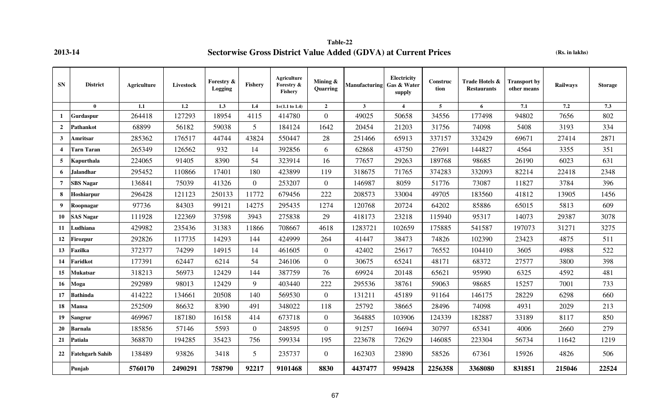**Table-22 2013-14 Sectorwise Gross District Value Added (GDVA) at Current Prices** 

**(Rs. in lakhs)**

| <b>SN</b>               | <b>District</b>        | <b>Agriculture</b> | Livestock | Forestry &<br>Logging | Fishery          | <b>Agriculture</b><br>Forestry &<br><b>Fishery</b> | Mining &<br>Quarring | <b>Manufacturing</b> | Electricity<br>Gas & Water<br>supply | Construc<br>tion | Trade Hotels &<br><b>Restaurants</b> | <b>Transport by</b><br>other means | Railways | <b>Storage</b> |
|-------------------------|------------------------|--------------------|-----------|-----------------------|------------------|----------------------------------------------------|----------------------|----------------------|--------------------------------------|------------------|--------------------------------------|------------------------------------|----------|----------------|
|                         | $\mathbf{0}$           | 1.1                | 1.2       | 1.3                   | 1.4              | $1=(1.1 \text{ to } 1.4)$                          | $\overline{2}$       | $\mathbf{3}$         | 4                                    | 5                | 6                                    | 7.1                                | 7.2      | 7.3            |
| 1                       | Gurdaspur              | 264418             | 127293    | 18954                 | 4115             | 414780                                             | $\overline{0}$       | 49025                | 50658                                | 34556            | 177498                               | 94802                              | 7656     | 802            |
| $\overline{2}$          | <b>Pathankot</b>       | 68899              | 56182     | 59038                 | 5                | 184124                                             | 1642                 | 20454                | 21203                                | 31756            | 74098                                | 5408                               | 3193     | 334            |
| 3                       | Amritsar               | 285362             | 176517    | 44744                 | 43824            | 550447                                             | 28                   | 251466               | 65913                                | 337157           | 332429                               | 69671                              | 27414    | 2871           |
| $\overline{\mathbf{4}}$ | <b>Tarn Taran</b>      | 265349             | 126562    | 932                   | 14               | 392856                                             | 6                    | 62868                | 43750                                | 27691            | 144827                               | 4564                               | 3355     | 351            |
| 5                       | Kapurthala             | 224065             | 91405     | 8390                  | 54               | 323914                                             | 16                   | 77657                | 29263                                | 189768           | 98685                                | 26190                              | 6023     | 631            |
| 6                       | Jalandhar              | 295452             | 110866    | 17401                 | 180              | 423899                                             | 119                  | 318675               | 71765                                | 374283           | 332093                               | 82214                              | 22418    | 2348           |
| $\overline{7}$          | <b>SBS Nagar</b>       | 136841             | 75039     | 41326                 | $\boldsymbol{0}$ | 253207                                             | $\overline{0}$       | 146987               | 8059                                 | 51776            | 73087                                | 11827                              | 3784     | 396            |
| 8                       | Hoshiarpur             | 296428             | 121123    | 250133                | 11772            | 679456                                             | 222                  | 208573               | 33004                                | 49705            | 183560                               | 41812                              | 13905    | 1456           |
| 9                       | Roopnagar              | 97736              | 84303     | 99121                 | 14275            | 295435                                             | 1274                 | 120768               | 20724                                | 64202            | 85886                                | 65015                              | 5813     | 609            |
| 10                      | <b>SAS Nagar</b>       | 111928             | 122369    | 37598                 | 3943             | 275838                                             | 29                   | 418173               | 23218                                | 115940           | 95317                                | 14073                              | 29387    | 3078           |
| 11                      | Ludhiana               | 429982             | 235436    | 31383                 | 11866            | 708667                                             | 4618                 | 1283721              | 102659                               | 175885           | 541587                               | 197073                             | 31271    | 3275           |
| 12                      | <b>Firozpur</b>        | 292826             | 117735    | 14293                 | 144              | 424999                                             | 264                  | 41447                | 38473                                | 74826            | 102390                               | 23423                              | 4875     | 511            |
| 13                      | Fazilka                | 372377             | 74299     | 14915                 | 14               | 461605                                             | $\overline{0}$       | 42402                | 25617                                | 76552            | 104410                               | 3605                               | 4988     | 522            |
| 14                      | Faridkot               | 177391             | 62447     | 6214                  | 54               | 246106                                             | $\mathbf{0}$         | 30675                | 65241                                | 48171            | 68372                                | 27577                              | 3800     | 398            |
| 15                      | Mukatsar               | 318213             | 56973     | 12429                 | 144              | 387759                                             | 76                   | 69924                | 20148                                | 65621            | 95990                                | 6325                               | 4592     | 481            |
| 16                      | Moga                   | 292989             | 98013     | 12429                 | 9                | 403440                                             | 222                  | 295536               | 38761                                | 59063            | 98685                                | 15257                              | 7001     | 733            |
| 17                      | <b>Bathinda</b>        | 414222             | 134661    | 20508                 | 140              | 569530                                             | $\overline{0}$       | 131211               | 45189                                | 91164            | 146175                               | 28229                              | 6298     | 660            |
| 18                      | Mansa                  | 252509             | 86632     | 8390                  | 491              | 348022                                             | 118                  | 25792                | 38665                                | 28496            | 74098                                | 4931                               | 2029     | 213            |
| 19                      | Sangrur                | 469967             | 187180    | 16158                 | 414              | 673718                                             | $\overline{0}$       | 364885               | 103906                               | 124339           | 182887                               | 33189                              | 8117     | 850            |
| 20                      | <b>Barnala</b>         | 185856             | 57146     | 5593                  | $\mathbf{0}$     | 248595                                             | $\overline{0}$       | 91257                | 16694                                | 30797            | 65341                                | 4006                               | 2660     | 279            |
| 21                      | Patiala                | 368870             | 194285    | 35423                 | 756              | 599334                                             | 195                  | 223678               | 72629                                | 146085           | 223304                               | 56734                              | 11642    | 1219           |
| 22                      | <b>Fatehgarh Sahib</b> | 138489             | 93826     | 3418                  | 5                | 235737                                             | $\overline{0}$       | 162303               | 23890                                | 58526            | 67361                                | 15926                              | 4826     | 506            |
|                         | Punjab                 | 5760170            | 2490291   | 758790                | 92217            | 9101468                                            | 8830                 | 4437477              | 959428                               | 2256358          | 3368080                              | 831851                             | 215046   | 22524          |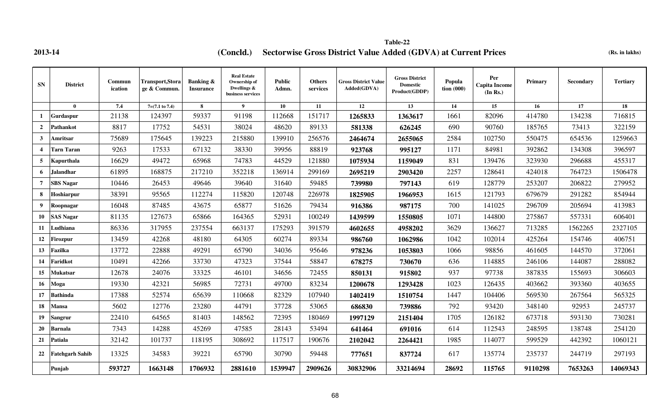**2013-14 (Concld.)** Sectorwise Gross District Value Added (GDVA) at Current Prices (Rs. in lakhs) **Table-22**

| <b>SN</b>        | <b>District</b>        | Commun<br>ication | Transport, Stora<br>ge & Commun. | <b>Banking &amp;</b><br><b>Insurance</b> | <b>Real Estate</b><br>Ownership of<br>Dwellings &<br>business services | <b>Public</b><br>Admn. | <b>Others</b><br>services | <b>Gross District Value</b><br>Added(GDVA) | <b>Gross District</b><br><b>Domestic</b><br>Product(GDDP) | Popula<br>tion (000) | Per<br><b>Capita Income</b><br>(In Rs.) | Primary | Secondary | <b>Tertiary</b> |
|------------------|------------------------|-------------------|----------------------------------|------------------------------------------|------------------------------------------------------------------------|------------------------|---------------------------|--------------------------------------------|-----------------------------------------------------------|----------------------|-----------------------------------------|---------|-----------|-----------------|
|                  | $\mathbf{0}$           | 7.4               | $7=(7.1 \text{ to } 7.4)$        | 8                                        | $\mathbf{Q}$                                                           | 10                     | 11                        | 12                                         | 13                                                        | 14                   | 15 <sup>15</sup>                        | 16      | 17        | 18              |
|                  | Gurdaspur              | 21138             | 124397                           | 59337                                    | 91198                                                                  | 112668                 | 151717                    | 1265833                                    | 1363617                                                   | 1661                 | 82096                                   | 414780  | 134238    | 716815          |
| $\overline{2}$   | Pathankot              | 8817              | 17752                            | 54531                                    | 38024                                                                  | 48620                  | 89133                     | 581338                                     | 626245                                                    | 690                  | 90760                                   | 185765  | 73413     | 322159          |
| $\mathbf{3}$     | Amritsar               | 75689             | 175645                           | 139223                                   | 215880                                                                 | 139910                 | 256576                    | 2464674                                    | 2655065                                                   | 2584                 | 102750                                  | 550475  | 654536    | 1259663         |
|                  | <b>Tarn Taran</b>      | 9263              | 17533                            | 67132                                    | 38330                                                                  | 39956                  | 88819                     | 923768                                     | 995127                                                    | 1171                 | 84981                                   | 392862  | 134308    | 396597          |
| 5                | Kapurthala             | 16629             | 49472                            | 65968                                    | 74783                                                                  | 44529                  | 121880                    | 1075934                                    | 1159049                                                   | 831                  | 139476                                  | 323930  | 296688    | 455317          |
| 6                | <b>Jalandhar</b>       | 61895             | 168875                           | 217210                                   | 352218                                                                 | 136914                 | 299169                    | 2695219                                    | 2903420                                                   | 2257                 | 128641                                  | 424018  | 764723    | 1506478         |
| $\overline{7}$   | <b>SBS Nagar</b>       | 10446             | 26453                            | 49646                                    | 39640                                                                  | 31640                  | 59485                     | 739980                                     | 797143                                                    | 619                  | 128779                                  | 253207  | 206822    | 279952          |
| 8                | Hoshiarpur             | 38391             | 95565                            | 112274                                   | 115820                                                                 | 120748                 | 226978                    | 1825905                                    | 1966953                                                   | 1615                 | 121793                                  | 679679  | 291282    | 854944          |
| 9                | Roopnagar              | 16048             | 87485                            | 43675                                    | 65877                                                                  | 51626                  | 79434                     | 916386                                     | 987175                                                    | 700                  | 141025                                  | 296709  | 205694    | 413983          |
| 10               | <b>SAS Nagar</b>       | 81135             | 127673                           | 65866                                    | 164365                                                                 | 52931                  | 100249                    | 1439599                                    | 1550805                                                   | 1071                 | 144800                                  | 275867  | 557331    | 606401          |
| 11               | Ludhiana               | 86336             | 317955                           | 237554                                   | 663137                                                                 | 175293                 | 391579                    | 4602655                                    | 4958202                                                   | 3629                 | 136627                                  | 713285  | 1562265   | 2327105         |
| 12               | Firozpur               | 13459             | 42268                            | 48180                                    | 64305                                                                  | 60274                  | 89334                     | 986760                                     | 1062986                                                   | 1042                 | 102014                                  | 425264  | 154746    | 406751          |
| 13 <sup>13</sup> | <b>Fazilka</b>         | 13772             | 22888                            | 49291                                    | 65790                                                                  | 34036                  | 95646                     | 978236                                     | 1053803                                                   | 1066                 | 98856                                   | 461605  | 144570    | 372061          |
| 14               | Faridkot               | 10491             | 42266                            | 33730                                    | 47323                                                                  | 37544                  | 58847                     | 678275                                     | 730670                                                    | 636                  | 114885                                  | 246106  | 144087    | 288082          |
| 15               | Mukatsar               | 12678             | 24076                            | 33325                                    | 46101                                                                  | 34656                  | 72455                     | 850131                                     | 915802                                                    | 937                  | 97738                                   | 387835  | 155693    | 306603          |
| 16               | Moga                   | 19330             | 42321                            | 56985                                    | 72731                                                                  | 49700                  | 83234                     | 1200678                                    | 1293428                                                   | 1023                 | 126435                                  | 403662  | 393360    | 403655          |
| 17               | <b>Bathinda</b>        | 17388             | 52574                            | 65639                                    | 110668                                                                 | 82329                  | 107940                    | 1402419                                    | 1510754                                                   | 1447                 | 104406                                  | 569530  | 267564    | 565325          |
| 18               | <b>Mansa</b>           | 5602              | 12776                            | 23280                                    | 44791                                                                  | 37728                  | 53065                     | 686830                                     | 739886                                                    | 792                  | 93420                                   | 348140  | 92953     | 245737          |
| 19               | Sangrur                | 22410             | 64565                            | 81403                                    | 148562                                                                 | 72395                  | 180469                    | 1997129                                    | 2151404                                                   | 1705                 | 126182                                  | 673718  | 593130    | 730281          |
| 20               | <b>Barnala</b>         | 7343              | 14288                            | 45269                                    | 47585                                                                  | 28143                  | 53494                     | 641464                                     | 691016                                                    | 614                  | 112543                                  | 248595  | 138748    | 254120          |
| 21               | Patiala                | 32142             | 101737                           | 118195                                   | 308692                                                                 | 117517                 | 190676                    | 2102042                                    | 2264421                                                   | 1985                 | 114077                                  | 599529  | 442392    | 1060121         |
| 22               | <b>Fatehgarh Sahib</b> | 13325             | 34583                            | 39221                                    | 65790                                                                  | 30790                  | 59448                     | 777651                                     | 837724                                                    | 617                  | 135774                                  | 235737  | 244719    | 297193          |
|                  | Punjab                 | 593727            | 1663148                          | 1706932                                  | 2881610                                                                | 1539947                | 2909626                   | 30832906                                   | 33214694                                                  | 28692                | 115765                                  | 9110298 | 7653263   | 14069343        |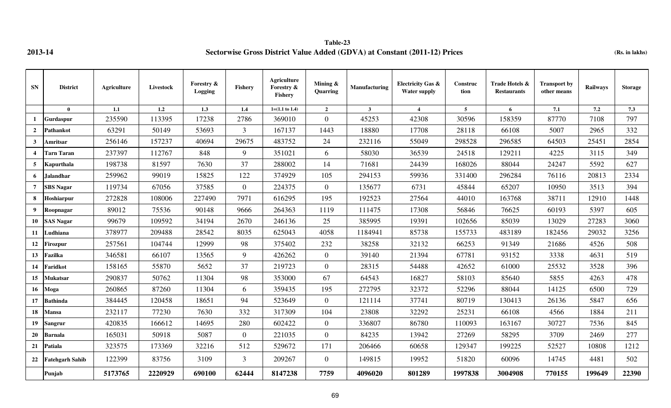**Table-23 2013-14 Sectorwise Gross District Value Added (GDVA) at Constant (2011-12) Prices (Rs. in lakhs)**

| <b>SN</b>               | <b>District</b>        | Agriculture | Livestock | Forestry &<br>Logging | Fishery        | <b>Agriculture</b><br>Forestry &<br>Fishery | Mining &<br><b>Ouarring</b> | <b>Manufacturing</b> | <b>Electricity Gas &amp;</b><br><b>Water supply</b> | Construc<br>tion | Trade Hotels &<br><b>Restaurants</b> | <b>Transport by</b><br>other means | <b>Railways</b> | <b>Storage</b> |
|-------------------------|------------------------|-------------|-----------|-----------------------|----------------|---------------------------------------------|-----------------------------|----------------------|-----------------------------------------------------|------------------|--------------------------------------|------------------------------------|-----------------|----------------|
|                         | $\bf{0}$               | 1.1         | 1.2       | 1.3                   | 1.4            | $1=(1.1 \text{ to } 1.4)$                   | $\overline{2}$              | $\mathbf{3}$         | $\overline{4}$                                      | $5^{\circ}$      | 6                                    | 7.1                                | 7.2             | 7.3            |
| 1                       | <b>Gurdaspur</b>       | 235590      | 113395    | 17238                 | 2786           | 369010                                      | $\overline{0}$              | 45253                | 42308                                               | 30596            | 158359                               | 87770                              | 7108            | 797            |
| $\overline{2}$          | Pathankot              | 63291       | 50149     | 53693                 | $\mathfrak{Z}$ | 167137                                      | 1443                        | 18880                | 17708                                               | 28118            | 66108                                | 5007                               | 2965            | 332            |
| $\mathbf{3}$            | Amritsar               | 256146      | 157237    | 40694                 | 29675          | 483752                                      | 24                          | 232116               | 55049                                               | 298528           | 296585                               | 64503                              | 25451           | 2854           |
| $\overline{\mathbf{4}}$ | <b>Tarn Taran</b>      | 237397      | 112767    | 848                   | 9              | 351021                                      | 6                           | 58030                | 36539                                               | 24518            | 129211                               | 4225                               | 3115            | 349            |
| 5                       | <b>Kapurthala</b>      | 198738      | 81597     | 7630                  | 37             | 288002                                      | 14                          | 71681                | 24439                                               | 168026           | 88044                                | 24247                              | 5592            | 627            |
| 6                       | <b>Jalandhar</b>       | 259962      | 99019     | 15825                 | 122            | 374929                                      | 105                         | 294153               | 59936                                               | 331400           | 296284                               | 76116                              | 20813           | 2334           |
| 7                       | <b>SBS Nagar</b>       | 119734      | 67056     | 37585                 | $\overline{0}$ | 224375                                      | $\overline{0}$              | 135677               | 6731                                                | 45844            | 65207                                | 10950                              | 3513            | 394            |
| 8                       | Hoshiarpur             | 272828      | 108006    | 227490                | 7971           | 616295                                      | 195                         | 192523               | 27564                                               | 44010            | 163768                               | 38711                              | 12910           | 1448           |
| 9                       | Roopnagar              | 89012       | 75536     | 90148                 | 9666           | 264363                                      | 1119                        | 111475               | 17308                                               | 56846            | 76625                                | 60193                              | 5397            | 605            |
|                         | 10 SAS Nagar           | 99679       | 109592    | 34194                 | 2670           | 246136                                      | 25                          | 385995               | 19391                                               | 102656           | 85039                                | 13029                              | 27283           | 3060           |
| 11                      | Ludhiana               | 378977      | 209488    | 28542                 | 8035           | 625043                                      | 4058                        | 1184941              | 85738                                               | 155733           | 483189                               | 182456                             | 29032           | 3256           |
| 12                      | Firozpur               | 257561      | 104744    | 12999                 | 98             | 375402                                      | 232                         | 38258                | 32132                                               | 66253            | 91349                                | 21686                              | 4526            | 508            |
| 13 <sup>13</sup>        | Fazilka                | 346581      | 66107     | 13565                 | 9              | 426262                                      | $\overline{0}$              | 39140                | 21394                                               | 67781            | 93152                                | 3338                               | 4631            | 519            |
| 14                      | Faridkot               | 158165      | 55870     | 5652                  | 37             | 219723                                      | $\overline{0}$              | 28315                | 54488                                               | 42652            | 61000                                | 25532                              | 3528            | 396            |
| 15 <sup>15</sup>        | Mukatsar               | 290837      | 50762     | 11304                 | 98             | 353000                                      | 67                          | 64543                | 16827                                               | 58103            | 85640                                | 5855                               | 4263            | 478            |
| 16 <sup>1</sup>         | Moga                   | 260865      | 87260     | 11304                 | 6              | 359435                                      | 195                         | 272795               | 32372                                               | 52296            | 88044                                | 14125                              | 6500            | 729            |
| 17                      | <b>Bathinda</b>        | 384445      | 120458    | 18651                 | 94             | 523649                                      | $\overline{0}$              | 121114               | 37741                                               | 80719            | 130413                               | 26136                              | 5847            | 656            |
| 18                      | <b>Mansa</b>           | 232117      | 77230     | 7630                  | 332            | 317309                                      | 104                         | 23808                | 32292                                               | 25231            | 66108                                | 4566                               | 1884            | 211            |
| 19                      | <b>Sangrur</b>         | 420835      | 166612    | 14695                 | 280            | 602422                                      | $\overline{0}$              | 336807               | 86780                                               | 110093           | 163167                               | 30727                              | 7536            | 845            |
| 20                      | <b>Barnala</b>         | 165031      | 50918     | 5087                  | $\overline{0}$ | 221035                                      | $\overline{0}$              | 84235                | 13942                                               | 27269            | 58295                                | 3709                               | 2469            | 277            |
| 21                      | Patiala                | 323575      | 173369    | 32216                 | 512            | 529672                                      | 171                         | 206466               | 60658                                               | 129347           | 199225                               | 52527                              | 10808           | 1212           |
| 22                      | <b>Fatehgarh Sahib</b> | 122399      | 83756     | 3109                  | $\mathfrak{Z}$ | 209267                                      | $\overline{0}$              | 149815               | 19952                                               | 51820            | 60096                                | 14745                              | 4481            | 502            |
|                         | Punjab                 | 5173765     | 2220929   | 690100                | 62444          | 8147238                                     | 7759                        | 4096020              | 801289                                              | 1997838          | 3004908                              | 770155                             | 199649          | 22390          |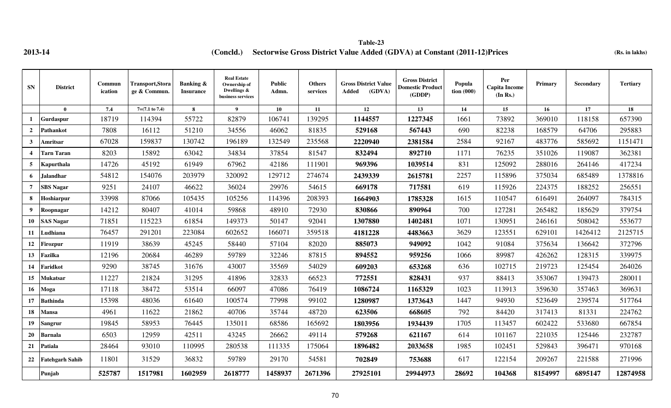**2013-14 (Rs. in lakhs) (Concld.) Sectorwise Gross District Value Added (GDVA) at Constant (2011-12)Prices Table-23**

| <b>SN</b>             | <b>District</b>        | Commun<br>ication | <b>Transport,Stora</b><br>ge & Commun | Banking &<br><b>Insurance</b> | <b>Real Estate</b><br>Ownership of<br>Dwellings &<br>business services | <b>Public</b><br>Admn. | <b>Others</b><br>services | <b>Gross District Value</b><br>(GDVA)<br>Added | <b>Gross District</b><br><b>Domestic Product</b><br>(GDDP) | Popula<br>tion $(000)$ | Per<br><b>Capita Income</b><br>(In Rs.) | Primary | Secondary | <b>Tertiary</b> |
|-----------------------|------------------------|-------------------|---------------------------------------|-------------------------------|------------------------------------------------------------------------|------------------------|---------------------------|------------------------------------------------|------------------------------------------------------------|------------------------|-----------------------------------------|---------|-----------|-----------------|
|                       | $\mathbf{0}$           | 7.4               | $7=(7.1 \text{ to } 7.4)$             | 8                             | 9                                                                      | 10                     | 11                        | 12                                             | 13                                                         | 14                     | $15\,$                                  | 16      | 17        | 18              |
|                       | Gurdaspur              | 18719             | 114394                                | 55722                         | 82879                                                                  | 106741                 | 139295                    | 1144557                                        | 1227345                                                    | 1661                   | 73892                                   | 369010  | 118158    | 657390          |
| $\overline{2}$        | Pathankot              | 7808              | 16112                                 | 51210                         | 34556                                                                  | 46062                  | 81835                     | 529168                                         | 567443                                                     | 690                    | 82238                                   | 168579  | 64706     | 295883          |
| 3                     | Amritsar               | 67028             | 159837                                | 130742                        | 196189                                                                 | 132549                 | 235568                    | 2220940                                        | 2381584                                                    | 2584                   | 92167                                   | 483776  | 585692    | 1151471         |
| $\boldsymbol{\Delta}$ | <b>Tarn Taran</b>      | 8203              | 15892                                 | 63042                         | 34834                                                                  | 37854                  | 81547                     | 832494                                         | 892710                                                     | 1171                   | 76235                                   | 351026  | 119087    | 362381          |
| 5                     | Kapurthala             | 14726             | 45192                                 | 61949                         | 67962                                                                  | 42186                  | 111901                    | 969396                                         | 1039514                                                    | 831                    | 125092                                  | 288016  | 264146    | 417234          |
| 6                     | <b>Jalandhar</b>       | 54812             | 154076                                | 203979                        | 320092                                                                 | 129712                 | 274674                    | 2439339                                        | 2615781                                                    | 2257                   | 115896                                  | 375034  | 685489    | 1378816         |
| $\overline{7}$        | <b>SBS Nagar</b>       | 9251              | 24107                                 | 46622                         | 36024                                                                  | 29976                  | 54615                     | 669178                                         | 717581                                                     | 619                    | 115926                                  | 224375  | 188252    | 256551          |
| 8                     | Hoshiarpur             | 33998             | 87066                                 | 105435                        | 105256                                                                 | 114396                 | 208393                    | 1664903                                        | 1785328                                                    | 1615                   | 110547                                  | 616491  | 264097    | 784315          |
| 9                     | Roopnagar              | 14212             | 80407                                 | 41014                         | 59868                                                                  | 48910                  | 72930                     | 830866                                         | 890964                                                     | 700                    | 127281                                  | 265482  | 185629    | 379754          |
| 10                    | <b>SAS Nagar</b>       | 71851             | 115223                                | 61854                         | 149373                                                                 | 50147                  | 92041                     | 1307880                                        | 1402481                                                    | 1071                   | 130951                                  | 246161  | 508042    | 553677          |
| 11                    | Ludhiana               | 76457             | 291201                                | 223084                        | 602652                                                                 | 166071                 | 359518                    | 4181228                                        | 4483663                                                    | 3629                   | 123551                                  | 629101  | 1426412   | 2125715         |
| 12                    | Firozpur               | 11919             | 38639                                 | 45245                         | 58440                                                                  | 57104                  | 82020                     | 885073                                         | 949092                                                     | 1042                   | 91084                                   | 375634  | 136642    | 372796          |
| 13                    | Fazilka                | 12196             | 20684                                 | 46289                         | 59789                                                                  | 32246                  | 87815                     | 894552                                         | 959256                                                     | 1066                   | 89987                                   | 426262  | 128315    | 339975          |
| 14                    | Faridkot               | 9290              | 38745                                 | 31676                         | 43007                                                                  | 35569                  | 54029                     | 609203                                         | 653268                                                     | 636                    | 102715                                  | 219723  | 125454    | 264026          |
| 15                    | <b>Mukatsar</b>        | 11227             | 21824                                 | 31295                         | 41896                                                                  | 32833                  | 66523                     | 772551                                         | 828431                                                     | 937                    | 88413                                   | 353067  | 139473    | 280011          |
| 16                    | Moga                   | 17118             | 38472                                 | 53514                         | 66097                                                                  | 47086                  | 76419                     | 1086724                                        | 1165329                                                    | 1023                   | 113913                                  | 359630  | 357463    | 369631          |
| 17                    | <b>Bathinda</b>        | 15398             | 48036                                 | 61640                         | 100574                                                                 | 77998                  | 99102                     | 1280987                                        | 1373643                                                    | 1447                   | 94930                                   | 523649  | 239574    | 517764          |
| 18                    | Mansa                  | 4961              | 11622                                 | 21862                         | 40706                                                                  | 35744                  | 48720                     | 623506                                         | 668605                                                     | 792                    | 84420                                   | 317413  | 81331     | 224762          |
| 19                    | Sangrur                | 19845             | 58953                                 | 76445                         | 135011                                                                 | 68586                  | 165692                    | 1803956                                        | 1934439                                                    | 1705                   | 113457                                  | 602422  | 533680    | 667854          |
| 20                    | Barnala                | 6503              | 12959                                 | 42511                         | 43245                                                                  | 26662                  | 49114                     | 579268                                         | 621167                                                     | 614                    | 101167                                  | 221035  | 125446    | 232787          |
| 21                    | Patiala                | 28464             | 93010                                 | 110995                        | 280538                                                                 | 111335                 | 175064                    | 1896482                                        | 2033658                                                    | 1985                   | 102451                                  | 529843  | 396471    | 970168          |
| 22                    | <b>Fatehgarh Sahib</b> | 11801             | 31529                                 | 36832                         | 59789                                                                  | 29170                  | 54581                     | 702849                                         | 753688                                                     | 617                    | 122154                                  | 209267  | 221588    | 271996          |
|                       | Punjab                 | 525787            | 1517981                               | 1602959                       | 2618777                                                                | 1458937                | 2671396                   | 27925101                                       | 29944973                                                   | 28692                  | 104368                                  | 8154997 | 6895147   | 12874958        |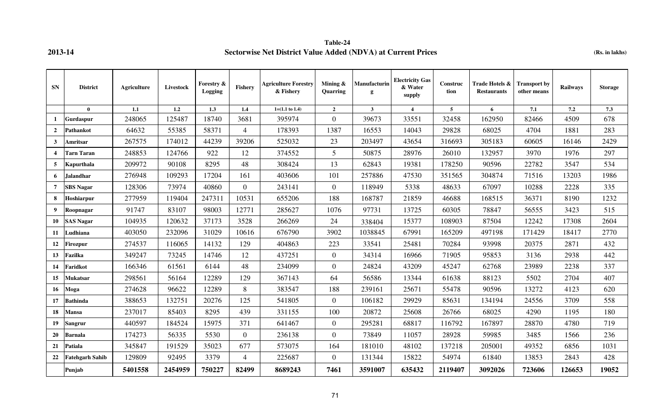## **Table-24 2013-14 Sectorwise Net District Value Added (NDVA) at Current Prices (Rs. in lakhs)**

| <b>SN</b>      | <b>District</b>        | <b>Agriculture</b> | Livestock | Forestry &<br>Logging | Fishery        | <b>Agriculture Forestry</b><br>& Fishery | Mining &<br>Quarring | Manufacturin<br>g | <b>Electricity Gas</b><br>& Water<br>supply | Construc<br>tion | Trade Hotels &<br><b>Restaurants</b> | <b>Transport by</b><br>other means | Railways | <b>Storage</b> |
|----------------|------------------------|--------------------|-----------|-----------------------|----------------|------------------------------------------|----------------------|-------------------|---------------------------------------------|------------------|--------------------------------------|------------------------------------|----------|----------------|
|                | $\mathbf{0}$           | 1.1                | 1.2       | 1.3                   | 1.4            | $1=(1.1 \text{ to } 1.4)$                | $\overline{2}$       | 3 <sup>1</sup>    | $\overline{4}$                              | $\overline{5}$   | 6                                    | 7.1                                | 7.2      | 7.3            |
| 1              | Gurdaspur              | 248065             | 125487    | 18740                 | 3681           | 395974                                   | $\overline{0}$       | 39673             | 33551                                       | 32458            | 162950                               | 82466                              | 4509     | 678            |
| $\overline{2}$ | Pathankot              | 64632              | 55385     | 58371                 | $\overline{4}$ | 178393                                   | 1387                 | 16553             | 14043                                       | 29828            | 68025                                | 4704                               | 1881     | 283            |
| $\mathbf{3}$   | Amritsar               | 267575             | 174012    | 44239                 | 39206          | 525032                                   | 23                   | 203497            | 43654                                       | 316693           | 305183                               | 60605                              | 16146    | 2429           |
| $\overline{4}$ | <b>Tarn Taran</b>      | 248853             | 124766    | 922                   | 12             | 374552                                   | $5\overline{)}$      | 50875             | 28976                                       | 26010            | 132957                               | 3970                               | 1976     | 297            |
| 5              | Kapurthala             | 209972             | 90108     | 8295                  | 48             | 308424                                   | 13                   | 62843             | 19381                                       | 178250           | 90596                                | 22782                              | 3547     | 534            |
| 6              | Jalandhar              | 276948             | 109293    | 17204                 | 161            | 403606                                   | 101                  | 257886            | 47530                                       | 351565           | 304874                               | 71516                              | 13203    | 1986           |
| $\overline{7}$ | <b>SBS Nagar</b>       | 128306             | 73974     | 40860                 | $\overline{0}$ | 243141                                   | $\overline{0}$       | 118949            | 5338                                        | 48633            | 67097                                | 10288                              | 2228     | 335            |
| 8              | Hoshiarpur             | 277959             | 119404    | 247311                | 10531          | 655206                                   | 188                  | 168787            | 21859                                       | 46688            | 168515                               | 36371                              | 8190     | 1232           |
| 9              | Roopnagar              | 91747              | 83107     | 98003                 | 12771          | 285627                                   | 1076                 | 97731             | 13725                                       | 60305            | 78847                                | 56555                              | 3423     | 515            |
| 10             | <b>SAS Nagar</b>       | 104935             | 120632    | 37173                 | 3528           | 266269                                   | 24                   | 338404            | 15377                                       | 108903           | 87504                                | 12242                              | 17308    | 2604           |
| 11             | Ludhiana               | 403050             | 232096    | 31029                 | 10616          | 676790                                   | 3902                 | 1038845           | 67991                                       | 165209           | 497198                               | 171429                             | 18417    | 2770           |
| 12             | <b>Firozpur</b>        | 274537             | 116065    | 14132                 | 129            | 404863                                   | 223                  | 33541             | 25481                                       | 70284            | 93998                                | 20375                              | 2871     | 432            |
| 13             | Fazilka                | 349247             | 73245     | 14746                 | 12             | 437251                                   | $\overline{0}$       | 34314             | 16966                                       | 71905            | 95853                                | 3136                               | 2938     | 442            |
| 14             | Faridkot               | 166346             | 61561     | 6144                  | 48             | 234099                                   | $\overline{0}$       | 24824             | 43209                                       | 45247            | 62768                                | 23989                              | 2238     | 337            |
| 15             | Mukatsar               | 298561             | 56164     | 12289                 | 129            | 367143                                   | 64                   | 56586             | 13344                                       | 61638            | 88123                                | 5502                               | 2704     | 407            |
| 16             | Moga                   | 274628             | 96622     | 12289                 | 8              | 383547                                   | 188                  | 239161            | 25671                                       | 55478            | 90596                                | 13272                              | 4123     | 620            |
| 17             | <b>Bathinda</b>        | 388653             | 132751    | 20276                 | 125            | 541805                                   | $\overline{0}$       | 106182            | 29929                                       | 85631            | 134194                               | 24556                              | 3709     | 558            |
| 18             | <b>Mansa</b>           | 237017             | 85403     | 8295                  | 439            | 331155                                   | 100                  | 20872             | 25608                                       | 26766            | 68025                                | 4290                               | 1195     | 180            |
| 19             | Sangrur                | 440597             | 184524    | 15975                 | 371            | 641467                                   | $\overline{0}$       | 295281            | 68817                                       | 116792           | 167897                               | 28870                              | 4780     | 719            |
| 20             | <b>Barnala</b>         | 174273             | 56335     | 5530                  | $\overline{0}$ | 236138                                   | $\overline{0}$       | 73849             | 11057                                       | 28928            | 59985                                | 3485                               | 1566     | 236            |
| 21             | Patiala                | 345847             | 191529    | 35023                 | 677            | 573075                                   | 164                  | 181010            | 48102                                       | 137218           | 205001                               | 49352                              | 6856     | 1031           |
| 22             | <b>Fatehgarh Sahib</b> | 129809             | 92495     | 3379                  | $\overline{4}$ | 225687                                   | $\overline{0}$       | 131344            | 15822                                       | 54974            | 61840                                | 13853                              | 2843     | 428            |
|                | Punjab                 | 5401558            | 2454959   | 750227                | 82499          | 8689243                                  | 7461                 | 3591007           | 635432                                      | 2119407          | 3092026                              | 723606                             | 126653   | 19052          |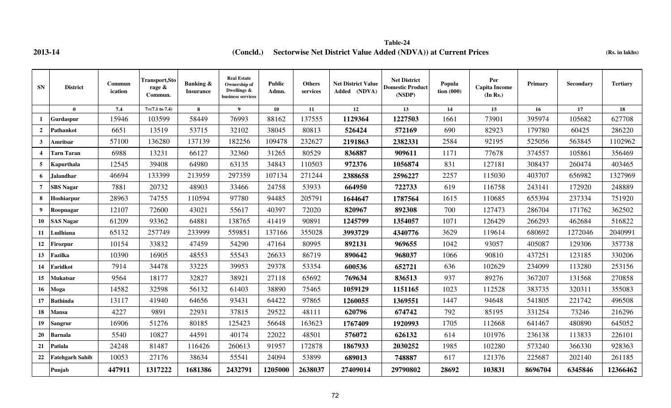**2013-14 (Rs. in lakhs) (Concld.) Sectorwise Net District Value Added (NDVA)) at Current Prices Table-24**

| <b>SN</b>      | <b>District</b>        | Commun<br>ication | Transport, Sto<br>rage $\&$<br>Commun. | <b>Banking &amp;</b><br><b>Insurance</b> | <b>Real Estate</b><br>Ownership of<br>Dwellings &<br>business services | <b>Public</b><br>Admn. | <b>Others</b><br>services | <b>Net District Value</b><br>Added (NDVA) | <b>Net District</b><br><b>Domestic Product</b><br>(NSDP) | Popula<br>$\frac{1}{2}$ tion (000) | Per<br><b>Capita Income</b><br>(In Rs.) | Primary         | Secondary | <b>Tertiary</b> |
|----------------|------------------------|-------------------|----------------------------------------|------------------------------------------|------------------------------------------------------------------------|------------------------|---------------------------|-------------------------------------------|----------------------------------------------------------|------------------------------------|-----------------------------------------|-----------------|-----------|-----------------|
|                | $\mathbf{0}$           | 7.4               | $7=(7.1 \text{ to } 7.4)$              | 8                                        | 9                                                                      | 10                     | 11                        | 12                                        | 13                                                       | 14                                 | 15                                      | 16 <sup>1</sup> | 17        | 18              |
| $\mathbf{1}$   | Gurdaspur              | 15946             | 103599                                 | 58449                                    | 76993                                                                  | 88162                  | 137555                    | 1129364                                   | 1227503                                                  | 1661                               | 73901                                   | 395974          | 105682    | 627708          |
| $\mathbf{2}$   | Pathankot              | 6651              | 13519                                  | 53715                                    | 32102                                                                  | 38045                  | 80813                     | 526424                                    | 572169                                                   | 690                                | 82923                                   | 179780          | 60425     | 286220          |
| $3^{\circ}$    | Amritsar               | 57100             | 136280                                 | 137139                                   | 182256                                                                 | 109478                 | 232627                    | 2191863                                   | 2382331                                                  | 2584                               | 92195                                   | 525056          | 563845    | 1102962         |
| 4              | <b>Tarn Taran</b>      | 6988              | 13231                                  | 66127                                    | 32360                                                                  | 31265                  | 80529                     | 836887                                    | 909611                                                   | 1171                               | 77678                                   | 374557          | 105861    | 356469          |
| $5^{\circ}$    | Kapurthala             | 12545             | 39408                                  | 64980                                    | 63135                                                                  | 34843                  | 110503                    | 972376                                    | 1056874                                                  | 831                                | 127181                                  | 308437          | 260474    | 403465          |
| 6              | <b>Jalandhar</b>       | 46694             | 133399                                 | 213959                                   | 297359                                                                 | 107134                 | 271244                    | 2388658                                   | 2596227                                                  | 2257                               | 115030                                  | 403707          | 656982    | 1327969         |
| $\overline{7}$ | <b>SBS Nagar</b>       | 7881              | 20732                                  | 48903                                    | 33466                                                                  | 24758                  | 53933                     | 664950                                    | 722733                                                   | 619                                | 116758                                  | 243141          | 172920    | 248889          |
| 8              | Hoshiarpur             | 28963             | 74755                                  | 110594                                   | 97780                                                                  | 94485                  | 205791                    | 1644647                                   | 1787564                                                  | 1615                               | 110685                                  | 655394          | 237334    | 751920          |
| 9              | Roopnagar              | 12107             | 72600                                  | 43021                                    | 55617                                                                  | 40397                  | 72020                     | 820967                                    | 892308                                                   | 700                                | 127473                                  | 286704          | 171762    | 362502          |
| 10             | <b>SAS Nagar</b>       | 61209             | 93362                                  | 64881                                    | 138765                                                                 | 41419                  | 90891                     | 1245799                                   | 1354057                                                  | 1071                               | 126429                                  | 266293          | 462684    | 516822          |
| 11             | Ludhiana               | 65132             | 257749                                 | 233999                                   | 559851                                                                 | 137166                 | 355028                    | 3993729                                   | 4340776                                                  | 3629                               | 119614                                  | 680692          | 1272046   | 2040991         |
| 12             | Firozpur               | 10154             | 33832                                  | 47459                                    | 54290                                                                  | 47164                  | 80995                     | 892131                                    | 969655                                                   | 1042                               | 93057                                   | 405087          | 129306    | 357738          |
| 13             | Fazilka                | 10390             | 16905                                  | 48553                                    | 55543                                                                  | 26633                  | 86719                     | 890642                                    | 968037                                                   | 1066                               | 90810                                   | 437251          | 123185    | 330206          |
| 14             | Faridkot               | 7914              | 34478                                  | 33225                                    | 39953                                                                  | 29378                  | 53354                     | 600536                                    | 652721                                                   | 636                                | 102629                                  | 234099          | 113280    | 253156          |
| 15             | Mukatsar               | 9564              | 18177                                  | 32827                                    | 38921                                                                  | 27118                  | 65692                     | 769634                                    | 836513                                                   | 937                                | 89276                                   | 367207          | 131568    | 270858          |
| 16             | Moga                   | 14582             | 32598                                  | 56132                                    | 61403                                                                  | 38890                  | 75465                     | 1059129                                   | 1151165                                                  | 1023                               | 112528                                  | 383735          | 320311    | 355083          |
| 17             | <b>Bathinda</b>        | 13117             | 41940                                  | 64656                                    | 93431                                                                  | 64422                  | 97865                     | 1260055                                   | 1369551                                                  | 1447                               | 94648                                   | 541805          | 221742    | 496508          |
| 18             | <b>Mansa</b>           | 4227              | 9891                                   | 22931                                    | 37815                                                                  | 29522                  | 48111                     | 620796                                    | 674742                                                   | 792                                | 85195                                   | 331254          | 73246     | 216296          |
| 19             | <b>Sangrur</b>         | 16906             | 51276                                  | 80185                                    | 125423                                                                 | 56648                  | 163623                    | 1767409                                   | 1920993                                                  | 1705                               | 112668                                  | 641467          | 480890    | 645052          |
| 20             | <b>Barnala</b>         | 5540              | 10827                                  | 44591                                    | 40174                                                                  | 22022                  | 48501                     | 576072                                    | 626132                                                   | 614                                | 101976                                  | 236138          | 113833    | 226101          |
| 21             | <b>Patiala</b>         | 24248             | 81487                                  | 116426                                   | 260613                                                                 | 91957                  | 172878                    | 1867933                                   | 2030252                                                  | 1985                               | 102280                                  | 573240          | 366330    | 928363          |
| 22             | <b>Fatehgarh Sahib</b> | 10053             | 27176                                  | 38634                                    | 55541                                                                  | 24094                  | 53899                     | 689013                                    | 748887                                                   | 617                                | 121376                                  | 225687          | 202140    | 261185          |
|                | Punjab                 | 447911            | 1317222                                | 1681386                                  | 2432791                                                                | 1205000                | 2638037                   | 27409014                                  | 29790802                                                 | 28692                              | 103831                                  | 8696704         | 6345846   | 12366462        |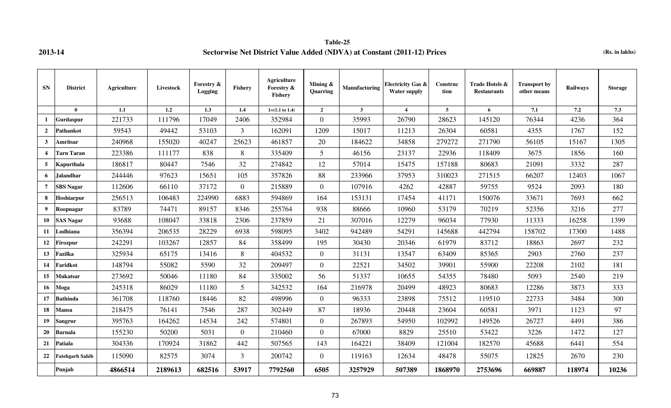**Table-25 2013-14 Sectorwise Net District Value Added (NDVA) at Constant (2011-12) Prices (Rs. in lakhs)**

| ${\bf SN}$              | <b>District</b>        | Agriculture | Livestock | Forestry &<br><b>Logging</b> | <b>Fishery</b> | Agriculture<br>Forestry &<br><b>Fishery</b> | Mining $\&$<br>Quarring | Manufacturing | <b>Electricity Gas &amp;</b><br><b>Water supply</b> | Construc<br>tion | Trade Hotels &<br><b>Restaurants</b> | <b>Transport by</b><br>other means | Railways | <b>Storage</b> |
|-------------------------|------------------------|-------------|-----------|------------------------------|----------------|---------------------------------------------|-------------------------|---------------|-----------------------------------------------------|------------------|--------------------------------------|------------------------------------|----------|----------------|
|                         | $\mathbf{0}$           | 1.1         | 1.2       | 1.3                          | 1.4            | $1=(1.1 \text{ to } 1.4)$                   | $\overline{2}$          | $\mathbf{3}$  | $\overline{4}$                                      | $\overline{5}$   | 6                                    | 7.1                                | 7.2      | 7.3            |
| $\mathbf{1}$            | Gurdaspur              | 221733      | 111796    | 17049                        | 2406           | 352984                                      | $\overline{0}$          | 35993         | 26790                                               | 28623            | 145120                               | 76344                              | 4236     | 364            |
| $\overline{2}$          | Pathankot              | 59543       | 49442     | 53103                        | 3              | 162091                                      | 1209                    | 15017         | 11213                                               | 26304            | 60581                                | 4355                               | 1767     | 152            |
| 3                       | Amritsar               | 240968      | 155020    | 40247                        | 25623          | 461857                                      | 20                      | 184622        | 34858                                               | 279272           | 271790                               | 56105                              | 15167    | 1305           |
| $\overline{\mathbf{4}}$ | Tarn Taran             | 223386      | 111177    | 838                          | 8              | 335409                                      | $\mathfrak{S}$          | 46156         | 23137                                               | 22936            | 118409                               | 3675                               | 1856     | 160            |
| 5                       | <b>Kapurthala</b>      | 186817      | 80447     | 7546                         | 32             | 274842                                      | 12                      | 57014         | 15475                                               | 157188           | 80683                                | 21091                              | 3332     | 287            |
| 6                       | Jalandhar              | 244446      | 97623     | 15651                        | 105            | 357826                                      | 88                      | 233966        | 37953                                               | 310023           | 271515                               | 66207                              | 12403    | 1067           |
| 7                       | <b>SBS Nagar</b>       | 112606      | 66110     | 37172                        | $\overline{0}$ | 215889                                      | $\overline{0}$          | 107916        | 4262                                                | 42887            | 59755                                | 9524                               | 2093     | 180            |
| 8                       | Hoshiarpur             | 256513      | 106483    | 224990                       | 6883           | 594869                                      | 164                     | 153131        | 17454                                               | 41171            | 150076                               | 33671                              | 7693     | 662            |
| 9                       | Roopnagar              | 83789       | 74471     | 89157                        | 8346           | 255764                                      | 938                     | 88666         | 10960                                               | 53179            | 70219                                | 52356                              | 3216     | 277            |
| 10                      | <b>SAS Nagar</b>       | 93688       | 108047    | 33818                        | 2306           | 237859                                      | 21                      | 307016        | 12279                                               | 96034            | 77930                                | 11333                              | 16258    | 1399           |
| 11                      | Ludhiana               | 356394      | 206535    | 28229                        | 6938           | 598095                                      | 3402                    | 942489        | 54291                                               | 145688           | 442794                               | 158702                             | 17300    | 1488           |
| 12                      | <b>Firozpur</b>        | 242291      | 103267    | 12857                        | 84             | 358499                                      | 195                     | 30430         | 20346                                               | 61979            | 83712                                | 18863                              | 2697     | 232            |
| 13                      | Fazilka                | 325934      | 65175     | 13416                        | 8              | 404532                                      | $\overline{0}$          | 31131         | 13547                                               | 63409            | 85365                                | 2903                               | 2760     | 237            |
| 14                      | Faridkot               | 148794      | 55082     | 5590                         | 32             | 209497                                      | $\overline{0}$          | 22521         | 34502                                               | 39901            | 55900                                | 22208                              | 2102     | 181            |
| 15                      | Mukatsar               | 273692      | 50046     | 11180                        | 84             | 335002                                      | 56                      | 51337         | 10655                                               | 54355            | 78480                                | 5093                               | 2540     | 219            |
| 16                      | Moga                   | 245318      | 86029     | 11180                        | 5              | 342532                                      | 164                     | 216978        | 20499                                               | 48923            | 80683                                | 12286                              | 3873     | 333            |
| 17                      | <b>Bathinda</b>        | 361708      | 118760    | 18446                        | 82             | 498996                                      | $\boldsymbol{0}$        | 96333         | 23898                                               | 75512            | 119510                               | 22733                              | 3484     | 300            |
| 18                      | Mansa                  | 218475      | 76141     | 7546                         | 287            | 302449                                      | 87                      | 18936         | 20448                                               | 23604            | 60581                                | 3971                               | 1123     | 97             |
| 19                      | <b>Sangrur</b>         | 395763      | 164262    | 14534                        | 242            | 574801                                      | $\overline{0}$          | 267893        | 54950                                               | 102992           | 149526                               | 26727                              | 4491     | 386            |
| 20                      | Barnala                | 155230      | 50200     | 5031                         | $\theta$       | 210460                                      | $\overline{0}$          | 67000         | 8829                                                | 25510            | 53422                                | 3226                               | 1472     | 127            |
| 21                      | Patiala                | 304336      | 170924    | 31862                        | 442            | 507565                                      | 143                     | 164221        | 38409                                               | 121004           | 182570                               | 45688                              | 6441     | 554            |
| 22                      | <b>Fatehgarh Sahib</b> | 115090      | 82575     | 3074                         | 3              | 200742                                      | $\overline{0}$          | 119163        | 12634                                               | 48478            | 55075                                | 12825                              | 2670     | 230            |
|                         | Punjab                 | 4866514     | 2189613   | 682516                       | 53917          | 7792560                                     | 6505                    | 3257929       | 507389                                              | 1868970          | 2753696                              | 669887                             | 118974   | 10236          |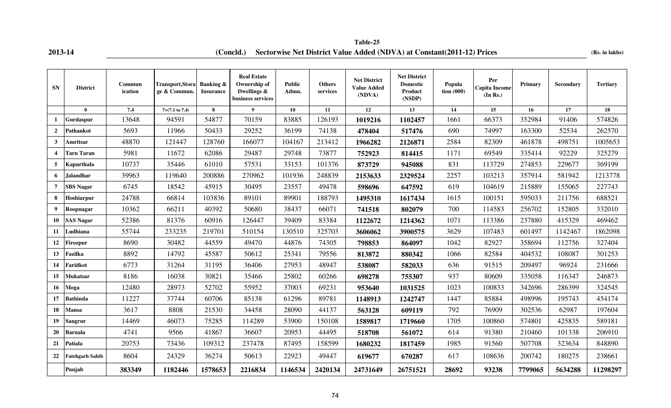## **2013-14 (Concld.)** Sectorwise Net District Value Added (NDVA) at Constant(2011-12) Prices (Rs. in lakhs) **Table-25**

| <b>SN</b>      | <b>District</b>   | Commun<br>ication | Transport, Stora<br>ge & Commun. | <b>Banking &amp;</b><br><b>Insurance</b> | <b>Real Estate</b><br>Ownership of<br>Dwellings &<br>business services | <b>Public</b><br>Admn. | <b>Others</b><br>services | <b>Net District</b><br><b>Value Added</b><br>(NDVA) | <b>Net District</b><br><b>Domestic</b><br>Product<br>(NSDP) | Popula<br>$\frac{1}{100}$ (000) | Per<br><b>Capita Income</b><br>(In Rs.) | Primary | <b>Secondary</b> | <b>Tertiary</b> |
|----------------|-------------------|-------------------|----------------------------------|------------------------------------------|------------------------------------------------------------------------|------------------------|---------------------------|-----------------------------------------------------|-------------------------------------------------------------|---------------------------------|-----------------------------------------|---------|------------------|-----------------|
|                | $\mathbf{0}$      | 7.4               | $7=(7.1 \text{ to } 7.4)$        | 8                                        | $\boldsymbol{Q}$                                                       | 10                     | 11                        | 12                                                  | 13                                                          | 14                              | 15                                      | 16      | 17               | 18              |
| 1              | Gurdaspur         | 13648             | 94591                            | 54877                                    | 70159                                                                  | 83885                  | 126193                    | 1019216                                             | 1102457                                                     | 1661                            | 66373                                   | 352984  | 91406            | 574826          |
| $\overline{2}$ | Pathankot         | 5693              | 11966                            | 50433                                    | 29252                                                                  | 36199                  | 74138                     | 478404                                              | 517476                                                      | 690                             | 74997                                   | 163300  | 52534            | 262570          |
| $\mathbf{3}$   | Amritsar          | 48870             | 121447                           | 128760                                   | 166077                                                                 | 104167                 | 213412                    | 1966282                                             | 2126871                                                     | 2584                            | 82309                                   | 461878  | 498751           | 1005653         |
| 4              | <b>Tarn Taran</b> | 5981              | 11672                            | 62086                                    | 29487                                                                  | 29748                  | 73877                     | 752923                                              | 814415                                                      | 1171                            | 69549                                   | 335414  | 92229            | 325279          |
| 5              | Kapurthala        | 10737             | 35446                            | 61010                                    | 57531                                                                  | 33153                  | 101376                    | 873729                                              | 945088                                                      | 831                             | 113729                                  | 274853  | 229677           | 369199          |
| 6              | Jalandhar,        | 39963             | 119640                           | 200886                                   | 270962                                                                 | 101936                 | 248839                    | 2153633                                             | 2329524                                                     | 2257                            | 103213                                  | 357914  | 581942           | 1213778         |
| 7              | <b>SBS Nagar</b>  | 6745              | 18542                            | 45915                                    | 30495                                                                  | 23557                  | 49478                     | 598696                                              | 647592                                                      | 619                             | 104619                                  | 215889  | 155065           | 227743          |
| 8              | Hoshiarpur        | 24788             | 66814                            | 103836                                   | 89101                                                                  | 89901                  | 188793                    | 1495310                                             | 1617434                                                     | 1615                            | 100151                                  | 595033  | 211756           | 688521          |
| 9              | Roopnagar         | 10362             | 66211                            | 40392                                    | 50680                                                                  | 38437                  | 66071                     | 741518                                              | 802079                                                      | 700                             | 114583                                  | 256702  | 152805           | 332010          |
| 10             | <b>SAS Nagar</b>  | 52386             | 81376                            | 60916                                    | 126447                                                                 | 39409                  | 83384                     | 1122672                                             | 1214362                                                     | 1071                            | 113386                                  | 237880  | 415329           | 469462          |
| 11             | Ludhiana          | 55744             | 233235                           | 219701                                   | 510154                                                                 | 130510                 | 325703                    | 3606062                                             | 3900575                                                     | 3629                            | 107483                                  | 601497  | 1142467          | 1862098         |
| 12             | Firozpur          | 8690              | 30482                            | 44559                                    | 49470                                                                  | 44876                  | 74305                     | 798853                                              | 864097                                                      | 1042                            | 82927                                   | 358694  | 112756           | 327404          |
| 13             | Fazilka           | 8892              | 14792                            | 45587                                    | 50612                                                                  | 25341                  | 79556                     | 813872                                              | 880342                                                      | 1066                            | 82584                                   | 404532  | 108087           | 301253          |
| 14             | Faridkot          | 6773              | 31264                            | 31195                                    | 36406                                                                  | 27953                  | 48947                     | 538087                                              | 582033                                                      | 636                             | 91515                                   | 209497  | 96924            | 231666          |
| 15             | Mukatsar          | 8186              | 16038                            | 30821                                    | 35466                                                                  | 25802                  | 60266                     | 698278                                              | 755307                                                      | 937                             | 80609                                   | 335058  | 116347           | 246873          |
| 16             | Moga              | 12480             | 28973                            | 52702                                    | 55952                                                                  | 37003                  | 69231                     | 953640                                              | 1031525                                                     | 1023                            | 100833                                  | 342696  | 286399           | 324545          |
| 17             | <b>Bathinda</b>   | 11227             | 37744                            | 60706                                    | 85138                                                                  | 61296                  | 89781                     | 1148913                                             | 1242747                                                     | 1447                            | 85884                                   | 498996  | 195743           | 454174          |
| 18             | Mansa             | 3617              | 8808                             | 21530                                    | 34458                                                                  | 28090                  | 44137                     | 563128                                              | 609119                                                      | 792                             | 76909                                   | 302536  | 62987            | 197604          |
| 19             | <b>Sangrur</b>    | 14469             | 46073                            | 75285                                    | 114289                                                                 | 53900                  | 150108                    | 1589817                                             | 1719660                                                     | 1705                            | 100860                                  | 574801  | 425835           | 589181          |
| 20             | Barnala           | 4741              | 9566                             | 41867                                    | 36607                                                                  | 20953                  | 44495                     | 518708                                              | 561072                                                      | 614                             | 91380                                   | 210460  | 101338           | 206910          |
| 21             | Patiala           | 20753             | 73436                            | 109312                                   | 237478                                                                 | 87495                  | 158599                    | 1680232                                             | 1817459                                                     | 1985                            | 91560                                   | 507708  | 323634           | 848890          |
| 22             | Fatehgarh Sahib   | 8604              | 24329                            | 36274                                    | 50613                                                                  | 22923                  | 49447                     | 619677                                              | 670287                                                      | 617                             | 108636                                  | 200742  | 180275           | 238661          |
|                | Punjab            | 383349            | 1182446                          | 1578653                                  | 2216834                                                                | 1146534                | 2420134                   | 24731649                                            | 26751521                                                    | 28692                           | 93238                                   | 7799065 | 5634288          | 11298297        |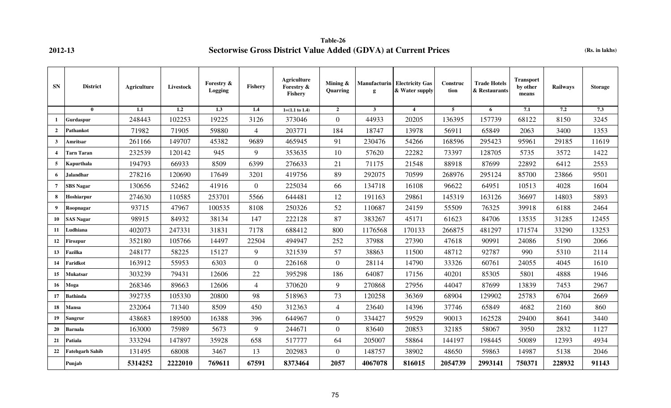**Table-26 2012-13 Sectorwise Gross District Value Added (GDVA) at Current Prices (Rs. in lakhs)**

| <b>SN</b>       | <b>District</b>  | Agriculture | Livestock | Forestry &<br>Logging | <b>Fishery</b> | Agriculture<br>Forestry &<br><b>Fishery</b> | Mining &<br>Quarring | g            | Manufacturin   Electricity Gas<br>& Water supply | Construc<br>tion | <b>Trade Hotels</b><br>& Restaurants | Transport<br>by other<br>means | Railways | <b>Storage</b> |
|-----------------|------------------|-------------|-----------|-----------------------|----------------|---------------------------------------------|----------------------|--------------|--------------------------------------------------|------------------|--------------------------------------|--------------------------------|----------|----------------|
|                 | $\mathbf{0}$     | 1.1         | 1.2       | 1.3                   | 1.4            | $1=(1.1 \text{ to } 1.4)$                   | $\mathbf{2}$         | $\mathbf{3}$ | $\overline{4}$                                   | 5                | 6                                    | 7.1                            | 7.2      | 7.3            |
| -1              | Gurdaspur        | 248443      | 102253    | 19225                 | 3126           | 373046                                      | $\Omega$             | 44933        | 20205                                            | 136395           | 157739                               | 68122                          | 8150     | 3245           |
| $\overline{2}$  | Pathankot        | 71982       | 71905     | 59880                 | $\overline{4}$ | 203771                                      | 184                  | 18747        | 13978                                            | 56911            | 65849                                | 2063                           | 3400     | 1353           |
| $\mathbf{3}$    | Amritsar         | 261166      | 149707    | 45382                 | 9689           | 465945                                      | 91                   | 230476       | 54266                                            | 168596           | 295423                               | 95961                          | 29185    | 11619          |
| $\overline{4}$  | Tarn Taran       | 232539      | 120142    | 945                   | 9              | 353635                                      | 10                   | 57620        | 22282                                            | 73397            | 128705                               | 5735                           | 3572     | 1422           |
| 5               | Kapurthala       | 194793      | 66933     | 8509                  | 6399           | 276633                                      | 21                   | 71175        | 21548                                            | 88918            | 87699                                | 22892                          | 6412     | 2553           |
| 6               | <b>Jalandhar</b> | 278216      | 120690    | 17649                 | 3201           | 419756                                      | 89                   | 292075       | 70599                                            | 268976           | 295124                               | 85700                          | 23866    | 9501           |
| $7\phantom{.0}$ | SBS Nagar        | 130656      | 52462     | 41916                 | $\overline{0}$ | 225034                                      | 66                   | 134718       | 16108                                            | 96622            | 64951                                | 10513                          | 4028     | 1604           |
| 8               | Hoshiarpur       | 274630      | 110585    | 253701                | 5566           | 644481                                      | 12                   | 191163       | 29861                                            | 145319           | 163126                               | 36697                          | 14803    | 5893           |
| 9               | Roopnagar        | 93715       | 47967     | 100535                | 8108           | 250326                                      | 52                   | 110687       | 24159                                            | 55509            | 76325                                | 39918                          | 6188     | 2464           |
| 10              | <b>SAS Nagar</b> | 98915       | 84932     | 38134                 | 147            | 222128                                      | 87                   | 383267       | 45171                                            | 61623            | 84706                                | 13535                          | 31285    | 12455          |
| 11              | udhiana          | 402073      | 247331    | 31831                 | 7178           | 688412                                      | 800                  | 1176568      | 170133                                           | 266875           | 481297                               | 171574                         | 33290    | 13253          |
| 12              | Firozpur         | 352180      | 105766    | 14497                 | 22504          | 494947                                      | 252                  | 37988        | 27390                                            | 47618            | 90991                                | 24086                          | 5190     | 2066           |
| 13              | Fazilka          | 248177      | 58225     | 15127                 | 9              | 321539                                      | 57                   | 38863        | 11500                                            | 48712            | 92787                                | 990                            | 5310     | 2114           |
| 14              | <b>Taridkot</b>  | 163912      | 55953     | 6303                  | $\overline{0}$ | 226168                                      | $\overline{0}$       | 28114        | 14790                                            | 33326            | 60761                                | 24055                          | 4045     | 1610           |
| 15              | Mukatsar         | 303239      | 79431     | 12606                 | 22             | 395298                                      | 186                  | 64087        | 17156                                            | 40201            | 85305                                | 5801                           | 4888     | 1946           |
| 16              | Moga             | 268346      | 89663     | 12606                 | $\overline{4}$ | 370620                                      | 9                    | 270868       | 27956                                            | 44047            | 87699                                | 13839                          | 7453     | 2967           |
| 17              | <b>Bathinda</b>  | 392735      | 105330    | 20800                 | 98             | 518963                                      | 73                   | 120258       | 36369                                            | 68904            | 129902                               | 25783                          | 6704     | 2669           |
| 18              | Mansa            | 232064      | 71340     | 8509                  | 450            | 312363                                      | 4                    | 23640        | 14396                                            | 37746            | 65849                                | 4682                           | 2160     | 860            |
| 19              | Sangrur          | 438683      | 189500    | 16388                 | 396            | 644967                                      | $\overline{0}$       | 334427       | 59529                                            | 90013            | 162528                               | 29400                          | 8641     | 3440           |
| 20              | Barnala          | 163000      | 75989     | 5673                  | 9              | 244671                                      | $\Omega$             | 83640        | 20853                                            | 32185            | 58067                                | 3950                           | 2832     | 1127           |
| 21              | Patiala          | 333294      | 147897    | 35928                 | 658            | 517777                                      | 64                   | 205007       | 58864                                            | 144197           | 198445                               | 50089                          | 12393    | 4934           |
| 22              | Fatehgarh Sahib  | 131495      | 68008     | 3467                  | 13             | 202983                                      | $\overline{0}$       | 148757       | 38902                                            | 48650            | 59863                                | 14987                          | 5138     | 2046           |
|                 | Punjab           | 5314252     | 2222010   | 769611                | 67591          | 8373464                                     | 2057                 | 4067078      | 816015                                           | 2054739          | 2993141                              | 750371                         | 228932   | 91143          |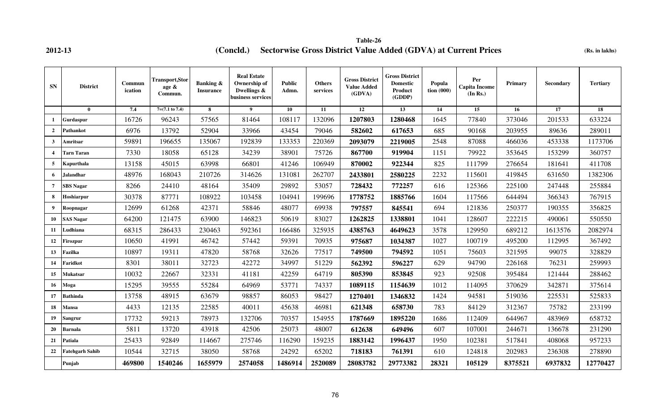**2012-13 (Concld.)** Sectorwise Gross District Value Added (GDVA) at Current Prices (Rs. in lakhs) **Table-26**

| <b>SN</b>        | <b>District</b>        | Commun<br>ication | <b>Transport, Stor</b><br>age &<br>Commun. | <b>Banking &amp;</b><br><b>Insurance</b> | <b>Real Estate</b><br>Ownership of<br>Dwellings $\&$<br>business services | <b>Public</b><br>Admn. | <b>Others</b><br>services | <b>Gross District</b><br><b>Value Added</b><br>(GDVA) | <b>Gross District</b><br><b>Domestic</b><br>Product<br>(GDDP) | Popula<br>$\frac{1}{100}$ (000) | Per<br><b>Capita Income</b><br>(In Rs.) | Primary | Secondary | <b>Tertiary</b> |
|------------------|------------------------|-------------------|--------------------------------------------|------------------------------------------|---------------------------------------------------------------------------|------------------------|---------------------------|-------------------------------------------------------|---------------------------------------------------------------|---------------------------------|-----------------------------------------|---------|-----------|-----------------|
|                  | $\mathbf{0}$           | 7.4               | $7=(7.1 \text{ to } 7.4)$                  | 8                                        | 9                                                                         | 10                     | 11                        | 12                                                    | 13                                                            | 14                              | 15                                      | 16      | 17        | 18              |
| 1                | Gurdaspur              | 16726             | 96243                                      | 57565                                    | 81464                                                                     | 108117                 | 132096                    | 1207803                                               | 1280468                                                       | 1645                            | 77840                                   | 373046  | 201533    | 633224          |
| $\overline{2}$   | Pathankot              | 6976              | 13792                                      | 52904                                    | 33966                                                                     | 43454                  | 79046                     | 582602                                                | 617653                                                        | 685                             | 90168                                   | 203955  | 89636     | 289011          |
| $\mathbf{3}$     | Amritsar               | 59891             | 196655                                     | 135067                                   | 192839                                                                    | 133353                 | 220369                    | 2093079                                               | 2219005                                                       | 2548                            | 87088                                   | 466036  | 453338    | 1173706         |
| $\overline{4}$   | Tarn Taran             | 7330              | 18058                                      | 65128                                    | 34239                                                                     | 38901                  | 75726                     | 867700                                                | 919904                                                        | 1151                            | 79922                                   | 353645  | 153299    | 360757          |
| 5                | Kapurthala             | 13158             | 45015                                      | 63998                                    | 66801                                                                     | 41246                  | 106949                    | 870002                                                | 922344                                                        | 825                             | 111799                                  | 276654  | 181641    | 411708          |
| 6                | <b>Jalandhar</b>       | 48976             | 168043                                     | 210726                                   | 314626                                                                    | 131081                 | 262707                    | 2433801                                               | 2580225                                                       | 2232                            | 115601                                  | 419845  | 631650    | 1382306         |
| $\overline{7}$   | <b>SBS Nagar</b>       | 8266              | 24410                                      | 48164                                    | 35409                                                                     | 29892                  | 53057                     | 728432                                                | 772257                                                        | 616                             | 125366                                  | 225100  | 247448    | 255884          |
| 8                | Hoshiarpur             | 30378             | 87771                                      | 108922                                   | 103458                                                                    | 104941                 | 199696                    | 1778752                                               | 1885766                                                       | 1604                            | 117566                                  | 644494  | 366343    | 767915          |
| $\boldsymbol{9}$ | Roopnagar              | 12699             | 61268                                      | 42371                                    | 58846                                                                     | 48077                  | 69938                     | 797557                                                | 845541                                                        | 694                             | 121836                                  | 250377  | 190355    | 356825          |
| 10               | <b>SAS Nagar</b>       | 64200             | 121475                                     | 63900                                    | 146823                                                                    | 50619                  | 83027                     | 1262825                                               | 1338801                                                       | 1041                            | 128607                                  | 222215  | 490061    | 550550          |
| 11               | udhiana                | 68315             | 286433                                     | 230463                                   | 592361                                                                    | 166486                 | 325935                    | 4385763                                               | 4649623                                                       | 3578                            | 129950                                  | 689212  | 1613576   | 2082974         |
| 12               | <b>irozpur</b>         | 10650             | 41991                                      | 46742                                    | 57442                                                                     | 59391                  | 70935                     | 975687                                                | 1034387                                                       | 1027                            | 100719                                  | 495200  | 112995    | 367492          |
| 13               | Fazilka                | 10897             | 19311                                      | 47820                                    | 58768                                                                     | 32626                  | 77517                     | 749500                                                | 794592                                                        | 1051                            | 75603                                   | 321595  | 99075     | 328829          |
| 14               | Faridkot               | 8301              | 38011                                      | 32723                                    | 42272                                                                     | 34997                  | 51229                     | 562392                                                | 596227                                                        | 629                             | 94790                                   | 226168  | 76231     | 259993          |
| 15               | Mukatsar               | 10032             | 22667                                      | 32331                                    | 41181                                                                     | 42259                  | 64719                     | 805390                                                | 853845                                                        | 923                             | 92508                                   | 395484  | 121444    | 288462          |
| 16               | Moga                   | 15295             | 39555                                      | 55284                                    | 64969                                                                     | 53771                  | 74337                     | 1089115                                               | 1154639                                                       | 1012                            | 114095                                  | 370629  | 342871    | 375614          |
| 17               | <b>Bathinda</b>        | 13758             | 48915                                      | 63679                                    | 98857                                                                     | 86053                  | 98427                     | 1270401                                               | 1346832                                                       | 1424                            | 94581                                   | 519036  | 225531    | 525833          |
| 18               | Mansa                  | 4433              | 12135                                      | 22585                                    | 40011                                                                     | 45638                  | 46981                     | 621348                                                | 658730                                                        | 783                             | 84129                                   | 312367  | 75782     | 233199          |
| 19               | Sangrur                | 17732             | 59213                                      | 78973                                    | 132706                                                                    | 70357                  | 154955                    | 1787669                                               | 1895220                                                       | 1686                            | 112409                                  | 644967  | 483969    | 658732          |
| 20               | Barnala                | 5811              | 13720                                      | 43918                                    | 42506                                                                     | 25073                  | 48007                     | 612638                                                | 649496                                                        | 607                             | 107001                                  | 244671  | 136678    | 231290          |
| 21               | Patiala                | 25433             | 92849                                      | 114667                                   | 275746                                                                    | 116290                 | 159235                    | 1883142                                               | 1996437                                                       | 1950                            | 102381                                  | 517841  | 408068    | 957233          |
| 22               | <b>Fatehgarh Sahib</b> | 10544             | 32715                                      | 38050                                    | 58768                                                                     | 24292                  | 65202                     | 718183                                                | 761391                                                        | 610                             | 124818                                  | 202983  | 236308    | 278890          |
|                  | Punjab                 | 469800            | 1540246                                    | 1655979                                  | 2574058                                                                   | 1486914                | 2520089                   | 28083782                                              | 29773382                                                      | 28321                           | 105129                                  | 8375521 | 6937832   | 12770427        |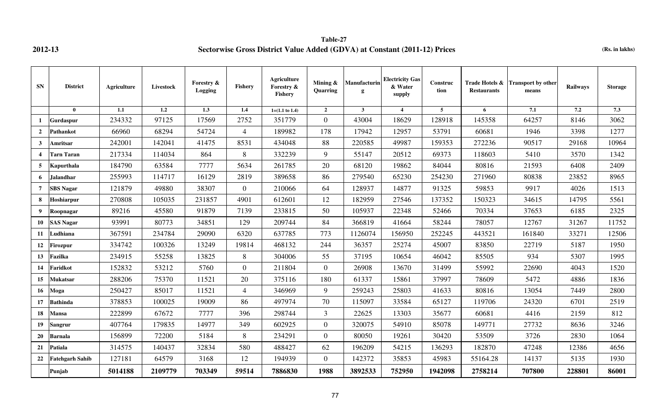**Table-27 2012-13 Sectorwise Gross District Value Added (GDVA) at Constant (2011-12) Prices (Rs. in lakhs)**

| <b>SN</b>      | <b>District</b>        | <b>Agriculture</b> | Livestock        | <b>Forestry &amp;</b><br>Logging | Fishery        | <b>Agriculture</b><br>Forestry &<br>Fishery | Mining &<br><b>Quarring</b> | <b>Manufacturin</b><br>g | <b>Electricity Gas</b><br>& Water<br>supply | Construc<br>tion | Trade Hotels &<br><b>Restaurants</b> | <b>Transport by other</b><br>means | Railways | <b>Storage</b> |
|----------------|------------------------|--------------------|------------------|----------------------------------|----------------|---------------------------------------------|-----------------------------|--------------------------|---------------------------------------------|------------------|--------------------------------------|------------------------------------|----------|----------------|
|                | $\mathbf{0}$           | 1.1                | $\overline{1.2}$ | $\overline{1.3}$                 | 1.4            | $1=(1.1 \text{ to } 1.4)$                   | $\mathbf{2}$                | $3^{\circ}$              | $\overline{\mathbf{4}}$                     | $\overline{5}$   | 6                                    | 7.1                                | 7.2      | 7.3            |
| 1              | Gurdaspur              | 234332             | 97125            | 17569                            | 2752           | 351779                                      | $\overline{0}$              | 43004                    | 18629                                       | 128918           | 145358                               | 64257                              | 8146     | 3062           |
| $\overline{2}$ | <b>Pathankot</b>       | 66960              | 68294            | 54724                            | $\overline{4}$ | 189982                                      | 178                         | 17942                    | 12957                                       | 53791            | 60681                                | 1946                               | 3398     | 1277           |
| $\mathbf{3}$   | Amritsar               | 242001             | 142041           | 41475                            | 8531           | 434048                                      | 88                          | 220585                   | 49987                                       | 159353           | 272236                               | 90517                              | 29168    | 10964          |
| $\overline{4}$ | <b>Tarn Taran</b>      | 217334             | 114034           | 864                              | 8              | 332239                                      | 9                           | 55147                    | 20512                                       | 69373            | 118603                               | 5410                               | 3570     | 1342           |
| 5 <sup>5</sup> | Kapurthala             | 184790             | 63584            | 7777                             | 5634           | 261785                                      | 20                          | 68120                    | 19862                                       | 84044            | 80816                                | 21593                              | 6408     | 2409           |
| 6              | <b>Jalandhar</b>       | 255993             | 114717           | 16129                            | 2819           | 389658                                      | 86                          | 279540                   | 65230                                       | 254230           | 271960                               | 80838                              | 23852    | 8965           |
| $\overline{7}$ | <b>SBS Nagar</b>       | 121879             | 49880            | 38307                            | $\overline{0}$ | 210066                                      | 64                          | 128937                   | 14877                                       | 91325            | 59853                                | 9917                               | 4026     | 1513           |
| 8              | Hoshiarpur             | 270808             | 105035           | 231857                           | 4901           | 612601                                      | 12                          | 182959                   | 27546                                       | 137352           | 150323                               | 34615                              | 14795    | 5561           |
| 9              | Roopnagar              | 89216              | 45580            | 91879                            | 7139           | 233815                                      | 50                          | 105937                   | 22348                                       | 52466            | 70334                                | 37653                              | 6185     | 2325           |
| 10             | <b>SAS Nagar</b>       | 93991              | 80773            | 34851                            | 129            | 209744                                      | 84                          | 366819                   | 41664                                       | 58244            | 78057                                | 12767                              | 31267    | 11752          |
| 11             | Ludhiana               | 367591             | 234784           | 29090                            | 6320           | 637785                                      | 773                         | 1126074                  | 156950                                      | 252245           | 443521                               | 161840                             | 33271    | 12506          |
| 12             | <b>Firozpur</b>        | 334742             | 100326           | 13249                            | 19814          | 468132                                      | 244                         | 36357                    | 25274                                       | 45007            | 83850                                | 22719                              | 5187     | 1950           |
| 13             | Fazilka                | 234915             | 55258            | 13825                            | 8              | 304006                                      | 55                          | 37195                    | 10654                                       | 46042            | 85505                                | 934                                | 5307     | 1995           |
| 14             | Faridkot               | 152832             | 53212            | 5760                             | $\overline{0}$ | 211804                                      | $\overline{0}$              | 26908                    | 13670                                       | 31499            | 55992                                | 22690                              | 4043     | 1520           |
| 15             | Mukatsar               | 288206             | 75370            | 11521                            | $20\,$         | 375116                                      | 180                         | 61337                    | 15861                                       | 37997            | 78609                                | 5472                               | 4886     | 1836           |
| 16             | Moga                   | 250427             | 85017            | 11521                            | $\overline{4}$ | 346969                                      | 9                           | 259243                   | 25803                                       | 41633            | 80816                                | 13054                              | 7449     | 2800           |
| 17             | <b>Bathinda</b>        | 378853             | 100025           | 19009                            | 86             | 497974                                      | 70                          | 115097                   | 33584                                       | 65127            | 119706                               | 24320                              | 6701     | 2519           |
| 18             | <b>Mansa</b>           | 222899             | 67672            | 7777                             | 396            | 298744                                      | $\mathfrak{Z}$              | 22625                    | 13303                                       | 35677            | 60681                                | 4416                               | 2159     | 812            |
| 19             | <b>Sangrur</b>         | 407764             | 179835           | 14977                            | 349            | 602925                                      | $\overline{0}$              | 320075                   | 54910                                       | 85078            | 149771                               | 27732                              | 8636     | 3246           |
| 20             | <b>Barnala</b>         | 156899             | 72200            | 5184                             | 8              | 234291                                      | $\overline{0}$              | 80050                    | 19261                                       | 30420            | 53509                                | 3726                               | 2830     | 1064           |
| 21             | Patiala                | 314575             | 140437           | 32834                            | 580            | 488427                                      | 62                          | 196209                   | 54215                                       | 136293           | 182870                               | 47248                              | 12386    | 4656           |
| 22             | <b>Fatehgarh Sahib</b> | 127181             | 64579            | 3168                             | 12             | 194939                                      | $\overline{0}$              | 142372                   | 35853                                       | 45983            | 55164.28                             | 14137                              | 5135     | 1930           |
|                | Punjab                 | 5014188            | 2109779          | 703349                           | 59514          | 7886830                                     | 1988                        | 3892533                  | 752950                                      | 1942098          | 2758214                              | 707800                             | 228801   | 86001          |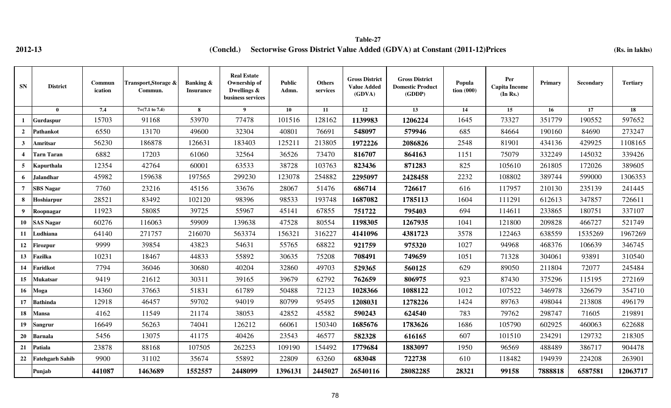## **2012-13 (Rs. in lakhs) (Concld.) Sectorwise Gross District Value Added (GDVA) at Constant (2011-12)Prices Table-27**

| <b>SN</b>        | <b>District</b>        | Commun<br>ication | Transport, Storage &<br>Commun. | <b>Banking &amp;</b><br><b>Insurance</b> | <b>Real Estate</b><br>Ownership of<br>Dwellings &<br>business services | <b>Public</b><br>Admn. | <b>Others</b><br>services | <b>Gross District</b><br><b>Value Added</b><br>(GDVA) | <b>Gross District</b><br><b>Domestic Product</b><br>(GDDP) | Popula<br>$\frac{1}{1000}$ | Per<br><b>Capita Income</b><br>(In Rs.) | Primary | Secondary | <b>Tertiary</b> |
|------------------|------------------------|-------------------|---------------------------------|------------------------------------------|------------------------------------------------------------------------|------------------------|---------------------------|-------------------------------------------------------|------------------------------------------------------------|----------------------------|-----------------------------------------|---------|-----------|-----------------|
|                  | $\bf{0}$               | 7.4               | $7=(7.1 \text{ to } 7.4)$       | 8                                        | 9                                                                      | 10                     | 11                        | 12                                                    | 13                                                         | 14                         | 15                                      | 16      | 17        | 18              |
|                  | Gurdaspur              | 15703             | 91168                           | 53970                                    | 77478                                                                  | 101516                 | 128162                    | 1139983                                               | 1206224                                                    | 1645                       | 73327                                   | 351779  | 190552    | 597652          |
| $\overline{2}$   | <b>Pathankot</b>       | 6550              | 13170                           | 49600                                    | 32304                                                                  | 40801                  | 76691                     | 548097                                                | 579946                                                     | 685                        | 84664                                   | 190160  | 84690     | 273247          |
| $3^{\circ}$      | Amritsar               | 56230             | 186878                          | 126631                                   | 183403                                                                 | 125211                 | 213805                    | 1972226                                               | 2086826                                                    | 2548                       | 81901                                   | 434136  | 429925    | 1108165         |
| $\overline{4}$   | <b>Tarn Taran</b>      | 6882              | 17203                           | 61060                                    | 32564                                                                  | 36526                  | 73470                     | 816707                                                | 864163                                                     | 1151                       | 75079                                   | 332249  | 145032    | 339426          |
| $5^{\circ}$      | <b>Kapurthala</b>      | 12354             | 42764                           | 60001                                    | 63533                                                                  | 38728                  | 103763                    | 823436                                                | 871283                                                     | 825                        | 105610                                  | 261805  | 172026    | 389605          |
| 6                | <b>Jalandhar</b>       | 45982             | 159638                          | 197565                                   | 299230                                                                 | 123078                 | 254882                    | 2295097                                               | 2428458                                                    | 2232                       | 108802                                  | 389744  | 599000    | 1306353         |
| $\overline{7}$   | <b>SBS</b> Nagar       | 7760              | 23216                           | 45156                                    | 33676                                                                  | 28067                  | 51476                     | 686714                                                | 726617                                                     | 616                        | 117957                                  | 210130  | 235139    | 241445          |
| 8                | Hoshiarpur             | 28521             | 83492                           | 102120                                   | 98396                                                                  | 98533                  | 193748                    | 1687082                                               | 1785113                                                    | 1604                       | 111291                                  | 612613  | 347857    | 726611          |
| $\boldsymbol{9}$ | Roopnagar              | 11923             | 58085                           | 39725                                    | 55967                                                                  | 45141                  | 67855                     | 751722                                                | 795403                                                     | 694                        | 114611                                  | 233865  | 180751    | 337107          |
| 10               | <b>SAS Nagar</b>       | 60276             | 116063                          | 59909                                    | 139638                                                                 | 47528                  | 80554                     | 1198305                                               | 1267935                                                    | 1041                       | 121800                                  | 209828  | 466727    | 521749          |
| <b>11</b>        | Ludhiana               | 64140             | 271757                          | 216070                                   | 563374                                                                 | 156321                 | 316227                    | 4141096                                               | 4381723                                                    | 3578                       | 122463                                  | 638559  | 1535269   | 1967269         |
| 12               | <b>Firozpur</b>        | 9999              | 39854                           | 43823                                    | 54631                                                                  | 55765                  | 68822                     | 921759                                                | 975320                                                     | 1027                       | 94968                                   | 468376  | 106639    | 346745          |
| 13               | Fazilka                | 10231             | 18467                           | 44833                                    | 55892                                                                  | 30635                  | 75208                     | 708491                                                | 749659                                                     | 1051                       | 71328                                   | 304061  | 93891     | 310540          |
| 14               | Faridkot               | 7794              | 36046                           | 30680                                    | 40204                                                                  | 32860                  | 49703                     | 529365                                                | 560125                                                     | 629                        | 89050                                   | 211804  | 72077     | 245484          |
| 15               | <b>Mukatsar</b>        | 9419              | 21612                           | 30311                                    | 39165                                                                  | 39679                  | 62792                     | 762659                                                | 806975                                                     | 923                        | 87430                                   | 375296  | 115195    | 272169          |
| 16               | Moga                   | 14360             | 37663                           | 51831                                    | 61789                                                                  | 50488                  | 72123                     | 1028366                                               | 1088122                                                    | 1012                       | 107522                                  | 346978  | 326679    | 354710          |
| 17               | <b>Bathinda</b>        | 12918             | 46457                           | 59702                                    | 94019                                                                  | 80799                  | 95495                     | 1208031                                               | 1278226                                                    | 1424                       | 89763                                   | 498044  | 213808    | 496179          |
| 18               | Mansa                  | 4162              | 11549                           | 21174                                    | 38053                                                                  | 42852                  | 45582                     | 590243                                                | 624540                                                     | 783                        | 79762                                   | 298747  | 71605     | 219891          |
| 19               | <b>Sangrur</b>         | 16649             | 56263                           | 74041                                    | 126212                                                                 | 66061                  | 150340                    | 1685676                                               | 1783626                                                    | 1686                       | 105790                                  | 602925  | 460063    | 622688          |
| <b>20</b>        | <b>Barnala</b>         | 5456              | 13075                           | 41175                                    | 40426                                                                  | 23543                  | 46577                     | 582328                                                | 616165                                                     | 607                        | 101510                                  | 234291  | 129732    | 218305          |
| 21               | Patiala                | 23878             | 88168                           | 107505                                   | 262253                                                                 | 109190                 | 154492                    | 1779684                                               | 1883097                                                    | 1950                       | 96569                                   | 488489  | 386717    | 904478          |
| 22               | <b>Fatehgarh Sahib</b> | 9900              | 31102                           | 35674                                    | 55892                                                                  | 22809                  | 63260                     | 683048                                                | 722738                                                     | 610                        | 118482                                  | 194939  | 224208    | 263901          |
|                  | Punjab                 | 441087            | 1463689                         | 1552557                                  | 2448099                                                                | 1396131                | 2445027                   | 26540116                                              | 28082285                                                   | 28321                      | 99158                                   | 7888818 | 6587581   | 12063717        |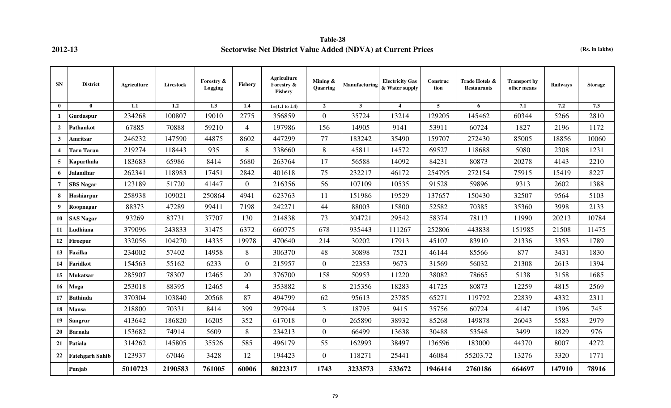## **Table-28 2012-13 Sectorwise Net District Value Added (NDVA) at Current Prices (Rs. in lakhs)**

| SN                      | <b>District</b>        | <b>Agriculture</b> | Livestock | Forestry &<br>Logging | <b>Fishery</b> | <b>Agriculture</b><br>Forestry &<br>Fishery | Mining &<br>Quarring | Manufacturing | <b>Electricity Gas</b><br>& Water supply | Construc<br>tion | Trade Hotels &<br><b>Restaurants</b> | <b>Transport by</b><br>other means | <b>Railways</b> | <b>Storage</b> |
|-------------------------|------------------------|--------------------|-----------|-----------------------|----------------|---------------------------------------------|----------------------|---------------|------------------------------------------|------------------|--------------------------------------|------------------------------------|-----------------|----------------|
| $\mathbf{0}$            | $\mathbf{0}$           | 1.1                | 1.2       | 1.3                   | 1.4            | $1=(1.1 \text{ to } 1.4)$                   | $\overline{2}$       | $\mathbf{3}$  | $\boldsymbol{4}$                         | 5                | 6                                    | 7.1                                | 7.2             | 7.3            |
| $\mathbf{1}$            | Gurdaspur              | 234268             | 100807    | 19010                 | 2775           | 356859                                      | $\mathbf{0}$         | 35724         | 13214                                    | 129205           | 145462                               | 60344                              | 5266            | 2810           |
| $\overline{2}$          | Pathankot              | 67885              | 70888     | 59210                 | $\overline{4}$ | 197986                                      | 156                  | 14905         | 9141                                     | 53911            | 60724                                | 1827                               | 2196            | 1172           |
| $\overline{\mathbf{3}}$ | Amritsar               | 246232             | 147590    | 44875                 | 8602           | 447299                                      | 77                   | 183242        | 35490                                    | 159707           | 272430                               | 85005                              | 18856           | 10060          |
| $\overline{\mathbf{4}}$ | <b>Tarn Taran</b>      | 219274             | 118443    | 935                   | 8              | 338660                                      | 8                    | 45811         | 14572                                    | 69527            | 118688                               | 5080                               | 2308            | 1231           |
| 5                       | Kapurthala             | 183683             | 65986     | 8414                  | 5680           | 263764                                      | 17                   | 56588         | 14092                                    | 84231            | 80873                                | 20278                              | 4143            | 2210           |
| 6                       | <b>Jalandhar</b>       | 262341             | 118983    | 17451                 | 2842           | 401618                                      | 75                   | 232217        | 46172                                    | 254795           | 272154                               | 75915                              | 15419           | 8227           |
| $\overline{7}$          | <b>SBS Nagar</b>       | 123189             | 51720     | 41447                 | $\overline{0}$ | 216356                                      | 56                   | 107109        | 10535                                    | 91528            | 59896                                | 9313                               | 2602            | 1388           |
| 8                       | Hoshiarpur             | 258938             | 109021    | 250864                | 4941           | 623763                                      | 11                   | 151986        | 19529                                    | 137657           | 150430                               | 32507                              | 9564            | 5103           |
| 9                       | Roopnagar              | 88373              | 47289     | 99411                 | 7198           | 242271                                      | 44                   | 88003         | 15800                                    | 52582            | 70385                                | 35360                              | 3998            | 2133           |
| 10                      | <b>SAS Nagar</b>       | 93269              | 83731     | 37707                 | 130            | 214838                                      | 73                   | 304721        | 29542                                    | 58374            | 78113                                | 11990                              | 20213           | 10784          |
| 11                      | Ludhiana               | 379096             | 243833    | 31475                 | 6372           | 660775                                      | 678                  | 935443        | 111267                                   | 252806           | 443838                               | 151985                             | 21508           | 11475          |
| 12                      | <b>Firozpur</b>        | 332056             | 104270    | 14335                 | 19978          | 470640                                      | 214                  | 30202         | 17913                                    | 45107            | 83910                                | 21336                              | 3353            | 1789           |
| 13                      | Fazilka                | 234002             | 57402     | 14958                 | 8              | 306370                                      | 48                   | 30898         | 7521                                     | 46144            | 85566                                | 877                                | 3431            | 1830           |
| 14                      | Faridkot               | 154563             | 55162     | 6233                  | $\overline{0}$ | 215957                                      | $\mathbf{0}$         | 22353         | 9673                                     | 31569            | 56032                                | 21308                              | 2613            | 1394           |
| 15                      | Mukatsar               | 285907             | 78307     | 12465                 | 20             | 376700                                      | 158                  | 50953         | 11220                                    | 38082            | 78665                                | 5138                               | 3158            | 1685           |
| 16                      | Moga                   | 253018             | 88395     | 12465                 | $\overline{4}$ | 353882                                      | 8                    | 215356        | 18283                                    | 41725            | 80873                                | 12259                              | 4815            | 2569           |
| 17                      | <b>Bathinda</b>        | 370304             | 103840    | 20568                 | 87             | 494799                                      | 62                   | 95613         | 23785                                    | 65271            | 119792                               | 22839                              | 4332            | 2311           |
| 18                      | Mansa                  | 218800             | 70331     | 8414                  | 399            | 297944                                      | 3                    | 18795         | 9415                                     | 35756            | 60724                                | 4147                               | 1396            | 745            |
| 19                      | <b>Sangrur</b>         | 413642             | 186820    | 16205                 | 352            | 617018                                      | $\boldsymbol{0}$     | 265890        | 38932                                    | 85268            | 149878                               | 26043                              | 5583            | 2979           |
| 20                      | <b>Barnala</b>         | 153682             | 74914     | 5609                  | 8              | 234213                                      | $\overline{0}$       | 66499         | 13638                                    | 30488            | 53548                                | 3499                               | 1829            | 976            |
| 21                      | Patiala                | 314262             | 145805    | 35526                 | 585            | 496179                                      | 55                   | 162993        | 38497                                    | 136596           | 183000                               | 44370                              | 8007            | 4272           |
| 22                      | <b>Fatehgarh Sahib</b> | 123937             | 67046     | 3428                  | 12             | 194423                                      | $\boldsymbol{0}$     | 118271        | 25441                                    | 46084            | 55203.72                             | 13276                              | 3320            | 1771           |
|                         | Punjab                 | 5010723            | 2190583   | 761005                | 60006          | 8022317                                     | 1743                 | 3233573       | 533672                                   | 1946414          | 2760186                              | 664697                             | 147910          | 78916          |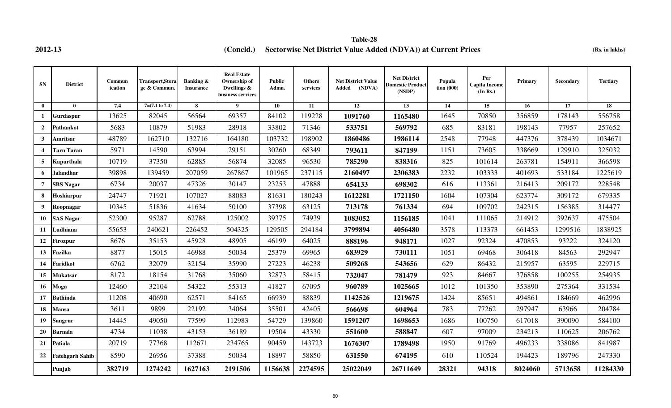**2012-13 (Rs. in lakhs) (Concld.) Sectorwise Net District Value Added (NDVA)) at Current Prices Table-28**

| <b>SN</b>        | <b>District</b>        | Commun<br>ication | <b>Transport,Stora</b><br>ge & Commun. | <b>Banking &amp;</b><br><b>Insurance</b> | <b>Real Estate</b><br>Ownership of<br>Dwellings $\&$<br>business services | <b>Public</b><br>Admn. | <b>Others</b><br>services | <b>Net District Value</b><br>(NDVA)<br>Added | <b>Net District</b><br><b>Domestic Product</b><br>(NSDP) | Popula<br>$\;$ tion (000) | Per<br><b>Capita Income</b><br>(In Rs.) | <b>Primary</b> | Secondary | <b>Tertiary</b> |
|------------------|------------------------|-------------------|----------------------------------------|------------------------------------------|---------------------------------------------------------------------------|------------------------|---------------------------|----------------------------------------------|----------------------------------------------------------|---------------------------|-----------------------------------------|----------------|-----------|-----------------|
| $\mathbf{0}$     | $\mathbf{0}$           | 7.4               | $7=(7.1 \text{ to } 7.4)$              | 8                                        | $\boldsymbol{9}$                                                          | 10                     | 11                        | 12                                           | 13                                                       | 14                        | 15                                      | 16             | 17        | 18              |
| 1                | Gurdaspur              | 13625             | 82045                                  | 56564                                    | 69357                                                                     | 84102                  | 119228                    | 1091760                                      | 1165480                                                  | 1645                      | 70850                                   | 356859         | 178143    | 556758          |
| $\overline{2}$   | Pathankot              | 5683              | 10879                                  | 51983                                    | 28918                                                                     | 33802                  | 71346                     | 533751                                       | 569792                                                   | 685                       | 83181                                   | 198143         | 77957     | 257652          |
| $\mathbf{3}$     | Amritsar               | 48789             | 162710                                 | 132716                                   | 164180                                                                    | 103732                 | 198902                    | 1860486                                      | 1986114                                                  | 2548                      | 77948                                   | 447376         | 378439    | 1034671         |
| $\boldsymbol{4}$ | Tarn Taran             | 5971              | 14590                                  | 63994                                    | 29151                                                                     | 30260                  | 68349                     | 793611                                       | 847199                                                   | 1151                      | 73605                                   | 338669         | 129910    | 325032          |
| 5                | Kapurthala             | 10719             | 37350                                  | 62885                                    | 56874                                                                     | 32085                  | 96530                     | 785290                                       | 838316                                                   | 825                       | 101614                                  | 263781         | 154911    | 366598          |
| 6                | Jalandhar              | 39898             | 139459                                 | 207059                                   | 267867                                                                    | 101965                 | 237115                    | 2160497                                      | 2306383                                                  | 2232                      | 103333                                  | 401693         | 533184    | 1225619         |
| $\overline{7}$   | <b>SBS Nagar</b>       | 6734              | 20037                                  | 47326                                    | 30147                                                                     | 23253                  | 47888                     | 654133                                       | 698302                                                   | 616                       | 113361                                  | 216413         | 209172    | 228548          |
| 8                | Hoshiarpur             | 24747             | 71921                                  | 107027                                   | 88083                                                                     | 81631                  | 180243                    | 1612281                                      | 1721150                                                  | 1604                      | 107304                                  | 623774         | 309172    | 679335          |
| 9                | Roopnagar              | 10345             | 51836                                  | 41634                                    | 50100                                                                     | 37398                  | 63125                     | 713178                                       | 761334                                                   | 694                       | 109702                                  | 242315         | 156385    | 314477          |
| 10               | <b>SAS Nagar</b>       | 52300             | 95287                                  | 62788                                    | 125002                                                                    | 39375                  | 74939                     | 1083052                                      | 1156185                                                  | 1041                      | 111065                                  | 214912         | 392637    | 475504          |
| 11               | Ludhiana               | 55653             | 240621                                 | 226452                                   | 504325                                                                    | 129505                 | 294184                    | 3799894                                      | 4056480                                                  | 3578                      | 113373                                  | 661453         | 1299516   | 1838925         |
| 12               | Firozpur               | 8676              | 35153                                  | 45928                                    | 48905                                                                     | 46199                  | 64025                     | 888196                                       | 948171                                                   | 1027                      | 92324                                   | 470853         | 93222     | 324120          |
| 13               | Fazilka                | 8877              | 15015                                  | 46988                                    | 50034                                                                     | 25379                  | 69965                     | 683929                                       | 730111                                                   | 1051                      | 69468                                   | 306418         | 84563     | 292947          |
| 14               | Faridkot               | 6762              | 32079                                  | 32154                                    | 35990                                                                     | 27223                  | 46238                     | 509268                                       | 543656                                                   | 629                       | 86432                                   | 215957         | 63595     | 229715          |
| 15               | Mukatsar               | 8172              | 18154                                  | 31768                                    | 35060                                                                     | 32873                  | 58415                     | 732047                                       | 781479                                                   | 923                       | 84667                                   | 376858         | 100255    | 254935          |
| 16               | Moga                   | 12460             | 32104                                  | 54322                                    | 55313                                                                     | 41827                  | 67095                     | 960789                                       | 1025665                                                  | 1012                      | 101350                                  | 353890         | 275364    | 331534          |
| 17               | <b>Bathinda</b>        | 11208             | 40690                                  | 62571                                    | 84165                                                                     | 66939                  | 88839                     | 1142526                                      | 1219675                                                  | 1424                      | 85651                                   | 494861         | 184669    | 462996          |
| 18               | Mansa                  | 3611              | 9899                                   | 22192                                    | 34064                                                                     | 35501                  | 42405                     | 566698                                       | 604964                                                   | 783                       | 77262                                   | 297947         | 63966     | 204784          |
| 19               | <b>Sangrur</b>         | 14445             | 49050                                  | 77599                                    | 112983                                                                    | 54729                  | 139860                    | 1591207                                      | 1698653                                                  | 1686                      | 100750                                  | 617018         | 390090    | 584100          |
| 20               | Barnala                | 4734              | 11038                                  | 43153                                    | 36189                                                                     | 19504                  | 43330                     | 551600                                       | 588847                                                   | 607                       | 97009                                   | 234213         | 110625    | 206762          |
| 21               | Patiala                | 20719             | 77368                                  | 112671                                   | 234765                                                                    | 90459                  | 143723                    | 1676307                                      | 1789498                                                  | 1950                      | 91769                                   | 496233         | 338086    | 841987          |
| 22               | <b>Fatehgarh Sahib</b> | 8590              | 26956                                  | 37388                                    | 50034                                                                     | 18897                  | 58850                     | 631550                                       | 674195                                                   | 610                       | 110524                                  | 194423         | 189796    | 247330          |
|                  | Punjab                 | 382719            | 1274242                                | 1627163                                  | 2191506                                                                   | 1156638                | 2274595                   | 25022049                                     | 26711649                                                 | 28321                     | 94318                                   | 8024060        | 5713658   | 11284330        |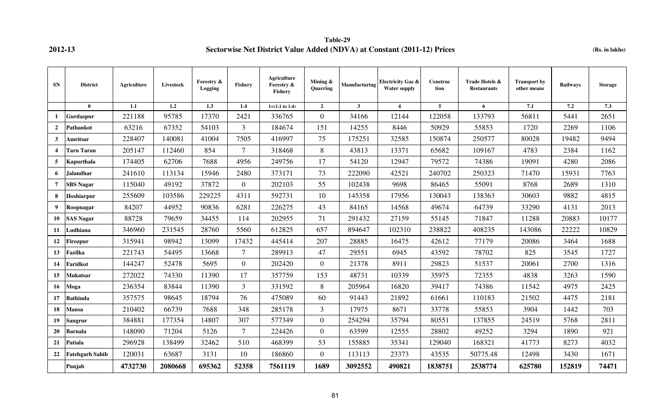**Table-29 2012-13 Sectorwise Net District Value Added (NDVA) at Constant (2011-12) Prices** (Rs. in lakhs)

| <b>SN</b>      | <b>District</b>        | Agriculture | Livestock | Forestry &<br>Logging | Fishery        | <b>Agriculture</b><br>Forestry &<br><b>Fishery</b> | Mining $\&$<br>Quarring | Manufacturing | <b>Electricity Gas &amp;</b><br><b>Water supply</b> | Construc<br>tion | Trade Hotels &<br><b>Restaurants</b> | <b>Transport by</b><br>other means | <b>Railways</b> | <b>Storage</b> |
|----------------|------------------------|-------------|-----------|-----------------------|----------------|----------------------------------------------------|-------------------------|---------------|-----------------------------------------------------|------------------|--------------------------------------|------------------------------------|-----------------|----------------|
|                | $\mathbf{0}$           | 1.1         | 1.2       | 1.3                   | 1.4            | $1=(1.1 \text{ to } 1.4)$                          | $\overline{2}$          | $\mathbf{3}$  | $\overline{\mathbf{4}}$                             | 5                | 6                                    | 7.1                                | 7.2             | 7.3            |
| -1             | Gurdaspur              | 221188      | 95785     | 17370                 | 2421           | 336765                                             | $\mathbf{0}$            | 34166         | 12144                                               | 122058           | 133793                               | 56811                              | 5441            | 2651           |
| $\overline{2}$ | Pathankot              | 63216       | 67352     | 54103                 | 3              | 184674                                             | 151                     | 14255         | 8446                                                | 50929            | 55853                                | 1720                               | 2269            | 1106           |
| $\mathbf{3}$   | Amritsar               | 228407      | 140081    | 41004                 | 7505           | 416997                                             | 75                      | 175251        | 32585                                               | 150874           | 250577                               | 80028                              | 19482           | 9494           |
| 4              | Tarn Taran             | 205147      | 112460    | 854                   | $\tau$         | 318468                                             | 8                       | 43813         | 13371                                               | 65682            | 109167                               | 4783                               | 2384            | 1162           |
| 5              | Kapurthala             | 174405      | 62706     | 7688                  | 4956           | 249756                                             | 17                      | 54120         | 12947                                               | 79572            | 74386                                | 19091                              | 4280            | 2086           |
| 6              | Jalandhar              | 241610      | 113134    | 15946                 | 2480           | 373171                                             | 73                      | 222090        | 42521                                               | 240702           | 250323                               | 71470                              | 15931           | 7763           |
| 7              | <b>SBS</b> Nagar       | 115040      | 49192     | 37872                 | $\overline{0}$ | 202103                                             | 55                      | 102438        | 9698                                                | 86465            | 55091                                | 8768                               | 2689            | 1310           |
| 8              | Hoshiarpur             | 255609      | 103586    | 229225                | 4311           | 592731                                             | 10                      | 145358        | 17956                                               | 130043           | 138363                               | 30603                              | 9882            | 4815           |
| 9              | Roopnagar              | 84207       | 44952     | 90836                 | 6281           | 226275                                             | 43                      | 84165         | 14568                                               | 49674            | 64739                                | 33290                              | 4131            | 2013           |
| 10             | <b>SAS Nagar</b>       | 88728       | 79659     | 34455                 | 114            | 202955                                             | 71                      | 291432        | 27159                                               | 55145            | 71847                                | 11288                              | 20883           | 10177          |
| 11             | Ludhiana               | 346960      | 231545    | 28760                 | 5560           | 612825                                             | 657                     | 894647        | 102310                                              | 238822           | 408235                               | 143086                             | 22222           | 10829          |
| 12             | <b>Firozpur</b>        | 315941      | 98942     | 13099                 | 17432          | 445414                                             | 207                     | 28885         | 16475                                               | 42612            | 77179                                | 20086                              | 3464            | 1688           |
| 13             | Fazilka                | 221743      | 54495     | 13668                 | $\tau$         | 289913                                             | 47                      | 29551         | 6945                                                | 43592            | 78702                                | 825                                | 3545            | 1727           |
| 14             | Faridkot               | 144247      | 52478     | 5695                  | $\overline{0}$ | 202420                                             | $\overline{0}$          | 21378         | 8911                                                | 29823            | 51537                                | 20061                              | 2700            | 1316           |
| 15             | Mukatsar               | 272022      | 74330     | 11390                 | 17             | 357759                                             | 153                     | 48731         | 10339                                               | 35975            | 72355                                | 4838                               | 3263            | 1590           |
| 16             | Moga                   | 236354      | 83844     | 11390                 | 3              | 331592                                             | 8                       | 205964        | 16820                                               | 39417            | 74386                                | 11542                              | 4975            | 2425           |
| 17             | <b>Bathinda</b>        | 357575      | 98645     | 18794                 | 76             | 475089                                             | 60                      | 91443         | 21892                                               | 61661            | 110183                               | 21502                              | 4475            | 2181           |
| 18             | Mansa                  | 210402      | 66739     | 7688                  | 348            | 285178                                             | 3                       | 17975         | 8671                                                | 33778            | 55853                                | 3904                               | 1442            | 703            |
| 19             | Sangrur                | 384881      | 177354    | 14807                 | 307            | 577349                                             | $\overline{0}$          | 254294        | 35794                                               | 80551            | 137855                               | 24519                              | 5768            | 2811           |
| <b>20</b>      | Barnala                | 148090      | 71204     | 5126                  | $\tau$         | 224426                                             | $\overline{0}$          | 63599         | 12555                                               | 28802            | 49252                                | 3294                               | 1890            | 921            |
| 21             | Patiala                | 296928      | 138499    | 32462                 | 510            | 468399                                             | 53                      | 155885        | 35341                                               | 129040           | 168321                               | 41773                              | 8273            | 4032           |
| 22             | <b>Fatehgarh Sahib</b> | 120031      | 63687     | 3131                  | 10             | 186860                                             | $\mathbf{0}$            | 113113        | 23373                                               | 43535            | 50775.48                             | 12498                              | 3430            | 1671           |
|                | Punjab                 | 4732730     | 2080668   | 695362                | 52358          | 7561119                                            | 1689                    | 3092552       | 490821                                              | 1838751          | 2538774                              | 625780                             | 152819          | 74471          |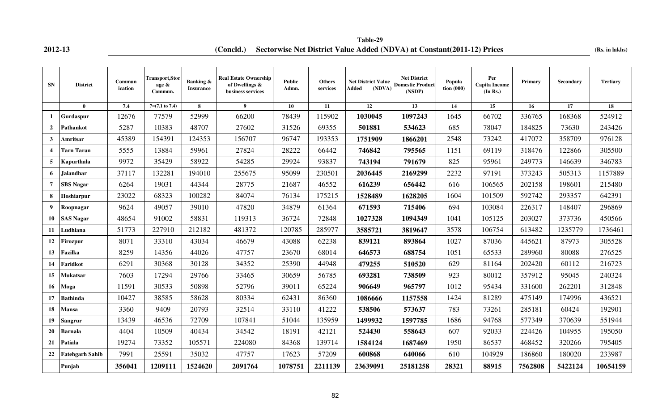## **2012-13 (Rs. in lakhs) (Concld.) Sectorwise Net District Value Added (NDVA) at Constant(2011-12) Prices**

**Table-29**

| <b>SN</b>               | <b>District</b>        | Commun<br>ication | Transport, Stor<br>age &<br>Commun. | <b>Banking &amp;</b><br><b>Insurance</b> | <b>Real Estate Ownership</b><br>of Dwellings &<br>business services | <b>Public</b><br>Admn. | <b>Others</b><br>services | <b>Net District Value</b><br>(NDVA)<br>Added | <b>Net District</b><br><b>Domestic Product</b><br>(NSDP) | Popula<br>tion(000) | Per<br><b>Capita Income</b><br>(In Rs.) | Primary | Secondary | <b>Tertiary</b> |
|-------------------------|------------------------|-------------------|-------------------------------------|------------------------------------------|---------------------------------------------------------------------|------------------------|---------------------------|----------------------------------------------|----------------------------------------------------------|---------------------|-----------------------------------------|---------|-----------|-----------------|
|                         | $\mathbf{0}$           | 7.4               | $7=(7.1 \text{ to } 7.4)$           | 8                                        | 9                                                                   | 10                     | 11                        | 12                                           | $\overline{13}$                                          | 14                  | 15                                      | 16      | 17        | 18              |
| $\mathbf{1}$            | Gurdaspur              | 12676             | 77579                               | 52999                                    | 66200                                                               | 78439                  | 115902                    | 1030045                                      | 1097243                                                  | 1645                | 66702                                   | 336765  | 168368    | 524912          |
| $\overline{2}$          | Pathankot              | 5287              | 10383                               | 48707                                    | 27602                                                               | 31526                  | 69355                     | 501881                                       | 534623                                                   | 685                 | 78047                                   | 184825  | 73630     | 243426          |
| $\mathbf{3}$            | Amritsar               | 45389             | 154391                              | 124353                                   | 156707                                                              | 96747                  | 193353                    | 1751909                                      | 1866201                                                  | 2548                | 73242                                   | 417072  | 358709    | 976128          |
| $\overline{\mathbf{4}}$ | <b>Tarn Taran</b>      | 5555              | 13884                               | 59961                                    | 27824                                                               | 28222                  | 66442                     | 746842                                       | 795565                                                   | 1151                | 69119                                   | 318476  | 122866    | 305500          |
| 5                       | Kapurthala             | 9972              | 35429                               | 58922                                    | 54285                                                               | 29924                  | 93837                     | 743194                                       | 791679                                                   | 825                 | 95961                                   | 249773  | 146639    | 346783          |
| 6                       | <b>Jalandhar</b>       | 37117             | 132281                              | 194010                                   | 255675                                                              | 95099                  | 230501                    | 2036445                                      | 2169299                                                  | 2232                | 97191                                   | 373243  | 505313    | 1157889         |
| 7                       | <b>SBS Nagar</b>       | 6264              | 19031                               | 44344                                    | 28775                                                               | 21687                  | 46552                     | 616239                                       | 656442                                                   | 616                 | 106565                                  | 202158  | 198601    | 215480          |
| 8                       | Hoshiarpur             | 23022             | 68323                               | 100282                                   | 84074                                                               | 76134                  | 175215                    | 1528489                                      | 1628205                                                  | 1604                | 101509                                  | 592742  | 293357    | 642391          |
| 9                       | Roopnagar              | 9624              | 49057                               | 39010                                    | 47820                                                               | 34879                  | 61364                     | 671593                                       | 715406                                                   | 694                 | 103084                                  | 226317  | 148407    | 296869          |
| 10                      | <b>SAS Nagar</b>       | 48654             | 91002                               | 58831                                    | 119313                                                              | 36724                  | 72848                     | 1027328                                      | 1094349                                                  | 1041                | 105125                                  | 203027  | 373736    | 450566          |
| 11                      | Ludhiana               | 51773             | 227910                              | 212182                                   | 481372                                                              | 120785                 | 285977                    | 3585721                                      | 3819647                                                  | 3578                | 106754                                  | 613482  | 1235779   | 1736461         |
| 12                      | <b>Firozpur</b>        | 8071              | 33310                               | 43034                                    | 46679                                                               | 43088                  | 62238                     | 839121                                       | 893864                                                   | 1027                | 87036                                   | 445621  | 87973     | 305528          |
| 13                      | Fazilka                | 8259              | 14356                               | 44026                                    | 47757                                                               | 23670                  | 68014                     | 646573                                       | 688754                                                   | 1051                | 65533                                   | 289960  | 80088     | 276525          |
| 14                      | Faridkot               | 6291              | 30368                               | 30128                                    | 34352                                                               | 25390                  | 44948                     | 479255                                       | 510520                                                   | 629                 | 81164                                   | 202420  | 60112     | 216723          |
| 15                      | Mukatsar               | 7603              | 17294                               | 29766                                    | 33465                                                               | 30659                  | 56785                     | 693281                                       | 738509                                                   | 923                 | 80012                                   | 357912  | 95045     | 240324          |
| 16                      | Moga                   | 11591             | 30533                               | 50898                                    | 52796                                                               | 39011                  | 65224                     | 906649                                       | 965797                                                   | 1012                | 95434                                   | 331600  | 262201    | 312848          |
| 17                      | <b>Bathinda</b>        | 10427             | 38585                               | 58628                                    | 80334                                                               | 62431                  | 86360                     | 1086666                                      | 1157558                                                  | 1424                | 81289                                   | 475149  | 174996    | 436521          |
| 18                      | <b>Mansa</b>           | 3360              | 9409                                | 20793                                    | 32514                                                               | 33110                  | 41222                     | 538506                                       | 573637                                                   | 783                 | 73261                                   | 285181  | 60424     | 192901          |
| 19                      | Sangrur                | 13439             | 46536                               | 72709                                    | 107841                                                              | 51044                  | 135959                    | 1499932                                      | 1597785                                                  | 1686                | 94768                                   | 577349  | 370639    | 551944          |
| 20                      | <b>Barnala</b>         | 4404              | 10509                               | 40434                                    | 34542                                                               | 18191                  | 42121                     | 524430                                       | 558643                                                   | 607                 | 92033                                   | 224426  | 104955    | 195050          |
| 21                      | Patiala                | 19274             | 73352                               | 105571                                   | 224080                                                              | 84368                  | 139714                    | 1584124                                      | 1687469                                                  | 1950                | 86537                                   | 468452  | 320266    | 795405          |
| 22                      | <b>Fatehgarh Sahib</b> | 7991              | 25591                               | 35032                                    | 47757                                                               | 17623                  | 57209                     | 600868                                       | 640066                                                   | 610                 | 104929                                  | 186860  | 180020    | 233987          |
|                         | Punjab                 | 356041            | 1209111                             | 1524620                                  | 2091764                                                             | 1078751                | 2211139                   | 23639091                                     | 25181258                                                 | 28321               | 88915                                   | 7562808 | 5422124   | 10654159        |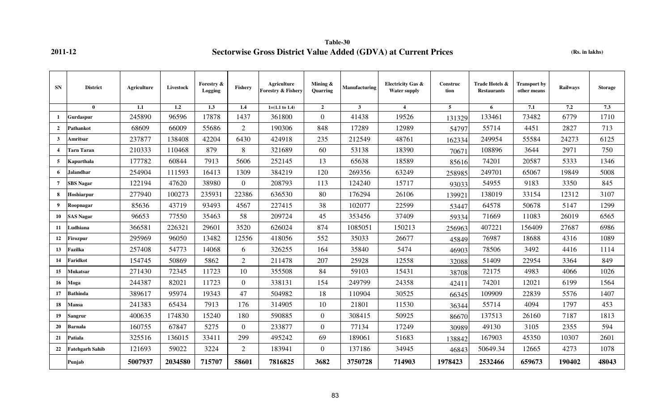**Table-30 2011-12 Sectorwise Gross District Value Added (GDVA) at Current Prices (Rs. in lakhs)**

| <b>SN</b>        | <b>District</b>        | Agriculture | Livestock | Forestry &<br>Logging | <b>Fishery</b> | <b>Agriculture</b><br><b>Forestry &amp; Fishery</b> | Mining $\&$<br>Quarring | Manufacturing  | <b>Electricity Gas &amp;</b><br><b>Water supply</b> | Construc<br>tion | Trade Hotels &<br><b>Restaurants</b> | <b>Transport by</b><br>other means | Railways | <b>Storage</b> |
|------------------|------------------------|-------------|-----------|-----------------------|----------------|-----------------------------------------------------|-------------------------|----------------|-----------------------------------------------------|------------------|--------------------------------------|------------------------------------|----------|----------------|
|                  | $\mathbf{0}$           | 1.1         | 1.2       | 1.3                   | 1.4            | $1=(1.1 \text{ to } 1.4)$                           | $\overline{2}$          | 3 <sup>1</sup> | $\overline{\mathbf{4}}$                             | 5                | 6                                    | 7.1                                | 7.2      | 7.3            |
| $\mathbf{1}$     | Gurdaspur              | 245890      | 96596     | 17878                 | 1437           | 361800                                              | $\overline{0}$          | 41438          | 19526                                               | 131329           | 133461                               | 73482                              | 6779     | 1710           |
| $\overline{2}$   | Pathankot              | 68609       | 66009     | 55686                 | $\overline{2}$ | 190306                                              | 848                     | 17289          | 12989                                               | 54797            | 55714                                | 4451                               | 2827     | 713            |
| $\mathbf{3}$     | Amritsar               | 237877      | 138408    | 42204                 | 6430           | 424918                                              | 235                     | 212549         | 48761                                               | 162334           | 249954                               | 55584                              | 24273    | 6125           |
| $\boldsymbol{A}$ | Tarn Taran             | 210333      | 110468    | 879                   | 8              | 321689                                              | 60                      | 53138          | 18390                                               | 70671            | 108896                               | 3644                               | 2971     | 750            |
| 5                | Kapurthala             | 177782      | 60844     | 7913                  | 5606           | 252145                                              | 13                      | 65638          | 18589                                               | 85616            | 74201                                | 20587                              | 5333     | 1346           |
| 6                | Jalandhar              | 254904      | 111593    | 16413                 | 1309           | 384219                                              | 120                     | 269356         | 63249                                               | 258985           | 249701                               | 65067                              | 19849    | 5008           |
| $\overline{7}$   | <b>SBS</b> Nagar       | 122194      | 47620     | 38980                 | $\overline{0}$ | 208793                                              | 113                     | 124240         | 15717                                               | 93033            | 54955                                | 9183                               | 3350     | 845            |
| 8                | Hoshiarpur             | 277940      | 100273    | 235931                | 22386          | 636530                                              | 80                      | 176294         | 26106                                               | 139921           | 138019                               | 33154                              | 12312    | 3107           |
| 9                | Roopnagar              | 85636       | 43719     | 93493                 | 4567           | 227415                                              | 38                      | 102077         | 22599                                               | 53447            | 64578                                | 50678                              | 5147     | 1299           |
| 10               | <b>SAS Nagar</b>       | 96653       | 77550     | 35463                 | 58             | 209724                                              | 45                      | 353456         | 37409                                               | 59334            | 71669                                | 11083                              | 26019    | 6565           |
| 11               | Ludhiana               | 366581      | 226321    | 29601                 | 3520           | 626024                                              | 874                     | 1085051        | 150213                                              | 256963           | 407221                               | 156409                             | 27687    | 6986           |
| 12               | Firozpur               | 295969      | 96050     | 13482                 | 12556          | 418056                                              | 552                     | 35033          | 26677                                               | 45849            | 76987                                | 18688                              | 4316     | 1089           |
| 13               | Fazilka                | 257408      | 54773     | 14068                 | 6              | 326255                                              | 164                     | 35840          | 5474                                                | 46903            | 78506                                | 3492                               | 4416     | 1114           |
| 14               | Faridkot               | 154745      | 50869     | 5862                  | $\overline{2}$ | 211478                                              | 207                     | 25928          | 12558                                               | 32088            | 51409                                | 22954                              | 3364     | 849            |
| 15               | Mukatsar               | 271430      | 72345     | 11723                 | 10             | 355508                                              | 84                      | 59103          | 15431                                               | 38708            | 72175                                | 4983                               | 4066     | 1026           |
| 16               | Moga                   | 244387      | 82021     | 11723                 | $\overline{0}$ | 338131                                              | 154                     | 249799         | 24358                                               | 42411            | 74201                                | 12021                              | 6199     | 1564           |
| 17               | <b>Bathinda</b>        | 389617      | 95974     | 19343                 | 47             | 504982                                              | 18                      | 110904         | 30525                                               | 66345            | 109909                               | 22839                              | 5576     | 1407           |
| 18               | Mansa                  | 241383      | 65434     | 7913                  | 176            | 314905                                              | 10                      | 21801          | 11530                                               | 36344            | 55714                                | 4094                               | 1797     | 453            |
| 19               | Sangrur                | 400635      | 174830    | 15240                 | 180            | 590885                                              | $\mathbf{0}$            | 308415         | 50925                                               | 86670            | 137513                               | 26160                              | 7187     | 1813           |
| 20               | <b>Barnala</b>         | 160755      | 67847     | 5275                  | $\overline{0}$ | 233877                                              | $\overline{0}$          | 77134          | 17249                                               | 30989            | 49130                                | 3105                               | 2355     | 594            |
| 21               | Patiala                | 325516      | 136015    | 33411                 | 299            | 495242                                              | 69                      | 189061         | 51683                                               | 138842           | 167903                               | 45350                              | 10307    | 2601           |
| 22               | <b>Fatehgarh Sahib</b> | 121693      | 59022     | 3224                  | $\overline{2}$ | 183941                                              | $\overline{0}$          | 137186         | 34945                                               | 46843            | 50649.34                             | 12665                              | 4273     | 1078           |
|                  | Punjab                 | 5007937     | 2034580   | 715707                | 58601          | 7816825                                             | 3682                    | 3750728        | 714903                                              | 1978423          | 2532466                              | 659673                             | 190402   | 48043          |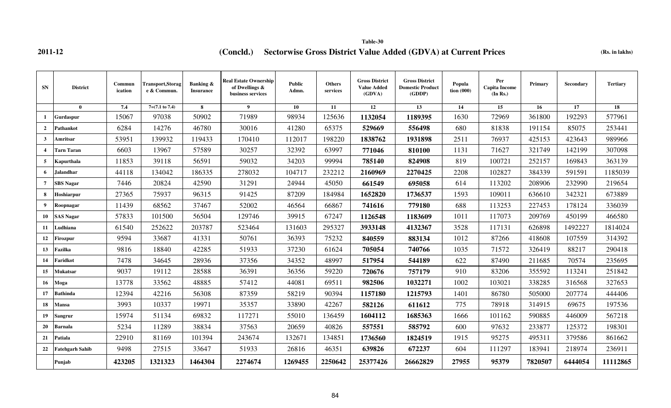# **2011-12 (Concld.)** Sectorwise Gross District Value Added (GDVA) at Current Prices (Rs. in lakhs)

**Table-30**

| <b>SN</b>               | <b>District</b>   | Commun<br>ication | Transport,Storag<br>e & Commun. | Banking &<br><b>Insurance</b> | <b>Real Estate Ownership</b><br>of Dwellings &<br>business services | Public<br>Admn. | <b>Others</b><br>services | <b>Gross District</b><br><b>Value Added</b><br>(GDVA) | <b>Gross District</b><br><b>Domestic Product</b><br>(GDDP) | Popula<br>tion $(000)$ | Per<br>Capita Income<br>(In Rs.) | Primary | <b>Secondary</b> | <b>Tertiary</b> |
|-------------------------|-------------------|-------------------|---------------------------------|-------------------------------|---------------------------------------------------------------------|-----------------|---------------------------|-------------------------------------------------------|------------------------------------------------------------|------------------------|----------------------------------|---------|------------------|-----------------|
|                         | $\theta$          | 7.4               | $7=(7.1 \text{ to } 7.4)$       | 8                             | $\overline{9}$                                                      | 10              | 11                        | 12                                                    | 13                                                         | 14                     | 15                               | 16      | 17               | 18              |
| -1                      | Gurdaspur         | 15067             | 97038                           | 50902                         | 71989                                                               | 98934           | 125636                    | 1132054                                               | 1189395                                                    | 1630                   | 72969                            | 361800  | 192293           | 577961          |
| $\overline{2}$          | Pathankot         | 6284              | 14276                           | 46780                         | 30016                                                               | 41280           | 65375                     | 529669                                                | 556498                                                     | 680                    | 81838                            | 191154  | 85075            | 253441          |
| $\mathbf{3}$            | Amritsar          | 53951             | 139932                          | 119433                        | 170410                                                              | 112017          | 198220                    | 1838762                                               | 1931898                                                    | 2511                   | 76937                            | 425153  | 423643           | 989966          |
| $\overline{\mathbf{4}}$ | <b>Farn Taran</b> | 6603              | 13967                           | 57589                         | 30257                                                               | 32392           | 63997                     | 771046                                                | 810100                                                     | 1131                   | 71627                            | 321749  | 142199           | 307098          |
| 5                       | Kapurthala        | 11853             | 39118                           | 56591                         | 59032                                                               | 34203           | 99994                     | 785140                                                | 824908                                                     | 819                    | 100721                           | 252157  | 169843           | 363139          |
| 6                       | Jalandhar         | 44118             | 134042                          | 186335                        | 278032                                                              | 104717          | 232212                    | 2160969                                               | 2270425                                                    | 2208                   | 102827                           | 384339  | 591591           | 1185039         |
| $\overline{7}$          | <b>SBS Nagar</b>  | 7446              | 20824                           | 42590                         | 31291                                                               | 24944           | 45050                     | 661549                                                | 695058                                                     | 614                    | 113202                           | 208906  | 232990           | 219654          |
| 8                       | Hoshiarpur        | 27365             | 75937                           | 96315                         | 91425                                                               | 87209           | 184984                    | 1652820                                               | 1736537                                                    | 1593                   | 109011                           | 636610  | 342321           | 673889          |
| 9                       | Roopnagar         | 11439             | 68562                           | 37467                         | 52002                                                               | 46564           | 66867                     | 741616                                                | 779180                                                     | 688                    | 113253                           | 227453  | 178124           | 336039          |
| 10                      | SAS Nagar         | 57833             | 101500                          | 56504                         | 129746                                                              | 39915           | 67247                     | 1126548                                               | 1183609                                                    | 1011                   | 117073                           | 209769  | 450199           | 466580          |
| 11                      | Ludhiana          | 61540             | 252622                          | 203787                        | 523464                                                              | 131603          | 295327                    | 3933148                                               | 4132367                                                    | 3528                   | 117131                           | 626898  | 1492227          | 1814024         |
| 12                      | Firozpur          | 9594              | 33687                           | 41331                         | 50761                                                               | 36393           | 75232                     | 840559                                                | 883134                                                     | 1012                   | 87266                            | 418608  | 107559           | 314392          |
| 13                      | Fazilka           | 9816              | 18840                           | 42285                         | 51933                                                               | 37230           | 61624                     | 705054                                                | 740766                                                     | 1035                   | 71572                            | 326419  | 88217            | 290418          |
| 14                      | Faridkot          | 7478              | 34645                           | 28936                         | 37356                                                               | 34352           | 48997                     | 517954                                                | 544189                                                     | 622                    | 87490                            | 211685  | 70574            | 235695          |
| 15                      | Mukatsar          | 9037              | 19112                           | 28588                         | 36391                                                               | 36356           | 59220                     | 720676                                                | 757179                                                     | 910                    | 83206                            | 355592  | 113241           | 251842          |
| 16                      | Moga              | 13778             | 33562                           | 48885                         | 57412                                                               | 44081           | 69511                     | 982506                                                | 1032271                                                    | 1002                   | 103021                           | 338285  | 316568           | 327653          |
| 17                      | Bathinda          | 12394             | 42216                           | 56308                         | 87359                                                               | 58219           | 90394                     | 1157180                                               | 1215793                                                    | 1401                   | 86780                            | 505000  | 207774           | 444406          |
| 18                      | Mansa             | 3993              | 10337                           | 19971                         | 35357                                                               | 33890           | 42267                     | 582126                                                | 611612                                                     | 775                    | 78918                            | 314915  | 69675            | 197536          |
| 19                      | Sangrur           | 15974             | 51134                           | 69832                         | 117271                                                              | 55010           | 136459                    | 1604112                                               | 1685363                                                    | 1666                   | 101162                           | 590885  | 446009           | 567218          |
| 20                      | Barnala           | 5234              | 11289                           | 38834                         | 37563                                                               | 20659           | 40826                     | 557551                                                | 585792                                                     | 600                    | 97632                            | 233877  | 125372           | 198301          |
| 21                      | Patiala           | 22910             | 81169                           | 101394                        | 243674                                                              | 132671          | 134851                    | 1736560                                               | 1824519                                                    | 1915                   | 95275                            | 495311  | 379586           | 861662          |
| 22                      | Fatehgarh Sahib   | 9498              | 27515                           | 33647                         | 51933                                                               | 26816           | 46351                     | 639826                                                | 672237                                                     | 604                    | 111297                           | 183941  | 218974           | 236911          |
|                         | Punjab            | 423205            | 1321323                         | 1464304                       | 2274674                                                             | 1269455         | 2250642                   | 25377426                                              | 26662829                                                   | 27955                  | 95379                            | 7820507 | 6444054          | 11112865        |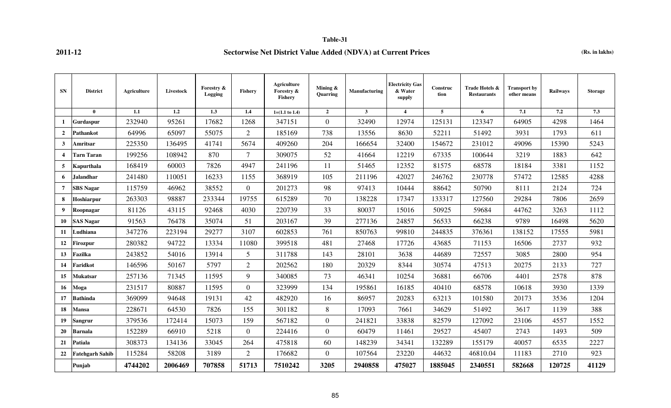### **Table-31**

## **2011-12 Sectorwise Net District Value Added (NDVA) at Current Prices (Rs. in lakhs)**

| <b>SN</b>               | <b>District</b>        | Agriculture | Livestock | Forestry &<br>Logging | <b>Fishery</b> | <b>Agriculture</b><br>Forestry &<br><b>Fishery</b> | Mining $\&$<br>Quarring | Manufacturing | <b>Electricity Gas</b><br>& Water<br>supply | Construc<br>tion | Trade Hotels &<br><b>Restaurants</b> | <b>Transport by</b><br>other means | <b>Railways</b> | <b>Storage</b> |
|-------------------------|------------------------|-------------|-----------|-----------------------|----------------|----------------------------------------------------|-------------------------|---------------|---------------------------------------------|------------------|--------------------------------------|------------------------------------|-----------------|----------------|
|                         | $\mathbf{0}$           | $1.1\,$     | 1.2       | $\overline{1.3}$      | 1.4            | $1=(1.1 \text{ to } 1.4)$                          | $\overline{2}$          | $3^{\circ}$   | $\overline{4}$                              | $5^{\circ}$      | 6                                    | 7.1                                | 7.2             | 7.3            |
| 1                       | Gurdaspur              | 232940      | 95261     | 17682                 | 1268           | 347151                                             | $\overline{0}$          | 32490         | 12974                                       | 125131           | 123347                               | 64905                              | 4298            | 1464           |
| $\mathbf{2}$            | <b>Pathankot</b>       | 64996       | 65097     | 55075                 | $\overline{2}$ | 185169                                             | 738                     | 13556         | 8630                                        | 52211            | 51492                                | 3931                               | 1793            | 611            |
| 3                       | Amritsar               | 225350      | 136495    | 41741                 | 5674           | 409260                                             | 204                     | 166654        | 32400                                       | 154672           | 231012                               | 49096                              | 15390           | 5243           |
| $\overline{\mathbf{4}}$ | <b>Tarn Taran</b>      | 199256      | 108942    | 870                   | $\tau$         | 309075                                             | 52                      | 41664         | 12219                                       | 67335            | 100644                               | 3219                               | 1883            | 642            |
| 5                       | Kapurthala             | 168419      | 60003     | 7826                  | 4947           | 241196                                             | 11                      | 51465         | 12352                                       | 81575            | 68578                                | 18184                              | 3381            | 1152           |
| 6                       | <b>Jalandhar</b>       | 241480      | 110051    | 16233                 | 1155           | 368919                                             | 105                     | 211196        | 42027                                       | 246762           | 230778                               | 57472                              | 12585           | 4288           |
| $\overline{7}$          | <b>SBS</b> Nagar       | 115759      | 46962     | 38552                 | $\overline{0}$ | 201273                                             | 98                      | 97413         | 10444                                       | 88642            | 50790                                | 8111                               | 2124            | 724            |
| 8                       | Hoshiarpur             | 263303      | 98887     | 233344                | 19755          | 615289                                             | 70                      | 138228        | 17347                                       | 133317           | 127560                               | 29284                              | 7806            | 2659           |
| 9                       | Roopnagar              | 81126       | 43115     | 92468                 | 4030           | 220739                                             | 33                      | 80037         | 15016                                       | 50925            | 59684                                | 44762                              | 3263            | 1112           |
| 10                      | <b>SAS Nagar</b>       | 91563       | 76478     | 35074                 | 51             | 203167                                             | 39                      | 277136        | 24857                                       | 56533            | 66238                                | 9789                               | 16498           | 5620           |
| 11                      | Ludhiana               | 347276      | 223194    | 29277                 | 3107           | 602853                                             | 761                     | 850763        | 99810                                       | 244835           | 376361                               | 138152                             | 17555           | 5981           |
| 12                      | Firozpur               | 280382      | 94722     | 13334                 | 11080          | 399518                                             | 481                     | 27468         | 17726                                       | 43685            | 71153                                | 16506                              | 2737            | 932            |
| 13                      | Fazilka                | 243852      | 54016     | 13914                 | 5              | 311788                                             | 143                     | 28101         | 3638                                        | 44689            | 72557                                | 3085                               | 2800            | 954            |
| 14                      | Faridkot               | 146596      | 50167     | 5797                  | $\overline{2}$ | 202562                                             | 180                     | 20329         | 8344                                        | 30574            | 47513                                | 20275                              | 2133            | 727            |
| 15                      | <b>Mukatsar</b>        | 257136      | 71345     | 11595                 | 9              | 340085                                             | 73                      | 46341         | 10254                                       | 36881            | 66706                                | 4401                               | 2578            | 878            |
| 16                      | Moga                   | 231517      | 80887     | 11595                 | $\overline{0}$ | 323999                                             | 134                     | 195861        | 16185                                       | 40410            | 68578                                | 10618                              | 3930            | 1339           |
| 17                      | <b>Bathinda</b>        | 369099      | 94648     | 19131                 | 42             | 482920                                             | 16                      | 86957         | 20283                                       | 63213            | 101580                               | 20173                              | 3536            | 1204           |
| 18                      | <b>Mansa</b>           | 228671      | 64530     | 7826                  | 155            | 301182                                             | 8                       | 17093         | 7661                                        | 34629            | 51492                                | 3617                               | 1139            | 388            |
| 19                      | <b>Sangrur</b>         | 379536      | 172414    | 15073                 | 159            | 567182                                             | $\mathbf{0}$            | 241821        | 33838                                       | 82579            | 127092                               | 23106                              | 4557            | 1552           |
| 20                      | <b>Barnala</b>         | 152289      | 66910     | 5218                  | $\overline{0}$ | 224416                                             | $\mathbf{0}$            | 60479         | 11461                                       | 29527            | 45407                                | 2743                               | 1493            | 509            |
| 21                      | Patiala                | 308373      | 134136    | 33045                 | 264            | 475818                                             | 60                      | 148239        | 34341                                       | 132289           | 155179                               | 40057                              | 6535            | 2227           |
| 22                      | <b>Fatehgarh Sahib</b> | 115284      | 58208     | 3189                  | 2              | 176682                                             | $\boldsymbol{0}$        | 107564        | 23220                                       | 44632            | 46810.04                             | 11183                              | 2710            | 923            |
|                         | Punjab                 | 4744202     | 2006469   | 707858                | 51713          | 7510242                                            | 3205                    | 2940858       | 475027                                      | 1885045          | 2340551                              | 582668                             | 120725          | 41129          |